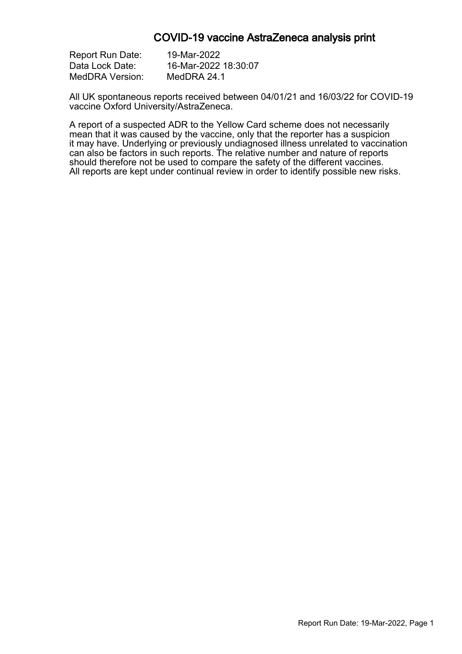#### COVID-19 vaccine AstraZeneca analysis print

| <b>Report Run Date:</b> | 19-Mar-2022          |
|-------------------------|----------------------|
| Data Lock Date:         | 16-Mar-2022 18:30:07 |
| MedDRA Version:         | MedDRA 24.1          |

All UK spontaneous reports received between 04/01/21 and 16/03/22 for COVID-19 vaccine Oxford University/AstraZeneca.

A report of a suspected ADR to the Yellow Card scheme does not necessarily mean that it was caused by the vaccine, only that the reporter has a suspicion it may have. Underlying or previously undiagnosed illness unrelated to vaccination can also be factors in such reports. The relative number and nature of reports should therefore not be used to compare the safety of the different vaccines. All reports are kept under continual review in order to identify possible new risks.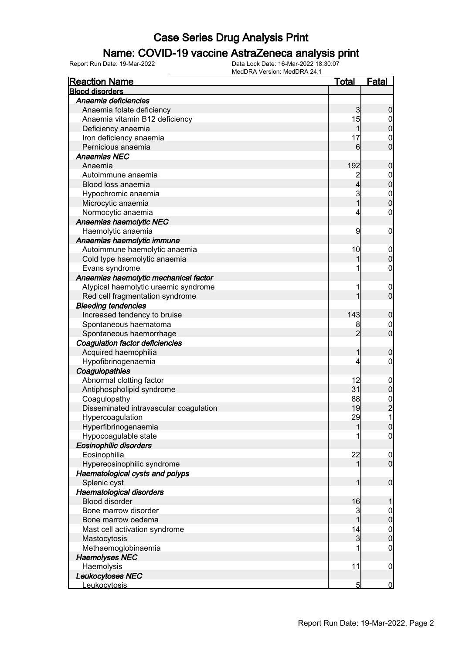### Name: COVID-19 vaccine AstraZeneca analysis print

| <b>Reaction Name</b>                   | <u>Total</u>   | <b>Fatal</b>                               |
|----------------------------------------|----------------|--------------------------------------------|
| <b>Blood disorders</b>                 |                |                                            |
| Anaemia deficiencies                   |                |                                            |
| Anaemia folate deficiency              | 3              | $\boldsymbol{0}$                           |
| Anaemia vitamin B12 deficiency         | 15             | $\mathbf 0$                                |
| Deficiency anaemia                     | 1              | $\overline{0}$                             |
| Iron deficiency anaemia                | 17             | $\boldsymbol{0}$                           |
| Pernicious anaemia                     | 6              | $\overline{0}$                             |
| <b>Anaemias NEC</b>                    |                |                                            |
| Anaemia                                | 192            | $\pmb{0}$                                  |
| Autoimmune anaemia                     | $\overline{c}$ |                                            |
| Blood loss anaemia                     | $\overline{4}$ | $0$ 0                                      |
| Hypochromic anaemia                    | 3              |                                            |
| Microcytic anaemia                     | $\overline{1}$ | $\begin{matrix}0\\0\end{matrix}$           |
| Normocytic anaemia                     | 4              | $\pmb{0}$                                  |
| Anaemias haemolytic NEC                |                |                                            |
| Haemolytic anaemia                     | 9              | $\mathbf 0$                                |
| Anaemias haemolytic immune             |                |                                            |
| Autoimmune haemolytic anaemia          | 10             |                                            |
|                                        | 1              | $\boldsymbol{0}$<br>$\mathbf 0$            |
| Cold type haemolytic anaemia           |                |                                            |
| Evans syndrome                         | 1              | $\pmb{0}$                                  |
| Anaemias haemolytic mechanical factor  |                |                                            |
| Atypical haemolytic uraemic syndrome   | 1              | $\boldsymbol{0}$                           |
| Red cell fragmentation syndrome        | 1              | $\overline{0}$                             |
| <b>Bleeding tendencies</b>             |                |                                            |
| Increased tendency to bruise           | 143            | $\boldsymbol{0}$                           |
| Spontaneous haematoma                  | 8              | $0\atop 0$                                 |
| Spontaneous haemorrhage                | $\overline{2}$ |                                            |
| Coagulation factor deficiencies        |                |                                            |
| Acquired haemophilia                   | 1              | $\boldsymbol{0}$                           |
| Hypofibrinogenaemia                    | 4              | $\pmb{0}$                                  |
| Coagulopathies                         |                |                                            |
| Abnormal clotting factor               | 12             | $\boldsymbol{0}$                           |
| Antiphospholipid syndrome              | 31             | $\mathbf 0$                                |
| Coagulopathy                           | 88             |                                            |
| Disseminated intravascular coagulation | 19             | $\begin{array}{c} 0 \\ 2 \\ 1 \end{array}$ |
| Hypercoagulation                       | 29             |                                            |
| Hyperfibrinogenaemia                   | 11             | $\overline{0}$                             |
| Hypocoagulable state                   | 1              | $\overline{0}$                             |
| <b>Eosinophilic disorders</b>          |                |                                            |
| Eosinophilia                           | 22             | $\mathbf 0$                                |
| Hypereosinophilic syndrome             | 1              | $\overline{0}$                             |
| Haematological cysts and polyps        |                |                                            |
| Splenic cyst                           | 1              | $\boldsymbol{0}$                           |
| Haematological disorders               |                |                                            |
| <b>Blood disorder</b>                  | 16             | 1                                          |
| Bone marrow disorder                   | 3              | $\boldsymbol{0}$                           |
| Bone marrow oedema                     | 1              | $\mathbf 0$                                |
| Mast cell activation syndrome          | 14             | $\boldsymbol{0}$                           |
| Mastocytosis                           | $\mathbf{3}$   | $\overline{0}$                             |
| Methaemoglobinaemia                    |                | $\mathbf 0$                                |
| <b>Haemolyses NEC</b>                  |                |                                            |
| Haemolysis                             | 11             | $\mathbf 0$                                |
| Leukocytoses NEC                       |                |                                            |
| Leukocytosis                           | $\overline{5}$ | $\overline{0}$                             |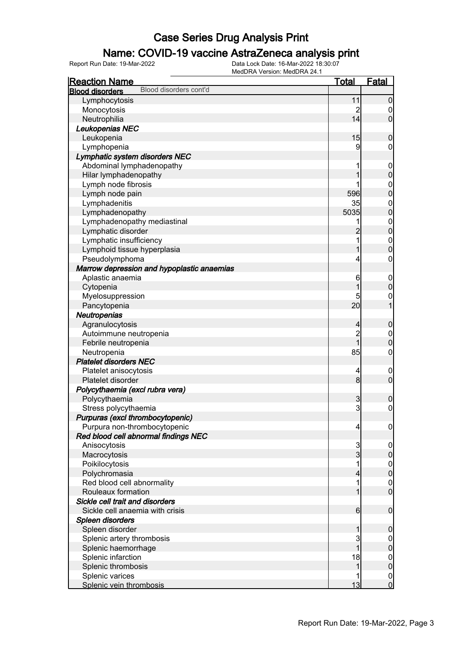### Name: COVID-19 vaccine AstraZeneca analysis print

| <b>Reaction Name</b>                             | <u>Total</u>            | <b>Fatal</b>                     |
|--------------------------------------------------|-------------------------|----------------------------------|
| Blood disorders cont'd<br><b>Blood disorders</b> |                         |                                  |
| Lymphocytosis                                    | 11                      | $\boldsymbol{0}$                 |
| Monocytosis                                      | 2                       | $\boldsymbol{0}$                 |
| Neutrophilia                                     | 14                      | $\overline{0}$                   |
| Leukopenias NEC                                  |                         |                                  |
| Leukopenia                                       | 15                      | $\mathbf 0$                      |
| Lymphopenia                                      | 9                       | $\mathbf 0$                      |
| Lymphatic system disorders NEC                   |                         |                                  |
| Abdominal lymphadenopathy                        | 1                       | $\mathbf 0$                      |
| Hilar lymphadenopathy                            | 1                       | $\mathbf 0$                      |
| Lymph node fibrosis                              |                         |                                  |
| Lymph node pain                                  | 596                     | $0\atop 0$                       |
| Lymphadenitis                                    | 35                      | $0\atop 0$                       |
| Lymphadenopathy                                  | 5035                    |                                  |
| Lymphadenopathy mediastinal                      | 1                       | $0\atop 0$                       |
| Lymphatic disorder                               | $\overline{c}$          |                                  |
| Lymphatic insufficiency                          | 1                       | $\begin{matrix}0\\0\end{matrix}$ |
| Lymphoid tissue hyperplasia                      | 1                       |                                  |
| Pseudolymphoma                                   | 4                       | $\boldsymbol{0}$                 |
| Marrow depression and hypoplastic anaemias       |                         |                                  |
| Aplastic anaemia                                 | 6                       | $\mathbf 0$                      |
| Cytopenia                                        | 1                       | $\mathbf 0$                      |
| Myelosuppression                                 | 5                       | $\mathbf 0$                      |
| Pancytopenia                                     | 20                      | $\overline{1}$                   |
| Neutropenias                                     |                         |                                  |
| Agranulocytosis                                  | $\overline{4}$          | $\boldsymbol{0}$                 |
| Autoimmune neutropenia                           | $\overline{c}$          | $\boldsymbol{0}$                 |
| Febrile neutropenia                              | $\overline{1}$          | $\overline{0}$                   |
| Neutropenia                                      | 85                      | $\boldsymbol{0}$                 |
| <b>Platelet disorders NEC</b>                    |                         |                                  |
| Platelet anisocytosis                            | $\overline{4}$          | $\mathbf 0$                      |
| Platelet disorder                                | 8 <sup>1</sup>          | $\mathbf 0$                      |
| Polycythaemia (excl rubra vera)                  |                         |                                  |
| Polycythaemia                                    | 3                       | $\boldsymbol{0}$                 |
| Stress polycythaemia                             | $\overline{3}$          | $\boldsymbol{0}$                 |
| Purpuras (excl thrombocytopenic)                 |                         |                                  |
| Purpura non-thrombocytopenic                     | $\overline{\mathbf{r}}$ | $\overline{0}$                   |
| Red blood cell abnormal findings NEC             |                         |                                  |
| Anisocytosis                                     | 3                       | $\mathbf 0$                      |
| Macrocytosis                                     | $\overline{3}$          | $\pmb{0}$                        |
| Poikilocytosis                                   | 1                       | $\boldsymbol{0}$                 |
| Polychromasia                                    | 4                       | $\mathbf 0$                      |
| Red blood cell abnormality                       | 1                       | $\boldsymbol{0}$                 |
| Rouleaux formation                               | 1                       | $\mathbf 0$                      |
| Sickle cell trait and disorders                  |                         |                                  |
| Sickle cell anaemia with crisis                  | $6 \mid$                | $\boldsymbol{0}$                 |
| Spleen disorders                                 |                         |                                  |
| Spleen disorder                                  | 1                       | $\boldsymbol{0}$                 |
| Splenic artery thrombosis                        | 3                       | $\overline{0}$                   |
| Splenic haemorrhage                              | $\overline{1}$          | $\pmb{0}$                        |
| Splenic infarction                               | 18                      | $\overline{0}$                   |
| Splenic thrombosis                               | 1                       | $\mathbf 0$                      |
| Splenic varices                                  |                         | $\boldsymbol{0}$                 |
| Splenic vein thrombosis                          | 13                      | $\mathbf 0$                      |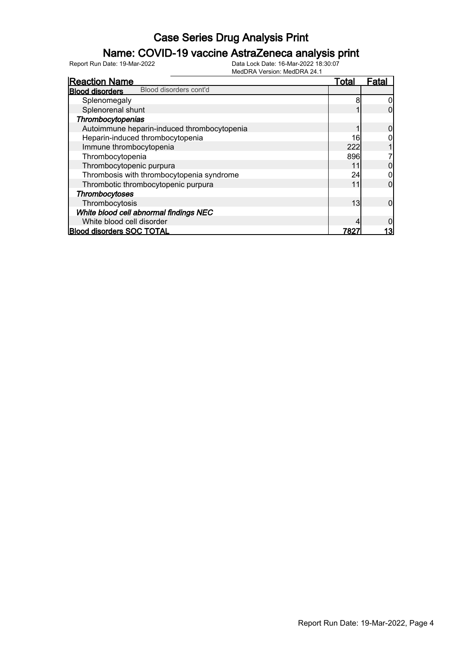### Name: COVID-19 vaccine AstraZeneca analysis print

| <b>Reaction Name</b>                             | Total | Fatal |
|--------------------------------------------------|-------|-------|
| Blood disorders cont'd<br><b>Blood disorders</b> |       |       |
| Splenomegaly                                     | 8     |       |
| Splenorenal shunt                                |       |       |
| Thrombocytopenias                                |       |       |
| Autoimmune heparin-induced thrombocytopenia      |       |       |
| Heparin-induced thrombocytopenia                 | 16    |       |
| Immune thrombocytopenia                          | 222   |       |
| Thrombocytopenia                                 | 896   |       |
| Thrombocytopenic purpura                         | 11    |       |
| Thrombosis with thrombocytopenia syndrome        | 24    |       |
| Thrombotic thrombocytopenic purpura              | 11    | 0     |
| Thrombocytoses                                   |       |       |
| Thrombocytosis                                   | 13    | 0     |
| White blood cell abnormal findings NEC           |       |       |
| White blood cell disorder                        |       |       |
| <b>Blood disorders SOC TOTAL</b>                 | 782   | 13    |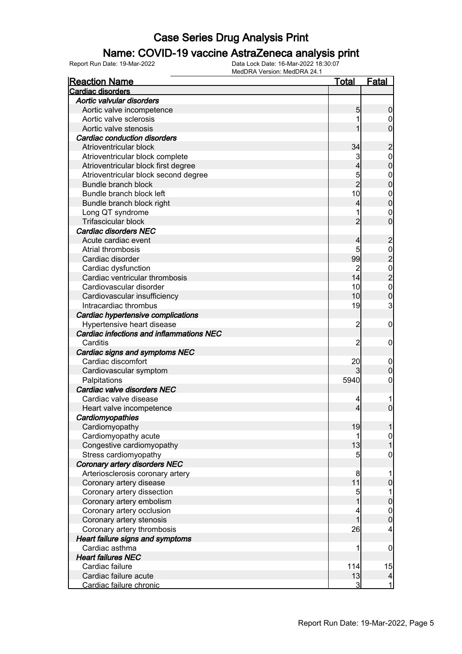### Name: COVID-19 vaccine AstraZeneca analysis print

| <b>Reaction Name</b>                     | Total           | <b>Fatal</b>                               |
|------------------------------------------|-----------------|--------------------------------------------|
| <b>Cardiac disorders</b>                 |                 |                                            |
| Aortic valvular disorders                |                 |                                            |
| Aortic valve incompetence                | 5               | 0                                          |
| Aortic valve sclerosis                   |                 | 0                                          |
| Aortic valve stenosis                    |                 | 0                                          |
| <b>Cardiac conduction disorders</b>      |                 |                                            |
| Atrioventricular block                   | 34              | $\overline{c}$                             |
| Atrioventricular block complete          | 3               | $\mathbf{0}$                               |
| Atrioventricular block first degree      | 4               | 0                                          |
| Atrioventricular block second degree     | 5               | $\mathbf 0$                                |
| Bundle branch block                      | $\overline{2}$  | 0                                          |
| Bundle branch block left                 | 10              | $\mathbf 0$                                |
| Bundle branch block right                | 4               | 0                                          |
| Long QT syndrome                         |                 | 0                                          |
| Trifascicular block                      |                 | 0                                          |
| <b>Cardiac disorders NEC</b>             |                 |                                            |
| Acute cardiac event                      | 4               | $\overline{c}$                             |
| Atrial thrombosis                        | 5               |                                            |
| Cardiac disorder                         | 99              | $\frac{0}{2}$                              |
| Cardiac dysfunction                      |                 |                                            |
| Cardiac ventricular thrombosis           | 14              |                                            |
| Cardiovascular disorder                  | 10              | $\begin{array}{c} 0 \\ 2 \\ 0 \end{array}$ |
| Cardiovascular insufficiency             | 10              | $\overline{0}$                             |
| Intracardiac thrombus                    | 19              | 3                                          |
| Cardiac hypertensive complications       |                 |                                            |
| Hypertensive heart disease               | 2               | 0                                          |
| Cardiac infections and inflammations NEC |                 |                                            |
| Carditis                                 | 2               | 0                                          |
| Cardiac signs and symptoms NEC           |                 |                                            |
| Cardiac discomfort                       | 20              | 0                                          |
| Cardiovascular symptom                   |                 | 0                                          |
| Palpitations                             | 5940            | 0                                          |
| Cardiac valve disorders NEC              |                 |                                            |
| Cardiac valve disease                    | 4               |                                            |
| Heart valve incompetence                 | 4               | 0                                          |
| Cardiomyopathies                         |                 |                                            |
| Cardiomyopathy                           | 19              |                                            |
| Cardiomyopathy acute                     | 1               | $\overline{0}$                             |
| Congestive cardiomyopathy                | 13              |                                            |
| Stress cardiomyopathy                    | $5\overline{)}$ | 0                                          |
| Coronary artery disorders NEC            |                 |                                            |
| Arteriosclerosis coronary artery         | 8               |                                            |
| Coronary artery disease                  | 11              | 0                                          |
| Coronary artery dissection               | 5               |                                            |
| Coronary artery embolism                 |                 | 0                                          |
| Coronary artery occlusion                | $\overline{4}$  | $\mathbf 0$                                |
| Coronary artery stenosis                 |                 | $\overline{0}$                             |
| Coronary artery thrombosis               | 26              | 4                                          |
| <b>Heart failure signs and symptoms</b>  |                 |                                            |
| Cardiac asthma                           | 1               | 0                                          |
| <b>Heart failures NEC</b>                |                 |                                            |
| Cardiac failure                          | 114             | 15                                         |
| Cardiac failure acute                    | 13              | $\overline{a}$                             |
| Cardiac failure chronic                  | 3               | $\overline{1}$                             |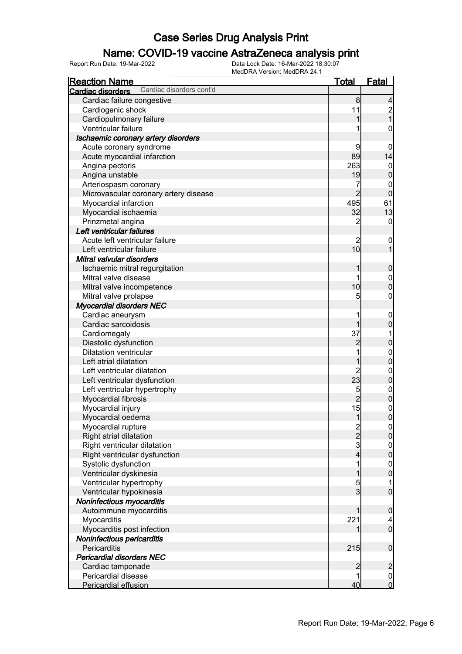### Name: COVID-19 vaccine AstraZeneca analysis print

| <b>Reaction Name</b>                          | <u>Total</u>        | <b>Fatal</b>                         |
|-----------------------------------------------|---------------------|--------------------------------------|
| Cardiac disorders cont'd<br>Cardiac disorders |                     |                                      |
| Cardiac failure congestive                    | 8                   | 4                                    |
| Cardiogenic shock                             | 11                  | $\frac{2}{1}$                        |
| Cardiopulmonary failure                       | 1                   |                                      |
| Ventricular failure                           |                     | 0                                    |
| Ischaemic coronary artery disorders           |                     |                                      |
| Acute coronary syndrome                       | 9                   | 0                                    |
| Acute myocardial infarction                   | 89                  | 14                                   |
| Angina pectoris                               | 263                 | $\boldsymbol{0}$                     |
| Angina unstable                               | 19                  | $\mathbf 0$                          |
| Arteriospasm coronary                         | 7                   | 0                                    |
| Microvascular coronary artery disease         | $\overline{2}$      | $\mathbf 0$                          |
| Myocardial infarction                         | 495                 | 61                                   |
| Myocardial ischaemia                          | 32                  | 13                                   |
| Prinzmetal angina                             | $\overline{2}$      | $\mathbf 0$                          |
| Left ventricular failures                     |                     |                                      |
| Acute left ventricular failure                | $\overline{2}$      | $\mathbf 0$                          |
| Left ventricular failure                      | 10                  | $\overline{1}$                       |
| Mitral valvular disorders                     |                     |                                      |
| Ischaemic mitral regurgitation                | 1                   | $\boldsymbol{0}$                     |
| Mitral valve disease                          | 1                   |                                      |
| Mitral valve incompetence                     | 10                  | $0\atop 0$                           |
| Mitral valve prolapse                         | 5                   | 0                                    |
| <b>Myocardial disorders NEC</b>               |                     |                                      |
| Cardiac aneurysm                              |                     | $\boldsymbol{0}$                     |
| Cardiac sarcoidosis                           | 1                   | $\mathbf 0$                          |
| Cardiomegaly                                  | 37                  |                                      |
| Diastolic dysfunction                         | $\overline{c}$      | $\mathbf 0$                          |
| <b>Dilatation ventricular</b>                 |                     |                                      |
| Left atrial dilatation                        | 1                   | $0\atop 0$                           |
| Left ventricular dilatation                   | $\overline{c}$      |                                      |
| Left ventricular dysfunction                  | $\overline{23}$     | $0\atop 0$                           |
|                                               |                     |                                      |
| Left ventricular hypertrophy                  | 5<br>$\overline{2}$ | $0$<br>0                             |
| Myocardial fibrosis                           |                     |                                      |
| Myocardial injury                             | 15                  | $\mathbf{0}$<br>$\overline{0}$       |
| Myocardial oedema                             | $\mathbf{1}$        |                                      |
| Myocardial rupture                            | $\frac{2}{2}$       | $\frac{0}{0}$                        |
| Right atrial dilatation                       |                     |                                      |
| Right ventricular dilatation                  | 3                   | $0$<br>0                             |
| Right ventricular dysfunction                 | 4                   |                                      |
| Systolic dysfunction                          | 1                   | $\begin{matrix} 0 \\ 0 \end{matrix}$ |
| Ventricular dyskinesia                        | 1                   |                                      |
| Ventricular hypertrophy                       | 5                   | 1                                    |
| Ventricular hypokinesia                       | $\overline{3}$      | $\overline{0}$                       |
| Noninfectious myocarditis                     |                     |                                      |
| Autoimmune myocarditis                        | 1                   | $\boldsymbol{0}$                     |
| Myocarditis                                   | 221                 | 4                                    |
| Myocarditis post infection                    |                     | $\overline{0}$                       |
| Noninfectious pericarditis                    |                     |                                      |
| Pericarditis                                  | 215                 | $\boldsymbol{0}$                     |
| <b>Pericardial disorders NEC</b>              |                     |                                      |
| Cardiac tamponade                             | $\overline{2}$      | $\overline{c}$                       |
| Pericardial disease                           | 1                   | $\frac{0}{0}$                        |
| Pericardial effusion                          | 40                  |                                      |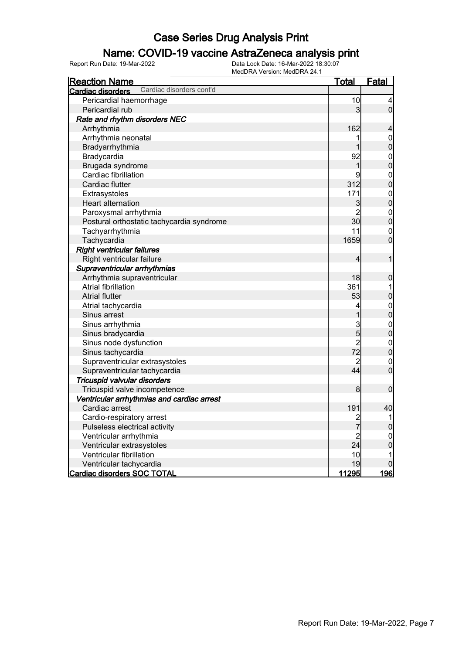### Name: COVID-19 vaccine AstraZeneca analysis print

| <u>Reaction Name</u>                          | <u>Total</u>   | Fatal                                |
|-----------------------------------------------|----------------|--------------------------------------|
| Cardiac disorders cont'd<br>Cardiac disorders |                |                                      |
| Pericardial haemorrhage                       | 10             | 4                                    |
| Pericardial rub                               | 3              | $\overline{0}$                       |
| Rate and rhythm disorders NEC                 |                |                                      |
| Arrhythmia                                    | 162            | 4                                    |
| Arrhythmia neonatal                           | 1              | $\mathbf{0}$                         |
| Bradyarrhythmia                               | 1              | $\mathbf{0}$                         |
| Bradycardia                                   | 92             | $\begin{matrix}0\\0\end{matrix}$     |
| Brugada syndrome                              | $\mathbf 1$    |                                      |
| Cardiac fibrillation                          | 9              |                                      |
| Cardiac flutter                               | 312            | $\begin{matrix} 0 \\ 0 \end{matrix}$ |
| Extrasystoles                                 | 171            | $\begin{matrix} 0 \\ 0 \end{matrix}$ |
| <b>Heart alternation</b>                      | 3              |                                      |
| Paroxysmal arrhythmia                         | $\overline{2}$ | $\begin{matrix} 0 \\ 0 \end{matrix}$ |
| Postural orthostatic tachycardia syndrome     | 30             |                                      |
| Tachyarrhythmia                               | 11             | $\overline{0}$                       |
| Tachycardia                                   | 1659           | $\overline{0}$                       |
| <b>Right ventricular failures</b>             |                |                                      |
| Right ventricular failure                     | 4              | 1                                    |
| Supraventricular arrhythmias                  |                |                                      |
| Arrhythmia supraventricular                   | 18             | $\mathbf 0$                          |
| <b>Atrial fibrillation</b>                    | 361            | 1                                    |
| <b>Atrial flutter</b>                         | 53             | $\mathbf 0$                          |
| Atrial tachycardia                            | 4              | $\begin{matrix} 0 \\ 0 \end{matrix}$ |
| Sinus arrest                                  | $\mathbf 1$    |                                      |
| Sinus arrhythmia                              | $\frac{3}{5}$  | $\begin{matrix} 0 \\ 0 \end{matrix}$ |
| Sinus bradycardia                             |                |                                      |
| Sinus node dysfunction                        | $\overline{2}$ |                                      |
| Sinus tachycardia                             | 72             | $\begin{matrix}0\\0\end{matrix}$     |
| Supraventricular extrasystoles                | $\overline{c}$ | $\overline{0}$                       |
| Supraventricular tachycardia                  | 44             | $\overline{0}$                       |
| Tricuspid valvular disorders                  |                |                                      |
| Tricuspid valve incompetence                  | 8              | $\overline{0}$                       |
| Ventricular arrhythmias and cardiac arrest    |                |                                      |
| Cardiac arrest                                | 191            | 40                                   |
| Cardio-respiratory arrest                     | $\overline{c}$ | 1                                    |
| Pulseless electrical activity                 | 7              | $\mathbf 0$                          |
| Ventricular arrhythmia                        | $\overline{c}$ | $\mathbf{0}$                         |
| Ventricular extrasystoles                     | 24             | $\overline{0}$                       |
| Ventricular fibrillation                      | 10             | 1                                    |
| Ventricular tachycardia                       | 19             | 0                                    |
| <b>Cardiac disorders SOC TOTAL</b>            | 11295          | <u> 196 </u>                         |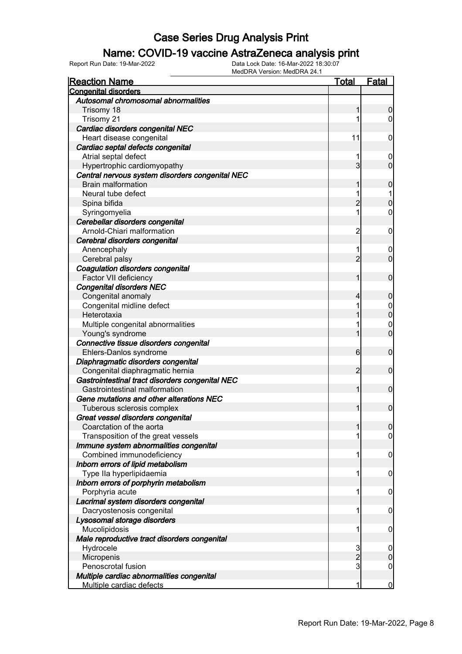#### Name: COVID-19 vaccine AstraZeneca analysis print

| <b>Reaction Name</b>                            | Total           | <b>Fatal</b>     |
|-------------------------------------------------|-----------------|------------------|
| <b>Congenital disorders</b>                     |                 |                  |
| Autosomal chromosomal abnormalities             |                 |                  |
| Trisomy 18                                      | 1               | $\boldsymbol{0}$ |
| Trisomy 21                                      |                 | $\overline{0}$   |
| Cardiac disorders congenital NEC                |                 |                  |
| Heart disease congenital                        | 11              | $\mathbf 0$      |
| Cardiac septal defects congenital               |                 |                  |
| Atrial septal defect                            |                 | $\boldsymbol{0}$ |
| Hypertrophic cardiomyopathy                     | $\overline{3}$  | $\mathbf 0$      |
| Central nervous system disorders congenital NEC |                 |                  |
| <b>Brain malformation</b>                       | 1               | 0                |
| Neural tube defect                              | 1               | 1                |
| Spina bifida                                    | $\overline{c}$  | $\mathbf 0$      |
| Syringomyelia                                   | 1               | $\mathbf 0$      |
| Cerebellar disorders congenital                 |                 |                  |
| Arnold-Chiari malformation                      | $\overline{c}$  | $\mathbf 0$      |
| Cerebral disorders congenital                   |                 |                  |
| Anencephaly                                     | 1               | $\boldsymbol{0}$ |
| Cerebral palsy                                  | $\overline{2}$  | $\mathbf 0$      |
| Coagulation disorders congenital                |                 |                  |
| Factor VII deficiency                           | 1               | $\mathbf 0$      |
| <b>Congenital disorders NEC</b>                 |                 |                  |
| Congenital anomaly                              | 4               | $\boldsymbol{0}$ |
| Congenital midline defect                       |                 | $\mathbf 0$      |
| Heterotaxia                                     |                 | $\mathbf 0$      |
| Multiple congenital abnormalities               |                 | $\mathbf 0$      |
| Young's syndrome                                | 1               | $\overline{0}$   |
| Connective tissue disorders congenital          |                 |                  |
| Ehlers-Danlos syndrome                          | $6 \overline{}$ | $\mathbf 0$      |
| Diaphragmatic disorders congenital              |                 |                  |
| Congenital diaphragmatic hernia                 | $\overline{2}$  | $\mathbf 0$      |
| Gastrointestinal tract disorders congenital NEC |                 |                  |
| Gastrointestinal malformation                   | 1               | $\mathbf 0$      |
| Gene mutations and other alterations NEC        |                 |                  |
| Tuberous sclerosis complex                      | 1               | $\mathbf 0$      |
| Great vessel disorders congenital               |                 |                  |
| Coarctation of the aorta                        |                 | 0                |
| Transposition of the great vessels              |                 | $\overline{0}$   |
| Immune system abnormalities congenital          |                 |                  |
| Combined immunodeficiency                       | 1               | $\mathbf 0$      |
| Inborn errors of lipid metabolism               |                 |                  |
| Type IIa hyperlipidaemia                        | 1               | $\mathbf 0$      |
| Inborn errors of porphyrin metabolism           |                 |                  |
| Porphyria acute                                 | 1               | $\mathbf 0$      |
| Lacrimal system disorders congenital            |                 |                  |
|                                                 | 1               |                  |
| Dacryostenosis congenital                       |                 | $\mathbf 0$      |
| Lysosomal storage disorders                     | 1               |                  |
| Mucolipidosis                                   |                 | $\mathbf 0$      |
| Male reproductive tract disorders congenital    |                 |                  |
| Hydrocele                                       | 3               | $\mathbf 0$      |
| Micropenis                                      | $\overline{2}$  | $\boldsymbol{0}$ |
| Penoscrotal fusion                              | 3               | $\boldsymbol{0}$ |
| Multiple cardiac abnormalities congenital       |                 |                  |
| Multiple cardiac defects                        | 1               | $\bf{0}$         |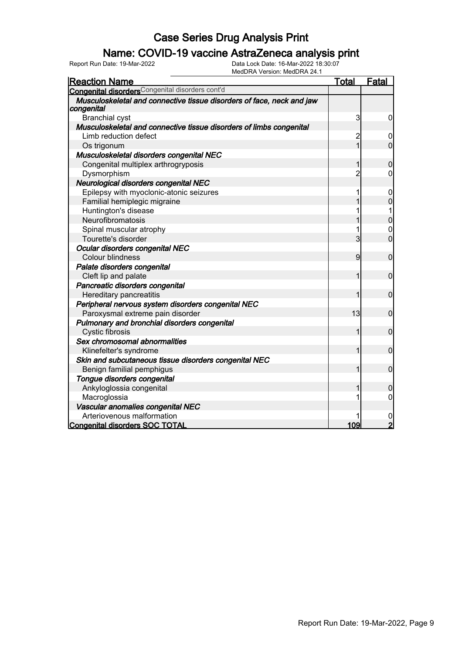### Name: COVID-19 vaccine AstraZeneca analysis print

| <b>Reaction Name</b>                                                                | Total          | <b>Fatal</b>   |
|-------------------------------------------------------------------------------------|----------------|----------------|
| Congenital disordersCongenital disorders cont'd                                     |                |                |
| Musculoskeletal and connective tissue disorders of face, neck and jaw<br>congenital |                |                |
| <b>Branchial cyst</b>                                                               | 3              | 0              |
| Musculoskeletal and connective tissue disorders of limbs congenital                 |                |                |
| Limb reduction defect                                                               | $\overline{c}$ | 0              |
| Os trigonum                                                                         | $\overline{1}$ | $\overline{0}$ |
| Musculoskeletal disorders congenital NEC                                            |                |                |
| Congenital multiplex arthrogryposis                                                 | 1              | $\mathbf 0$    |
| Dysmorphism                                                                         | $\overline{2}$ | 0              |
| Neurological disorders congenital NEC                                               |                |                |
| Epilepsy with myoclonic-atonic seizures                                             |                | $\mathbf 0$    |
| Familial hemiplegic migraine                                                        |                | $\overline{0}$ |
| Huntington's disease                                                                |                |                |
| Neurofibromatosis                                                                   |                | $\overline{0}$ |
| Spinal muscular atrophy                                                             | 1              | $\mathbf 0$    |
| Tourette's disorder                                                                 | 3              | $\overline{0}$ |
| Ocular disorders congenital NEC                                                     |                |                |
| Colour blindness                                                                    | 9              | $\mathbf 0$    |
| Palate disorders congenital                                                         |                |                |
| Cleft lip and palate                                                                | 1              | $\mathbf 0$    |
| Pancreatic disorders congenital                                                     |                |                |
| Hereditary pancreatitis                                                             | 1              | $\mathbf 0$    |
| Peripheral nervous system disorders congenital NEC                                  |                |                |
| Paroxysmal extreme pain disorder                                                    | 13             | $\mathbf 0$    |
| Pulmonary and bronchial disorders congenital                                        |                |                |
| Cystic fibrosis                                                                     | 1              | $\mathbf 0$    |
| Sex chromosomal abnormalities                                                       |                |                |
| Klinefelter's syndrome                                                              | 1              | $\mathbf 0$    |
| Skin and subcutaneous tissue disorders congenital NEC                               |                |                |
| Benign familial pemphigus                                                           | 1              | $\mathbf 0$    |
| Tongue disorders congenital                                                         |                |                |
| Ankyloglossia congenital                                                            | 1              | 0              |
| Macroglossia                                                                        | 1              | $\mathbf 0$    |
| Vascular anomalies congenital NEC                                                   |                |                |
| Arteriovenous malformation                                                          |                | $\mathbf 0$    |
| <b>Congenital disorders SOC TOTAL</b>                                               | 109            | $\overline{2}$ |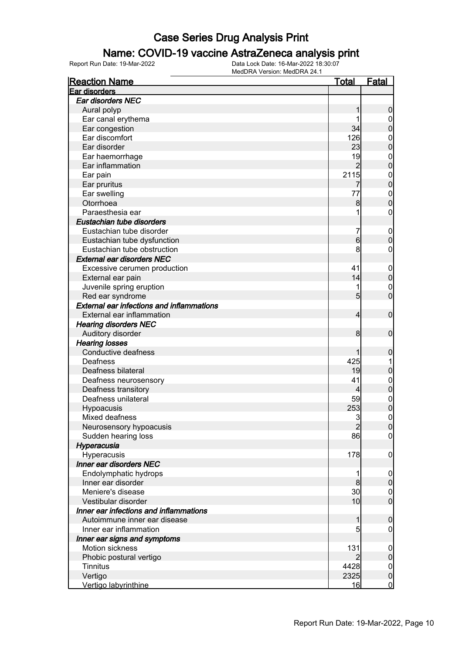#### Name: COVID-19 vaccine AstraZeneca analysis print

| <b>Reaction Name</b>                             | <u>Total</u>    | <u>Fatal</u>                       |
|--------------------------------------------------|-----------------|------------------------------------|
| Ear disorders                                    |                 |                                    |
| Ear disorders NEC                                |                 |                                    |
| Aural polyp                                      | 1               | $\boldsymbol{0}$                   |
| Ear canal erythema                               |                 | $\overline{0}$                     |
| Ear congestion                                   | 34              | $\boldsymbol{0}$                   |
| Ear discomfort                                   | 126             | $\mathbf{0}$                       |
| Ear disorder                                     | 23              | $\overline{0}$                     |
| Ear haemorrhage                                  | 19              | $\mathbf{0}$                       |
| Ear inflammation                                 | $\overline{2}$  | $\overline{0}$                     |
| Ear pain                                         | 2115            |                                    |
| Ear pruritus                                     |                 | $0\atop 0$                         |
| Ear swelling                                     | 77              |                                    |
| Otorrhoea                                        | 8               | $\begin{matrix}0\\0\end{matrix}$   |
| Paraesthesia ear                                 | 1               | $\boldsymbol{0}$                   |
| Eustachian tube disorders                        |                 |                                    |
| Eustachian tube disorder                         | 7               | $\mathbf 0$                        |
| Eustachian tube dysfunction                      | 6               | $\overline{0}$                     |
| Eustachian tube obstruction                      | 8               | 0                                  |
| <b>External ear disorders NEC</b>                |                 |                                    |
| Excessive cerumen production                     | 41              |                                    |
|                                                  | 14              | $\mathbf 0$<br>$\mathbf 0$         |
| External ear pain                                | 1               |                                    |
| Juvenile spring eruption                         |                 | $\boldsymbol{0}$<br>$\overline{0}$ |
| Red ear syndrome                                 | 5               |                                    |
| <b>External ear infections and inflammations</b> |                 |                                    |
| External ear inflammation                        | 4               | $\mathbf 0$                        |
| <b>Hearing disorders NEC</b>                     |                 |                                    |
| Auditory disorder                                | 8               | $\mathbf 0$                        |
| <b>Hearing losses</b>                            |                 |                                    |
| Conductive deafness                              |                 | 0                                  |
| Deafness                                         | 425             | 1                                  |
| Deafness bilateral                               | 19              | $\mathbf 0$                        |
| Deafness neurosensory                            | 41              | $\mathbf{0}$                       |
| Deafness transitory                              | 4               | $\overline{0}$                     |
| Deafness unilateral                              | 59              | $\boldsymbol{0}$                   |
| Hypoacusis                                       | 253             | $\overline{0}$                     |
| Mixed deafness                                   | 3               | $\mathbf 0$                        |
| Neurosensory hypoacusis                          | $\overline{2}$  | 0                                  |
| Sudden hearing loss                              | 86              | $\overline{0}$                     |
| Hyperacusia                                      |                 |                                    |
| Hyperacusis                                      | 178             | $\mathbf 0$                        |
| Inner ear disorders NEC                          |                 |                                    |
| Endolymphatic hydrops                            | 1               | $\boldsymbol{0}$                   |
| Inner ear disorder                               | 8               | $\boldsymbol{0}$                   |
| Meniere's disease                                | 30              | $\mathbf 0$                        |
| Vestibular disorder                              | 10 <sub>l</sub> | $\overline{0}$                     |
| Inner ear infections and inflammations           |                 |                                    |
| Autoimmune inner ear disease                     | 1               | $\mathbf 0$                        |
| Inner ear inflammation                           | 5               | 0                                  |
| Inner ear signs and symptoms                     |                 |                                    |
| Motion sickness                                  | 131             | $\boldsymbol{0}$                   |
| Phobic postural vertigo                          |                 | $\boldsymbol{0}$                   |
| <b>Tinnitus</b>                                  | 4428            | $\overline{0}$                     |
| Vertigo                                          | 2325            | $\pmb{0}$                          |
| Vertigo labyrinthine                             | 16              | $\overline{0}$                     |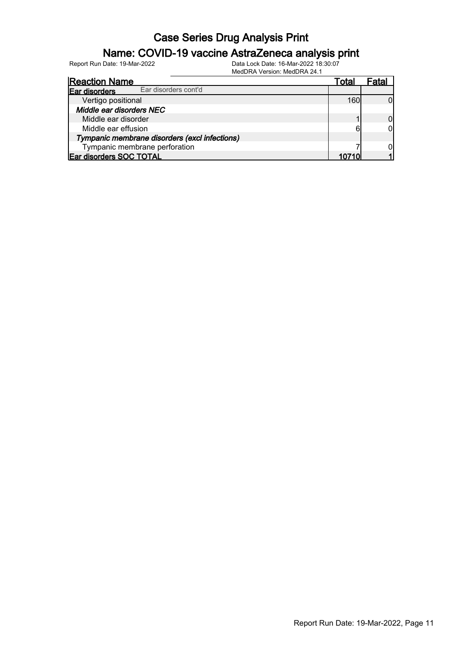### Name: COVID-19 vaccine AstraZeneca analysis print

| <b>Reaction Name</b>                          | Total |  |
|-----------------------------------------------|-------|--|
| Ear disorders cont'd<br>Ear disorders         |       |  |
| Vertigo positional                            | 160   |  |
| Middle ear disorders NEC                      |       |  |
| Middle ear disorder                           |       |  |
| Middle ear effusion                           |       |  |
| Tympanic membrane disorders (excl infections) |       |  |
| Tympanic membrane perforation                 |       |  |
| Ear disorders SOC TOTAL                       |       |  |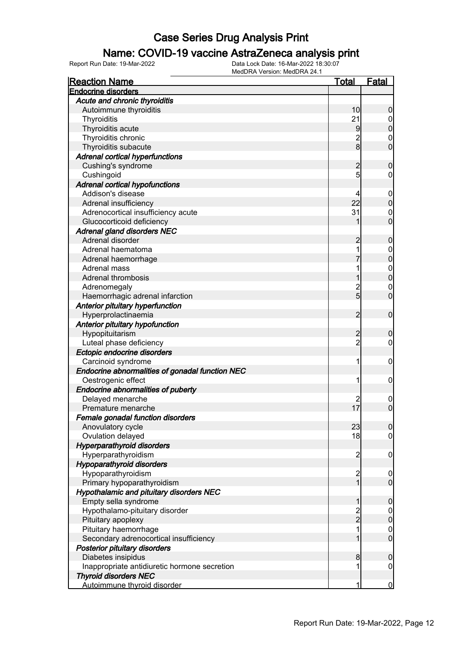### Name: COVID-19 vaccine AstraZeneca analysis print

| <b>Reaction Name</b>                            | <u>Total</u>    | <b>Fatal</b>                     |
|-------------------------------------------------|-----------------|----------------------------------|
| <b>Endocrine disorders</b>                      |                 |                                  |
| Acute and chronic thyroiditis                   |                 |                                  |
| Autoimmune thyroiditis                          | 10              | $\boldsymbol{0}$                 |
| Thyroiditis                                     | 21              |                                  |
| Thyroiditis acute                               | 9               | $0$<br>0                         |
| Thyroiditis chronic                             | $\overline{2}$  | $\mathbf 0$                      |
| Thyroiditis subacute                            | $\overline{8}$  | $\overline{0}$                   |
| <b>Adrenal cortical hyperfunctions</b>          |                 |                                  |
| Cushing's syndrome                              | $\overline{c}$  | $\mathbf 0$                      |
| Cushingoid                                      | $5\overline{5}$ | $\mathbf 0$                      |
| <b>Adrenal cortical hypofunctions</b>           |                 |                                  |
| Addison's disease                               | 4               | $\mathbf 0$                      |
| Adrenal insufficiency                           | 22              | $\mathbf 0$                      |
| Adrenocortical insufficiency acute              | 31              | $\mathbf 0$                      |
| Glucocorticoid deficiency                       | 1               | $\overline{0}$                   |
| <b>Adrenal gland disorders NEC</b>              |                 |                                  |
| Adrenal disorder                                | $\overline{c}$  | $\mathbf 0$                      |
| Adrenal haematoma                               | 1               |                                  |
| Adrenal haemorrhage                             |                 | $\begin{matrix}0\\0\end{matrix}$ |
| Adrenal mass                                    | 1               |                                  |
| <b>Adrenal thrombosis</b>                       | 1               | $\begin{matrix}0\\0\end{matrix}$ |
| Adrenomegaly                                    | $\overline{c}$  | $\mathbf{0}$                     |
| Haemorrhagic adrenal infarction                 | $\overline{5}$  | $\overline{0}$                   |
| Anterior pituitary hyperfunction                |                 |                                  |
| Hyperprolactinaemia                             | $\overline{2}$  | $\mathbf 0$                      |
| Anterior pituitary hypofunction                 |                 |                                  |
| Hypopituitarism                                 |                 | $\mathbf 0$                      |
| Luteal phase deficiency                         | 2<br>2          | $\mathbf 0$                      |
| Ectopic endocrine disorders                     |                 |                                  |
| Carcinoid syndrome                              | 1               | $\boldsymbol{0}$                 |
| Endocrine abnormalities of gonadal function NEC |                 |                                  |
| Oestrogenic effect                              | 1               | 0                                |
| <b>Endocrine abnormalities of puberty</b>       |                 |                                  |
| Delayed menarche                                |                 | $\mathbf 0$                      |
| Premature menarche                              | 17              | $\mathbf 0$                      |
| Female gonadal function disorders               |                 |                                  |
| Anovulatory cycle                               | 23              | $\overline{0}$                   |
| Ovulation delayed                               | 18              | $\overline{0}$                   |
| <b>Hyperparathyroid disorders</b>               |                 |                                  |
| Hyperparathyroidism                             | $\overline{2}$  | $\mathbf 0$                      |
| <b>Hypoparathyroid disorders</b>                |                 |                                  |
| Hypoparathyroidism                              | $\overline{c}$  | $\boldsymbol{0}$                 |
| Primary hypoparathyroidism                      | $\mathbf{1}$    | $\mathbf 0$                      |
| <b>Hypothalamic and pituitary disorders NEC</b> |                 |                                  |
| Empty sella syndrome                            | 1               | $\mathbf 0$                      |
| Hypothalamo-pituitary disorder                  |                 | $\overline{0}$                   |
| Pituitary apoplexy                              | $\frac{2}{2}$   | $\mathbf 0$                      |
| Pituitary haemorrhage                           | 1               |                                  |
| Secondary adrenocortical insufficiency          | 1               | $\mathbf{0}$<br>$\overline{0}$   |
|                                                 |                 |                                  |
| Posterior pituitary disorders                   |                 |                                  |
| Diabetes insipidus                              | 8<br>1          | $\boldsymbol{0}$                 |
| Inappropriate antidiuretic hormone secretion    |                 | $\mathbf 0$                      |
| <b>Thyroid disorders NEC</b>                    |                 |                                  |
| Autoimmune thyroid disorder                     | 1               | $\mathbf 0$                      |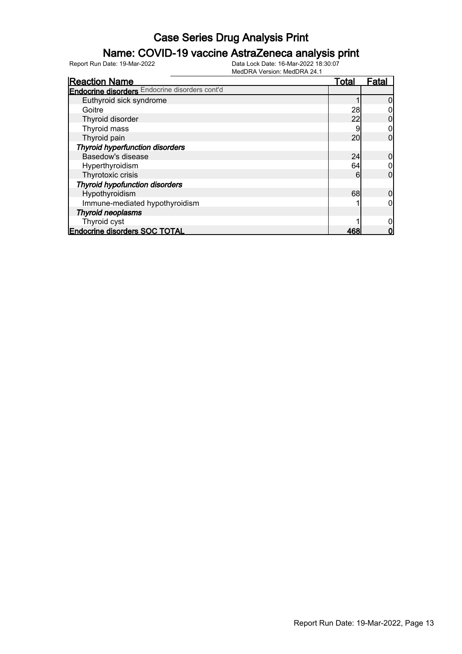### Name: COVID-19 vaccine AstraZeneca analysis print

| <b>Reaction Name</b>                                  | <u>Total</u> | Fata |
|-------------------------------------------------------|--------------|------|
| <b>Endocrine disorders</b> Endocrine disorders cont'd |              |      |
| Euthyroid sick syndrome                               |              |      |
| Goitre                                                | 28           |      |
| Thyroid disorder                                      | 22           |      |
| Thyroid mass                                          |              |      |
| Thyroid pain                                          | 20           | 0    |
| <b>Thyroid hyperfunction disorders</b>                |              |      |
| Basedow's disease                                     | 24           |      |
| Hyperthyroidism                                       | 64           |      |
| Thyrotoxic crisis                                     | 6            | 0    |
| <b>Thyroid hypofunction disorders</b>                 |              |      |
| Hypothyroidism                                        | 68           |      |
| Immune-mediated hypothyroidism                        |              |      |
| <b>Thyroid neoplasms</b>                              |              |      |
| Thyroid cyst                                          |              |      |
| <b>Endocrine disorders SOC TOTAL</b>                  | 468          |      |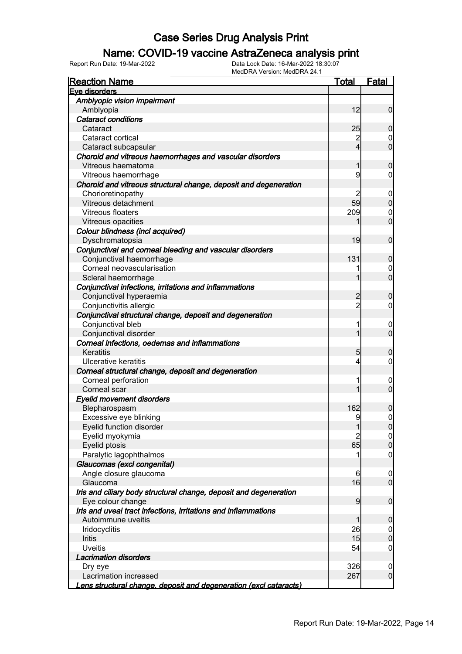### Name: COVID-19 vaccine AstraZeneca analysis print

| <b>Reaction Name</b>                                              | <u>Total</u>   | <b>Fatal</b>        |
|-------------------------------------------------------------------|----------------|---------------------|
| Eye disorders                                                     |                |                     |
| Amblyopic vision impairment                                       |                |                     |
| Amblyopia                                                         | 12             | $\overline{0}$      |
| <b>Cataract conditions</b>                                        |                |                     |
| Cataract                                                          | 25             | $\mathbf 0$         |
| Cataract cortical                                                 | $\overline{2}$ | $\mathbf 0$         |
| Cataract subcapsular                                              | $\overline{4}$ | $\overline{0}$      |
| Choroid and vitreous haemorrhages and vascular disorders          |                |                     |
| Vitreous haematoma                                                | 1              | $\mathbf 0$         |
| Vitreous haemorrhage                                              | 9              | $\mathbf 0$         |
| Choroid and vitreous structural change, deposit and degeneration  |                |                     |
| Chorioretinopathy                                                 | 2              | $\mathbf 0$         |
| Vitreous detachment                                               | 59             | $\mathbf 0$         |
| Vitreous floaters                                                 | 209            | $\boldsymbol{0}$    |
| Vitreous opacities                                                | 1              | $\overline{0}$      |
| Colour blindness (incl acquired)                                  |                |                     |
| Dyschromatopsia                                                   | 19             | $\mathbf 0$         |
| Conjunctival and corneal bleeding and vascular disorders          |                |                     |
| Conjunctival haemorrhage                                          | 131            | $\mathbf 0$         |
| Corneal neovascularisation                                        | 1              | $\mathbf 0$         |
| Scleral haemorrhage                                               | 1              | $\overline{0}$      |
| Conjunctival infections, irritations and inflammations            |                |                     |
| Conjunctival hyperaemia                                           | 2              | $\mathbf 0$         |
| Conjunctivitis allergic                                           | $\overline{2}$ | $\mathbf 0$         |
| Conjunctival structural change, deposit and degeneration          |                |                     |
| Conjunctival bleb                                                 | 1              | $\mathbf 0$         |
| Conjunctival disorder                                             | 1              | $\overline{0}$      |
| Corneal infections, oedemas and inflammations                     |                |                     |
| Keratitis                                                         | 5              | $\mathbf 0$         |
| Ulcerative keratitis                                              | 4              | $\mathbf 0$         |
| Corneal structural change, deposit and degeneration               |                |                     |
| Corneal perforation                                               | 1              | $\mathbf 0$         |
| Corneal scar                                                      | 1              | $\overline{0}$      |
| <b>Eyelid movement disorders</b>                                  |                |                     |
| Blepharospasm                                                     | 162            | 0                   |
| Excessive eye blinking                                            | 9              | $\mathsf{O}\xspace$ |
| Eyelid function disorder                                          | 1              | 0                   |
| Eyelid myokymia                                                   | $\overline{2}$ | 0                   |
| Eyelid ptosis                                                     | 65             | $\mathbf 0$         |
| Paralytic lagophthalmos                                           | 1              | $\boldsymbol{0}$    |
| Glaucomas (excl congenital)                                       |                |                     |
| Angle closure glaucoma                                            | 6              | $\mathbf 0$         |
| Glaucoma                                                          | 16             | $\overline{0}$      |
| Iris and ciliary body structural change, deposit and degeneration |                |                     |
| Eye colour change                                                 | 9              | $\boldsymbol{0}$    |
| Iris and uveal tract infections, irritations and inflammations    |                |                     |
| Autoimmune uveitis                                                | 1              | $\mathbf 0$         |
| Iridocyclitis                                                     | 26             | $\mathbf 0$         |
| <b>Iritis</b>                                                     | 15             | $\mathbf 0$         |
| <b>Uveitis</b>                                                    | 54             | $\boldsymbol{0}$    |
| <b>Lacrimation disorders</b>                                      |                |                     |
| Dry eye                                                           | 326            | $\mathbf 0$         |
| Lacrimation increased                                             | 267            | $\overline{0}$      |
| Lens structural change, deposit and degeneration (excl cataracts) |                |                     |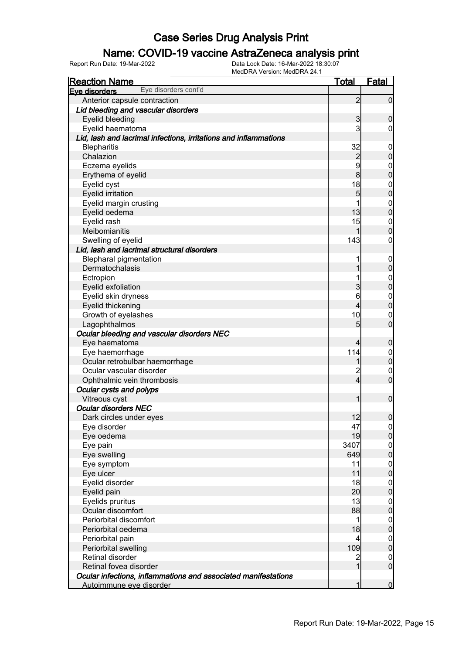### Name: COVID-19 vaccine AstraZeneca analysis print

| <b>Reaction Name</b>                                             | <u>Total</u>    | <b>Fatal</b>        |
|------------------------------------------------------------------|-----------------|---------------------|
| Eye disorders cont'd<br>Eve disorders                            |                 |                     |
| Anterior capsule contraction                                     | $\overline{2}$  | $\overline{0}$      |
| Lid bleeding and vascular disorders                              |                 |                     |
| Eyelid bleeding                                                  | $\mathbf{3}$    | $\mathbf 0$         |
| Eyelid haematoma                                                 | 3               | $\overline{0}$      |
| Lid, lash and lacrimal infections, irritations and inflammations |                 |                     |
| <b>Blepharitis</b>                                               | 32              | $\mathbf 0$         |
| Chalazion                                                        | $\overline{c}$  | $\pmb{0}$           |
| Eczema eyelids                                                   | 9               | $\boldsymbol{0}$    |
| Erythema of eyelid                                               | 8               | $\overline{0}$      |
| Eyelid cyst                                                      | 18              | $\boldsymbol{0}$    |
| <b>Eyelid irritation</b>                                         | 5               | $\mathbf 0$         |
| Eyelid margin crusting                                           | 1               | $\boldsymbol{0}$    |
| Eyelid oedema                                                    | 13              | $\overline{0}$      |
| Eyelid rash                                                      | 15              | $\mathbf{0}$        |
| Meibomianitis                                                    | 1               | $\overline{0}$      |
| Swelling of eyelid                                               | 143             | 0                   |
| Lid, lash and lacrimal structural disorders                      |                 |                     |
| <b>Blepharal pigmentation</b>                                    |                 | $\mathbf 0$         |
| Dermatochalasis                                                  | 1               | $\pmb{0}$           |
| Ectropion                                                        | 1               | $\mathbf{0}$        |
| Eyelid exfoliation                                               | 3               | $\mathbf 0$         |
| Eyelid skin dryness                                              | 6               | $\mathbf{0}$        |
| Eyelid thickening                                                | 4               | $\mathbf 0$         |
| Growth of eyelashes                                              | 10              | $\mathbf 0$         |
| Lagophthalmos                                                    | 5               | $\overline{0}$      |
| Ocular bleeding and vascular disorders NEC                       |                 |                     |
| Eye haematoma                                                    | $\overline{4}$  | $\mathbf 0$         |
| Eye haemorrhage                                                  | 114             | $\overline{0}$      |
| Ocular retrobulbar haemorrhage                                   | 1               | $\mathbf 0$         |
| Ocular vascular disorder                                         | $\overline{c}$  | $\mathbf 0$         |
| Ophthalmic vein thrombosis                                       | $\overline{4}$  | $\overline{0}$      |
| Ocular cysts and polyps                                          |                 |                     |
| Vitreous cyst                                                    | 1               | $\boldsymbol{0}$    |
| <b>Ocular disorders NEC</b>                                      |                 |                     |
| Dark circles under eyes                                          | 12              | $\mathsf{O}\xspace$ |
| Eye disorder                                                     | 47              | 0                   |
| Eye oedema                                                       | 19              | $\overline{0}$      |
| Eye pain                                                         | 3407            | $\overline{0}$      |
| Eye swelling                                                     | 649             | $\overline{0}$      |
| Eye symptom                                                      | 11              | $\boldsymbol{0}$    |
| Eye ulcer                                                        | 11              | $\mathbf 0$         |
| Eyelid disorder                                                  | 18              | $\boldsymbol{0}$    |
| Eyelid pain                                                      | 20              | $\overline{0}$      |
| Eyelids pruritus                                                 | 13              | $\boldsymbol{0}$    |
| Ocular discomfort                                                | 88              | $\mathbf 0$         |
| Periorbital discomfort                                           | 1               | $\boldsymbol{0}$    |
| Periorbital oedema                                               | 18              | $\mathbf 0$         |
| Periorbital pain                                                 | $\vert 4 \vert$ | $\boldsymbol{0}$    |
| Periorbital swelling                                             | 109             | $\mathbf 0$         |
| <b>Retinal disorder</b>                                          | $\overline{2}$  | $\overline{0}$      |
| Retinal fovea disorder                                           | $\overline{1}$  | $\mathbf 0$         |
| Ocular infections, inflammations and associated manifestations   |                 |                     |
| Autoimmune eye disorder                                          | 1               | $\mathbf 0$         |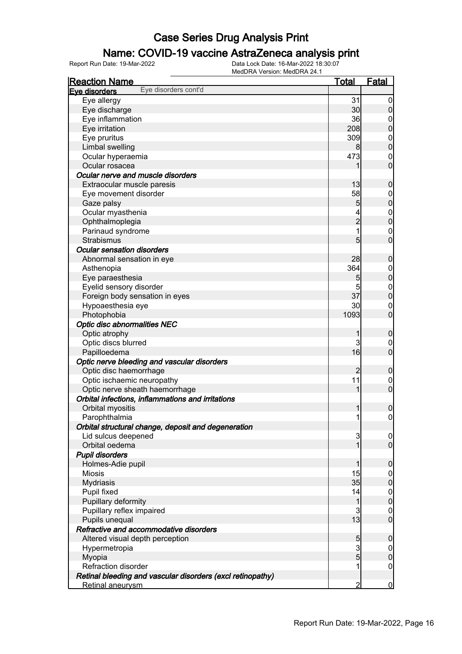### Name: COVID-19 vaccine AstraZeneca analysis print

| <b>Reaction Name</b>                                       | <u>Total</u>   | <u>Fatal</u>                  |
|------------------------------------------------------------|----------------|-------------------------------|
| Eye disorders cont'd<br>Eve disorders                      |                |                               |
| Eye allergy                                                | 31             | $\overline{0}$                |
| Eye discharge                                              | 30             | $\mathbf 0$                   |
| Eye inflammation                                           | 36             | $\overline{0}$                |
| Eye irritation                                             | 208            | $\mathbf 0$                   |
| Eye pruritus                                               | 309            | $\boldsymbol{0}$              |
| Limbal swelling                                            | 8              | $\overline{0}$                |
| Ocular hyperaemia                                          | 473            | $\mathbf 0$                   |
| Ocular rosacea                                             | 1              | $\mathbf 0$                   |
| Ocular nerve and muscle disorders                          |                |                               |
| Extraocular muscle paresis                                 | 13             | $\mathbf 0$                   |
| Eye movement disorder                                      | 58             | $\boldsymbol{0}$              |
| Gaze palsy                                                 | 5              | $\mathbf 0$                   |
| Ocular myasthenia                                          | 4              |                               |
| Ophthalmoplegia                                            | $\overline{c}$ | $0$<br>0                      |
| Parinaud syndrome                                          | 1              | $\mathbf{0}$                  |
| Strabismus                                                 | 5              | $\overline{0}$                |
| <b>Ocular sensation disorders</b>                          |                |                               |
| Abnormal sensation in eye                                  | 28             | $\mathbf 0$                   |
| Asthenopia                                                 | 364            | $\boldsymbol{0}$              |
| Eye paraesthesia                                           | 5              | $\mathbf 0$                   |
| Eyelid sensory disorder                                    | 5              | $\boldsymbol{0}$              |
| Foreign body sensation in eyes                             | 37             | $\mathbf 0$                   |
| Hypoaesthesia eye                                          | 30             | $\mathbf 0$                   |
| Photophobia                                                | 1093           | $\mathbf 0$                   |
|                                                            |                |                               |
| <b>Optic disc abnormalities NEC</b>                        |                |                               |
| Optic atrophy                                              | 1<br>3         | $\mathbf 0$                   |
| Optic discs blurred                                        | 16             | $\mathbf 0$<br>$\overline{0}$ |
| Papilloedema                                               |                |                               |
| Optic nerve bleeding and vascular disorders                |                |                               |
| Optic disc haemorrhage                                     | 2              | $\mathbf 0$                   |
| Optic ischaemic neuropathy                                 | 11             | $\mathbf 0$                   |
| Optic nerve sheath haemorrhage                             | 1              | $\mathbf 0$                   |
| Orbital infections, inflammations and irritations          |                |                               |
| Orbital myositis                                           | 1              | $\boldsymbol{0}$              |
| Parophthalmia                                              | 1              | $\mathsf{O}\xspace$           |
| Orbital structural change, deposit and degeneration        |                |                               |
| Lid sulcus deepened                                        | 3              | 0                             |
| Orbital oedema                                             | 1              | $\overline{0}$                |
| <b>Pupil disorders</b>                                     |                |                               |
| Holmes-Adie pupil                                          | 1              | $\mathbf 0$                   |
| <b>Miosis</b>                                              | 15             | $\mathbf 0$                   |
| <b>Mydriasis</b>                                           | 35             | $\pmb{0}$                     |
| Pupil fixed                                                | 14             | $\boldsymbol{0}$              |
| Pupillary deformity                                        | $\mathbf 1$    | $\mathbf 0$                   |
| Pupillary reflex impaired                                  | 3              | $\mathbf 0$                   |
| Pupils unequal                                             | 13             | $\boldsymbol{0}$              |
| Refractive and accommodative disorders                     |                |                               |
| Altered visual depth perception                            | 5              | $\mathbf 0$                   |
| Hypermetropia                                              | $\mathbf{3}$   | $\overline{0}$                |
| Myopia                                                     | $\overline{5}$ | $\pmb{0}$                     |
| Refraction disorder                                        | 1              | $\mathbf 0$                   |
| Retinal bleeding and vascular disorders (excl retinopathy) |                |                               |
| Retinal aneurysm                                           | $\overline{2}$ | $\overline{0}$                |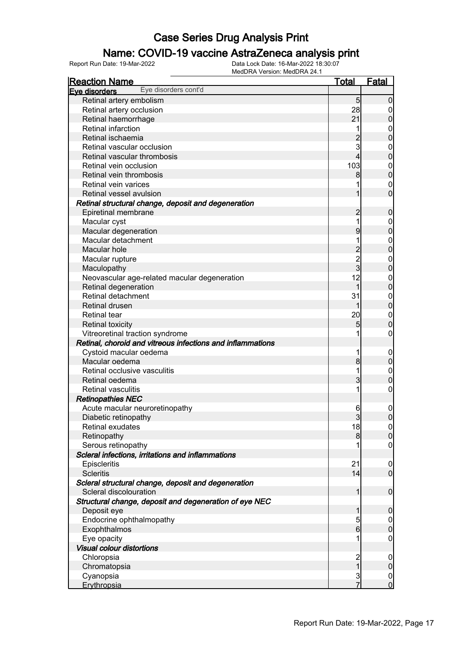### Name: COVID-19 vaccine AstraZeneca analysis print

| <b>Reaction Name</b>                                       | <b>Total</b>                               | <b>Fatal</b>     |
|------------------------------------------------------------|--------------------------------------------|------------------|
| Eye disorders cont'd<br>Eve disorders                      |                                            |                  |
| Retinal artery embolism                                    | 5                                          | $\mathbf 0$      |
| Retinal artery occlusion                                   | 28                                         | $\overline{0}$   |
| Retinal haemorrhage                                        | 21                                         | $\pmb{0}$        |
| Retinal infarction                                         | 1                                          | $\mathbf 0$      |
| Retinal ischaemia                                          | $\overline{c}$                             | $\mathbf 0$      |
| Retinal vascular occlusion                                 | 3                                          | $\mathbf{0}$     |
| Retinal vascular thrombosis                                | $\overline{4}$                             | $\mathbf 0$      |
| Retinal vein occlusion                                     | 103                                        | $\mathbf{0}$     |
| Retinal vein thrombosis                                    | 8                                          | $\overline{0}$   |
| Retinal vein varices                                       |                                            | $\mathbf 0$      |
| Retinal vessel avulsion                                    | 1                                          | $\overline{0}$   |
| Retinal structural change, deposit and degeneration        |                                            |                  |
| Epiretinal membrane                                        | $\overline{c}$                             | $\boldsymbol{0}$ |
| Macular cyst                                               | 1                                          | $\mathbf{0}$     |
| Macular degeneration                                       | 9                                          | $\mathbf 0$      |
| Macular detachment                                         | 1                                          | $\mathbf{0}$     |
| Macular hole                                               |                                            | $\overline{0}$   |
| Macular rupture                                            | $\begin{array}{c} 2 \\ 2 \\ 3 \end{array}$ | $\mathbf{0}$     |
| Maculopathy                                                |                                            | $\mathbf 0$      |
| Neovascular age-related macular degeneration               | 12                                         | $\mathbf{0}$     |
| Retinal degeneration                                       | 1                                          | $\mathbf 0$      |
| Retinal detachment                                         | 31                                         | $\mathbf{0}$     |
| <b>Retinal drusen</b>                                      | 1                                          | $\overline{0}$   |
| <b>Retinal tear</b>                                        | 20                                         | $\mathbf{0}$     |
| <b>Retinal toxicity</b>                                    | 5                                          | $\mathbf 0$      |
| Vitreoretinal traction syndrome                            | 1                                          | $\boldsymbol{0}$ |
| Retinal, choroid and vitreous infections and inflammations |                                            |                  |
| Cystoid macular oedema                                     | 1                                          | $\mathbf 0$      |
| Macular oedema                                             | 8                                          | $\pmb{0}$        |
| Retinal occlusive vasculitis                               | 1                                          | $\mathbf{0}$     |
| Retinal oedema                                             | 3                                          | $\mathbf 0$      |
| <b>Retinal vasculitis</b>                                  | 1                                          | $\mathbf 0$      |
| <b>Retinopathies NEC</b>                                   |                                            |                  |
| Acute macular neuroretinopathy                             | 6                                          | $\mathbf{0}$     |
| Diabetic retinopathy                                       | $\overline{3}$                             | $\mathbf 0$      |
| <b>Retinal exudates</b>                                    | 18                                         | 0                |
| Retinopathy                                                | 8                                          | 0                |
| Serous retinopathy                                         |                                            | $\overline{0}$   |
| Scleral infections, irritations and inflammations          |                                            |                  |
| Episcleritis                                               | 21                                         | $\mathbf 0$      |
| <b>Scleritis</b>                                           | 14                                         | $\mathbf 0$      |
| Scleral structural change, deposit and degeneration        |                                            |                  |
| Scleral discolouration                                     | 1                                          | $\boldsymbol{0}$ |
| Structural change, deposit and degeneration of eye NEC     |                                            |                  |
| Deposit eye                                                | 1                                          | $\boldsymbol{0}$ |
| Endocrine ophthalmopathy                                   | 5                                          | $\overline{0}$   |
| Exophthalmos                                               | $6 \overline{}$                            | $\mathbf 0$      |
| Eye opacity                                                | 1                                          | $\mathbf 0$      |
| <b>Visual colour distortions</b>                           |                                            |                  |
| Chloropsia                                                 |                                            | $\mathbf 0$      |
| Chromatopsia                                               | $\frac{2}{1}$                              | $\pmb{0}$        |
| Cyanopsia                                                  |                                            | $\overline{0}$   |
| Erythropsia                                                | $\frac{3}{7}$                              | $\overline{0}$   |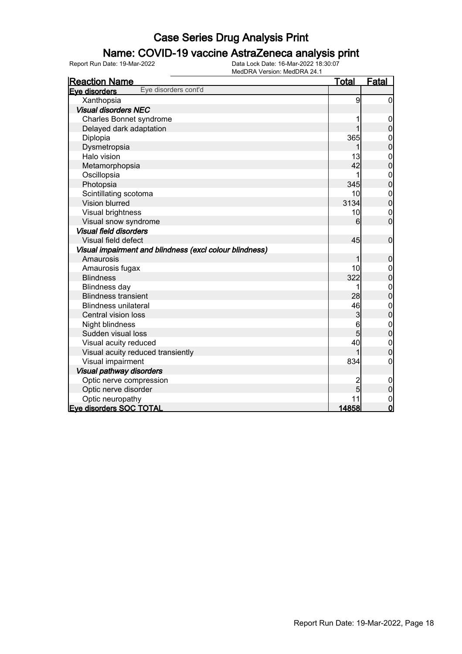#### Name: COVID-19 vaccine AstraZeneca analysis print

| <b>Reaction Name</b>                                    | <b>Total</b> | Fatal                                |
|---------------------------------------------------------|--------------|--------------------------------------|
| Eye disorders cont'd<br>Eye disorders                   |              |                                      |
| Xanthopsia                                              | 9            | $\overline{0}$                       |
| <b>Visual disorders NEC</b>                             |              |                                      |
| Charles Bonnet syndrome                                 |              | 0                                    |
| Delayed dark adaptation                                 |              | $\overline{0}$                       |
| Diplopia                                                | 365          | $\boldsymbol{0}$                     |
| Dysmetropsia                                            |              | $\overline{0}$                       |
| Halo vision                                             | 13           | $\begin{matrix}0\\0\end{matrix}$     |
| Metamorphopsia                                          | 42           |                                      |
| Oscillopsia                                             | 1            | $\begin{matrix}0\\0\end{matrix}$     |
| Photopsia                                               | 345          |                                      |
| Scintillating scotoma                                   | 10           | $\mathbf{0}$                         |
| <b>Vision blurred</b>                                   | 3134         | $\overline{0}$                       |
| Visual brightness                                       | 10           | $\mathbf 0$                          |
| Visual snow syndrome                                    | 6            | $\overline{0}$                       |
| <b>Visual field disorders</b>                           |              |                                      |
| Visual field defect                                     | 45           | $\mathbf 0$                          |
| Visual impairment and blindness (excl colour blindness) |              |                                      |
| Amaurosis                                               | 1            | $\boldsymbol{0}$                     |
| Amaurosis fugax                                         | 10           | $\boldsymbol{0}$                     |
| <b>Blindness</b>                                        | 322          | $\overline{0}$                       |
| <b>Blindness day</b>                                    | 1            | $\begin{matrix} 0 \\ 0 \end{matrix}$ |
| <b>Blindness transient</b>                              | 28           |                                      |
| <b>Blindness unilateral</b>                             | 46           | $\begin{matrix}0\\0\end{matrix}$     |
| Central vision loss                                     | 3            |                                      |
| Night blindness                                         | 6            | $\begin{matrix}0\\0\end{matrix}$     |
| Sudden visual loss                                      | 5            |                                      |
| Visual acuity reduced                                   | 40           | $\begin{matrix} 0 \\ 0 \end{matrix}$ |
| Visual acuity reduced transiently                       |              |                                      |
| Visual impairment                                       | 834          | 0                                    |
| Visual pathway disorders                                |              |                                      |
| Optic nerve compression                                 | 2            | $\mathbf 0$                          |
| Optic nerve disorder                                    | 5            | $\overline{0}$                       |
| Optic neuropathy                                        | 11           | $\mathbf{0}$                         |
| <b>Eve disorders SOC TOTAL</b>                          | 14858        | $\mathbf 0$                          |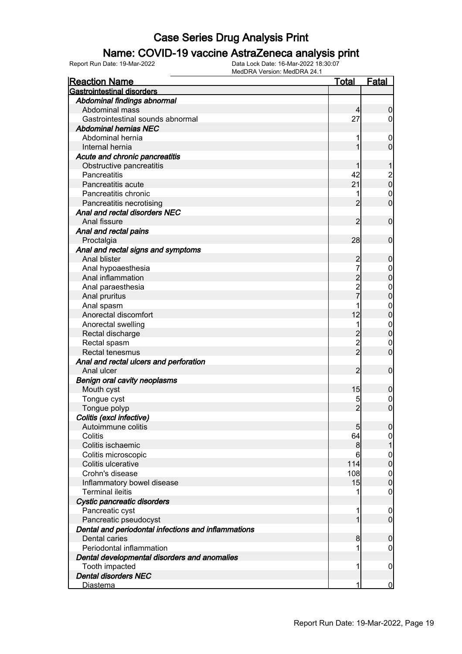#### Name: COVID-19 vaccine AstraZeneca analysis print

| <b>Reaction Name</b>                                | Total           | <b>Fatal</b>                         |
|-----------------------------------------------------|-----------------|--------------------------------------|
| <b>Gastrointestinal disorders</b>                   |                 |                                      |
| Abdominal findings abnormal                         |                 |                                      |
| Abdominal mass                                      | $\overline{4}$  | $\boldsymbol{0}$                     |
| Gastrointestinal sounds abnormal                    | 27              | $\overline{0}$                       |
| <b>Abdominal hernias NEC</b>                        |                 |                                      |
| Abdominal hernia                                    |                 | $\overline{0}$                       |
| Internal hernia                                     | 1               | $\overline{0}$                       |
| Acute and chronic pancreatitis                      |                 |                                      |
| Obstructive pancreatitis                            |                 | 1                                    |
| Pancreatitis                                        | 42              |                                      |
| Pancreatitis acute                                  | 21              | $\begin{matrix} 2 \\ 0 \end{matrix}$ |
| Pancreatitis chronic                                |                 | $\mathbf 0$                          |
| Pancreatitis necrotising                            | $\overline{2}$  | $\overline{0}$                       |
| Anal and rectal disorders NEC                       |                 |                                      |
| Anal fissure                                        | $\overline{2}$  | $\mathbf 0$                          |
| Anal and rectal pains                               |                 |                                      |
| Proctalgia                                          | 28              | $\mathbf 0$                          |
| Anal and rectal signs and symptoms                  |                 |                                      |
| Anal blister                                        |                 |                                      |
|                                                     | $\overline{c}$  | $\boldsymbol{0}$                     |
| Anal hypoaesthesia<br>Anal inflammation             |                 | $\mathbf 0$                          |
|                                                     | $\frac{2}{7}$   | $\mathbf 0$                          |
| Anal paraesthesia                                   |                 | $\mathbf{0}$                         |
| Anal pruritus                                       |                 | $\mathbf 0$                          |
| Anal spasm                                          |                 | $\mathbf{0}$                         |
| Anorectal discomfort                                | 12              | $\mathbf 0$                          |
| Anorectal swelling                                  | 1               | $\mathbf{0}$                         |
| Rectal discharge                                    | $\frac{2}{2}$   | $\mathbf 0$                          |
| Rectal spasm                                        |                 | $\mathbf 0$                          |
| Rectal tenesmus                                     |                 | $\overline{0}$                       |
| Anal and rectal ulcers and perforation              |                 |                                      |
| Anal ulcer                                          | $\overline{2}$  | $\boldsymbol{0}$                     |
| <b>Benign oral cavity neoplasms</b>                 |                 |                                      |
| Mouth cyst                                          | 15              | $\boldsymbol{0}$                     |
| Tongue cyst                                         | 5               | $\boldsymbol{0}$                     |
| Tongue polyp                                        | $\overline{2}$  | $\overline{0}$                       |
| Colitis (excl infective)                            |                 |                                      |
| Autoimmune colitis                                  | $5\overline{)}$ | $\overline{0}$                       |
| Colitis                                             | 64              | 0                                    |
| Colitis ischaemic                                   | 8 <sup>0</sup>  | 1                                    |
| Colitis microscopic                                 | 6               | $\boldsymbol{0}$                     |
| Colitis ulcerative                                  | 114             | $\mathbf 0$                          |
| Crohn's disease                                     | 108             | $\boldsymbol{0}$                     |
| Inflammatory bowel disease                          | 15              | $\mathbf 0$                          |
| <b>Terminal ileitis</b>                             |                 | $\mathbf 0$                          |
| Cystic pancreatic disorders                         |                 |                                      |
| Pancreatic cyst                                     | 1               | $\boldsymbol{0}$                     |
| Pancreatic pseudocyst                               | 1               | $\overline{0}$                       |
| Dental and periodontal infections and inflammations |                 |                                      |
| <b>Dental caries</b>                                | 8               | $\mathbf 0$                          |
| Periodontal inflammation                            |                 | $\overline{0}$                       |
| Dental developmental disorders and anomalies        |                 |                                      |
| Tooth impacted                                      | 1               | $\mathbf 0$                          |
| <b>Dental disorders NEC</b>                         |                 |                                      |
| <b>Diastema</b>                                     | 1               | $\bf{0}$                             |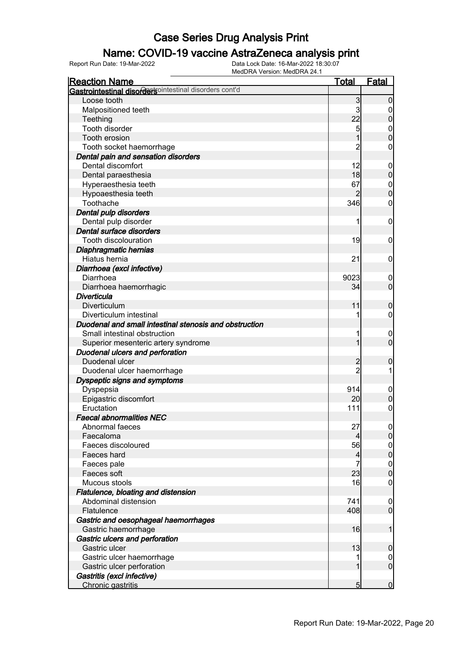### Name: COVID-19 vaccine AstraZeneca analysis print

| <b>Reaction Name</b>                                   | <b>Total</b>   | <b>Fatal</b>     |
|--------------------------------------------------------|----------------|------------------|
| Gastrointestinal disordersointestinal disorders cont'd |                |                  |
| Loose tooth                                            | 3              | $\overline{0}$   |
| Malpositioned teeth                                    | 3              | 0                |
| Teething                                               | 22             | $\pmb{0}$        |
| <b>Tooth disorder</b>                                  | 5              | $\mathbf{0}$     |
| Tooth erosion                                          |                | $\mathbf 0$      |
| Tooth socket haemorrhage                               | 2              | $\mathbf 0$      |
| Dental pain and sensation disorders                    |                |                  |
| Dental discomfort                                      | 12             | $\boldsymbol{0}$ |
| Dental paraesthesia                                    | 18             | $\pmb{0}$        |
| Hyperaesthesia teeth                                   | 67             | $\mathbf{0}$     |
| Hypoaesthesia teeth                                    |                | $\mathbf 0$      |
| Toothache                                              | 346            | $\boldsymbol{0}$ |
| Dental pulp disorders                                  |                |                  |
| Dental pulp disorder                                   | 1              | $\boldsymbol{0}$ |
| Dental surface disorders                               |                |                  |
| Tooth discolouration                                   | 19             | $\mathbf 0$      |
| Diaphragmatic hernias                                  |                |                  |
| Hiatus hernia                                          | 21             | $\mathbf 0$      |
| Diarrhoea (excl infective)                             |                |                  |
| Diarrhoea                                              | 9023           | $\boldsymbol{0}$ |
| Diarrhoea haemorrhagic                                 | 34             | $\mathbf 0$      |
| Diverticula                                            |                |                  |
| Diverticulum                                           | 11             | $\mathbf 0$      |
| Diverticulum intestinal                                |                | $\mathbf 0$      |
| Duodenal and small intestinal stenosis and obstruction |                |                  |
| Small intestinal obstruction                           |                | $\mathbf 0$      |
| Superior mesenteric artery syndrome                    | 1              | $\mathbf 0$      |
| Duodenal ulcers and perforation                        |                |                  |
| Duodenal ulcer                                         | 2              | 0                |
| Duodenal ulcer haemorrhage                             | $\overline{2}$ | 1                |
| Dyspeptic signs and symptoms                           |                |                  |
| Dyspepsia                                              | 914            | $\mathbf 0$      |
| Epigastric discomfort                                  | 20             | $\mathbf 0$      |
| Eructation                                             | 111            | $\mathbf 0$      |
| <b>Faecal abnormalities NEC</b>                        |                |                  |
| Abnormal faeces                                        | 27             | $\Omega$         |
| Faecaloma                                              | 4              | $\overline{0}$   |
| Faeces discoloured                                     | 56             | $\boldsymbol{0}$ |
| Faeces hard                                            | 4              | $\mathbf 0$      |
| Faeces pale                                            | 7              | $\boldsymbol{0}$ |
| Faeces soft                                            | 23             | $\mathbf 0$      |
| Mucous stools                                          | 16             | $\mathbf 0$      |
| Flatulence, bloating and distension                    |                |                  |
| Abdominal distension                                   | 741            | $\boldsymbol{0}$ |
| Flatulence                                             | 408            | $\overline{0}$   |
| Gastric and oesophageal haemorrhages                   |                |                  |
| Gastric haemorrhage                                    | 16             | 1                |
| Gastric ulcers and perforation                         |                |                  |
| Gastric ulcer                                          | 13             | $\mathbf 0$      |
| Gastric ulcer haemorrhage                              | 1              | $\overline{0}$   |
| Gastric ulcer perforation                              | 1              | $\mathbf 0$      |
| Gastritis (excl infective)                             |                |                  |
| Chronic gastritis                                      | 5              | $\mathbf 0$      |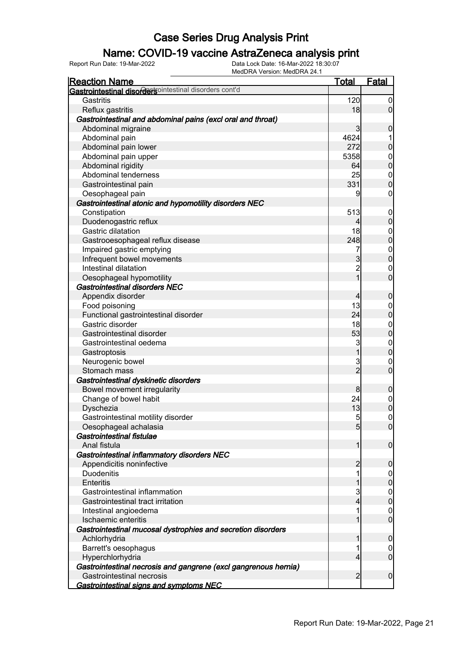### Name: COVID-19 vaccine AstraZeneca analysis print

| <b>Reaction Name</b>                                            | <b>Total</b>        | <b>Fatal</b>                     |
|-----------------------------------------------------------------|---------------------|----------------------------------|
| Gastrointestinal disordersointestinal disorders cont'd          |                     |                                  |
| Gastritis                                                       | 120                 | $\overline{0}$                   |
| Reflux gastritis                                                | 18                  | $\overline{0}$                   |
| Gastrointestinal and abdominal pains (excl oral and throat)     |                     |                                  |
| Abdominal migraine                                              | 3                   | $\mathbf 0$                      |
| Abdominal pain                                                  | 4624                |                                  |
| Abdominal pain lower                                            | 272                 | $\mathbf 0$                      |
| Abdominal pain upper                                            | 5358                | $\overline{0}$                   |
| Abdominal rigidity                                              | 64                  | $\overline{0}$                   |
| Abdominal tenderness                                            | 25                  | $\boldsymbol{0}$                 |
| Gastrointestinal pain                                           | 331                 | $\overline{0}$                   |
| Oesophageal pain                                                | 9                   | $\mathbf 0$                      |
| Gastrointestinal atonic and hypomotility disorders NEC          |                     |                                  |
| Constipation                                                    | 513                 | $\mathbf 0$                      |
| Duodenogastric reflux                                           | 4                   | $\boldsymbol{0}$                 |
| Gastric dilatation                                              | 18                  | $\boldsymbol{0}$                 |
| Gastrooesophageal reflux disease                                | 248                 | $\overline{0}$                   |
| Impaired gastric emptying                                       | 7                   |                                  |
| Infrequent bowel movements                                      | $\overline{3}$      | $0\atop 0$                       |
| Intestinal dilatation                                           | $\overline{c}$      | $\mathbf 0$                      |
| Oesophageal hypomotility                                        | $\overline{1}$      | $\overline{0}$                   |
| <b>Gastrointestinal disorders NEC</b>                           |                     |                                  |
| Appendix disorder                                               | $\overline{4}$      | $\mathbf 0$                      |
| Food poisoning                                                  | 13                  | $\overline{0}$                   |
| Functional gastrointestinal disorder                            | 24                  | $\mathbf 0$                      |
| Gastric disorder                                                | 18                  |                                  |
| Gastrointestinal disorder                                       | 53                  | $\overline{0}$<br>$\overline{0}$ |
|                                                                 |                     |                                  |
| Gastrointestinal oedema                                         | 3<br>$\overline{1}$ | $\mathbf{0}$<br>$\overline{0}$   |
| Gastroptosis                                                    |                     |                                  |
| Neurogenic bowel<br>Stomach mass                                | 3<br>$\overline{2}$ | $\mathbf 0$<br>$\overline{0}$    |
|                                                                 |                     |                                  |
| Gastrointestinal dyskinetic disorders                           |                     |                                  |
| Bowel movement irregularity                                     | 8                   | $\mathbf 0$                      |
| Change of bowel habit                                           | 24                  | $0\atop 0$                       |
| Dyschezia                                                       | 13                  |                                  |
| Gastrointestinal motility disorder                              | $5\overline{)}$     | $\boldsymbol{0}$                 |
| Oesophageal achalasia                                           | 5 <sub>5</sub>      | 0                                |
| Gastrointestinal fistulae                                       |                     |                                  |
| Anal fistula                                                    | 1                   | $\boldsymbol{0}$                 |
| Gastrointestinal inflammatory disorders NEC                     |                     |                                  |
| Appendicitis noninfective                                       | $\overline{2}$      | $\mathbf 0$                      |
| <b>Duodenitis</b>                                               | 1                   | $\overline{0}$                   |
| Enteritis                                                       | 1                   | $\pmb{0}$                        |
| Gastrointestinal inflammation                                   | 3                   | $\overline{0}$                   |
| Gastrointestinal tract irritation                               | $\overline{4}$      | $\mathbf 0$                      |
| Intestinal angioedema                                           | 1                   | $\overline{0}$                   |
| Ischaemic enteritis                                             | 1                   | $\overline{0}$                   |
| Gastrointestinal mucosal dystrophies and secretion disorders    |                     |                                  |
| Achlorhydria                                                    | 1                   | $\mathbf 0$                      |
| Barrett's oesophagus                                            | 1                   | $\overline{0}$                   |
| Hyperchlorhydria                                                | $\overline{4}$      | $\boldsymbol{0}$                 |
| Gastrointestinal necrosis and gangrene (excl gangrenous hernia) |                     |                                  |
| Gastrointestinal necrosis                                       | $\overline{2}$      | $\boldsymbol{0}$                 |
| Gastrointestinal signs and symptoms NEC                         |                     |                                  |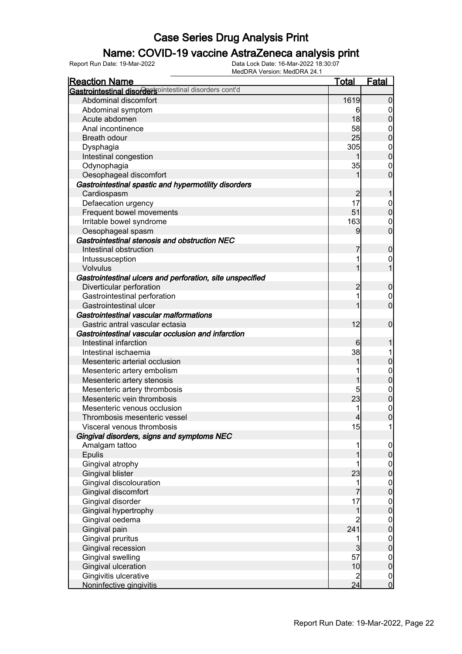### Name: COVID-19 vaccine AstraZeneca analysis print

| <b>Reaction Name</b>                                      | <b>Total</b>   | <b>Fatal</b>                         |
|-----------------------------------------------------------|----------------|--------------------------------------|
| Gastrointestinal disordersointestinal disorders cont'd    |                |                                      |
| Abdominal discomfort                                      | 1619           | $\overline{0}$                       |
| Abdominal symptom                                         | 6              | $\overline{0}$                       |
| Acute abdomen                                             | 18             | $\overline{0}$                       |
| Anal incontinence                                         | 58             | $\boldsymbol{0}$                     |
| <b>Breath odour</b>                                       | 25             | $\overline{0}$                       |
| Dysphagia                                                 | 305            | $\mathbf 0$                          |
| Intestinal congestion                                     | 1              | $\overline{0}$                       |
| Odynophagia                                               | 35             | $\mathbf 0$                          |
| Oesophageal discomfort                                    | 1              | $\overline{0}$                       |
| Gastrointestinal spastic and hypermotility disorders      |                |                                      |
| Cardiospasm                                               | $\overline{c}$ |                                      |
| Defaecation urgency                                       | 17             | $\boldsymbol{0}$                     |
| Frequent bowel movements                                  | 51             | $\mathbf 0$                          |
| Irritable bowel syndrome                                  | 163            | $\overline{0}$                       |
| Oesophageal spasm                                         | 9              | $\overline{0}$                       |
| Gastrointestinal stenosis and obstruction NEC             |                |                                      |
| Intestinal obstruction                                    | 7              | $\boldsymbol{0}$                     |
| Intussusception                                           |                | $\mathbf 0$                          |
| Volvulus                                                  |                | $\overline{1}$                       |
| Gastrointestinal ulcers and perforation, site unspecified |                |                                      |
| Diverticular perforation                                  | $\overline{c}$ | $\boldsymbol{0}$                     |
| Gastrointestinal perforation                              |                | $\boldsymbol{0}$                     |
| Gastrointestinal ulcer                                    |                | $\overline{0}$                       |
| Gastrointestinal vascular malformations                   |                |                                      |
| Gastric antral vascular ectasia                           | 12             | $\mathbf 0$                          |
| Gastrointestinal vascular occlusion and infarction        |                |                                      |
| Intestinal infarction                                     | 6              |                                      |
| Intestinal ischaemia                                      | 38             |                                      |
| Mesenteric arterial occlusion                             |                | $\mathbf 0$                          |
| Mesenteric artery embolism                                |                | $\mathbf{0}$                         |
| Mesenteric artery stenosis                                |                | $\overline{0}$                       |
| Mesenteric artery thrombosis                              | 5              | $\mathbf{0}$                         |
| Mesenteric vein thrombosis                                | 23             | $\overline{0}$                       |
| Mesenteric venous occlusion                               |                | $\mathbf{0}$                         |
| Thrombosis mesenteric vessel                              | $\overline{4}$ | $\overline{0}$                       |
| Visceral venous thrombosis                                | 15             |                                      |
| Gingival disorders, signs and symptoms NEC                |                |                                      |
| Amalgam tattoo                                            |                | $\overline{0}$                       |
| Epulis                                                    |                | $\overline{0}$                       |
| Gingival atrophy                                          |                |                                      |
| <b>Gingival blister</b>                                   | 23             | $\begin{matrix} 0 \\ 0 \end{matrix}$ |
| Gingival discolouration                                   | 1              |                                      |
| Gingival discomfort                                       |                | $\begin{matrix} 0 \\ 0 \end{matrix}$ |
| Gingival disorder                                         | 17             |                                      |
| Gingival hypertrophy                                      | 1              | $\begin{matrix} 0 \\ 0 \end{matrix}$ |
| Gingival oedema                                           | $\overline{2}$ | $\boldsymbol{0}$                     |
| Gingival pain                                             | 241            | $\overline{0}$                       |
| Gingival pruritus                                         |                | $\boldsymbol{0}$                     |
| Gingival recession                                        | 3              | $\overline{0}$                       |
| Gingival swelling                                         | 57             | $\boldsymbol{0}$                     |
| Gingival ulceration                                       | 10             | $\overline{0}$                       |
| Gingivitis ulcerative                                     | $\overline{c}$ | $\overline{0}$                       |
| Noninfective gingivitis                                   | 24             | $\overline{0}$                       |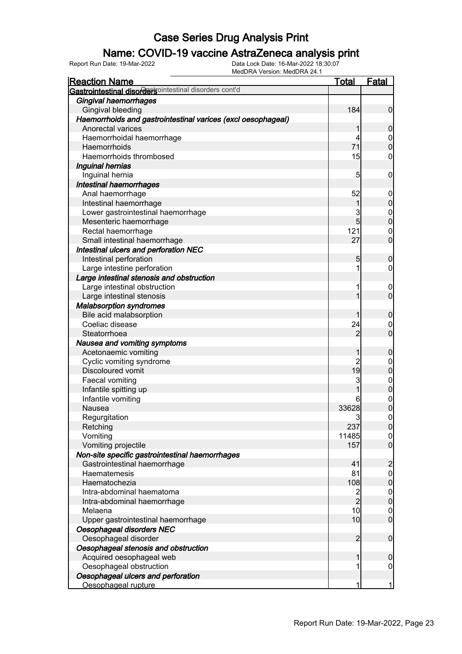### Name: COVID-19 vaccine AstraZeneca analysis print

| <b>Reaction Name</b>                                         | <u>Total</u>            | <b>Fatal</b>                     |
|--------------------------------------------------------------|-------------------------|----------------------------------|
| Gastrointestinal disordersointestinal disorders cont'd       |                         |                                  |
| Gingival haemorrhages                                        |                         |                                  |
| Gingival bleeding                                            | 184                     | $\mathbf 0$                      |
| Haemorrhoids and gastrointestinal varices (excl oesophageal) |                         |                                  |
| Anorectal varices                                            | 1                       | $\boldsymbol{0}$                 |
| Haemorrhoidal haemorrhage                                    | 4                       | $\mathbf 0$                      |
| Haemorrhoids                                                 | 71                      | $\overline{0}$                   |
| Haemorrhoids thrombosed                                      | 15                      | $\boldsymbol{0}$                 |
| Inguinal hernias                                             |                         |                                  |
| Inguinal hernia                                              | 5                       | $\mathbf 0$                      |
| Intestinal haemorrhages                                      |                         |                                  |
| Anal haemorrhage                                             | 52                      | $\mathbf 0$                      |
| Intestinal haemorrhage                                       | 1                       | $\pmb{0}$                        |
| Lower gastrointestinal haemorrhage                           | 3                       |                                  |
| Mesenteric haemorrhage                                       | 5                       | $0\atop 0$                       |
| Rectal haemorrhage                                           | 121                     | $\mathbf{0}$                     |
| Small intestinal haemorrhage                                 | 27                      | $\overline{0}$                   |
| Intestinal ulcers and perforation NEC                        |                         |                                  |
| Intestinal perforation                                       | 5                       | $\boldsymbol{0}$                 |
| Large intestine perforation                                  | 1                       | $\boldsymbol{0}$                 |
| Large intestinal stenosis and obstruction                    |                         |                                  |
| Large intestinal obstruction                                 | 1                       | $\mathbf 0$                      |
| Large intestinal stenosis                                    | 1                       | $\overline{0}$                   |
| <b>Malabsorption syndromes</b>                               |                         |                                  |
| Bile acid malabsorption                                      | 1                       | $\boldsymbol{0}$                 |
| Coeliac disease                                              | 24                      | $\mathbf 0$                      |
| Steatorrhoea                                                 | $\overline{2}$          | $\overline{0}$                   |
| Nausea and vomiting symptoms                                 |                         |                                  |
| Acetonaemic vomiting                                         | 1                       | $\boldsymbol{0}$                 |
| Cyclic vomiting syndrome                                     | $\overline{c}$          | $\mathbf{0}$                     |
| Discoloured vomit                                            | 19                      | $\overline{0}$                   |
| Faecal vomiting                                              | 3                       |                                  |
| Infantile spitting up                                        | 1                       | $0$ 0                            |
| Infantile vomiting                                           | 6                       |                                  |
| Nausea                                                       | 33628                   | $\begin{matrix}0\\0\end{matrix}$ |
| Regurgitation                                                | 3                       | $\mathbf 0$                      |
| Retching                                                     | 237                     | 0                                |
| Vomiting                                                     | 11485                   | $\overline{0}$                   |
| Vomiting projectile                                          | 157                     | $\overline{0}$                   |
| Non-site specific gastrointestinal haemorrhages              |                         |                                  |
| Gastrointestinal haemorrhage                                 | 41                      | $\overline{c}$                   |
| Haematemesis                                                 | 81                      | $\boldsymbol{0}$                 |
| Haematochezia                                                | 108                     | $\pmb{0}$                        |
| Intra-abdominal haematoma                                    | $\overline{\mathbf{c}}$ | $\boldsymbol{0}$                 |
| Intra-abdominal haemorrhage                                  | $\overline{2}$          | $\mathbf 0$                      |
| Melaena                                                      | 10                      | $\mathbf 0$                      |
| Upper gastrointestinal haemorrhage                           | 10                      | $\boldsymbol{0}$                 |
| Oesophageal disorders NEC                                    |                         |                                  |
| Oesophageal disorder                                         | $\overline{2}$          | $\boldsymbol{0}$                 |
| Oesophageal stenosis and obstruction                         |                         |                                  |
| Acquired oesophageal web                                     | 1                       | $\boldsymbol{0}$                 |
| Oesophageal obstruction                                      | 1                       | $\boldsymbol{0}$                 |
| Oesophageal ulcers and perforation                           |                         |                                  |
| Oesophageal rupture                                          | 1                       | $\mathbf{1}$                     |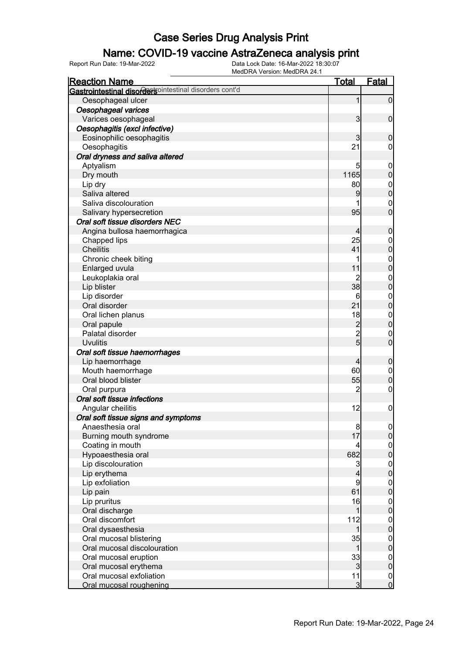### Name: COVID-19 vaccine AstraZeneca analysis print

| <b>Reaction Name</b>                                   | <b>Total</b>            | <b>Fatal</b>     |
|--------------------------------------------------------|-------------------------|------------------|
| Gastrointestinal disordersointestinal disorders cont'd |                         |                  |
| Oesophageal ulcer                                      | 1                       | $\overline{0}$   |
| Oesophageal varices                                    |                         |                  |
| Varices oesophageal                                    | $\overline{\mathbf{3}}$ | $\overline{0}$   |
| Oesophagitis (excl infective)                          |                         |                  |
| Eosinophilic oesophagitis                              | 3                       | $\boldsymbol{0}$ |
| Oesophagitis                                           | 21                      | 0                |
| Oral dryness and saliva altered                        |                         |                  |
| Aptyalism                                              | 5                       | $\mathbf 0$      |
| Dry mouth                                              | 1165                    | $\boldsymbol{0}$ |
| Lip dry                                                | 80                      | $\boldsymbol{0}$ |
| Saliva altered                                         | 9                       | $\overline{0}$   |
| Saliva discolouration                                  |                         | $\mathbf 0$      |
| Salivary hypersecretion                                | 95                      | $\mathbf 0$      |
| Oral soft tissue disorders NEC                         |                         |                  |
| Angina bullosa haemorrhagica                           | 4                       | $\boldsymbol{0}$ |
| Chapped lips                                           | 25                      | $\boldsymbol{0}$ |
| <b>Cheilitis</b>                                       | 41                      | $\mathbf 0$      |
| Chronic cheek biting                                   |                         | $\boldsymbol{0}$ |
| Enlarged uvula                                         | 11                      | $\overline{0}$   |
| Leukoplakia oral                                       | $\overline{c}$          | $\mathbf{0}$     |
| Lip blister                                            | 38                      | $\overline{0}$   |
| Lip disorder                                           | 6                       | $\boldsymbol{0}$ |
| Oral disorder                                          | 21                      | $\overline{0}$   |
| Oral lichen planus                                     | 18                      | $\mathbf{0}$     |
| Oral papule                                            | $\overline{c}$          | $\overline{0}$   |
| Palatal disorder                                       | $\overline{c}$          | $\mathbf 0$      |
| <b>Uvulitis</b>                                        | $\overline{5}$          | $\overline{0}$   |
| Oral soft tissue haemorrhages                          |                         |                  |
| Lip haemorrhage                                        | 4                       | $\boldsymbol{0}$ |
| Mouth haemorrhage                                      | 60                      | $\mathbf 0$      |
| Oral blood blister                                     | 55                      | $\mathbf 0$      |
| Oral purpura                                           | $\overline{2}$          | $\mathbf 0$      |
| Oral soft tissue infections                            |                         |                  |
| Angular cheilitis                                      | 12                      | $\boldsymbol{0}$ |
| Oral soft tissue signs and symptoms                    |                         |                  |
| Anaesthesia oral                                       | $\bf{8}$                | 0                |
| Burning mouth syndrome                                 | 17                      | $\mathbf 0$      |
| Coating in mouth                                       | 4                       | $\mathbf 0$      |
| Hypoaesthesia oral                                     | 682                     | $\overline{0}$   |
| Lip discolouration                                     | 3                       | $\boldsymbol{0}$ |
| Lip erythema                                           | 4                       | $\overline{0}$   |
| Lip exfoliation                                        | 9                       | $\boldsymbol{0}$ |
| Lip pain                                               | 61                      | $\overline{0}$   |
| Lip pruritus                                           | 16                      | $\mathbf 0$      |
| Oral discharge                                         | 1                       | $\overline{0}$   |
| Oral discomfort                                        | 112                     | $\mathbf 0$      |
| Oral dysaesthesia                                      | 1                       | $\overline{0}$   |
| Oral mucosal blistering                                | 35                      | $\boldsymbol{0}$ |
| Oral mucosal discolouration                            | 1                       | $\overline{0}$   |
| Oral mucosal eruption                                  | 33                      | $\boldsymbol{0}$ |
| Oral mucosal erythema                                  | $\overline{3}$          | $\mathbf 0$      |
| Oral mucosal exfoliation                               | 11                      | $\overline{0}$   |
| Oral mucosal roughening                                | $\overline{3}$          | $\overline{0}$   |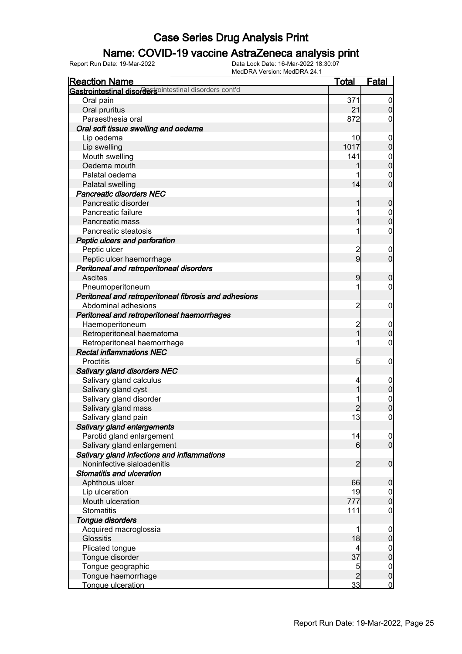### Name: COVID-19 vaccine AstraZeneca analysis print

| <b>Reaction Name</b>                                   | <b>Total</b>            | <b>Fatal</b>     |
|--------------------------------------------------------|-------------------------|------------------|
| Gastrointestinal disordersointestinal disorders cont'd |                         |                  |
| Oral pain                                              | 371                     | $\overline{0}$   |
| Oral pruritus                                          | 21                      | $\overline{0}$   |
| Paraesthesia oral                                      | 872                     | 0                |
| Oral soft tissue swelling and oedema                   |                         |                  |
| Lip oedema                                             | 10                      | $\mathbf 0$      |
| Lip swelling                                           | 1017                    | $\mathbf 0$      |
| Mouth swelling                                         | 141                     | $\mathbf 0$      |
| Oedema mouth                                           |                         | $\overline{0}$   |
| Palatal oedema                                         |                         | $\mathbf 0$      |
| Palatal swelling                                       | 14                      | $\mathbf 0$      |
| <b>Pancreatic disorders NEC</b>                        |                         |                  |
| Pancreatic disorder                                    |                         | $\boldsymbol{0}$ |
| Pancreatic failure                                     |                         | $\boldsymbol{0}$ |
| Pancreatic mass                                        |                         | $\overline{0}$   |
| Pancreatic steatosis                                   |                         | 0                |
| Peptic ulcers and perforation                          |                         |                  |
| Peptic ulcer                                           | $\overline{\mathbf{c}}$ | $\mathbf 0$      |
| Peptic ulcer haemorrhage                               | $\overline{9}$          | $\overline{0}$   |
| Peritoneal and retroperitoneal disorders               |                         |                  |
| <b>Ascites</b>                                         | 9                       | $\mathbf 0$      |
| Pneumoperitoneum                                       |                         | 0                |
| Peritoneal and retroperitoneal fibrosis and adhesions  |                         |                  |
| Abdominal adhesions                                    | $\overline{c}$          | $\mathbf 0$      |
| Peritoneal and retroperitoneal haemorrhages            |                         |                  |
| Haemoperitoneum                                        | $\overline{c}$          | $\mathbf 0$      |
| Retroperitoneal haematoma                              | $\overline{1}$          | $\mathbf 0$      |
| Retroperitoneal haemorrhage                            |                         | 0                |
| <b>Rectal inflammations NEC</b>                        |                         |                  |
| Proctitis                                              | 5                       | $\mathbf 0$      |
| Salivary gland disorders NEC                           |                         |                  |
| Salivary gland calculus                                | 4                       | $\mathbf 0$      |
| Salivary gland cyst                                    |                         | $\boldsymbol{0}$ |
| Salivary gland disorder                                |                         | $\boldsymbol{0}$ |
| Salivary gland mass                                    |                         | $\overline{0}$   |
| Salivary gland pain                                    | 13                      | $\overline{0}$   |
| Salivary gland enlargements                            |                         |                  |
| Parotid gland enlargement                              | 14                      | 0                |
| Salivary gland enlargement                             | 6                       | $\overline{0}$   |
| Salivary gland infections and inflammations            |                         |                  |
| Noninfective sialoadenitis                             | 2                       | $\boldsymbol{0}$ |
| Stomatitis and ulceration                              |                         |                  |
| Aphthous ulcer                                         | 66                      | $\mathbf 0$      |
| Lip ulceration                                         | 19                      | $\overline{0}$   |
| Mouth ulceration                                       | 777                     | $\mathbf 0$      |
| <b>Stomatitis</b>                                      | 111                     | 0                |
| <b>Tongue disorders</b>                                |                         |                  |
| Acquired macroglossia                                  |                         | $\mathbf 0$      |
| <b>Glossitis</b>                                       | 18                      | $\pmb{0}$        |
| Plicated tongue                                        |                         | $\boldsymbol{0}$ |
| Tongue disorder                                        | 37                      | $\mathbf 0$      |
| Tongue geographic                                      | 5                       | $\overline{0}$   |
| Tongue haemorrhage                                     | $\overline{2}$          | $\boldsymbol{0}$ |
| Tongue ulceration                                      | 33                      | $\overline{0}$   |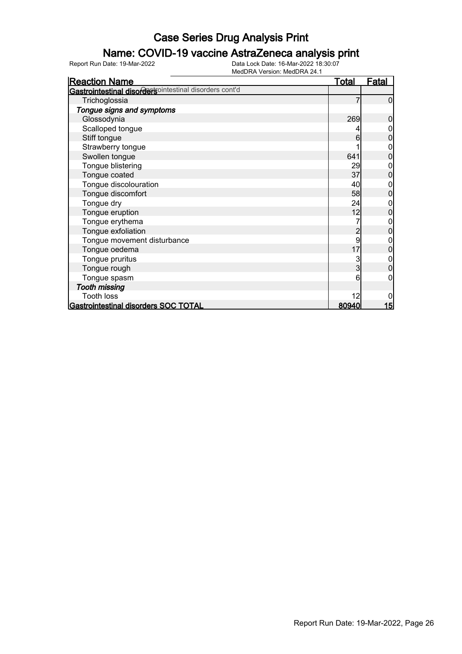### Name: COVID-19 vaccine AstraZeneca analysis print

| <b>Reaction Name</b>                                    | <u>Total</u> | <u>Fatal</u> |
|---------------------------------------------------------|--------------|--------------|
| Gastrointestinal disordertsointestinal disorders cont'd |              |              |
| Trichoglossia                                           |              | 0            |
| Tongue signs and symptoms                               |              |              |
| Glossodynia                                             | 269          | 0            |
| Scalloped tongue                                        |              |              |
| Stiff tongue                                            | 6            |              |
| Strawberry tongue                                       |              | 0            |
| Swollen tongue                                          | 641          | 0            |
| Tongue blistering                                       | 29           | 0            |
| Tongue coated                                           | 37           | $\Omega$     |
| Tongue discolouration                                   | 40           | 0            |
| Tongue discomfort                                       | 58           | $\Omega$     |
| Tongue dry                                              | 24           | 0            |
| Tongue eruption                                         | 12           | 0            |
| Tongue erythema                                         |              | 0            |
| Tongue exfoliation                                      | 2            | 0            |
| Tongue movement disturbance                             | 9            | 0            |
| Tongue oedema                                           | 17           | 0            |
| Tongue pruritus                                         | 3            | 0            |
| Tongue rough                                            | 3            | 0            |
| Tongue spasm                                            | 6            | 0            |
| <b>Tooth missing</b>                                    |              |              |
| <b>Tooth loss</b>                                       | 12           |              |
| Gastrointestinal disorders SOC TOTAL                    | 80940        | 15           |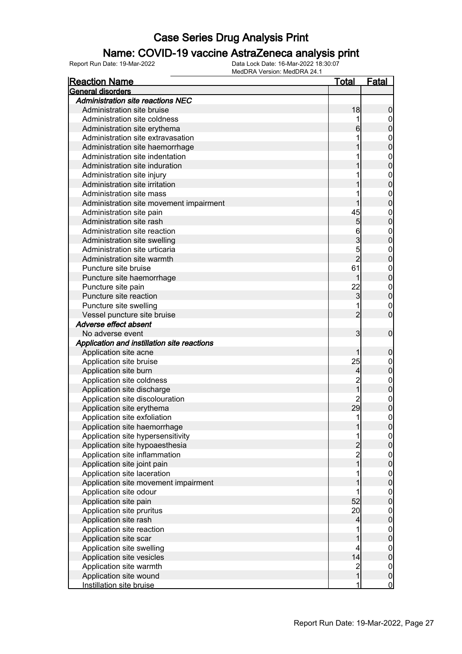### Name: COVID-19 vaccine AstraZeneca analysis print

| <u>Reaction Name</u>                        | <u>Total</u>                               | <u>Fatal</u>                   |
|---------------------------------------------|--------------------------------------------|--------------------------------|
| <b>General disorders</b>                    |                                            |                                |
| <b>Administration site reactions NEC</b>    |                                            |                                |
| Administration site bruise                  | 18                                         | $\boldsymbol{0}$               |
| Administration site coldness                | 1                                          | $\mathbf 0$                    |
| Administration site erythema                | 6                                          | $\mathbf 0$                    |
| Administration site extravasation           |                                            | $\mathbf{0}$                   |
| Administration site haemorrhage             |                                            | $\overline{0}$                 |
| Administration site indentation             |                                            | $\mathbf{0}$                   |
| Administration site induration              |                                            | $\overline{0}$                 |
| Administration site injury                  |                                            | $\mathbf{0}$                   |
| Administration site irritation              |                                            | $\overline{0}$                 |
| Administration site mass                    |                                            | $\mathbf{0}$                   |
| Administration site movement impairment     |                                            | $\overline{0}$                 |
| Administration site pain                    | 45                                         | $\mathbf{0}$                   |
| Administration site rash                    | 5                                          | $\overline{0}$                 |
| Administration site reaction                | 6                                          | $\mathbf{0}$                   |
| Administration site swelling                | 3                                          | $\overline{0}$                 |
| Administration site urticaria               | 5                                          | $\mathbf{0}$                   |
| Administration site warmth                  | $\overline{2}$                             | $\overline{0}$                 |
| Puncture site bruise                        | 61                                         | $\mathbf{0}$                   |
| Puncture site haemorrhage                   | 1                                          | $\overline{0}$                 |
| Puncture site pain                          | 22                                         | $\mathbf{0}$                   |
| Puncture site reaction                      | 3                                          | $\overline{0}$                 |
| Puncture site swelling                      | 1                                          | $\mathbf{0}$                   |
| Vessel puncture site bruise                 | $\overline{2}$                             | $\overline{0}$                 |
| Adverse effect absent                       |                                            |                                |
| No adverse event                            | 3                                          | $\boldsymbol{0}$               |
| Application and instillation site reactions |                                            |                                |
| Application site acne                       | 1                                          | $\mathbf 0$                    |
| Application site bruise                     | 25                                         | $\mathbf{0}$                   |
| Application site burn                       | 4                                          | $\mathbf 0$                    |
| Application site coldness                   | $\overline{c}$                             |                                |
| Application site discharge                  | $\overline{1}$                             | $\mathbf{0}$<br>$\mathbf 0$    |
| Application site discolouration             | $\overline{2}$                             |                                |
| Application site erythema                   | 29                                         | $\mathbf{0}$<br>$\overline{0}$ |
|                                             |                                            | $\mathbf 0$                    |
| Application site exfoliation                | 1                                          |                                |
| Application site haemorrhage                | $\mathbf{1}$<br>1                          | 0                              |
| Application site hypersensitivity           |                                            | $\overline{0}$                 |
| Application site hypoaesthesia              | $\begin{array}{c} 2 \\ 2 \\ 1 \end{array}$ | $\overline{0}$                 |
| Application site inflammation               |                                            | $\overline{0}$                 |
| Application site joint pain                 |                                            | $\mathbf 0$                    |
| Application site laceration                 | 1                                          | $\boldsymbol{0}$               |
| Application site movement impairment        | 1                                          | $\mathbf 0$                    |
| Application site odour                      | 1                                          | $\boldsymbol{0}$               |
| Application site pain                       | 52                                         | $\mathbf 0$                    |
| Application site pruritus                   | 20                                         | $\boldsymbol{0}$               |
| Application site rash                       | 4                                          | $\mathbf 0$                    |
| Application site reaction                   | 1                                          | $\boldsymbol{0}$               |
| Application site scar                       | 1                                          | $\mathbf 0$                    |
| Application site swelling                   | 4                                          | $\boldsymbol{0}$               |
| Application site vesicles                   | 14                                         | $\mathbf 0$                    |
| Application site warmth                     | $\frac{2}{1}$                              | $\boldsymbol{0}$               |
| Application site wound                      |                                            | $\mathbf 0$                    |
| Instillation site bruise                    | 1                                          | $\overline{0}$                 |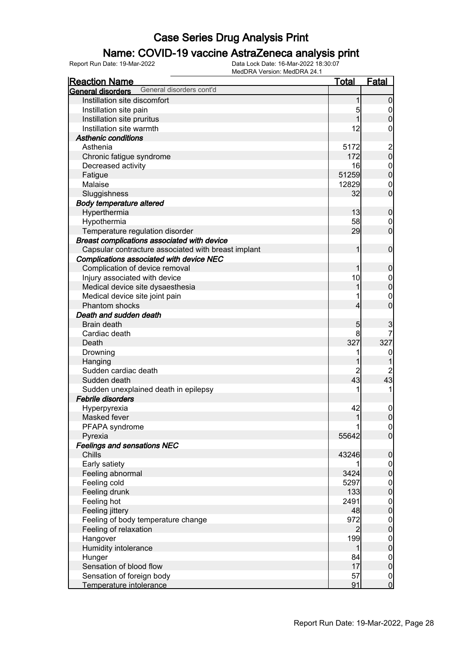### Name: COVID-19 vaccine AstraZeneca analysis print

| <b>Reaction Name</b>                                             | <b>Total</b>         | Fatal                                |
|------------------------------------------------------------------|----------------------|--------------------------------------|
| General disorders cont'd<br>General disorders                    |                      |                                      |
| Instillation site discomfort                                     |                      | $\overline{0}$                       |
| Instillation site pain                                           | 5                    | $\overline{0}$                       |
| Instillation site pruritus                                       |                      | $\mathbf 0$                          |
| Instillation site warmth                                         | 12                   | 0                                    |
| <b>Asthenic conditions</b>                                       |                      |                                      |
| Asthenia                                                         | 5172                 |                                      |
| Chronic fatigue syndrome                                         | 172                  | $\frac{2}{0}$                        |
| Decreased activity                                               | 16                   | $\boldsymbol{0}$                     |
| Fatigue                                                          | 51259                | $\mathbf 0$                          |
| Malaise                                                          | 12829                | $\mathbf 0$                          |
| Sluggishness                                                     | 32                   | $\mathbf 0$                          |
| <b>Body temperature altered</b>                                  |                      |                                      |
| Hyperthermia                                                     | 13                   | $\boldsymbol{0}$                     |
| Hypothermia                                                      | 58                   | 0                                    |
| Temperature regulation disorder                                  | 29                   | $\mathbf 0$                          |
| Breast complications associated with device                      |                      |                                      |
| Capsular contracture associated with breast implant              | 1                    | $\mathbf 0$                          |
| Complications associated with device NEC                         |                      |                                      |
| Complication of device removal                                   |                      | $\boldsymbol{0}$                     |
| Injury associated with device                                    | 10                   |                                      |
| Medical device site dysaesthesia                                 |                      | $\boldsymbol{0}$<br>$\overline{0}$   |
| Medical device site joint pain                                   |                      | $\mathbf 0$                          |
| <b>Phantom shocks</b>                                            | 4                    | $\overline{0}$                       |
| Death and sudden death                                           |                      |                                      |
|                                                                  |                      |                                      |
| <b>Brain death</b>                                               | $5\overline{)}$<br>8 | 3<br>7                               |
| Cardiac death                                                    | 327                  |                                      |
| Death                                                            |                      | 327                                  |
| Drowning                                                         |                      | $\boldsymbol{0}$                     |
| Hanging                                                          |                      |                                      |
| Sudden cardiac death                                             | $\overline{c}$<br>43 | $\overline{\mathbf{c}}$<br>43        |
| Sudden death                                                     |                      |                                      |
| Sudden unexplained death in epilepsy<br><b>Febrile disorders</b> |                      | 1                                    |
|                                                                  |                      |                                      |
| Hyperpyrexia                                                     | 42                   | 0                                    |
| Masked fever                                                     | 1                    | $\overline{0}$                       |
| PFAPA syndrome                                                   |                      | 0                                    |
| Pyrexia                                                          | 55642                | $\overline{0}$                       |
| <b>Feelings and sensations NEC</b>                               |                      |                                      |
| Chills                                                           | 43246                | $\boldsymbol{0}$                     |
| Early satiety                                                    |                      | $\overline{0}$                       |
| Feeling abnormal                                                 | 3424                 | $\overline{0}$                       |
| Feeling cold                                                     | 5297                 | $0\atop 0$                           |
| Feeling drunk                                                    | 133                  |                                      |
| Feeling hot                                                      | 2491                 | $\begin{matrix} 0 \\ 0 \end{matrix}$ |
| Feeling jittery                                                  | 48                   |                                      |
| Feeling of body temperature change                               | 972                  | $0\atop 0$                           |
| Feeling of relaxation                                            | $\overline{2}$       |                                      |
| Hangover                                                         | 199                  | $0\atop 0$                           |
| Humidity intolerance                                             | 1                    |                                      |
| Hunger                                                           | 84                   | $\boldsymbol{0}$                     |
| Sensation of blood flow                                          | 17                   | $\mathbf 0$                          |
| Sensation of foreign body                                        | 57                   | $\overline{0}$                       |
| Temperature intolerance                                          | 91                   | $\overline{0}$                       |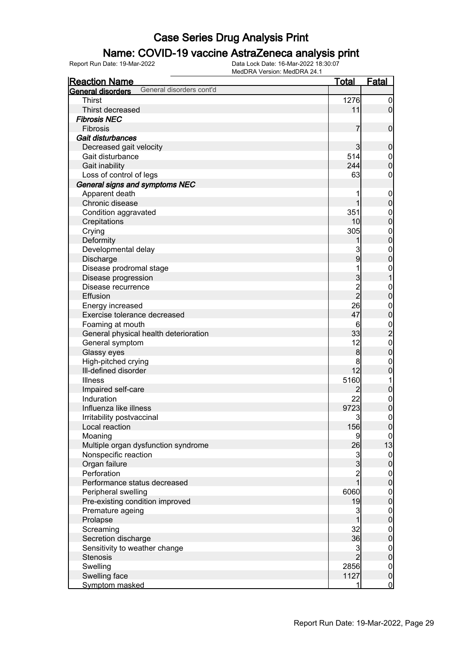### Name: COVID-19 vaccine AstraZeneca analysis print

| <b>Total</b><br><b>Fatal</b><br><b>Reaction Name</b><br>General disorders cont'd<br>General disorders<br><b>Thirst</b><br>1276<br>$\mathbf 0$<br>$\overline{0}$<br>Thirst decreased<br>11<br><b>Fibrosis NEC</b><br>$\mathbf 0$<br>Fibrosis<br>7<br>Gait disturbances<br>Decreased gait velocity<br>3<br>$\boldsymbol{0}$<br>Gait disturbance<br>514<br>$\boldsymbol{0}$<br>$\mathbf 0$<br>244<br>Gait inability<br>63<br>Loss of control of legs<br>0<br>General signs and symptoms NEC<br>Apparent death<br>$\mathbf 0$<br>$\mathbf 0$<br>Chronic disease<br>351<br>Condition aggravated<br>$\boldsymbol{0}$<br>$\mathbf 0$<br>10<br>Crepitations<br>305<br>Crying<br>$\boldsymbol{0}$<br>$\overline{0}$<br>Deformity<br>3<br>Developmental delay<br>$\boldsymbol{0}$<br>9<br>$\mathbf 0$<br>Discharge<br>Disease prodromal stage<br>$\boldsymbol{0}$<br>3<br>$\overline{1}$<br>Disease progression<br>2<br>2<br>Disease recurrence<br>$\boldsymbol{0}$<br>$\mathbf 0$<br>Effusion<br>26<br>Energy increased<br>$\mathbf{0}$<br>$\mathbf 0$<br>47<br>Exercise tolerance decreased<br>6<br>Foaming at mouth<br>$\frac{0}{2}$<br>33<br>General physical health deterioration<br>12<br>$\mathbf{0}$<br>General symptom<br>$\pmb{0}$<br>$\bf{8}$<br>Glassy eyes<br>High-pitched crying<br>8<br>$\boldsymbol{0}$<br>12<br>Ill-defined disorder<br>$\mathbf 0$<br>5160<br><b>Illness</b><br>1<br>$\pmb{0}$<br>Impaired self-care<br>2<br>Induration<br>22<br>$\boldsymbol{0}$<br>$\overline{0}$<br>Influenza like illness<br>9723<br>3<br>$\boldsymbol{0}$<br>Irritability postvaccinal<br>156<br>Local reaction<br> 0 <br>9<br>Moaning<br>$\overline{0}$ |
|-------------------------------------------------------------------------------------------------------------------------------------------------------------------------------------------------------------------------------------------------------------------------------------------------------------------------------------------------------------------------------------------------------------------------------------------------------------------------------------------------------------------------------------------------------------------------------------------------------------------------------------------------------------------------------------------------------------------------------------------------------------------------------------------------------------------------------------------------------------------------------------------------------------------------------------------------------------------------------------------------------------------------------------------------------------------------------------------------------------------------------------------------------------------------------------------------------------------------------------------------------------------------------------------------------------------------------------------------------------------------------------------------------------------------------------------------------------------------------------------------------------------------------------------------------------------------------------------------------------------------------------------------------|
|                                                                                                                                                                                                                                                                                                                                                                                                                                                                                                                                                                                                                                                                                                                                                                                                                                                                                                                                                                                                                                                                                                                                                                                                                                                                                                                                                                                                                                                                                                                                                                                                                                                       |
|                                                                                                                                                                                                                                                                                                                                                                                                                                                                                                                                                                                                                                                                                                                                                                                                                                                                                                                                                                                                                                                                                                                                                                                                                                                                                                                                                                                                                                                                                                                                                                                                                                                       |
|                                                                                                                                                                                                                                                                                                                                                                                                                                                                                                                                                                                                                                                                                                                                                                                                                                                                                                                                                                                                                                                                                                                                                                                                                                                                                                                                                                                                                                                                                                                                                                                                                                                       |
|                                                                                                                                                                                                                                                                                                                                                                                                                                                                                                                                                                                                                                                                                                                                                                                                                                                                                                                                                                                                                                                                                                                                                                                                                                                                                                                                                                                                                                                                                                                                                                                                                                                       |
|                                                                                                                                                                                                                                                                                                                                                                                                                                                                                                                                                                                                                                                                                                                                                                                                                                                                                                                                                                                                                                                                                                                                                                                                                                                                                                                                                                                                                                                                                                                                                                                                                                                       |
|                                                                                                                                                                                                                                                                                                                                                                                                                                                                                                                                                                                                                                                                                                                                                                                                                                                                                                                                                                                                                                                                                                                                                                                                                                                                                                                                                                                                                                                                                                                                                                                                                                                       |
|                                                                                                                                                                                                                                                                                                                                                                                                                                                                                                                                                                                                                                                                                                                                                                                                                                                                                                                                                                                                                                                                                                                                                                                                                                                                                                                                                                                                                                                                                                                                                                                                                                                       |
|                                                                                                                                                                                                                                                                                                                                                                                                                                                                                                                                                                                                                                                                                                                                                                                                                                                                                                                                                                                                                                                                                                                                                                                                                                                                                                                                                                                                                                                                                                                                                                                                                                                       |
|                                                                                                                                                                                                                                                                                                                                                                                                                                                                                                                                                                                                                                                                                                                                                                                                                                                                                                                                                                                                                                                                                                                                                                                                                                                                                                                                                                                                                                                                                                                                                                                                                                                       |
|                                                                                                                                                                                                                                                                                                                                                                                                                                                                                                                                                                                                                                                                                                                                                                                                                                                                                                                                                                                                                                                                                                                                                                                                                                                                                                                                                                                                                                                                                                                                                                                                                                                       |
|                                                                                                                                                                                                                                                                                                                                                                                                                                                                                                                                                                                                                                                                                                                                                                                                                                                                                                                                                                                                                                                                                                                                                                                                                                                                                                                                                                                                                                                                                                                                                                                                                                                       |
|                                                                                                                                                                                                                                                                                                                                                                                                                                                                                                                                                                                                                                                                                                                                                                                                                                                                                                                                                                                                                                                                                                                                                                                                                                                                                                                                                                                                                                                                                                                                                                                                                                                       |
|                                                                                                                                                                                                                                                                                                                                                                                                                                                                                                                                                                                                                                                                                                                                                                                                                                                                                                                                                                                                                                                                                                                                                                                                                                                                                                                                                                                                                                                                                                                                                                                                                                                       |
|                                                                                                                                                                                                                                                                                                                                                                                                                                                                                                                                                                                                                                                                                                                                                                                                                                                                                                                                                                                                                                                                                                                                                                                                                                                                                                                                                                                                                                                                                                                                                                                                                                                       |
|                                                                                                                                                                                                                                                                                                                                                                                                                                                                                                                                                                                                                                                                                                                                                                                                                                                                                                                                                                                                                                                                                                                                                                                                                                                                                                                                                                                                                                                                                                                                                                                                                                                       |
|                                                                                                                                                                                                                                                                                                                                                                                                                                                                                                                                                                                                                                                                                                                                                                                                                                                                                                                                                                                                                                                                                                                                                                                                                                                                                                                                                                                                                                                                                                                                                                                                                                                       |
|                                                                                                                                                                                                                                                                                                                                                                                                                                                                                                                                                                                                                                                                                                                                                                                                                                                                                                                                                                                                                                                                                                                                                                                                                                                                                                                                                                                                                                                                                                                                                                                                                                                       |
|                                                                                                                                                                                                                                                                                                                                                                                                                                                                                                                                                                                                                                                                                                                                                                                                                                                                                                                                                                                                                                                                                                                                                                                                                                                                                                                                                                                                                                                                                                                                                                                                                                                       |
|                                                                                                                                                                                                                                                                                                                                                                                                                                                                                                                                                                                                                                                                                                                                                                                                                                                                                                                                                                                                                                                                                                                                                                                                                                                                                                                                                                                                                                                                                                                                                                                                                                                       |
|                                                                                                                                                                                                                                                                                                                                                                                                                                                                                                                                                                                                                                                                                                                                                                                                                                                                                                                                                                                                                                                                                                                                                                                                                                                                                                                                                                                                                                                                                                                                                                                                                                                       |
|                                                                                                                                                                                                                                                                                                                                                                                                                                                                                                                                                                                                                                                                                                                                                                                                                                                                                                                                                                                                                                                                                                                                                                                                                                                                                                                                                                                                                                                                                                                                                                                                                                                       |
|                                                                                                                                                                                                                                                                                                                                                                                                                                                                                                                                                                                                                                                                                                                                                                                                                                                                                                                                                                                                                                                                                                                                                                                                                                                                                                                                                                                                                                                                                                                                                                                                                                                       |
|                                                                                                                                                                                                                                                                                                                                                                                                                                                                                                                                                                                                                                                                                                                                                                                                                                                                                                                                                                                                                                                                                                                                                                                                                                                                                                                                                                                                                                                                                                                                                                                                                                                       |
|                                                                                                                                                                                                                                                                                                                                                                                                                                                                                                                                                                                                                                                                                                                                                                                                                                                                                                                                                                                                                                                                                                                                                                                                                                                                                                                                                                                                                                                                                                                                                                                                                                                       |
|                                                                                                                                                                                                                                                                                                                                                                                                                                                                                                                                                                                                                                                                                                                                                                                                                                                                                                                                                                                                                                                                                                                                                                                                                                                                                                                                                                                                                                                                                                                                                                                                                                                       |
|                                                                                                                                                                                                                                                                                                                                                                                                                                                                                                                                                                                                                                                                                                                                                                                                                                                                                                                                                                                                                                                                                                                                                                                                                                                                                                                                                                                                                                                                                                                                                                                                                                                       |
|                                                                                                                                                                                                                                                                                                                                                                                                                                                                                                                                                                                                                                                                                                                                                                                                                                                                                                                                                                                                                                                                                                                                                                                                                                                                                                                                                                                                                                                                                                                                                                                                                                                       |
|                                                                                                                                                                                                                                                                                                                                                                                                                                                                                                                                                                                                                                                                                                                                                                                                                                                                                                                                                                                                                                                                                                                                                                                                                                                                                                                                                                                                                                                                                                                                                                                                                                                       |
|                                                                                                                                                                                                                                                                                                                                                                                                                                                                                                                                                                                                                                                                                                                                                                                                                                                                                                                                                                                                                                                                                                                                                                                                                                                                                                                                                                                                                                                                                                                                                                                                                                                       |
|                                                                                                                                                                                                                                                                                                                                                                                                                                                                                                                                                                                                                                                                                                                                                                                                                                                                                                                                                                                                                                                                                                                                                                                                                                                                                                                                                                                                                                                                                                                                                                                                                                                       |
|                                                                                                                                                                                                                                                                                                                                                                                                                                                                                                                                                                                                                                                                                                                                                                                                                                                                                                                                                                                                                                                                                                                                                                                                                                                                                                                                                                                                                                                                                                                                                                                                                                                       |
|                                                                                                                                                                                                                                                                                                                                                                                                                                                                                                                                                                                                                                                                                                                                                                                                                                                                                                                                                                                                                                                                                                                                                                                                                                                                                                                                                                                                                                                                                                                                                                                                                                                       |
|                                                                                                                                                                                                                                                                                                                                                                                                                                                                                                                                                                                                                                                                                                                                                                                                                                                                                                                                                                                                                                                                                                                                                                                                                                                                                                                                                                                                                                                                                                                                                                                                                                                       |
|                                                                                                                                                                                                                                                                                                                                                                                                                                                                                                                                                                                                                                                                                                                                                                                                                                                                                                                                                                                                                                                                                                                                                                                                                                                                                                                                                                                                                                                                                                                                                                                                                                                       |
|                                                                                                                                                                                                                                                                                                                                                                                                                                                                                                                                                                                                                                                                                                                                                                                                                                                                                                                                                                                                                                                                                                                                                                                                                                                                                                                                                                                                                                                                                                                                                                                                                                                       |
|                                                                                                                                                                                                                                                                                                                                                                                                                                                                                                                                                                                                                                                                                                                                                                                                                                                                                                                                                                                                                                                                                                                                                                                                                                                                                                                                                                                                                                                                                                                                                                                                                                                       |
|                                                                                                                                                                                                                                                                                                                                                                                                                                                                                                                                                                                                                                                                                                                                                                                                                                                                                                                                                                                                                                                                                                                                                                                                                                                                                                                                                                                                                                                                                                                                                                                                                                                       |
|                                                                                                                                                                                                                                                                                                                                                                                                                                                                                                                                                                                                                                                                                                                                                                                                                                                                                                                                                                                                                                                                                                                                                                                                                                                                                                                                                                                                                                                                                                                                                                                                                                                       |
| 13<br>26<br>Multiple organ dysfunction syndrome                                                                                                                                                                                                                                                                                                                                                                                                                                                                                                                                                                                                                                                                                                                                                                                                                                                                                                                                                                                                                                                                                                                                                                                                                                                                                                                                                                                                                                                                                                                                                                                                       |
| Nonspecific reaction<br>$\overline{0}$                                                                                                                                                                                                                                                                                                                                                                                                                                                                                                                                                                                                                                                                                                                                                                                                                                                                                                                                                                                                                                                                                                                                                                                                                                                                                                                                                                                                                                                                                                                                                                                                                |
| $\frac{3}{3}$<br>$\mathbf 0$<br>Organ failure                                                                                                                                                                                                                                                                                                                                                                                                                                                                                                                                                                                                                                                                                                                                                                                                                                                                                                                                                                                                                                                                                                                                                                                                                                                                                                                                                                                                                                                                                                                                                                                                         |
| Perforation<br>$\overline{2}$                                                                                                                                                                                                                                                                                                                                                                                                                                                                                                                                                                                                                                                                                                                                                                                                                                                                                                                                                                                                                                                                                                                                                                                                                                                                                                                                                                                                                                                                                                                                                                                                                         |
| $\begin{matrix} 0 \\ 0 \end{matrix}$<br>$\overline{1}$<br>Performance status decreased                                                                                                                                                                                                                                                                                                                                                                                                                                                                                                                                                                                                                                                                                                                                                                                                                                                                                                                                                                                                                                                                                                                                                                                                                                                                                                                                                                                                                                                                                                                                                                |
| 6060<br>Peripheral swelling                                                                                                                                                                                                                                                                                                                                                                                                                                                                                                                                                                                                                                                                                                                                                                                                                                                                                                                                                                                                                                                                                                                                                                                                                                                                                                                                                                                                                                                                                                                                                                                                                           |
| $0\atop 0$<br>Pre-existing condition improved<br>19                                                                                                                                                                                                                                                                                                                                                                                                                                                                                                                                                                                                                                                                                                                                                                                                                                                                                                                                                                                                                                                                                                                                                                                                                                                                                                                                                                                                                                                                                                                                                                                                   |
| Premature ageing<br>3                                                                                                                                                                                                                                                                                                                                                                                                                                                                                                                                                                                                                                                                                                                                                                                                                                                                                                                                                                                                                                                                                                                                                                                                                                                                                                                                                                                                                                                                                                                                                                                                                                 |
| $\begin{matrix} 0 \\ 0 \end{matrix}$<br>Prolapse                                                                                                                                                                                                                                                                                                                                                                                                                                                                                                                                                                                                                                                                                                                                                                                                                                                                                                                                                                                                                                                                                                                                                                                                                                                                                                                                                                                                                                                                                                                                                                                                      |
| Screaming<br>32                                                                                                                                                                                                                                                                                                                                                                                                                                                                                                                                                                                                                                                                                                                                                                                                                                                                                                                                                                                                                                                                                                                                                                                                                                                                                                                                                                                                                                                                                                                                                                                                                                       |
| $0$<br>0<br>36<br>Secretion discharge                                                                                                                                                                                                                                                                                                                                                                                                                                                                                                                                                                                                                                                                                                                                                                                                                                                                                                                                                                                                                                                                                                                                                                                                                                                                                                                                                                                                                                                                                                                                                                                                                 |
| 3<br>Sensitivity to weather change                                                                                                                                                                                                                                                                                                                                                                                                                                                                                                                                                                                                                                                                                                                                                                                                                                                                                                                                                                                                                                                                                                                                                                                                                                                                                                                                                                                                                                                                                                                                                                                                                    |
| $\begin{matrix} 0 \\ 0 \end{matrix}$<br>$\overline{2}$<br><b>Stenosis</b>                                                                                                                                                                                                                                                                                                                                                                                                                                                                                                                                                                                                                                                                                                                                                                                                                                                                                                                                                                                                                                                                                                                                                                                                                                                                                                                                                                                                                                                                                                                                                                             |
| 2856                                                                                                                                                                                                                                                                                                                                                                                                                                                                                                                                                                                                                                                                                                                                                                                                                                                                                                                                                                                                                                                                                                                                                                                                                                                                                                                                                                                                                                                                                                                                                                                                                                                  |
| Swelling<br>$\boldsymbol{0}$<br>$\mathbf 0$                                                                                                                                                                                                                                                                                                                                                                                                                                                                                                                                                                                                                                                                                                                                                                                                                                                                                                                                                                                                                                                                                                                                                                                                                                                                                                                                                                                                                                                                                                                                                                                                           |
| Swelling face<br>1127<br>$\overline{0}$<br>Symptom masked<br>1                                                                                                                                                                                                                                                                                                                                                                                                                                                                                                                                                                                                                                                                                                                                                                                                                                                                                                                                                                                                                                                                                                                                                                                                                                                                                                                                                                                                                                                                                                                                                                                        |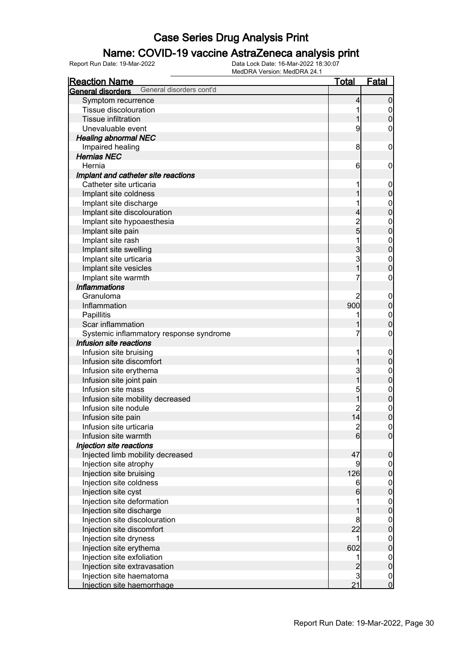### Name: COVID-19 vaccine AstraZeneca analysis print

| <b>Reaction Name</b>                                 | <u>Total</u>   | <b>Fatal</b>                         |
|------------------------------------------------------|----------------|--------------------------------------|
| General disorders cont'd<br><b>General disorders</b> |                |                                      |
| Symptom recurrence                                   | 4              | $\mathbf 0$                          |
| Tissue discolouration                                | 1              | $\overline{0}$                       |
| <b>Tissue infiltration</b>                           | 1              | $\mathbf 0$                          |
| Unevaluable event                                    | 9              | 0                                    |
| <b>Healing abnormal NEC</b>                          |                |                                      |
| Impaired healing                                     | 8              | $\mathbf 0$                          |
| <b>Hernias NEC</b>                                   |                |                                      |
| Hernia                                               | 6              | $\mathbf 0$                          |
| Implant and catheter site reactions                  |                |                                      |
| Catheter site urticaria                              | 1              | $\mathbf 0$                          |
| Implant site coldness                                | 1              | $\mathbf 0$                          |
| Implant site discharge                               | 1              | $\mathbf{0}$                         |
| Implant site discolouration                          | 4              | $\overline{0}$                       |
| Implant site hypoaesthesia                           |                | $\mathbf{0}$                         |
| Implant site pain                                    | $\frac{2}{5}$  | $\overline{0}$                       |
| Implant site rash                                    | 1              | $\mathbf{0}$                         |
| Implant site swelling                                | 3              | $\overline{0}$                       |
| Implant site urticaria                               | 3              | $\mathbf{0}$                         |
| Implant site vesicles                                | $\overline{1}$ | $\overline{0}$                       |
| Implant site warmth                                  | 7              | $\boldsymbol{0}$                     |
| <b>Inflammations</b>                                 |                |                                      |
| Granuloma                                            | 2              | $\mathbf 0$                          |
| Inflammation                                         | 900            | $\mathbf 0$                          |
| Papillitis                                           | 1              | $\mathbf{0}$                         |
| Scar inflammation                                    |                | $\overline{0}$                       |
| Systemic inflammatory response syndrome              | 7              | $\boldsymbol{0}$                     |
| Infusion site reactions                              |                |                                      |
| Infusion site bruising                               | 1              | $\mathbf 0$                          |
| Infusion site discomfort                             | 1              | $\mathbf 0$                          |
| Infusion site erythema                               | 3              | $\mathbf{0}$                         |
| Infusion site joint pain                             | $\overline{1}$ | $\overline{0}$                       |
| Infusion site mass                                   | 5              | $\mathbf{0}$                         |
| Infusion site mobility decreased                     | 1              | $\mathbf 0$                          |
| Infusion site nodule                                 | 2              | $\mathbf{0}$                         |
| Infusion site pain                                   | 14             | $\overline{0}$                       |
| Infusion site urticaria                              |                |                                      |
| Infusion site warmth                                 | $\frac{2}{6}$  | $\begin{matrix} 0 \\ 0 \end{matrix}$ |
| Injection site reactions                             |                |                                      |
| Injected limb mobility decreased                     | 47             | $\pmb{0}$                            |
| Injection site atrophy                               | 9              | $\overline{0}$                       |
| Injection site bruising                              | 126            | $\mathbf 0$                          |
| Injection site coldness                              | 6              | $\boldsymbol{0}$                     |
| Injection site cyst                                  | 6              | $\overline{0}$                       |
| Injection site deformation                           |                | $\boldsymbol{0}$                     |
| Injection site discharge                             | 1              | $\overline{0}$                       |
| Injection site discolouration                        | 8              | $\boldsymbol{0}$                     |
| Injection site discomfort                            | 22             | $\overline{0}$                       |
| Injection site dryness                               | 1              | $\boldsymbol{0}$                     |
| Injection site erythema                              | 602            | $\overline{0}$                       |
| Injection site exfoliation                           | 1              | $\boldsymbol{0}$                     |
| Injection site extravasation                         |                | $\overline{0}$                       |
| Injection site haematoma                             | $\frac{2}{3}$  |                                      |
| Injection site haemorrhage                           | 21             | $\begin{matrix} 0 \\ 0 \end{matrix}$ |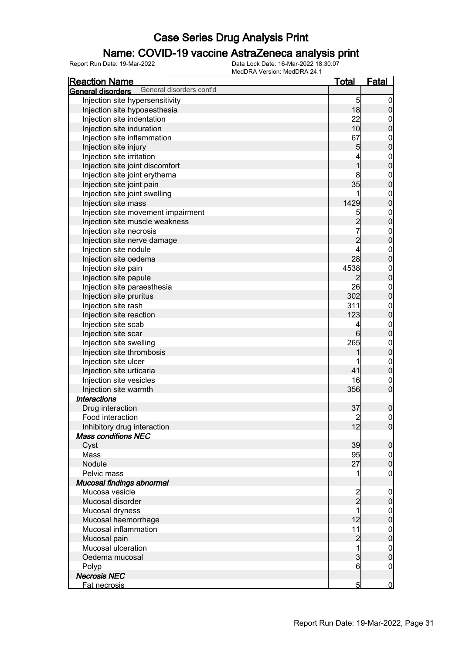#### Name: COVID-19 vaccine AstraZeneca analysis print

| <u>Reaction Name</u>                                       | <u>Total</u>     | <u>Fatal</u>                     |
|------------------------------------------------------------|------------------|----------------------------------|
| General disorders cont'd<br>General disorders              |                  |                                  |
| Injection site hypersensitivity                            | 5                | $\overline{0}$                   |
| Injection site hypoaesthesia                               | 18               | $\mathbf 0$                      |
| Injection site indentation                                 | 22               | $\mathbf{0}$                     |
| Injection site induration                                  | 10               | $\overline{0}$                   |
| Injection site inflammation                                | 67               |                                  |
| Injection site injury                                      | 5                | $\begin{matrix}0\\0\end{matrix}$ |
| Injection site irritation                                  | 4                |                                  |
| Injection site joint discomfort                            | $\overline{1}$   | $\begin{matrix}0\\0\end{matrix}$ |
|                                                            | 8                |                                  |
| Injection site joint erythema<br>Injection site joint pain | 35               | $\begin{matrix}0\\0\end{matrix}$ |
|                                                            | 1                |                                  |
| Injection site joint swelling                              | 1429             | $\begin{matrix}0\\0\end{matrix}$ |
| Injection site mass                                        |                  |                                  |
| Injection site movement impairment                         | 5                | $\begin{matrix}0\\0\end{matrix}$ |
| Injection site muscle weakness                             | $\overline{c}$   |                                  |
| Injection site necrosis                                    | $\overline{7}$   | $\begin{matrix}0\\0\end{matrix}$ |
| Injection site nerve damage                                | $\overline{2}$   |                                  |
| Injection site nodule                                      | 4                | $\begin{matrix}0\\0\end{matrix}$ |
| Injection site oedema                                      | 28               |                                  |
| Injection site pain                                        | 4538             | $\begin{matrix}0\\0\end{matrix}$ |
| Injection site papule                                      | 2                |                                  |
| Injection site paraesthesia                                | 26               | $\begin{matrix}0\\0\end{matrix}$ |
| Injection site pruritus                                    | 302              |                                  |
| Injection site rash                                        | 311              | $\begin{matrix}0\\0\end{matrix}$ |
| Injection site reaction                                    | 123              |                                  |
| Injection site scab                                        | 4                | $\begin{matrix}0\\0\end{matrix}$ |
| Injection site scar                                        | $6 \overline{6}$ |                                  |
| Injection site swelling                                    | 265              | $\begin{matrix}0\\0\end{matrix}$ |
| Injection site thrombosis                                  |                  |                                  |
| Injection site ulcer                                       | 1                | $\begin{matrix}0\\0\end{matrix}$ |
| Injection site urticaria                                   | 41               |                                  |
| Injection site vesicles                                    | 16               | $\mathbf 0$                      |
| Injection site warmth                                      | 356              | $\overline{0}$                   |
| <b>Interactions</b>                                        |                  |                                  |
| Drug interaction                                           | 37               | $\mathbf 0$                      |
| Food interaction                                           | $\overline{c}$   | $\mathsf{O}\xspace$              |
| Inhibitory drug interaction                                | 12               | 0                                |
| <b>Mass conditions NEC</b>                                 |                  |                                  |
| Cyst                                                       | 39               | $\mathbf 0$                      |
| Mass                                                       | 95               | $\overline{0}$                   |
| Nodule                                                     | 27               | $\mathbf 0$                      |
| Pelvic mass                                                | 1                | $\boldsymbol{0}$                 |
| Mucosal findings abnormal                                  |                  |                                  |
| Mucosa vesicle                                             |                  | $\boldsymbol{0}$                 |
| Mucosal disorder                                           | $\frac{2}{2}$    | $\mathbf 0$                      |
| Mucosal dryness                                            | 1                | $\overline{0}$                   |
| Mucosal haemorrhage                                        | 12               | $\mathbf 0$                      |
| Mucosal inflammation                                       | 11               | $\boldsymbol{0}$                 |
| Mucosal pain                                               | $\overline{c}$   | $\overline{0}$                   |
| Mucosal ulceration                                         | 1                | $\mathbf{0}$                     |
| Oedema mucosal                                             | $\overline{3}$   | $\overline{0}$                   |
|                                                            | $6 \overline{}$  | $\mathbf 0$                      |
| Polyp<br><b>Necrosis NEC</b>                               |                  |                                  |
|                                                            |                  |                                  |
| Fat necrosis                                               | $\overline{5}$   | $\overline{0}$                   |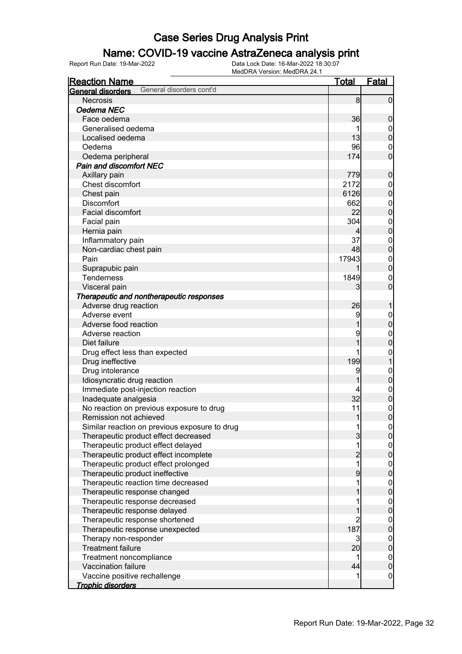#### Name: COVID-19 vaccine AstraZeneca analysis print

| <b>Reaction Name</b>                          | <u>Total</u>            | <b>Fatal</b>     |
|-----------------------------------------------|-------------------------|------------------|
| General disorders cont'd<br>General disorders |                         |                  |
| <b>Necrosis</b>                               | 8                       | $\overline{0}$   |
| Oedema NEC                                    |                         |                  |
| Face oedema                                   | 36                      | $\boldsymbol{0}$ |
| Generalised oedema                            |                         | $\boldsymbol{0}$ |
| Localised oedema                              | 13                      | $\overline{0}$   |
| Oedema                                        | 96                      | $\mathbf 0$      |
| Oedema peripheral                             | 174                     | $\overline{0}$   |
| <b>Pain and discomfort NEC</b>                |                         |                  |
| Axillary pain                                 | 779                     | $\boldsymbol{0}$ |
| Chest discomfort                              | 2172                    | $\mathbf{0}$     |
| Chest pain                                    | 6126                    | $\overline{0}$   |
| <b>Discomfort</b>                             | 662                     | $\mathbf{0}$     |
| Facial discomfort                             | 22                      | $\overline{0}$   |
| Facial pain                                   | 304                     | $\boldsymbol{0}$ |
| Hernia pain                                   | 4                       | $\mathbf 0$      |
| Inflammatory pain                             | 37                      | $\mathbf{0}$     |
| Non-cardiac chest pain                        | 48                      | $\overline{0}$   |
| Pain                                          | 17943                   | $\mathbf{0}$     |
| Suprapubic pain                               |                         | $\mathbf 0$      |
| <b>Tenderness</b>                             | 1849                    | $\mathbf 0$      |
| Visceral pain                                 | 3                       | $\mathbf 0$      |
| Therapeutic and nontherapeutic responses      |                         |                  |
| Adverse drug reaction                         | 26                      | 1                |
| Adverse event                                 | 9                       | $\mathbf{0}$     |
| Adverse food reaction                         |                         | $\overline{0}$   |
| Adverse reaction                              | 9                       | $\mathbf{0}$     |
| Diet failure                                  | 1                       | $\overline{0}$   |
| Drug effect less than expected                |                         | $\mathbf{0}$     |
| Drug ineffective                              | 199                     | $\mathbf{1}$     |
| Drug intolerance                              | 9                       | $\mathbf{0}$     |
| Idiosyncratic drug reaction                   | 1                       | $\mathbf 0$      |
| Immediate post-injection reaction             |                         | $\mathbf{0}$     |
| Inadequate analgesia                          | 32                      | $\mathbf 0$      |
| No reaction on previous exposure to drug      | 11                      | $\mathbf{0}$     |
| Remission not achieved                        | 1                       | $\overline{0}$   |
| Similar reaction on previous exposure to drug | 11                      | 0                |
| Therapeutic product effect decreased          | $\overline{3}$          | $\overline{0}$   |
| Therapeutic product effect delayed            | 1                       | $\overline{0}$   |
| Therapeutic product effect incomplete         | $\overline{c}$          | $\mathbf 0$      |
| Therapeutic product effect prolonged          | $\overline{\mathbf{1}}$ |                  |
| Therapeutic product ineffective               | 9                       | $0$<br>0         |
| Therapeutic reaction time decreased           | 1                       | $\boldsymbol{0}$ |
| Therapeutic response changed                  |                         | $\overline{0}$   |
| Therapeutic response decreased                | 1                       | $\boldsymbol{0}$ |
| Therapeutic response delayed                  | 1                       | $\mathbf 0$      |
| Therapeutic response shortened                | $\overline{2}$          | $\boldsymbol{0}$ |
| Therapeutic response unexpected               | 187                     | $\mathbf 0$      |
| Therapy non-responder                         | $\overline{3}$          | $\boldsymbol{0}$ |
| <b>Treatment failure</b>                      | 20                      | $\mathbf 0$      |
| Treatment noncompliance                       | 1                       | $\boldsymbol{0}$ |
| Vaccination failure                           | 44                      | $\mathbf 0$      |
| Vaccine positive rechallenge                  | 1                       | $\mathbf 0$      |
| <b>Trophic disorders</b>                      |                         |                  |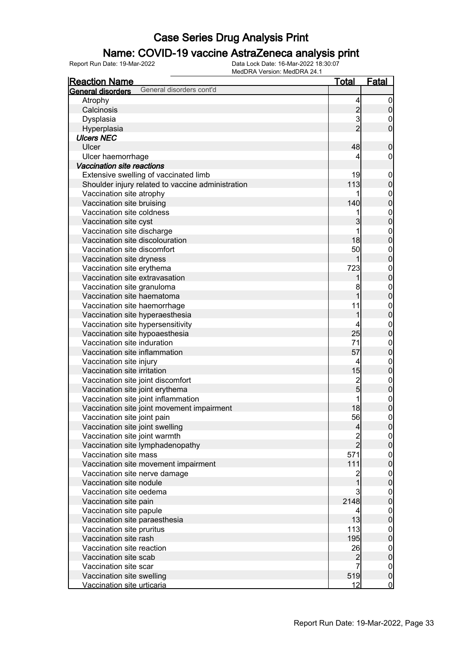#### Name: COVID-19 vaccine AstraZeneca analysis print

| <b>Reaction Name</b>                                   | <u>Total</u>   | Fatal                                |
|--------------------------------------------------------|----------------|--------------------------------------|
| General disorders cont'd<br>General disorders          |                |                                      |
| Atrophy                                                | 4              | $\overline{0}$                       |
| Calcinosis                                             |                | $\pmb{0}$                            |
| Dysplasia                                              | $\frac{2}{3}$  | $\mathbf{0}$                         |
| Hyperplasia                                            | $\overline{2}$ | $\overline{0}$                       |
| <b>Ulcers NEC</b>                                      |                |                                      |
| Ulcer                                                  | 48             | $\boldsymbol{0}$                     |
| Ulcer haemorrhage                                      | 4              | $\boldsymbol{0}$                     |
| <b>Vaccination site reactions</b>                      |                |                                      |
| Extensive swelling of vaccinated limb                  | 19             | $\boldsymbol{0}$                     |
| Shoulder injury related to vaccine administration      | 113            | $\mathbf 0$                          |
| Vaccination site atrophy                               |                |                                      |
| Vaccination site bruising                              | 140            | 0<br>0                               |
| Vaccination site coldness                              | 1              |                                      |
| Vaccination site cyst                                  | 3              | $\begin{matrix}0\\0\end{matrix}$     |
| Vaccination site discharge                             | 1              |                                      |
| Vaccination site discolouration                        | 18             | $0\atop 0$                           |
| Vaccination site discomfort                            | 50             |                                      |
| Vaccination site dryness                               | 1              | $0\atop 0$                           |
| Vaccination site erythema                              | 723            |                                      |
| Vaccination site extravasation                         | 1              | $\begin{matrix}0\\0\end{matrix}$     |
| Vaccination site granuloma                             | 8              |                                      |
| Vaccination site haematoma                             | $\overline{1}$ | $0\atop 0$                           |
| Vaccination site haemorrhage                           | 11             |                                      |
| Vaccination site hyperaesthesia                        | 1              | $\begin{matrix}0\\0\end{matrix}$     |
| Vaccination site hypersensitivity                      | 4              |                                      |
| Vaccination site hypoaesthesia                         | 25             | $\begin{matrix}0\\0\end{matrix}$     |
| Vaccination site induration                            | 71             |                                      |
| Vaccination site inflammation                          | 57             | $\begin{matrix}0\\0\end{matrix}$     |
|                                                        |                |                                      |
| Vaccination site injury<br>Vaccination site irritation | 4<br>15        | $0\atop 0$                           |
|                                                        | $\overline{c}$ |                                      |
| Vaccination site joint discomfort                      | $\overline{5}$ | $0$<br>0                             |
| Vaccination site joint erythema                        | 1              |                                      |
| Vaccination site joint inflammation                    | 18             | $\begin{matrix}0\\0\end{matrix}$     |
| Vaccination site joint movement impairment             |                |                                      |
| Vaccination site joint pain                            | 56             | $\overline{0}$                       |
| Vaccination site joint swelling                        | $\overline{a}$ | 0                                    |
| Vaccination site joint warmth                          | $\frac{2}{2}$  | $\overline{0}$                       |
| Vaccination site lymphadenopathy                       |                | $\overline{0}$                       |
| Vaccination site mass                                  | 571            | $\begin{matrix} 0 \\ 0 \end{matrix}$ |
| Vaccination site movement impairment                   | 111            |                                      |
| Vaccination site nerve damage                          | $\overline{c}$ | $\begin{matrix} 0 \\ 0 \end{matrix}$ |
| Vaccination site nodule                                | 1              |                                      |
| Vaccination site oedema                                | $\overline{3}$ | $\begin{matrix} 0 \\ 0 \end{matrix}$ |
| Vaccination site pain                                  | 2148           |                                      |
| Vaccination site papule                                | 4              | $0\atop 0$                           |
| Vaccination site paraesthesia                          | 13             |                                      |
| Vaccination site pruritus                              | 113            | $\begin{matrix} 0 \\ 0 \end{matrix}$ |
| Vaccination site rash                                  | 195            |                                      |
| Vaccination site reaction                              | 26             | $0\atop 0$                           |
| Vaccination site scab                                  | $\overline{c}$ |                                      |
| Vaccination site scar                                  | $\overline{7}$ | $\boldsymbol{0}$                     |
| Vaccination site swelling                              | 519            | $\mathbf 0$                          |
| Vaccination site urticaria                             | 12             | $\overline{0}$                       |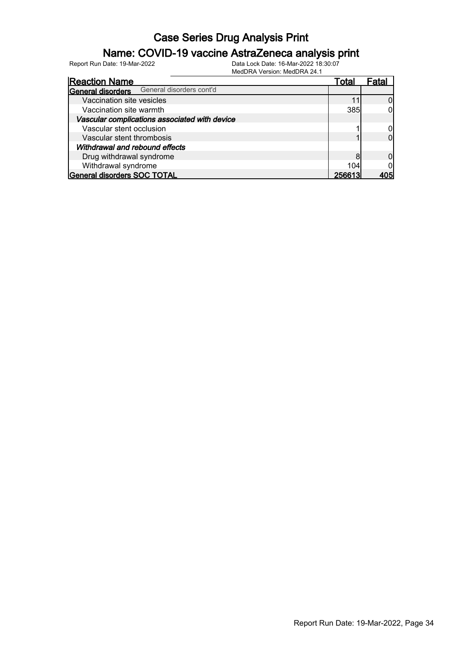### Name: COVID-19 vaccine AstraZeneca analysis print

|                                               | 1000                     |        |       |
|-----------------------------------------------|--------------------------|--------|-------|
| <b>Reaction Name</b>                          |                          | Total  | Fatal |
| <b>General disorders</b>                      | General disorders cont'd |        |       |
| Vaccination site vesicles                     |                          |        |       |
| Vaccination site warmth                       |                          | 385    |       |
| Vascular complications associated with device |                          |        |       |
| Vascular stent occlusion                      |                          |        |       |
| Vascular stent thrombosis                     |                          |        |       |
| Withdrawal and rebound effects                |                          |        |       |
| Drug withdrawal syndrome                      |                          |        |       |
| Withdrawal syndrome                           |                          | 104    |       |
| General disorders SOC TOTAL                   |                          | 256613 |       |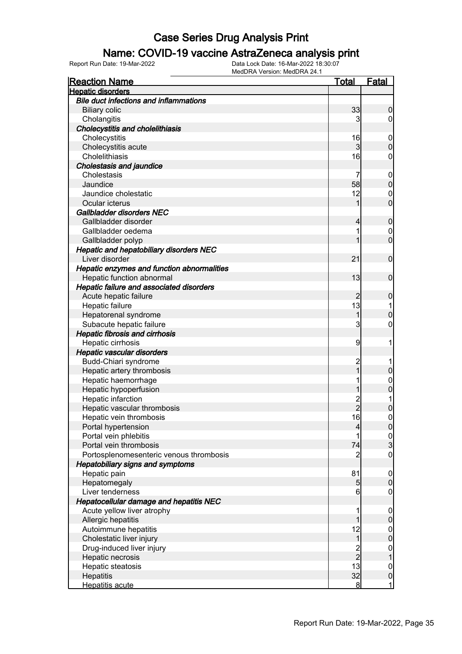### Name: COVID-19 vaccine AstraZeneca analysis print

| <b>Reaction Name</b>                           | <b>Total</b>   | <b>Fatal</b>     |
|------------------------------------------------|----------------|------------------|
| <b>Hepatic disorders</b>                       |                |                  |
| <b>Bile duct infections and inflammations</b>  |                |                  |
| <b>Biliary colic</b>                           | 33             | $\boldsymbol{0}$ |
| Cholangitis                                    | 3              | $\overline{0}$   |
| <b>Cholecystitis and cholelithiasis</b>        |                |                  |
| Cholecystitis                                  | 16             | $\boldsymbol{0}$ |
| Cholecystitis acute                            | $\overline{3}$ | $\mathbf 0$      |
| Cholelithiasis                                 | 16             | $\mathbf 0$      |
| <b>Cholestasis and jaundice</b>                |                |                  |
| Cholestasis                                    | 7              | $\boldsymbol{0}$ |
| Jaundice                                       | 58             | $\pmb{0}$        |
| Jaundice cholestatic                           | 12             | $\mathbf 0$      |
| Ocular icterus                                 | 1              | $\overline{0}$   |
| Gallbladder disorders NEC                      |                |                  |
| Gallbladder disorder                           | $\overline{4}$ | $\mathbf 0$      |
| Gallbladder oedema                             | 1              | $\mathbf 0$      |
| Gallbladder polyp                              | 1              | $\overline{0}$   |
| <b>Hepatic and hepatobiliary disorders NEC</b> |                |                  |
| Liver disorder                                 | 21             | $\boldsymbol{0}$ |
| Hepatic enzymes and function abnormalities     |                |                  |
| Hepatic function abnormal                      | 13             | $\mathbf 0$      |
| Hepatic failure and associated disorders       |                |                  |
| Acute hepatic failure                          | $\overline{c}$ | $\mathbf 0$      |
| Hepatic failure                                | 13             | 1                |
| Hepatorenal syndrome                           | 1              | $\mathbf 0$      |
| Subacute hepatic failure                       | 3              | $\mathbf 0$      |
| <b>Hepatic fibrosis and cirrhosis</b>          |                |                  |
| Hepatic cirrhosis                              | 9              | 1                |
| Hepatic vascular disorders                     |                |                  |
| Budd-Chiari syndrome                           | $\overline{c}$ |                  |
| Hepatic artery thrombosis                      | $\overline{1}$ | $\pmb{0}$        |
| Hepatic haemorrhage                            | 1              | $\mathbf{0}$     |
| Hepatic hypoperfusion                          | 1              | $\overline{0}$   |
| Hepatic infarction                             |                | 1                |
| Hepatic vascular thrombosis                    | 2<br>2         | $\overline{0}$   |
| Hepatic vein thrombosis                        | 16             | $\mathbf 0$      |
| Portal hypertension                            | $\overline{4}$ | 0                |
| Portal vein phlebitis                          | 1              |                  |
| Portal vein thrombosis                         | 74             | $\frac{0}{3}$    |
| Portosplenomesenteric venous thrombosis        | $\overline{2}$ | $\boldsymbol{0}$ |
| <b>Hepatobiliary signs and symptoms</b>        |                |                  |
| Hepatic pain                                   | 81             | $\boldsymbol{0}$ |
| Hepatomegaly                                   | $\overline{5}$ | $\pmb{0}$        |
| Liver tenderness                               | 6              | $\mathbf 0$      |
| <b>Hepatocellular damage and hepatitis NEC</b> |                |                  |
| Acute yellow liver atrophy                     | 1              | $\boldsymbol{0}$ |
| Allergic hepatitis                             | 1              | $\pmb{0}$        |
| Autoimmune hepatitis                           | 12             | $\boldsymbol{0}$ |
| Cholestatic liver injury                       | $\mathbf{1}$   | $\mathbf 0$      |
| Drug-induced liver injury                      |                | $\boldsymbol{0}$ |
| Hepatic necrosis                               | $\frac{2}{2}$  | $\overline{1}$   |
| Hepatic steatosis                              | 13             | $\boldsymbol{0}$ |
| Hepatitis                                      | 32             | $\pmb{0}$        |
| Hepatitis acute                                | $\bf{8}$       | 1                |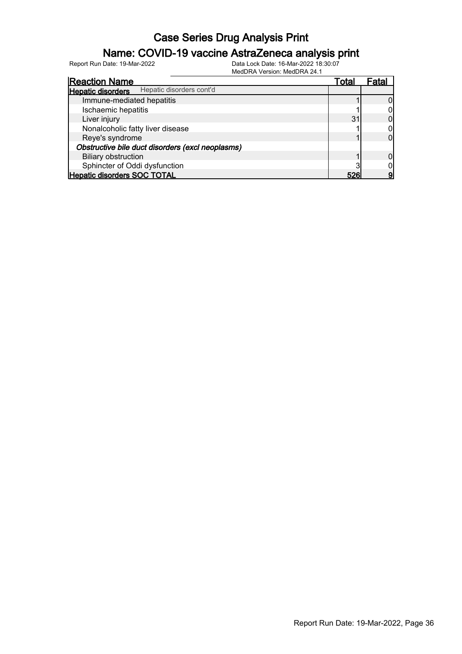### Name: COVID-19 vaccine AstraZeneca analysis print

| 1810 G D I V I V O I OIO II. 1810 G D I V I L T.     |       |       |
|------------------------------------------------------|-------|-------|
| <b>Reaction Name</b>                                 | Total | Fatal |
| Hepatic disorders cont'd<br><b>Hepatic disorders</b> |       |       |
| Immune-mediated hepatitis                            |       |       |
| Ischaemic hepatitis                                  |       |       |
| Liver injury                                         | 31    |       |
| Nonalcoholic fatty liver disease                     |       |       |
| Reye's syndrome                                      |       |       |
| Obstructive bile duct disorders (excl neoplasms)     |       |       |
| <b>Biliary obstruction</b>                           |       |       |
| Sphincter of Oddi dysfunction                        |       |       |
| <b>Hepatic disorders SOC TOTAL</b>                   | 526   |       |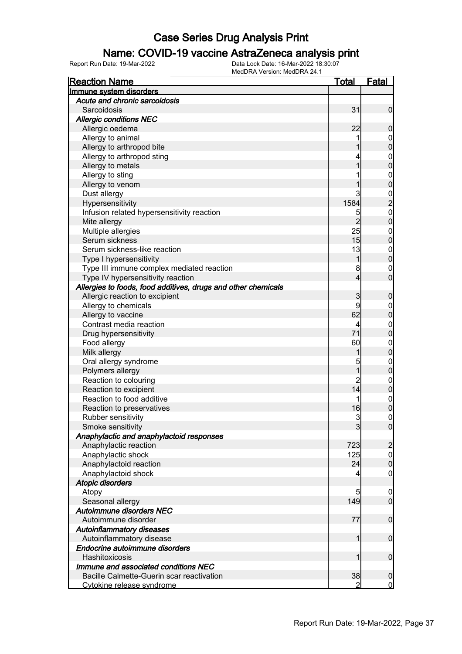#### Name: COVID-19 vaccine AstraZeneca analysis print

| <b>Reaction Name</b>                                          | Total          | <b>Fatal</b>                               |
|---------------------------------------------------------------|----------------|--------------------------------------------|
| Immune system disorders                                       |                |                                            |
| Acute and chronic sarcoidosis                                 |                |                                            |
| Sarcoidosis                                                   | 31             | $\mathbf 0$                                |
| <b>Allergic conditions NEC</b>                                |                |                                            |
| Allergic oedema                                               | 22             | $\boldsymbol{0}$                           |
| Allergy to animal                                             |                | $\mathbf 0$                                |
| Allergy to arthropod bite                                     |                | $\mathbf 0$                                |
| Allergy to arthropod sting                                    |                | $\boldsymbol{0}$                           |
| Allergy to metals                                             | 1              | $\mathbf 0$                                |
| Allergy to sting                                              |                | $\boldsymbol{0}$                           |
| Allergy to venom                                              |                | $\mathbf 0$                                |
| Dust allergy                                                  | 3              |                                            |
| Hypersensitivity                                              | 1584           | $\begin{array}{c} 0 \\ 2 \\ 0 \end{array}$ |
| Infusion related hypersensitivity reaction                    | 5              |                                            |
| Mite allergy                                                  | $\overline{2}$ | $\mathbf 0$                                |
| Multiple allergies                                            | 25             | $\boldsymbol{0}$                           |
| Serum sickness                                                | 15             | $\mathbf 0$                                |
| Serum sickness-like reaction                                  | 13             | $\boldsymbol{0}$                           |
| Type I hypersensitivity                                       | 1              | $\mathbf 0$                                |
| Type III immune complex mediated reaction                     | 8              | $\mathbf 0$                                |
| Type IV hypersensitivity reaction                             | $\overline{4}$ | $\mathbf 0$                                |
| Allergies to foods, food additives, drugs and other chemicals |                |                                            |
| Allergic reaction to excipient                                | 3              | $\boldsymbol{0}$                           |
| Allergy to chemicals                                          | 9              | $\mathbf 0$                                |
| Allergy to vaccine                                            | 62             | $\pmb{0}$                                  |
| Contrast media reaction                                       | 4              | $\boldsymbol{0}$                           |
| Drug hypersensitivity                                         | 71             | $\mathbf 0$                                |
| Food allergy                                                  | 60             | $\boldsymbol{0}$                           |
| Milk allergy                                                  | 1              | $\mathbf 0$                                |
| Oral allergy syndrome                                         | 5              | $\boldsymbol{0}$                           |
| Polymers allergy                                              | $\overline{1}$ | $\mathbf 0$                                |
| Reaction to colouring                                         | $\overline{c}$ | $\boldsymbol{0}$                           |
| Reaction to excipient                                         | 14             | $\mathbf 0$                                |
| Reaction to food additive                                     | 1              | $\boldsymbol{0}$                           |
| Reaction to preservatives                                     | 16             | $\overline{0}$                             |
| Rubber sensitivity                                            | 3              | $\pmb{0}$                                  |
| Smoke sensitivity                                             | 3              | 0                                          |
| Anaphylactic and anaphylactoid responses                      |                |                                            |
| Anaphylactic reaction                                         | 723            | $\overline{c}$                             |
| Anaphylactic shock                                            | 125            | $\boldsymbol{0}$                           |
| Anaphylactoid reaction                                        | 24             | $\mathbf 0$                                |
| Anaphylactoid shock                                           | 4              | $\mathbf 0$                                |
| <b>Atopic disorders</b>                                       |                |                                            |
| Atopy                                                         | 5              | $\mathbf 0$                                |
| Seasonal allergy                                              | 149            | $\overline{0}$                             |
| Autoimmune disorders NEC                                      |                |                                            |
| Autoimmune disorder                                           | 77             | $\boldsymbol{0}$                           |
| <b>Autoinflammatory diseases</b>                              |                |                                            |
| Autoinflammatory disease                                      | 1              | $\boldsymbol{0}$                           |
| Endocrine autoimmune disorders                                |                |                                            |
| Hashitoxicosis                                                | 1              | $\boldsymbol{0}$                           |
| Immune and associated conditions NEC                          |                |                                            |
| Bacille Calmette-Guerin scar reactivation                     | 38             | $\mathbf 0$                                |
| Cytokine release syndrome                                     | 2              | $\overline{0}$                             |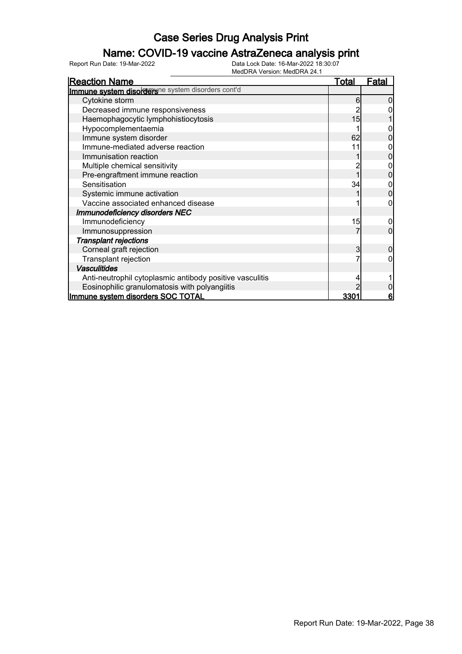### Name: COVID-19 vaccine AstraZeneca analysis print

| <b>Reaction Name</b>                                     | <u>Total</u> | <b>Fatal</b> |
|----------------------------------------------------------|--------------|--------------|
| Immune system disordersne system disorders cont'd        |              |              |
| Cytokine storm                                           | 6            |              |
| Decreased immune responsiveness                          |              |              |
| Haemophagocytic lymphohistiocytosis                      | 15           |              |
| Hypocomplementaemia                                      |              |              |
| Immune system disorder                                   | 62           |              |
| Immune-mediated adverse reaction                         | 11           |              |
| Immunisation reaction                                    |              |              |
| Multiple chemical sensitivity                            |              |              |
| Pre-engraftment immune reaction                          |              |              |
| Sensitisation                                            | 34           |              |
| Systemic immune activation                               |              |              |
| Vaccine associated enhanced disease                      |              |              |
| <b>Immunodeficiency disorders NEC</b>                    |              |              |
| Immunodeficiency                                         | 15           | 0            |
| Immunosuppression                                        |              | 0            |
| Transplant rejections                                    |              |              |
| Corneal graft rejection                                  | 3            |              |
| Transplant rejection                                     |              |              |
| <b>Vasculitides</b>                                      |              |              |
| Anti-neutrophil cytoplasmic antibody positive vasculitis |              |              |
| Eosinophilic granulomatosis with polyangiitis            |              |              |
| Immune system disorders SOC TOTAL                        | <u>3301</u>  | 6            |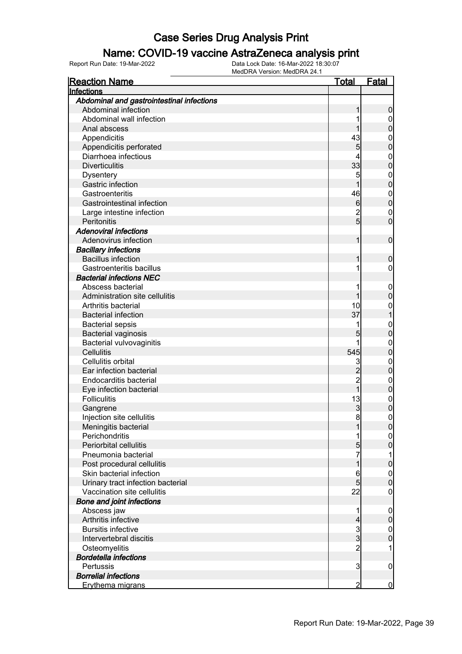#### Name: COVID-19 vaccine AstraZeneca analysis print

| <b>Reaction Name</b>                          | <u>Total</u>        | <b>Fatal</b>                  |
|-----------------------------------------------|---------------------|-------------------------------|
| Infections                                    |                     |                               |
| Abdominal and gastrointestinal infections     |                     |                               |
| Abdominal infection                           |                     | 0                             |
| Abdominal wall infection                      |                     | 0                             |
| Anal abscess                                  |                     | 0                             |
| Appendicitis                                  | 43                  | $\boldsymbol{0}$              |
| Appendicitis perforated                       | 5                   | 0                             |
| Diarrhoea infectious                          | 4                   | $\mathbf{0}$                  |
| <b>Diverticulitis</b>                         | 33                  | $\overline{0}$                |
| <b>Dysentery</b>                              | 5                   | $\mathbf{0}$                  |
| Gastric infection                             | 1                   | $\mathbf 0$                   |
| Gastroenteritis                               | 46                  | $\mathbf{0}$                  |
| <b>Gastrointestinal infection</b>             | $6\phantom{.0}$     | $\overline{0}$                |
| Large intestine infection                     | $\overline{2}$      | $\mathbf{0}$                  |
| Peritonitis                                   | 5 <sup>1</sup>      | $\overline{0}$                |
| <b>Adenoviral infections</b>                  |                     |                               |
| Adenovirus infection                          | 1                   | $\mathbf 0$                   |
| <b>Bacillary infections</b>                   |                     |                               |
| <b>Bacillus infection</b>                     |                     | 0                             |
| Gastroenteritis bacillus                      |                     | 0                             |
| <b>Bacterial infections NEC</b>               |                     |                               |
| Abscess bacterial                             | 1                   | $\mathbf 0$                   |
| Administration site cellulitis                |                     | 0                             |
| Arthritis bacterial                           | 10                  | $\boldsymbol{0}$              |
| <b>Bacterial infection</b>                    | 37                  |                               |
| <b>Bacterial sepsis</b>                       |                     |                               |
| <b>Bacterial vaginosis</b>                    | 5                   | $\mathbf 0$<br>$\mathbf 0$    |
|                                               | 1                   |                               |
| Bacterial vulvovaginitis<br><b>Cellulitis</b> | 545                 | $\mathbf 0$<br>$\overline{0}$ |
| Cellulitis orbital                            |                     |                               |
| Ear infection bacterial                       | 3<br>$\overline{c}$ | $\mathbf{0}$<br>$\mathbf 0$   |
| Endocarditis bacterial                        | $\overline{c}$      |                               |
|                                               | $\overline{1}$      | $\mathbf{0}$                  |
| Eye infection bacterial                       |                     | $\mathbf 0$                   |
| <b>Folliculitis</b>                           | 13                  | $\boldsymbol{0}$              |
| Gangrene                                      | $\mathbf{3}$        | $\mathbf 0$                   |
| Injection site cellulitis                     | 8                   | $\overline{0}$                |
| Meningitis bacterial                          |                     | <sup>0</sup>                  |
| Perichondritis                                | 1                   | $\overline{0}$                |
| <b>Periorbital cellulitis</b>                 | $5\overline{)}$     | $\overline{0}$                |
| Pneumonia bacterial                           | 7                   | 1                             |
| Post procedural cellulitis                    | 1                   | 0                             |
| Skin bacterial infection                      | 6                   | $\mathbf 0$                   |
| Urinary tract infection bacterial             | 5 <sup>1</sup>      | $\mathbf 0$                   |
| Vaccination site cellulitis                   | 22                  | $\boldsymbol{0}$              |
| <b>Bone and joint infections</b>              |                     |                               |
| Abscess jaw                                   | 1                   | $\mathbf 0$                   |
| Arthritis infective                           | $\overline{4}$      | $\mathbf 0$                   |
| <b>Bursitis infective</b>                     | $\overline{3}$      | $\boldsymbol{0}$              |
| Intervertebral discitis                       | $\overline{3}$      | $\overline{0}$                |
| Osteomyelitis                                 | $\overline{2}$      | 1                             |
| <b>Bordetella infections</b>                  |                     |                               |
| Pertussis                                     | 3                   | $\mathbf 0$                   |
| <b>Borrelial infections</b>                   |                     |                               |
| Erythema migrans                              | $\overline{2}$      | $\overline{0}$                |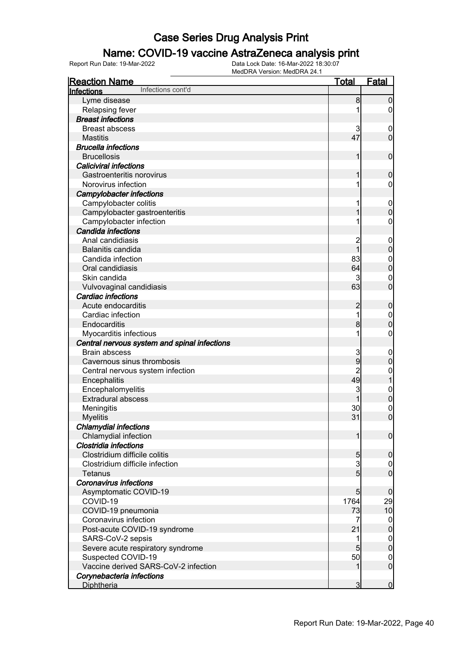### Name: COVID-19 vaccine AstraZeneca analysis print

| <b>Reaction Name</b>                         | <u>Total</u>    | Fatal            |
|----------------------------------------------|-----------------|------------------|
| Infections cont'd<br>Infections              |                 |                  |
| Lyme disease                                 | 8               | $\mathbf 0$      |
| Relapsing fever                              |                 | 0                |
| <b>Breast infections</b>                     |                 |                  |
| <b>Breast abscess</b>                        | 3               | $\boldsymbol{0}$ |
| <b>Mastitis</b>                              | 47              | $\mathbf 0$      |
| <b>Brucella infections</b>                   |                 |                  |
| <b>Brucellosis</b>                           | 1               | $\mathbf 0$      |
| <b>Caliciviral infections</b>                |                 |                  |
| Gastroenteritis norovirus                    |                 | $\boldsymbol{0}$ |
| Norovirus infection                          |                 | 0                |
| <b>Campylobacter infections</b>              |                 |                  |
| Campylobacter colitis                        |                 | $\mathbf 0$      |
| Campylobacter gastroenteritis                |                 | $\mathbf 0$      |
| Campylobacter infection                      |                 | 0                |
| <b>Candida infections</b>                    |                 |                  |
| Anal candidiasis                             |                 | $\mathbf 0$      |
| Balanitis candida                            | $\overline{1}$  | $\boldsymbol{0}$ |
| Candida infection                            | 83              | $\mathbf 0$      |
| Oral candidiasis                             | 64              | $\mathbf 0$      |
| Skin candida                                 | 3               | 0                |
| Vulvovaginal candidiasis                     | 63              | $\overline{0}$   |
| Cardiac infections                           |                 |                  |
| Acute endocarditis                           | $\overline{c}$  | $\mathbf 0$      |
| Cardiac infection                            |                 | $\mathbf 0$      |
| Endocarditis                                 | 8               | $\mathbf 0$      |
| Myocarditis infectious                       |                 | 0                |
| Central nervous system and spinal infections |                 |                  |
| <b>Brain abscess</b>                         | 3               | $\mathbf 0$      |
| Cavernous sinus thrombosis                   | 9               | $\boldsymbol{0}$ |
| Central nervous system infection             |                 | $\boldsymbol{0}$ |
| Encephalitis                                 | 49              | $\overline{1}$   |
| Encephalomyelitis                            | 3               | $\boldsymbol{0}$ |
| <b>Extradural abscess</b>                    |                 | $\overline{0}$   |
| Meningitis                                   | 30              | $\mathbf 0$      |
| <b>Myelitis</b>                              | 31              | $\overline{0}$   |
| <b>Chlamydial infections</b>                 |                 |                  |
| Chlamydial infection                         | $\mathbf{1}$    | $\overline{0}$   |
| Clostridia infections                        |                 |                  |
| Clostridium difficile colitis                | 5 <sub>5</sub>  | $\mathbf 0$      |
| Clostridium difficile infection              | 3               | $\overline{0}$   |
| <b>Tetanus</b>                               | 5 <sub>l</sub>  | $\overline{0}$   |
| <b>Coronavirus infections</b>                |                 |                  |
| Asymptomatic COVID-19                        | 5 <sub>5</sub>  | $\overline{0}$   |
| COVID-19                                     | 1764            | 29               |
| COVID-19 pneumonia                           | 73              | 10               |
| Coronavirus infection                        | 7               | $\overline{0}$   |
| Post-acute COVID-19 syndrome                 | 21              | $\mathbf 0$      |
| SARS-CoV-2 sepsis                            | 1               | $\mathbf 0$      |
| Severe acute respiratory syndrome            | $5\overline{)}$ | $\overline{0}$   |
| Suspected COVID-19                           | 50              | $\overline{0}$   |
| Vaccine derived SARS-CoV-2 infection         | 1               | $\overline{0}$   |
| Corynebacteria infections                    |                 |                  |
| <b>Diphtheria</b>                            | $\overline{3}$  | $\overline{0}$   |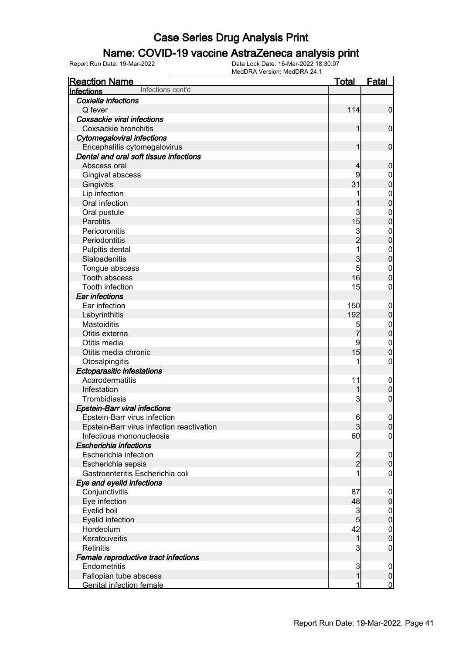### Name: COVID-19 vaccine AstraZeneca analysis print

| <b>Reaction Name</b>                      | <u>Total</u>   | <b>Fatal</b>     |
|-------------------------------------------|----------------|------------------|
| Infections cont'd<br>Infections           |                |                  |
| Coxiella infections                       |                |                  |
| Q fever                                   | 114            | $\mathbf 0$      |
| Coxsackie viral infections                |                |                  |
| Coxsackie bronchitis                      | $\mathbf{1}$   | $\boldsymbol{0}$ |
| <b>Cytomegaloviral infections</b>         |                |                  |
| Encephalitis cytomegalovirus              | $\mathbf{1}$   | $\mathbf 0$      |
| Dental and oral soft tissue infections    |                |                  |
| Abscess oral                              | 4              | $\mathbf 0$      |
| Gingival abscess                          | 9              | $\boldsymbol{0}$ |
| Gingivitis                                | 31             | $\overline{0}$   |
| Lip infection                             | 1              | $\mathbf{0}$     |
| Oral infection                            | 1              | $\overline{0}$   |
| Oral pustule                              | 3              | $\mathbf{0}$     |
| Parotitis                                 | 15             | $\overline{0}$   |
| Pericoronitis                             |                | $\mathbf{0}$     |
| Periodontitis                             | $\frac{3}{2}$  | $\overline{0}$   |
| Pulpitis dental                           | $\overline{1}$ | $\mathbf{0}$     |
| Sialoadenitis                             | 3              | $\overline{0}$   |
| Tongue abscess                            | 5              | $\mathbf{0}$     |
| Tooth abscess                             | 16             | $\overline{0}$   |
| Tooth infection                           | 15             | $\mathbf 0$      |
| <b>Ear infections</b>                     |                |                  |
| Ear infection                             | 150            | $\mathbf{0}$     |
| Labyrinthitis                             | 192            | $\pmb{0}$        |
| Mastoiditis                               | 5              | $\mathbf{0}$     |
| Otitis externa                            | $\overline{7}$ | $\mathbf 0$      |
| Otitis media                              | 9              | $\mathbf{0}$     |
| Otitis media chronic                      | 15             | $\overline{0}$   |
| Otosalpingitis                            | 1              | $\mathbf 0$      |
| <b>Ectoparasitic infestations</b>         |                |                  |
| Acarodermatitis                           | 11             | $\boldsymbol{0}$ |
| Infestation                               | 1              | $\pmb{0}$        |
| Trombidiasis                              | 3              | $\boldsymbol{0}$ |
| <b>Epstein-Barr viral infections</b>      |                |                  |
| Epstein-Barr virus infection              | $6 \mid$       | $\mathbf 0$      |
| Epstein-Barr virus infection reactivation | $\mathbf{3}$   | 0                |
| Infectious mononucleosis                  | 60             | $\overline{0}$   |
| <b>Escherichia infections</b>             |                |                  |
| Escherichia infection                     |                | $\overline{0}$   |
| Escherichia sepsis                        | $\frac{2}{2}$  | $\pmb{0}$        |
| Gastroenteritis Escherichia coli          |                | $\mathbf 0$      |
| Eye and eyelid infections                 |                |                  |
| Conjunctivitis                            | 87             | $\overline{0}$   |
| Eye infection                             | 48             | $\pmb{0}$        |
| Eyelid boil                               | $\overline{3}$ | $\overline{0}$   |
| Eyelid infection                          | $\overline{5}$ | $\pmb{0}$        |
| Hordeolum                                 | 42             | $\boldsymbol{0}$ |
| Keratouveitis                             | $\mathbf{1}$   | $\pmb{0}$        |
| <b>Retinitis</b>                          | 3              | $\mathbf 0$      |
| Female reproductive tract infections      |                |                  |
| Endometritis                              | $\mathbf{3}$   | $\overline{0}$   |
| Fallopian tube abscess                    | $\mathbf{1}$   | $\mathbf 0$      |
| <b>Genital infection female</b>           | 1              | $\overline{0}$   |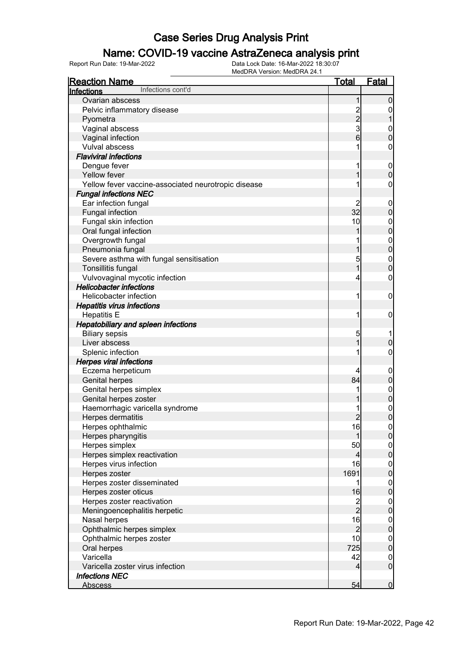### Name: COVID-19 vaccine AstraZeneca analysis print

| <u>Reaction Name</u>                                | <u>Total</u>   | <b>Fatal</b>                         |
|-----------------------------------------------------|----------------|--------------------------------------|
| Infections cont'd<br>Infections                     |                |                                      |
| Ovarian abscess                                     | 1              | 0                                    |
| Pelvic inflammatory disease                         |                | 0                                    |
| Pyometra                                            |                |                                      |
| Vaginal abscess                                     | $\frac{2}{3}$  | $\mathbf{0}$                         |
| Vaginal infection                                   | 6              | $\mathbf 0$                          |
| Vulval abscess                                      | 1              | 0                                    |
| <b>Flaviviral infections</b>                        |                |                                      |
| Dengue fever                                        | 1              | $\mathbf 0$                          |
| Yellow fever                                        | 1              | $\mathbf 0$                          |
| Yellow fever vaccine-associated neurotropic disease |                | 0                                    |
| <b>Fungal infections NEC</b>                        |                |                                      |
| Ear infection fungal                                | 2              | $\boldsymbol{0}$                     |
| Fungal infection                                    | 32             | $\mathbf 0$                          |
| Fungal skin infection                               | 10             | $\mathbf{0}$                         |
| Oral fungal infection                               | 1              | $\mathbf 0$                          |
| Overgrowth fungal                                   |                | $\mathbf{0}$                         |
| Pneumonia fungal                                    | 1              | $\overline{0}$                       |
| Severe asthma with fungal sensitisation             | 5              | $\boldsymbol{0}$                     |
| Tonsillitis fungal                                  | 1              | $\mathbf 0$                          |
| Vulvovaginal mycotic infection                      | 4              | $\mathbf 0$                          |
| <b>Helicobacter infections</b>                      |                |                                      |
| Helicobacter infection                              | 1              | $\mathbf 0$                          |
| <b>Hepatitis virus infections</b>                   |                |                                      |
| <b>Hepatitis E</b>                                  | 1              | $\mathbf 0$                          |
| <b>Hepatobiliary and spleen infections</b>          |                |                                      |
| <b>Biliary sepsis</b>                               | 5              |                                      |
| Liver abscess                                       | 1              | $\mathbf 0$                          |
| Splenic infection                                   | 1              | 0                                    |
| <b>Herpes viral infections</b>                      |                |                                      |
| Eczema herpeticum                                   | 4              | $\boldsymbol{0}$                     |
| <b>Genital herpes</b>                               | 84             | $\pmb{0}$                            |
| Genital herpes simplex                              |                | $\boldsymbol{0}$                     |
| Genital herpes zoster                               |                | $\overline{0}$                       |
| Haemorrhagic varicella syndrome                     |                | $\mathbf{0}$                         |
| Herpes dermatitis                                   | $\overline{2}$ | $\overline{0}$                       |
| Herpes ophthalmic                                   | 16             | 0                                    |
| Herpes pharyngitis                                  | 1              | $\overline{0}$                       |
| Herpes simplex                                      | 50             |                                      |
| Herpes simplex reactivation                         | $\overline{4}$ | $\begin{matrix} 0 \\ 0 \end{matrix}$ |
| Herpes virus infection                              | 16             |                                      |
| Herpes zoster                                       | 1691           | $0\atop 0$                           |
| Herpes zoster disseminated                          | 1              | $\mathbf 0$                          |
| Herpes zoster oticus                                | 16             | $\overline{0}$                       |
| Herpes zoster reactivation                          |                |                                      |
| Meningoencephalitis herpetic                        | $\frac{2}{2}$  | $0\atop 0$                           |
| Nasal herpes                                        | 16             |                                      |
| Ophthalmic herpes simplex                           | $\overline{2}$ | $0$ 0                                |
| Ophthalmic herpes zoster                            | 10             | $\mathbf 0$                          |
| Oral herpes                                         | 725            | $\overline{0}$                       |
| Varicella                                           | 42             | $\overline{0}$                       |
| Varicella zoster virus infection                    | $\overline{4}$ | $\boldsymbol{0}$                     |
| <b>Infections NEC</b>                               |                |                                      |
| <b>Abscess</b>                                      | 54             | $\overline{0}$                       |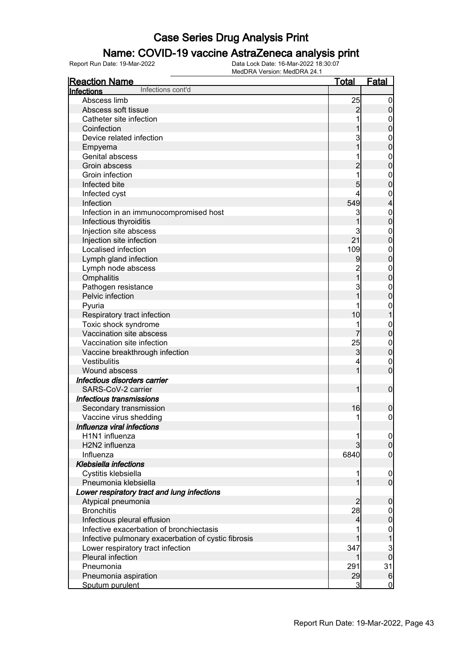### Name: COVID-19 vaccine AstraZeneca analysis print

| <b>Reaction Name</b>                                | <u>Total</u>   | <b>Fatal</b>                   |
|-----------------------------------------------------|----------------|--------------------------------|
| Infections cont'd<br>Infections                     |                |                                |
| Abscess limb                                        | 25             | $\overline{0}$                 |
| Abscess soft tissue                                 | $\overline{c}$ | $\pmb{0}$                      |
| Catheter site infection                             |                | $\mathbf{0}$                   |
| Coinfection                                         |                | $\mathbf 0$                    |
| Device related infection                            | 3              | $\mathbf{0}$                   |
| Empyema                                             |                | $\overline{0}$                 |
| <b>Genital abscess</b>                              |                | $\mathbf{0}$                   |
| Groin abscess                                       |                | $\overline{0}$                 |
| Groin infection                                     | 1              | $\mathbf{0}$                   |
| Infected bite                                       | 5              | $\mathbf 0$                    |
| Infected cyst                                       | 4              | $\mathbf{0}$                   |
| Infection                                           | 549            | $\overline{\mathcal{L}}$       |
| Infection in an immunocompromised host              | 3              | $\mathbf{0}$                   |
| Infectious thyroiditis                              | 1              | $\overline{0}$                 |
| Injection site abscess                              | 3              | $\mathbf{0}$                   |
| Injection site infection                            | 21             | $\overline{0}$                 |
| Localised infection                                 | 109            | $\mathbf{0}$                   |
| Lymph gland infection                               | 9              | $\overline{0}$                 |
| Lymph node abscess                                  |                |                                |
|                                                     | $\overline{1}$ | $\mathbf{0}$<br>$\overline{0}$ |
| Omphalitis                                          | 3              |                                |
| Pathogen resistance<br>Pelvic infection             | $\overline{1}$ | $\mathbf{0}$                   |
|                                                     |                | $\mathbf 0$                    |
| Pyuria                                              |                | $\mathbf{0}$                   |
| Respiratory tract infection                         | 10             | $\overline{1}$                 |
| Toxic shock syndrome                                | 1              | $\mathbf{0}$                   |
| Vaccination site abscess                            |                | $\overline{0}$                 |
| Vaccination site infection                          | 25             | $\mathbf{0}$                   |
| Vaccine breakthrough infection                      | 3              | $\mathbf 0$                    |
| Vestibulitis                                        | 4              | $\mathbf{0}$                   |
| Wound abscess                                       | 1              | $\overline{0}$                 |
| Infectious disorders carrier                        |                |                                |
| SARS-CoV-2 carrier                                  | 1              | $\boldsymbol{0}$               |
| Infectious transmissions                            |                |                                |
| Secondary transmission                              | 16             | 0                              |
| Vaccine virus shedding                              | 1              | $\mathbf 0$                    |
| Influenza viral infections                          |                |                                |
| H1N1 influenza                                      |                | $\overline{0}$                 |
| H2N2 influenza                                      |                | $\mathbf 0$                    |
| Influenza                                           | 6840           | $\mathbf 0$                    |
| <b>Klebsiella infections</b>                        |                |                                |
| Cystitis klebsiella                                 |                | $\boldsymbol{0}$               |
| Pneumonia klebsiella                                | 1              | $\overline{0}$                 |
| Lower respiratory tract and lung infections         |                |                                |
| Atypical pneumonia                                  | 2              | $\mathbf 0$                    |
| <b>Bronchitis</b>                                   | 28             | $\mathbf 0$                    |
| Infectious pleural effusion                         | 4              | $\mathbf 0$                    |
| Infective exacerbation of bronchiectasis            |                | $\mathbf{0}$                   |
| Infective pulmonary exacerbation of cystic fibrosis |                | 1                              |
| Lower respiratory tract infection                   | 347            | 3                              |
| Pleural infection                                   | 1              | $\overline{0}$                 |
| Pneumonia                                           | 291            | 31                             |
| Pneumonia aspiration                                | 29             | $6\phantom{.}6$                |
| Sputum purulent                                     | 3              | $\overline{0}$                 |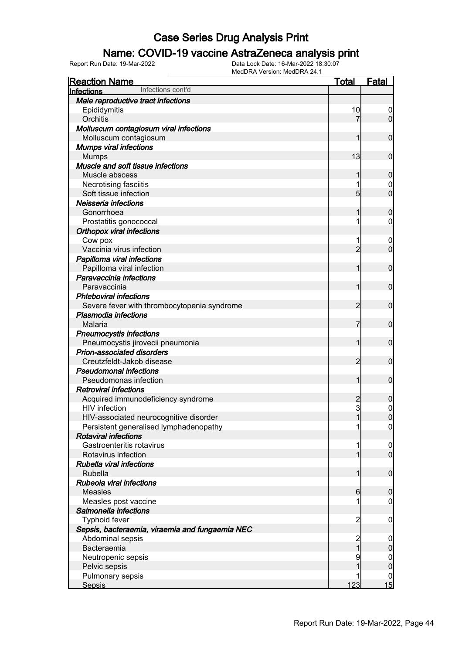### Name: COVID-19 vaccine AstraZeneca analysis print

| <b>Reaction Name</b>                            | Total          | <b>Fatal</b>     |
|-------------------------------------------------|----------------|------------------|
| Infections cont'd<br>Infections                 |                |                  |
| Male reproductive tract infections              |                |                  |
| Epididymitis                                    | 10             | 0                |
| Orchitis                                        | 7              | $\overline{0}$   |
| Molluscum contagiosum viral infections          |                |                  |
| Molluscum contagiosum                           | 1              | $\mathbf 0$      |
| <b>Mumps viral infections</b>                   |                |                  |
| <b>Mumps</b>                                    | 13             | $\mathbf 0$      |
| Muscle and soft tissue infections               |                |                  |
| Muscle abscess                                  | 1              | $\boldsymbol{0}$ |
| Necrotising fasciitis                           |                | 0                |
| Soft tissue infection                           | $\overline{5}$ | $\overline{0}$   |
| Neisseria infections                            |                |                  |
| Gonorrhoea                                      | 1              | $\boldsymbol{0}$ |
| Prostatitis gonococcal                          | 1              | $\mathbf 0$      |
| <b>Orthopox viral infections</b>                |                |                  |
| Cow pox                                         |                | $\boldsymbol{0}$ |
| Vaccinia virus infection                        | $\overline{2}$ | $\mathbf 0$      |
| Papilloma viral infections                      |                |                  |
| Papilloma viral infection                       | 1              | $\mathbf 0$      |
| Paravaccinia infections                         |                |                  |
| Paravaccinia                                    | 1              | $\mathbf 0$      |
| <b>Phleboviral infections</b>                   |                |                  |
| Severe fever with thrombocytopenia syndrome     | 2              | $\mathbf 0$      |
| <b>Plasmodia infections</b>                     |                |                  |
| Malaria                                         | 7              | $\mathbf 0$      |
| <b>Pneumocystis infections</b>                  |                |                  |
| Pneumocystis jirovecii pneumonia                | 1              | $\mathbf 0$      |
| Prion-associated disorders                      |                |                  |
| Creutzfeldt-Jakob disease                       | $\overline{2}$ | $\mathbf 0$      |
| <b>Pseudomonal infections</b>                   |                |                  |
| Pseudomonas infection                           | 1              | $\mathbf 0$      |
| <b>Retroviral infections</b>                    |                |                  |
| Acquired immunodeficiency syndrome              | $\overline{c}$ | $\boldsymbol{0}$ |
| HIV infection                                   | 3              | $\mathbf{0}$     |
| HIV-associated neurocognitive disorder          | 1              | $\overline{0}$   |
| Persistent generalised lymphadenopathy          | 1              | 0                |
| <b>Rotaviral infections</b>                     |                |                  |
| Gastroenteritis rotavirus                       | 1              | $\boldsymbol{0}$ |
| Rotavirus infection                             | 1              | $\overline{0}$   |
| Rubella viral infections                        |                |                  |
| Rubella                                         | 1              | $\boldsymbol{0}$ |
| Rubeola viral infections                        |                |                  |
| <b>Measles</b>                                  | 6              | $\mathbf 0$      |
| Measles post vaccine                            |                | $\overline{0}$   |
| Salmonella infections                           |                |                  |
| <b>Typhoid fever</b>                            | $\overline{c}$ | $\mathbf 0$      |
| Sepsis, bacteraemia, viraemia and fungaemia NEC |                |                  |
| Abdominal sepsis                                | $\overline{c}$ | $\mathbf 0$      |
| Bacteraemia                                     | $\overline{1}$ | $\pmb{0}$        |
| Neutropenic sepsis                              | 9              | $\overline{0}$   |
| Pelvic sepsis                                   |                | $\mathbf 0$      |
| Pulmonary sepsis                                |                | 0                |
| <b>Sepsis</b>                                   | 123            | 15               |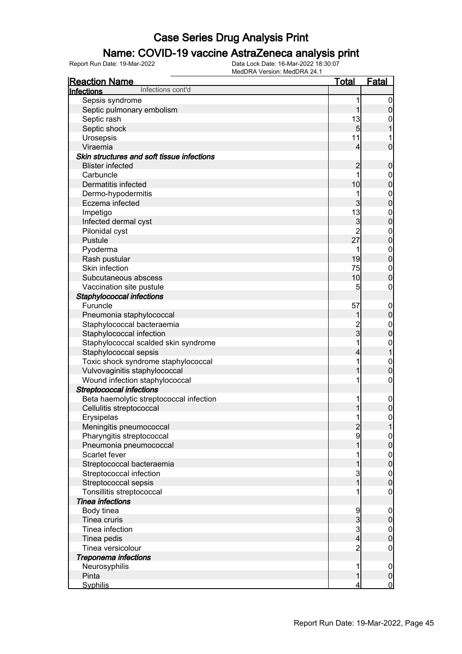### Name: COVID-19 vaccine AstraZeneca analysis print

| <b>Reaction Name</b>                       | <u>Total</u>    | <b>Fatal</b>                         |
|--------------------------------------------|-----------------|--------------------------------------|
| Infections cont'd<br>Infections            |                 |                                      |
| Sepsis syndrome                            | 1               | $\boldsymbol{0}$                     |
| Septic pulmonary embolism                  | 1               | $\mathsf{O}\xspace$                  |
| Septic rash                                | 13              | $\mathbf 0$                          |
| Septic shock                               | $5\overline{)}$ | 1                                    |
| Urosepsis                                  | 11              | 1                                    |
| Viraemia                                   | $\overline{4}$  | $\overline{0}$                       |
| Skin structures and soft tissue infections |                 |                                      |
| <b>Blister infected</b>                    | $\overline{c}$  | $\boldsymbol{0}$                     |
| Carbuncle                                  | 1               |                                      |
| Dermatitis infected                        | 10              | $0\atop 0$                           |
| Dermo-hypodermitis                         | 1               |                                      |
| Eczema infected                            | 3               | $\begin{matrix}0\\0\end{matrix}$     |
| Impetigo                                   | 13              |                                      |
| Infected dermal cyst                       | 3               | $\begin{matrix}0\\0\end{matrix}$     |
|                                            | $\overline{2}$  |                                      |
| Pilonidal cyst<br>Pustule                  | 27              | $\begin{matrix}0\\0\end{matrix}$     |
|                                            |                 |                                      |
| Pyoderma                                   | 1               | $\begin{matrix}0\\0\end{matrix}$     |
| Rash pustular                              | 19              |                                      |
| Skin infection                             | 75              | $\begin{matrix}0\\0\end{matrix}$     |
| Subcutaneous abscess                       | 10              |                                      |
| Vaccination site pustule                   | 5               | $\mathbf 0$                          |
| Staphylococcal infections                  |                 |                                      |
| Furuncle                                   | 57              | $0\atop 0$                           |
| Pneumonia staphylococcal                   | 1               |                                      |
| Staphylococcal bacteraemia                 | $\frac{2}{3}$   | $0\atop 0$                           |
| Staphylococcal infection                   |                 |                                      |
| Staphylococcal scalded skin syndrome       | 1               | $\begin{matrix} 0 \\ 1 \end{matrix}$ |
| Staphylococcal sepsis                      | 4               |                                      |
| Toxic shock syndrome staphylococcal        | 1               | $\begin{matrix}0\\0\end{matrix}$     |
| Vulvovaginitis staphylococcal              | 1               |                                      |
| Wound infection staphylococcal             | 1               | $\pmb{0}$                            |
| <b>Streptococcal infections</b>            |                 |                                      |
| Beta haemolytic streptococcal infection    | 1               | $\boldsymbol{0}$                     |
| Cellulitis streptococcal                   | 1               | $\overline{0}$                       |
| Erysipelas                                 | 1               | $\overline{0}$                       |
| Meningitis pneumococcal                    |                 | 1                                    |
| Pharyngitis streptococcal                  | $\frac{2}{9}$   | $\overline{0}$                       |
| Pneumonia pneumococcal                     | 1               | $\overline{0}$                       |
| Scarlet fever                              | 1               |                                      |
| Streptococcal bacteraemia                  | 1               | $\begin{matrix} 0 \\ 0 \end{matrix}$ |
| Streptococcal infection                    | $\frac{3}{1}$   |                                      |
| Streptococcal sepsis                       |                 | $\begin{matrix} 0 \\ 0 \end{matrix}$ |
| Tonsillitis streptococcal                  | 1               | $\mathsf{O}\xspace$                  |
| <b>Tinea infections</b>                    |                 |                                      |
| Body tinea                                 |                 | $\boldsymbol{0}$                     |
| Tinea cruris                               | 9<br>3<br>3     | $\overline{0}$                       |
| Tinea infection                            |                 |                                      |
| Tinea pedis                                | $\overline{4}$  | $\begin{matrix} 0 \\ 0 \end{matrix}$ |
| Tinea versicolour                          | $\overline{2}$  | $\mathbf 0$                          |
| <b>Treponema infections</b>                |                 |                                      |
| Neurosyphilis                              | 1               | $\mathbf 0$                          |
| Pinta                                      | $\mathbf{1}$    | $\pmb{0}$                            |
| <b>Syphilis</b>                            | 4               | $\mathbf 0$                          |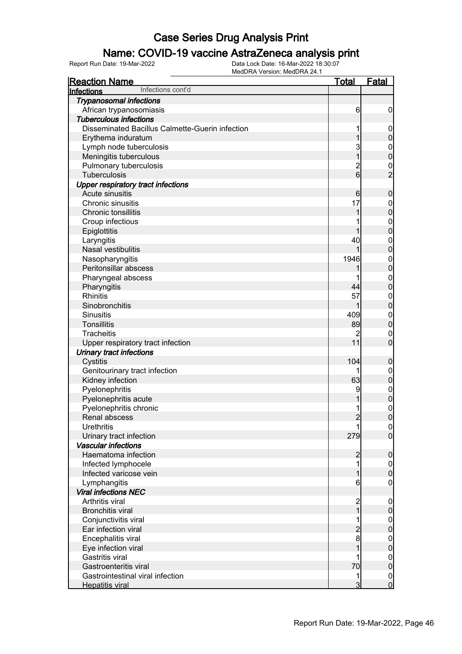### Name: COVID-19 vaccine AstraZeneca analysis print

| <b>Reaction Name</b>                                   | <b>Total</b>            | <b>Fatal</b>                     |
|--------------------------------------------------------|-------------------------|----------------------------------|
| Infections cont'd<br>Infections                        |                         |                                  |
| <b>Trypanosomal infections</b>                         |                         |                                  |
| African trypanosomiasis                                | 6                       | $\boldsymbol{0}$                 |
| <b>Tuberculous infections</b>                          |                         |                                  |
| <b>Disseminated Bacillus Calmette-Guerin infection</b> | 1                       | $\mathbf 0$                      |
| Erythema induratum                                     | 1                       | $\pmb{0}$                        |
| Lymph node tuberculosis                                | 3                       | $\mathbf{0}$                     |
| Meningitis tuberculous                                 | $\overline{1}$          | $\overline{0}$                   |
| Pulmonary tuberculosis                                 | $\overline{c}$          |                                  |
| Tuberculosis                                           | $\overline{6}$          | $\frac{0}{2}$                    |
| <b>Upper respiratory tract infections</b>              |                         |                                  |
| Acute sinusitis                                        | 6                       | $\boldsymbol{0}$                 |
| Chronic sinusitis                                      | 17                      | $\boldsymbol{0}$                 |
| Chronic tonsillitis                                    | 1                       | $\mathbf 0$                      |
| Croup infectious                                       |                         | $\mathbf{0}$                     |
| Epiglottitis                                           | 1                       | $\mathbf{0}$                     |
| Laryngitis                                             | 40                      | $\mathbf{0}$                     |
| Nasal vestibulitis                                     |                         | $\overline{0}$                   |
| Nasopharyngitis                                        | 1946                    | $\mathbf{0}$                     |
| Peritonsillar abscess                                  |                         | $\overline{0}$                   |
| Pharyngeal abscess                                     |                         | $\mathbf{0}$                     |
| Pharyngitis                                            | 44                      | $\overline{0}$                   |
| <b>Rhinitis</b>                                        | 57                      | $\mathbf{0}$                     |
| Sinobronchitis                                         | 1                       | $\mathbf 0$                      |
| <b>Sinusitis</b>                                       | 409                     | $\mathbf{0}$                     |
| Tonsillitis                                            | 89                      | $\mathbf 0$                      |
| <b>Tracheitis</b>                                      | 2                       | $\mathbf 0$                      |
| Upper respiratory tract infection                      | 11                      | $\overline{0}$                   |
| <b>Urinary tract infections</b>                        |                         |                                  |
| Cystitis                                               | 104                     | $\boldsymbol{0}$                 |
| Genitourinary tract infection                          | 1                       | $\overline{0}$                   |
| Kidney infection                                       | 63                      | $\mathbf 0$                      |
| Pyelonephritis                                         | 9                       | $\boldsymbol{0}$                 |
| Pyelonephritis acute                                   | 1                       | $\mathbf 0$                      |
| Pyelonephritis chronic                                 |                         |                                  |
| Renal abscess                                          | $\overline{2}$          | $\begin{matrix}0\\0\end{matrix}$ |
| <b>Urethritis</b>                                      | 1                       | 0                                |
| Urinary tract infection                                | 279                     | $\overline{0}$                   |
| <b>Vascular infections</b>                             |                         |                                  |
| Haematoma infection                                    | $\overline{2}$          | $\pmb{0}$                        |
| Infected lymphocele                                    | 1                       | $\mathbf 0$                      |
| Infected varicose vein                                 | 1                       | $\pmb{0}$                        |
| Lymphangitis                                           | 6                       | $\mathbf 0$                      |
| <b>Viral infections NEC</b>                            |                         |                                  |
| Arthritis viral                                        | $\overline{\mathbf{c}}$ | $\mathbf 0$                      |
| <b>Bronchitis viral</b>                                | $\overline{1}$          | $\pmb{0}$                        |
| Conjunctivitis viral                                   | 1                       | $\mathbf 0$                      |
| Ear infection viral                                    | $\overline{c}$          | $\overline{0}$                   |
| Encephalitis viral                                     | 8                       | $\mathbf{0}$                     |
| Eye infection viral                                    | 1                       | $\overline{0}$                   |
| <b>Gastritis viral</b>                                 | 1                       | $\mathbf 0$                      |
| Gastroenteritis viral                                  | 70                      | $\overline{0}$                   |
| Gastrointestinal viral infection                       | 1                       | $\overline{0}$                   |
| <b>Hepatitis viral</b>                                 | 3                       | $\mathbf 0$                      |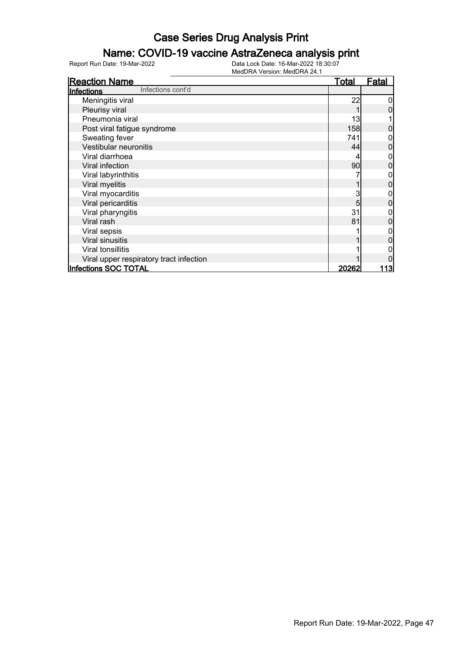### Name: COVID-19 vaccine AstraZeneca analysis print

| <b>Reaction Name</b>                    | <b>Total</b> | <b>Fatal</b> |
|-----------------------------------------|--------------|--------------|
| Infections cont'd<br>Infections         |              |              |
| Meningitis viral                        | 22           |              |
| Pleurisy viral                          |              |              |
| Pneumonia viral                         | 13           |              |
| Post viral fatigue syndrome             | 158          |              |
| Sweating fever                          | 741          |              |
| Vestibular neuronitis                   | 44           |              |
| Viral diarrhoea                         |              |              |
| Viral infection                         | 90           |              |
| Viral labyrinthitis                     |              |              |
| Viral myelitis                          |              |              |
| Viral myocarditis                       | 3            |              |
| Viral pericarditis                      | 5            |              |
| Viral pharyngitis                       | 31           |              |
| Viral rash                              | 81           |              |
| Viral sepsis                            |              |              |
| Viral sinusitis                         |              |              |
| Viral tonsillitis                       |              |              |
| Viral upper respiratory tract infection |              |              |
| Infections SOC TOTAL                    | 20262        | <u> 113 </u> |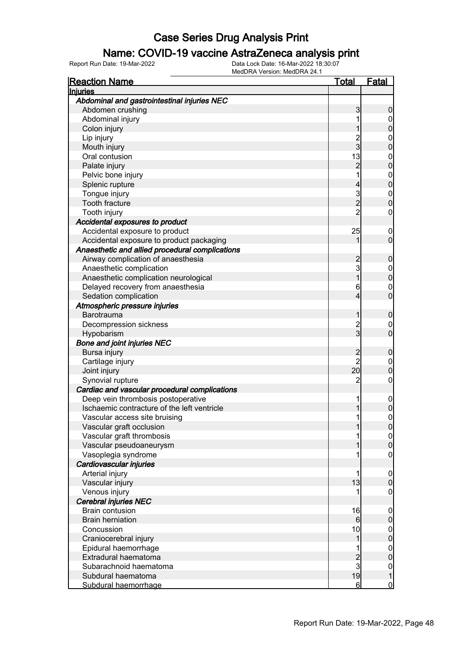### Name: COVID-19 vaccine AstraZeneca analysis print

| <b>Reaction Name</b>                            | <u>Total</u>   | Fatal                                 |
|-------------------------------------------------|----------------|---------------------------------------|
| <b>Injuries</b>                                 |                |                                       |
| Abdominal and gastrointestinal injuries NEC     |                |                                       |
| Abdomen crushing                                | 3              | 0                                     |
| Abdominal injury                                | 1              | $\mathbf 0$                           |
| Colon injury                                    |                | 0                                     |
| Lip injury                                      | $\overline{c}$ | $\mathbf{0}$                          |
| Mouth injury                                    | 3              | 0                                     |
| Oral contusion                                  | 13             | $\mathbf{0}$                          |
| Palate injury                                   | $\overline{2}$ | $\overline{0}$                        |
| Pelvic bone injury                              | 1              | $\mathbf{0}$                          |
| Splenic rupture                                 | 4              | $\overline{0}$                        |
| Tongue injury                                   | $\mathbf{3}$   | $\mathbf{0}$                          |
| Tooth fracture                                  | $\overline{2}$ | $\overline{0}$                        |
| Tooth injury                                    | $\overline{2}$ | $\mathbf 0$                           |
| Accidental exposures to product                 |                |                                       |
| Accidental exposure to product                  | 25             | $\overline{0}$                        |
| Accidental exposure to product packaging        |                | $\overline{0}$                        |
| Anaesthetic and allied procedural complications |                |                                       |
| Airway complication of anaesthesia              | 2              | 0                                     |
| Anaesthetic complication                        | $\mathbf{3}$   | $\mathbf 0$                           |
| Anaesthetic complication neurological           | 1              | $\overline{0}$                        |
| Delayed recovery from anaesthesia               | 6              | $\mathbf{0}$                          |
| Sedation complication                           | 4              | $\overline{0}$                        |
| Atmospheric pressure injuries                   |                |                                       |
| <b>Barotrauma</b>                               |                | 0                                     |
| Decompression sickness                          | $\overline{c}$ | $\overline{0}$                        |
| Hypobarism                                      | $\overline{3}$ | $\overline{0}$                        |
| <b>Bone and joint injuries NEC</b>              |                |                                       |
| Bursa injury                                    | $\overline{c}$ | 0                                     |
| Cartilage injury                                | $\overline{2}$ | $\boldsymbol{0}$                      |
| Joint injury                                    | 20             | $\overline{0}$                        |
| Synovial rupture                                | $\overline{c}$ | 0                                     |
| Cardiac and vascular procedural complications   |                |                                       |
| Deep vein thrombosis postoperative              | 1              | $\mathbf 0$                           |
| Ischaemic contracture of the left ventricle     |                | 0                                     |
| Vascular access site bruising                   | 1              | $\mathbf{0}$                          |
| Vascular graft occlusion                        |                | <sup>0</sup>                          |
| Vascular graft thrombosis                       |                | $\overline{0}$                        |
| Vascular pseudoaneurysm                         |                | $\mathbf 0$                           |
| Vasoplegia syndrome                             | 1              | $\boldsymbol{0}$                      |
| Cardiovascular injuries                         |                |                                       |
| Arterial injury                                 | 1              | $\mathbf 0$                           |
| Vascular injury                                 | 13             | $\overline{0}$                        |
| Venous injury                                   |                | $\mathbf 0$                           |
| <b>Cerebral injuries NEC</b>                    |                |                                       |
| <b>Brain contusion</b>                          | 16             | $\mathbf 0$                           |
| <b>Brain herniation</b>                         | 6              | $\mathbf 0$                           |
| Concussion                                      | 10             | $\mathbf 0$                           |
| Craniocerebral injury                           | 1              | $\mathbf 0$                           |
| Epidural haemorrhage                            |                | $\boldsymbol{0}$                      |
| Extradural haematoma                            |                | $\mathbf 0$                           |
| Subarachnoid haematoma                          | $\frac{2}{3}$  |                                       |
| Subdural haematoma                              | 19             | $\begin{array}{c} 0 \\ 1 \end{array}$ |
| Subdural haemorrhage                            | $6 \mid$       | $\mathbf 0$                           |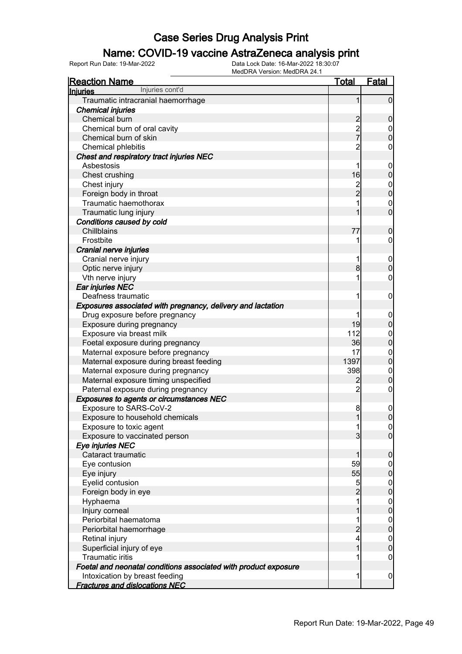### Name: COVID-19 vaccine AstraZeneca analysis print

| <b>Reaction Name</b>                                            | <u>Total</u>   | Fatal                                |
|-----------------------------------------------------------------|----------------|--------------------------------------|
| Injuries cont'd<br><b>Injuries</b>                              |                |                                      |
| Traumatic intracranial haemorrhage                              | 1              | $\overline{0}$                       |
| <b>Chemical injuries</b>                                        |                |                                      |
| Chemical burn                                                   |                | $\mathbf 0$                          |
| Chemical burn of oral cavity                                    | 2<br>2<br>7    | $0$<br>0                             |
| Chemical burn of skin                                           |                |                                      |
| Chemical phlebitis                                              | $\overline{c}$ | $\mathbf 0$                          |
| Chest and respiratory tract injuries NEC                        |                |                                      |
| Asbestosis                                                      | 1              | $\boldsymbol{0}$                     |
| Chest crushing                                                  | 16             | $\mathbf 0$                          |
| Chest injury                                                    | 2<br>2         | $0$<br>0                             |
| Foreign body in throat                                          |                |                                      |
| Traumatic haemothorax                                           | 1              | $\mathbf{0}$                         |
| Traumatic lung injury                                           | 1              | $\overline{0}$                       |
| Conditions caused by cold                                       |                |                                      |
| Chillblains                                                     | 77             | $\mathbf 0$                          |
| Frostbite                                                       | 1              | $\overline{0}$                       |
| Cranial nerve injuries                                          |                |                                      |
| Cranial nerve injury                                            | 1              | $\boldsymbol{0}$                     |
| Optic nerve injury                                              | 8              | $\mathbf 0$                          |
| Vth nerve injury                                                | 1              | $\mathbf 0$                          |
| Ear injuries NEC                                                |                |                                      |
| Deafness traumatic                                              | 1              | $\boldsymbol{0}$                     |
| Exposures associated with pregnancy, delivery and lactation     |                |                                      |
| Drug exposure before pregnancy                                  |                | $\boldsymbol{0}$                     |
| Exposure during pregnancy                                       | 19             | $\pmb{0}$                            |
| Exposure via breast milk                                        | 112            |                                      |
| Foetal exposure during pregnancy                                | 36             | $0\atop 0$                           |
| Maternal exposure before pregnancy                              | 17             | $0\atop 0$                           |
| Maternal exposure during breast feeding                         | 1397           |                                      |
| Maternal exposure during pregnancy                              | 398            | $\begin{matrix} 0 \\ 0 \end{matrix}$ |
| Maternal exposure timing unspecified                            | $\overline{c}$ |                                      |
| Paternal exposure during pregnancy                              | $\overline{2}$ | $\boldsymbol{0}$                     |
| <b>Exposures to agents or circumstances NEC</b>                 |                |                                      |
| Exposure to SARS-CoV-2                                          | 8              | $\mathbf 0$                          |
| Exposure to household chemicals                                 | 1              | $\overline{0}$                       |
| Exposure to toxic agent                                         | 11             | 0                                    |
| Exposure to vaccinated person                                   | $\overline{3}$ | $\overline{0}$                       |
| Eye injuries NEC                                                |                |                                      |
| Cataract traumatic                                              | 1              | $\mathbf 0$                          |
| Eye contusion                                                   | 59             | $\overline{0}$                       |
| Eye injury                                                      | 55             | $\pmb{0}$                            |
| Eyelid contusion                                                | $\overline{5}$ | $\boldsymbol{0}$                     |
| Foreign body in eye                                             | $\overline{c}$ | $\pmb{0}$                            |
| Hyphaema                                                        | 1              | $\boldsymbol{0}$                     |
| Injury corneal                                                  | 1              | $\pmb{0}$                            |
| Periorbital haematoma                                           | 1              | $\boldsymbol{0}$                     |
| Periorbital haemorrhage                                         | $\overline{c}$ | $\pmb{0}$                            |
| Retinal injury                                                  | 4              | $\boldsymbol{0}$                     |
| Superficial injury of eye                                       | 1              | $\mathbf 0$                          |
| <b>Traumatic iritis</b>                                         | 1              | $\mathbf 0$                          |
| Foetal and neonatal conditions associated with product exposure |                |                                      |
| Intoxication by breast feeding                                  | 1              | $\overline{0}$                       |
| <b>Fractures and dislocations NEC</b>                           |                |                                      |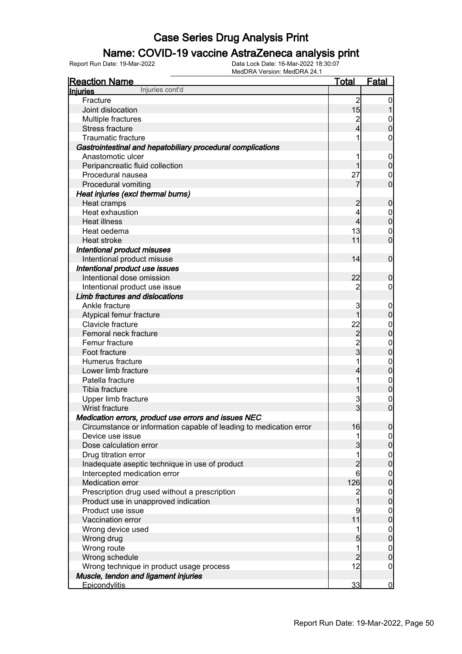### Name: COVID-19 vaccine AstraZeneca analysis print

| <b>Reaction Name</b>                                               | <u>Total</u>                               | <u>Fatal</u>                         |
|--------------------------------------------------------------------|--------------------------------------------|--------------------------------------|
| Injuries cont'd<br><b>Injuries</b>                                 |                                            |                                      |
| Fracture                                                           | $\overline{2}$                             | 0                                    |
| Joint dislocation                                                  | 15                                         |                                      |
| Multiple fractures                                                 | $\overline{c}$                             | $\mathbf{0}$                         |
| Stress fracture                                                    | 4                                          | $\overline{0}$                       |
| <b>Traumatic fracture</b>                                          | 1                                          | 0                                    |
| Gastrointestinal and hepatobiliary procedural complications        |                                            |                                      |
| Anastomotic ulcer                                                  | 1                                          | $\boldsymbol{0}$                     |
| Peripancreatic fluid collection                                    | 1                                          | $\boldsymbol{0}$                     |
| Procedural nausea                                                  | 27                                         | $\mathbf 0$                          |
| Procedural vomiting                                                | 7                                          | $\overline{0}$                       |
| Heat injuries (excl thermal burns)                                 |                                            |                                      |
| Heat cramps                                                        | $\overline{c}$                             | $\mathbf 0$                          |
| Heat exhaustion                                                    | 4                                          | $\mathbf{0}$                         |
| <b>Heat illness</b>                                                | 4                                          | $\overline{0}$                       |
| Heat oedema                                                        | 13                                         | $\mathbf{0}$                         |
| Heat stroke                                                        | 11                                         | $\overline{0}$                       |
| Intentional product misuses                                        |                                            |                                      |
| Intentional product misuse                                         | 14                                         | $\mathbf 0$                          |
| Intentional product use issues                                     |                                            |                                      |
| Intentional dose omission                                          | 22                                         | $\mathbf 0$                          |
| Intentional product use issue                                      | $\overline{2}$                             | 0                                    |
| Limb fractures and dislocations                                    |                                            |                                      |
| Ankle fracture                                                     | 3                                          |                                      |
|                                                                    | 1                                          | $\mathbf 0$<br>$\mathbf 0$           |
| Atypical femur fracture<br>Clavicle fracture                       | 22                                         |                                      |
| Femoral neck fracture                                              |                                            | $\mathbf{0}$<br>$\overline{0}$       |
|                                                                    | $\begin{array}{c} 2 \\ 2 \\ 3 \end{array}$ |                                      |
| Femur fracture                                                     |                                            | $\mathbf{0}$                         |
| Foot fracture                                                      |                                            | $\overline{0}$                       |
| Humerus fracture                                                   | 1                                          | $\mathbf{0}$                         |
| Lower limb fracture                                                | 4                                          | $\mathbf 0$                          |
| Patella fracture                                                   | 1                                          | $\mathbf{0}$                         |
| Tibia fracture                                                     | 1                                          | $\overline{0}$                       |
| Upper limb fracture                                                | 3                                          | $\mathbf 0$                          |
| <b>Wrist fracture</b>                                              | $\overline{3}$                             | $\overline{0}$                       |
| Medication errors, product use errors and issues NEC               |                                            |                                      |
| Circumstance or information capable of leading to medication error | 16                                         | $\overline{0}$                       |
| Device use issue                                                   | 1                                          | $\Omega$                             |
| Dose calculation error                                             | $\overline{3}$                             | $\overline{0}$                       |
| Drug titration error                                               | 1                                          | $\begin{matrix} 0 \\ 0 \end{matrix}$ |
| Inadequate aseptic technique in use of product                     | $\overline{c}$                             |                                      |
| Intercepted medication error                                       | 6                                          | $\begin{matrix} 0 \\ 0 \end{matrix}$ |
| Medication error                                                   | 126                                        |                                      |
| Prescription drug used without a prescription                      | $\overline{2}$                             | $\begin{matrix} 0 \\ 0 \end{matrix}$ |
| Product use in unapproved indication                               | $\mathbf{1}$                               |                                      |
| Product use issue                                                  | 9                                          | $\begin{matrix} 0 \\ 0 \end{matrix}$ |
| Vaccination error                                                  | 11                                         |                                      |
| Wrong device used                                                  | 1                                          | $\begin{matrix} 0 \\ 0 \end{matrix}$ |
| Wrong drug                                                         | 5                                          |                                      |
| Wrong route                                                        | $\mathbf{1}$                               |                                      |
| Wrong schedule                                                     | $\overline{2}$                             | $0\atop 0$                           |
| Wrong technique in product usage process                           | 12                                         | $\boldsymbol{0}$                     |
| Muscle, tendon and ligament injuries                               |                                            |                                      |
| <b>Epicondylitis</b>                                               | 33                                         | $\overline{0}$                       |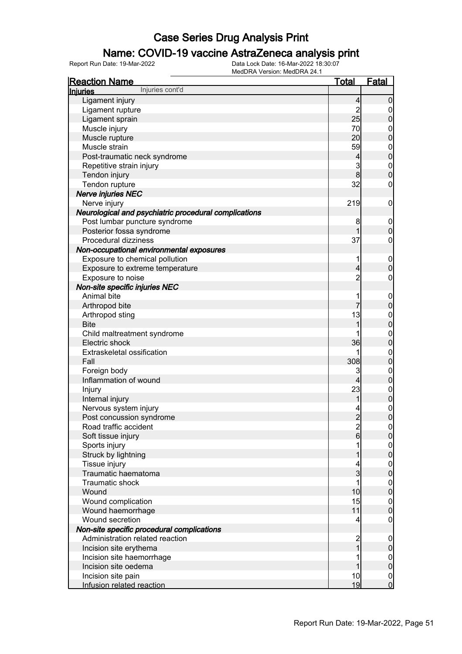### Name: COVID-19 vaccine AstraZeneca analysis print

| <b>Reaction Name</b>                                  | <b>Total</b>            | <b>Fatal</b>                     |
|-------------------------------------------------------|-------------------------|----------------------------------|
| Injuries cont'd<br><b>Injuries</b>                    |                         |                                  |
| Ligament injury                                       | $\overline{4}$          | $\boldsymbol{0}$                 |
| Ligament rupture                                      | $\overline{c}$          | $\overline{0}$                   |
| Ligament sprain                                       | 25                      | $\pmb{0}$                        |
| Muscle injury                                         | 70                      | $\mathbf 0$                      |
| Muscle rupture                                        | 20                      | $\mathbf 0$                      |
| Muscle strain                                         | 59                      | $\boldsymbol{0}$                 |
| Post-traumatic neck syndrome                          | 4                       | $\mathbf 0$                      |
| Repetitive strain injury                              | 3                       | $\boldsymbol{0}$                 |
| Tendon injury                                         | 8                       | $\overline{0}$                   |
| Tendon rupture                                        | 32                      | $\boldsymbol{0}$                 |
| <b>Nerve injuries NEC</b>                             |                         |                                  |
| Nerve injury                                          | 219                     | $\mathbf 0$                      |
| Neurological and psychiatric procedural complications |                         |                                  |
| Post lumbar puncture syndrome                         | 8                       | $\mathbf 0$                      |
| Posterior fossa syndrome                              | 1                       | $\mathbf 0$                      |
| Procedural dizziness                                  | 37                      | $\boldsymbol{0}$                 |
| Non-occupational environmental exposures              |                         |                                  |
| Exposure to chemical pollution                        | 1                       | $\mathbf 0$                      |
| Exposure to extreme temperature                       | $\overline{4}$          | $\mathbf 0$                      |
| Exposure to noise                                     | $\overline{c}$          | $\boldsymbol{0}$                 |
| Non-site specific injuries NEC                        |                         |                                  |
| Animal bite                                           |                         | $\mathbf 0$                      |
| Arthropod bite                                        | 7                       | $\mathbf 0$                      |
| Arthropod sting                                       | 13                      | $\boldsymbol{0}$                 |
| <b>Bite</b>                                           | 1                       | $\overline{0}$                   |
| Child maltreatment syndrome                           |                         | $\mathbf{0}$                     |
| Electric shock                                        | 36                      | $\mathbf 0$                      |
| Extraskeletal ossification                            | 1                       | $\mathbf{0}$                     |
| Fall                                                  | 308                     | $\mathbf 0$                      |
| Foreign body                                          | 3                       | $\boldsymbol{0}$                 |
| Inflammation of wound                                 | 4                       | $\boldsymbol{0}$                 |
| Injury                                                | 23                      |                                  |
| Internal injury                                       | 1                       | 0                                |
| Nervous system injury                                 |                         |                                  |
| Post concussion syndrome                              | $\overline{2}$          | $\begin{matrix}0\\0\end{matrix}$ |
| Road traffic accident                                 |                         | 0                                |
| Soft tissue injury                                    | $\frac{2}{6}$           | $\overline{0}$                   |
| Sports injury                                         |                         |                                  |
| Struck by lightning                                   |                         | $0\atop 0$                       |
| Tissue injury                                         | 4                       | $\boldsymbol{0}$                 |
| Traumatic haematoma                                   | 3                       | $\mathbf 0$                      |
| Traumatic shock                                       | 1                       | $\boldsymbol{0}$                 |
| Wound                                                 | 10                      | $\mathbf 0$                      |
| Wound complication                                    | 15                      | $\boldsymbol{0}$                 |
| Wound haemorrhage                                     | 11                      | $\mathbf 0$                      |
| Wound secretion                                       | 4                       | $\mathbf 0$                      |
| Non-site specific procedural complications            |                         |                                  |
| Administration related reaction                       | $\overline{\mathbf{c}}$ | $\mathbf 0$                      |
| Incision site erythema                                | $\overline{1}$          | $\pmb{0}$                        |
| Incision site haemorrhage                             |                         | $\boldsymbol{0}$                 |
| Incision site oedema                                  |                         | $\pmb{0}$                        |
| Incision site pain                                    | 10                      | $\overline{0}$                   |
| Infusion related reaction                             | 19                      | $\overline{0}$                   |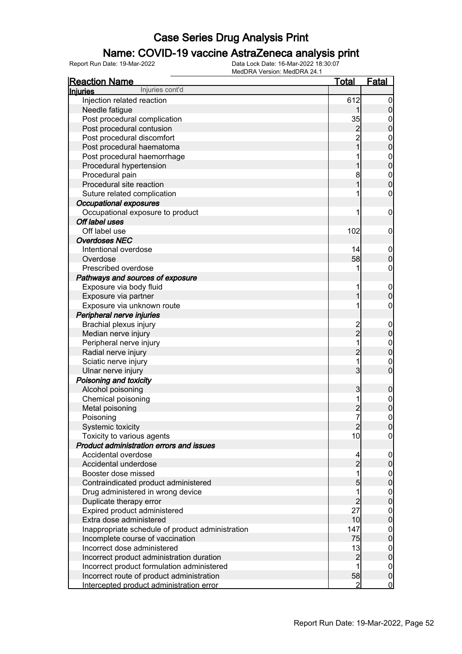### Name: COVID-19 vaccine AstraZeneca analysis print

| <b>Reaction Name</b>                             | Total          | <b>Fatal</b>     |
|--------------------------------------------------|----------------|------------------|
| Injuries cont'd<br>Injuries                      |                |                  |
| Injection related reaction                       | 612            |                  |
| Needle fatigue                                   |                | 0                |
| Post procedural complication                     | 35             | 0                |
| Post procedural contusion                        | 2              | 0                |
| Post procedural discomfort                       | $\overline{2}$ | $\mathbf{0}$     |
| Post procedural haematoma                        |                | 0                |
| Post procedural haemorrhage                      |                | $\mathbf{0}$     |
| Procedural hypertension                          |                | 0                |
| Procedural pain                                  | 8              | $\mathbf{0}$     |
| Procedural site reaction                         |                | 0                |
| Suture related complication                      |                | 0                |
| <b>Occupational exposures</b>                    |                |                  |
| Occupational exposure to product                 | 1              | 0                |
| Off label uses                                   |                |                  |
| Off label use                                    | 102            | 0                |
| <b>Overdoses NEC</b>                             |                |                  |
| Intentional overdose                             | 14             | 0                |
| Overdose                                         | 58             | 0                |
| Prescribed overdose                              | 1              | 0                |
| Pathways and sources of exposure                 |                |                  |
|                                                  |                |                  |
| Exposure via body fluid                          | 1              | $\mathbf 0$      |
| Exposure via partner                             |                | 0                |
| Exposure via unknown route                       | 1              | 0                |
| Peripheral nerve injuries                        |                |                  |
| Brachial plexus injury                           | 2<br>–<br>2    | 0                |
| Median nerve injury                              |                | 0                |
| Peripheral nerve injury                          | 1              | $\mathbf 0$      |
| Radial nerve injury                              | $\overline{2}$ | 0                |
| Sciatic nerve injury                             | 1              | 0                |
| Ulnar nerve injury                               | 3              | 0                |
| Poisoning and toxicity                           |                |                  |
| Alcohol poisoning                                | 3              | 0                |
| Chemical poisoning                               | 1              | $\mathbf 0$      |
| Metal poisoning                                  |                | 0                |
| Poisoning                                        | 7              | 0                |
| Systemic toxicity                                | 2              | U                |
| Toxicity to various agents                       | 10             | $\overline{0}$   |
| Product administration errors and issues         |                |                  |
| Accidental overdose                              | 4              | 0                |
| Accidental underdose                             | $\overline{2}$ | 0                |
| Booster dose missed                              | 1              | 0                |
| Contraindicated product administered             | 5              | 0                |
| Drug administered in wrong device                |                | $\mathbf 0$      |
| Duplicate therapy error                          | $\overline{c}$ | 0                |
| Expired product administered                     | 27             | 0                |
| Extra dose administered                          | 10             | 0                |
| Inappropriate schedule of product administration | 147            | 0                |
| Incomplete course of vaccination                 | 75             | 0                |
| Incorrect dose administered                      | 13             | 0                |
| Incorrect product administration duration        | $\overline{c}$ | $\overline{0}$   |
| Incorrect product formulation administered       |                | $\boldsymbol{0}$ |
| Incorrect route of product administration        | 58             | $\mathbf 0$      |
| Intercepted product administration error         | 2              | $\mathbf 0$      |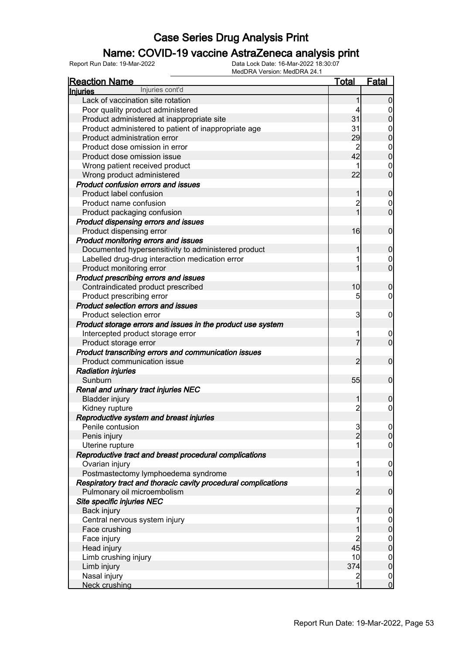### Name: COVID-19 vaccine AstraZeneca analysis print

| <b>Reaction Name</b>                                                                          | <u>Total</u>            | <b>Fatal</b>                         |
|-----------------------------------------------------------------------------------------------|-------------------------|--------------------------------------|
| Injuries cont'd<br><b>Injuries</b>                                                            |                         |                                      |
| Lack of vaccination site rotation                                                             |                         | 0                                    |
| Poor quality product administered                                                             |                         | $\mathbf 0$                          |
| Product administered at inappropriate site                                                    | 31                      | $\overline{0}$                       |
| Product administered to patient of inappropriate age                                          | 31                      | $\mathbf 0$                          |
| Product administration error                                                                  | 29                      | $\overline{0}$                       |
| Product dose omission in error                                                                | $\overline{2}$          |                                      |
| Product dose omission issue                                                                   | 42                      | $0\atop 0$                           |
| Wrong patient received product                                                                |                         | $\mathbf{0}$                         |
| Wrong product administered                                                                    | 22                      | $\overline{0}$                       |
| <b>Product confusion errors and issues</b>                                                    |                         |                                      |
| Product label confusion                                                                       | 1                       | $\mathbf 0$                          |
| Product name confusion                                                                        | $\overline{c}$          | $\overline{0}$                       |
| Product packaging confusion                                                                   | 1                       | $\overline{0}$                       |
| Product dispensing errors and issues                                                          |                         |                                      |
| Product dispensing error                                                                      | 16                      | $\mathbf 0$                          |
| Product monitoring errors and issues                                                          |                         |                                      |
| Documented hypersensitivity to administered product                                           |                         | $\boldsymbol{0}$                     |
| Labelled drug-drug interaction medication error                                               |                         | $\mathbf 0$                          |
| Product monitoring error                                                                      |                         | $\overline{0}$                       |
| Product prescribing errors and issues                                                         |                         |                                      |
| Contraindicated product prescribed                                                            | 10                      | 0                                    |
| Product prescribing error                                                                     | 5                       | $\mathbf 0$                          |
| <b>Product selection errors and issues</b>                                                    |                         |                                      |
| Product selection error                                                                       | 3                       | 0                                    |
| Product storage errors and issues in the product use system                                   |                         |                                      |
| Intercepted product storage error                                                             | 1                       | $\mathbf 0$                          |
| Product storage error                                                                         | 7                       | $\overline{0}$                       |
| Product transcribing errors and communication issues                                          |                         |                                      |
| Product communication issue                                                                   | $\overline{c}$          | $\mathbf 0$                          |
| <b>Radiation injuries</b>                                                                     |                         |                                      |
| Sunburn                                                                                       | 55                      | $\mathbf 0$                          |
| Renal and urinary tract injuries NEC                                                          |                         |                                      |
| <b>Bladder injury</b>                                                                         | 1                       | 0                                    |
| Kidney rupture                                                                                | $\overline{c}$          | $\mathbf 0$                          |
|                                                                                               |                         |                                      |
| Reproductive system and breast injuries<br>Penile contusion                                   |                         |                                      |
|                                                                                               | $\frac{3}{2}$           | $\begin{matrix} 0 \\ 0 \end{matrix}$ |
| Penis injury                                                                                  | 1                       | $\overline{0}$                       |
| Uterine rupture                                                                               |                         |                                      |
| Reproductive tract and breast procedural complications                                        | 1                       |                                      |
| Ovarian injury                                                                                | 1                       | 0                                    |
| Postmastectomy lymphoedema syndrome                                                           |                         |                                      |
| Respiratory tract and thoracic cavity procedural complications<br>Pulmonary oil microembolism | $\overline{2}$          | $\boldsymbol{0}$                     |
|                                                                                               |                         |                                      |
| Site specific injuries NEC                                                                    |                         |                                      |
| Back injury<br>Central nervous system injury                                                  | 7<br>1                  | $\boldsymbol{0}$                     |
|                                                                                               |                         | $0\atop 0$                           |
| Face crushing                                                                                 |                         |                                      |
| Face injury                                                                                   | $\overline{c}$          | $\begin{matrix} 0 \\ 0 \end{matrix}$ |
| Head injury                                                                                   | 45                      |                                      |
| Limb crushing injury                                                                          | 10                      | $\begin{matrix} 0 \\ 0 \end{matrix}$ |
| Limb injury                                                                                   | 374                     |                                      |
| Nasal injury                                                                                  | $\overline{\mathbf{c}}$ | $\begin{matrix} 0 \\ 0 \end{matrix}$ |
| Neck crushing                                                                                 | 1                       |                                      |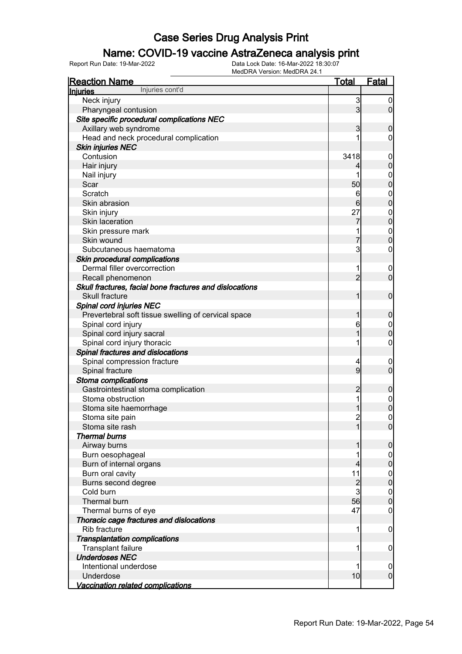### Name: COVID-19 vaccine AstraZeneca analysis print

| <b>Reaction Name</b>                                    | <b>Total</b>   | <b>Fatal</b>     |
|---------------------------------------------------------|----------------|------------------|
| Injuries cont'd<br><b>Injuries</b>                      |                |                  |
| Neck injury                                             | 3              | $\boldsymbol{0}$ |
| Pharyngeal contusion                                    | $\mathbf{3}$   | $\overline{0}$   |
| Site specific procedural complications NEC              |                |                  |
| Axillary web syndrome                                   | 3              | $\mathbf 0$      |
| Head and neck procedural complication                   |                | 0                |
| <b>Skin injuries NEC</b>                                |                |                  |
| Contusion                                               | 3418           | $\boldsymbol{0}$ |
| Hair injury                                             | $\vert$        | $\mathbf 0$      |
| Nail injury                                             | 1              | $\mathbf 0$      |
| Scar                                                    | 50             | $\mathbf 0$      |
| Scratch                                                 | 6              | $\boldsymbol{0}$ |
| Skin abrasion                                           | 6              | $\mathbf 0$      |
| Skin injury                                             | 27             | $\boldsymbol{0}$ |
| Skin laceration                                         | 7              | $\overline{0}$   |
| Skin pressure mark                                      | 1              | $\boldsymbol{0}$ |
| Skin wound                                              | 7              | $\mathbf 0$      |
| Subcutaneous haematoma                                  | 3              | $\mathbf 0$      |
| Skin procedural complications                           |                |                  |
| Dermal filler overcorrection                            | 1              | $\mathbf 0$      |
| Recall phenomenon                                       | $\overline{2}$ | $\mathbf 0$      |
| Skull fractures, facial bone fractures and dislocations |                |                  |
| <b>Skull fracture</b>                                   | 1              | $\mathbf 0$      |
| <b>Spinal cord injuries NEC</b>                         |                |                  |
| Prevertebral soft tissue swelling of cervical space     | 1              | $\mathbf 0$      |
| Spinal cord injury                                      | 6              | $\mathbf 0$      |
| Spinal cord injury sacral                               | 1              | $\mathbf 0$      |
| Spinal cord injury thoracic                             | 1              | $\boldsymbol{0}$ |
| Spinal fractures and dislocations                       |                |                  |
| Spinal compression fracture                             | 4              | 0                |
| Spinal fracture                                         | $\overline{9}$ | $\mathbf 0$      |
| Stoma complications                                     |                |                  |
| Gastrointestinal stoma complication                     | $\overline{2}$ | $\mathbf 0$      |
| Stoma obstruction                                       | 1              |                  |
| Stoma site haemorrhage                                  |                | $0\atop 0$       |
| Stoma site pain                                         | $\overline{2}$ | $\mathbf 0$      |
| Stoma site rash                                         | $\mathbf{1}$   | 0                |
| <b>Thermal burns</b>                                    |                |                  |
| Airway burns                                            | 1              | $\boldsymbol{0}$ |
| Burn oesophageal                                        |                | $\mathbf 0$      |
| Burn of internal organs                                 | 4              | $\mathbf 0$      |
| Burn oral cavity                                        | 11             | $\boldsymbol{0}$ |
| Burns second degree                                     | $\overline{a}$ | $\overline{0}$   |
| Cold burn                                               | $\mathbf{3}$   | $\boldsymbol{0}$ |
| Thermal burn                                            | 56             | $\overline{0}$   |
| Thermal burns of eye                                    | 47             | $\mathbf 0$      |
| Thoracic cage fractures and dislocations                |                |                  |
| Rib fracture                                            | 1              | $\mathbf 0$      |
| <b>Transplantation complications</b>                    |                |                  |
| Transplant failure                                      | 1              | $\mathbf 0$      |
| <b>Underdoses NEC</b>                                   |                |                  |
| Intentional underdose                                   | 1              | $\boldsymbol{0}$ |
| Underdose                                               | 10             | $\mathbf 0$      |
| <b>Vaccination related complications</b>                |                |                  |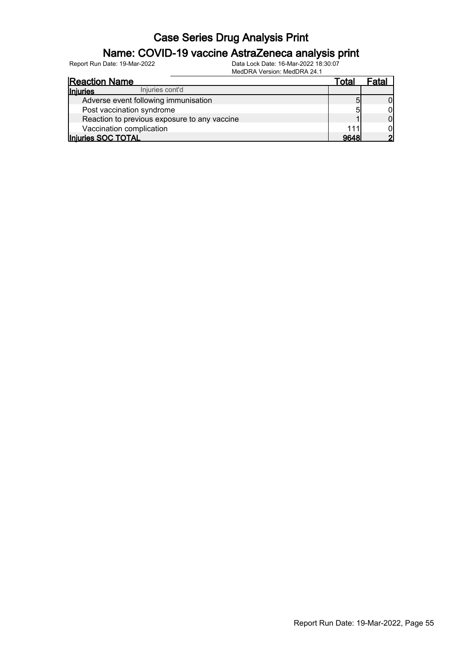### Name: COVID-19 vaccine AstraZeneca analysis print

| <b>Reaction Name</b>                         | Total | Fatal |
|----------------------------------------------|-------|-------|
| Injuries cont'd<br><b>Injuries</b>           |       |       |
| Adverse event following immunisation         |       |       |
| Post vaccination syndrome                    | 5     |       |
| Reaction to previous exposure to any vaccine |       |       |
| Vaccination complication                     |       |       |
| Injuries SOC TOTAL                           | 9648  |       |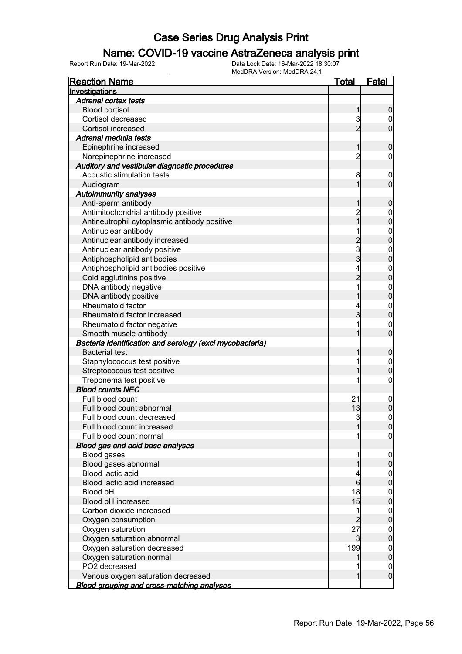#### Name: COVID-19 vaccine AstraZeneca analysis print

| <b>Reaction Name</b>                                     | <b>Total</b>                          | Fatal            |
|----------------------------------------------------------|---------------------------------------|------------------|
| Investigations                                           |                                       |                  |
| <b>Adrenal cortex tests</b>                              |                                       |                  |
| <b>Blood cortisol</b>                                    | 1                                     | $\boldsymbol{0}$ |
| Cortisol decreased                                       | 3                                     | $\boldsymbol{0}$ |
| Cortisol increased                                       | $\overline{2}$                        | $\mathbf 0$      |
| Adrenal medulla tests                                    |                                       |                  |
| Epinephrine increased                                    | 1                                     | $\boldsymbol{0}$ |
| Norepinephrine increased                                 | $\overline{c}$                        | 0                |
| Auditory and vestibular diagnostic procedures            |                                       |                  |
| Acoustic stimulation tests                               | 8                                     | $\boldsymbol{0}$ |
| Audiogram                                                | 1                                     | $\mathbf 0$      |
| <b>Autoimmunity analyses</b>                             |                                       |                  |
| Anti-sperm antibody                                      | 1                                     | $\mathbf 0$      |
| Antimitochondrial antibody positive                      | 2<br>1                                | $\boldsymbol{0}$ |
| Antineutrophil cytoplasmic antibody positive             |                                       | $\overline{0}$   |
| Antinuclear antibody                                     |                                       |                  |
| Antinuclear antibody increased                           |                                       | $0\atop 0$       |
| Antinuclear antibody positive                            | $\begin{array}{c} 2 \\ 3 \end{array}$ |                  |
| Antiphospholipid antibodies                              |                                       | $0\atop 0$       |
| Antiphospholipid antibodies positive                     | 4                                     |                  |
| Cold agglutinins positive                                | $\overline{2}$                        | $0\atop 0$       |
| DNA antibody negative                                    | 1                                     |                  |
| DNA antibody positive                                    | 1                                     | $0\atop 0$       |
| Rheumatoid factor                                        | 4                                     |                  |
| Rheumatoid factor increased                              | 3                                     | $0\atop 0$       |
| Rheumatoid factor negative                               |                                       | $\boldsymbol{0}$ |
| Smooth muscle antibody                                   |                                       | $\overline{0}$   |
| Bacteria identification and serology (excl mycobacteria) |                                       |                  |
| <b>Bacterial test</b>                                    | 1                                     | $\mathbf 0$      |
| Staphylococcus test positive                             |                                       | $\boldsymbol{0}$ |
| Streptococcus test positive                              |                                       | $\mathbf 0$      |
| Treponema test positive                                  |                                       | $\boldsymbol{0}$ |
| <b>Blood counts NEC</b>                                  |                                       |                  |
| Full blood count                                         | 21                                    | $\mathbf 0$      |
| Full blood count abnormal                                | 13                                    | $\mathbf 0$      |
| Full blood count decreased                               | $\overline{3}$                        | $\boldsymbol{0}$ |
| Full blood count increased                               | 1                                     | 0                |
| Full blood count normal                                  |                                       | $\overline{0}$   |
| Blood gas and acid base analyses                         |                                       |                  |
| <b>Blood gases</b>                                       | 1                                     | $\mathbf 0$      |
| Blood gases abnormal                                     |                                       | $\boldsymbol{0}$ |
| Blood lactic acid                                        | 4                                     | $\mathbf 0$      |
| Blood lactic acid increased                              | $6 \overline{}$                       | $\overline{0}$   |
| Blood pH                                                 | 18                                    | $\mathbf 0$      |
| Blood pH increased                                       | 15                                    | $\overline{0}$   |
| Carbon dioxide increased                                 | 1                                     | $\mathbf 0$      |
| Oxygen consumption                                       | $\overline{c}$                        | $\overline{0}$   |
| Oxygen saturation                                        | 27                                    | $\mathbf 0$      |
| Oxygen saturation abnormal                               | $\mathbf{3}$                          | $\overline{0}$   |
| Oxygen saturation decreased                              | 199                                   | $\mathbf 0$      |
| Oxygen saturation normal                                 |                                       | $\pmb{0}$        |
| PO2 decreased                                            |                                       | 0                |
| Venous oxygen saturation decreased                       | 1                                     | $\overline{0}$   |
| <b>Blood grouping and cross-matching analyses</b>        |                                       |                  |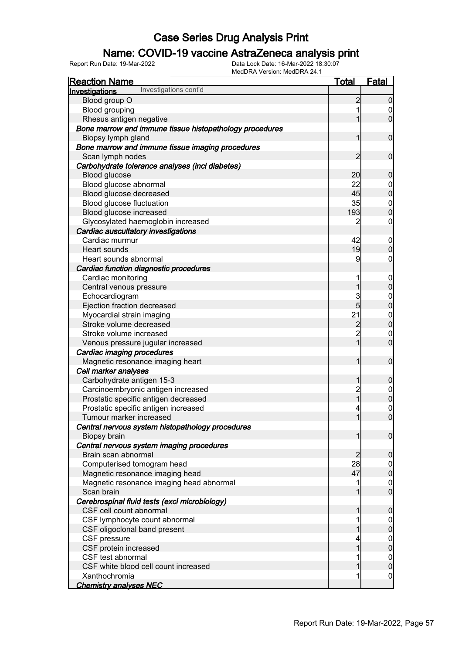### Name: COVID-19 vaccine AstraZeneca analysis print

| <u>Reaction Name</u>                                    | <u>Total</u>   | <b>Fatal</b>                         |
|---------------------------------------------------------|----------------|--------------------------------------|
| Investigations cont'd<br>Investigations                 |                |                                      |
| Blood group O                                           | $\overline{c}$ | $\boldsymbol{0}$                     |
| <b>Blood grouping</b>                                   |                | $\mathbf 0$                          |
| Rhesus antigen negative                                 |                | $\overline{0}$                       |
| Bone marrow and immune tissue histopathology procedures |                |                                      |
| Biopsy lymph gland                                      | 1              | $\boldsymbol{0}$                     |
| Bone marrow and immune tissue imaging procedures        |                |                                      |
| Scan lymph nodes                                        | 2              | $\boldsymbol{0}$                     |
| Carbohydrate tolerance analyses (incl diabetes)         |                |                                      |
| Blood glucose                                           | 20             | $\boldsymbol{0}$                     |
| Blood glucose abnormal                                  | 22             |                                      |
| Blood glucose decreased                                 | 45             | $0\atop 0$                           |
| Blood glucose fluctuation                               | 35             |                                      |
| Blood glucose increased                                 | 193            | $0\atop 0$                           |
| Glycosylated haemoglobin increased                      | 2              | $\boldsymbol{0}$                     |
| Cardiac auscultatory investigations                     |                |                                      |
| Cardiac murmur                                          | 42             | $\mathbf 0$                          |
| Heart sounds                                            | 19             | $\pmb{0}$                            |
| Heart sounds abnormal                                   | 9              | $\mathbf 0$                          |
| Cardiac function diagnostic procedures                  |                |                                      |
| Cardiac monitoring                                      | 1              | $\boldsymbol{0}$                     |
| Central venous pressure                                 | 1              | $\overline{0}$                       |
| Echocardiogram                                          | 3              |                                      |
| Ejection fraction decreased                             | 5              | $0\atop 0$                           |
| Myocardial strain imaging                               | 21             |                                      |
| Stroke volume decreased                                 | $\overline{c}$ | $0\atop 0$                           |
| Stroke volume increased                                 | $\overline{c}$ | $\boldsymbol{0}$                     |
| Venous pressure jugular increased                       | 1              | $\overline{0}$                       |
| Cardiac imaging procedures                              |                |                                      |
| Magnetic resonance imaging heart                        | 1              | $\boldsymbol{0}$                     |
| Cell marker analyses                                    |                |                                      |
| Carbohydrate antigen 15-3                               | 1              | $\boldsymbol{0}$                     |
| Carcinoembryonic antigen increased                      |                |                                      |
| Prostatic specific antigen decreased                    | 2<br>1         | $\begin{matrix} 0 \\ 0 \end{matrix}$ |
| Prostatic specific antigen increased                    |                |                                      |
| Tumour marker increased                                 | 1              | $\begin{matrix}0\\0\end{matrix}$     |
| Central nervous system histopathology procedures        |                |                                      |
| Biopsy brain                                            | 1              | $\overline{0}$                       |
| Central nervous system imaging procedures               |                |                                      |
| Brain scan abnormal                                     | $\overline{2}$ | $\mathbf 0$                          |
| Computerised tomogram head                              | 28             | $\overline{0}$                       |
| Magnetic resonance imaging head                         | 47             | $\overline{0}$                       |
| Magnetic resonance imaging head abnormal                |                | $\boldsymbol{0}$                     |
| Scan brain                                              |                | $\overline{0}$                       |
| Cerebrospinal fluid tests (excl microbiology)           |                |                                      |
| CSF cell count abnormal                                 | 1              | $\mathbf 0$                          |
| CSF lymphocyte count abnormal                           |                | $\overline{0}$                       |
| CSF oligoclonal band present                            |                | $\overline{0}$                       |
| CSF pressure                                            |                |                                      |
| CSF protein increased                                   |                | $\begin{matrix} 0 \\ 0 \end{matrix}$ |
| CSF test abnormal                                       |                | $\boldsymbol{0}$                     |
| CSF white blood cell count increased                    |                | $\overline{0}$                       |
| Xanthochromia                                           | 1              | $\overline{0}$                       |
| <b>Chemistry analyses NEC</b>                           |                |                                      |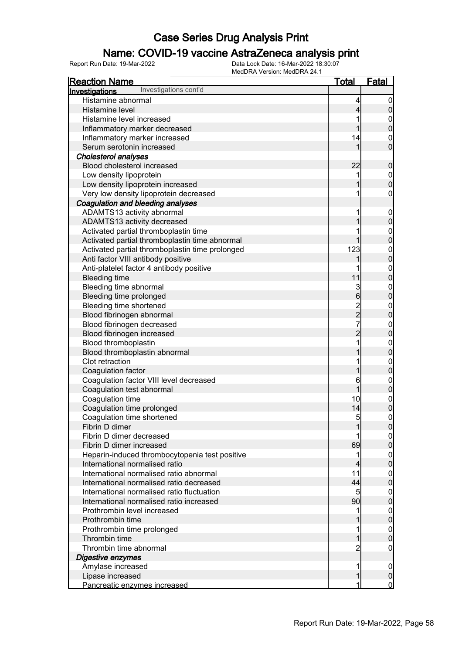### Name: COVID-19 vaccine AstraZeneca analysis print

| <b>Reaction Name</b>                            | <u>Total</u>                               | <b>Fatal</b>                     |
|-------------------------------------------------|--------------------------------------------|----------------------------------|
| Investigations cont'd<br>Investigations         |                                            |                                  |
| Histamine abnormal                              | 4                                          | $\overline{0}$                   |
| Histamine level                                 | $\overline{\mathbf{4}}$                    | $\pmb{0}$                        |
| Histamine level increased                       | 1                                          | $\boldsymbol{0}$                 |
| Inflammatory marker decreased                   | 1                                          | $\mathbf{0}$                     |
| Inflammatory marker increased                   | 14                                         | $\mathbf{0}$                     |
| Serum serotonin increased                       | 1                                          | $\overline{0}$                   |
| <b>Cholesterol analyses</b>                     |                                            |                                  |
| Blood cholesterol increased                     | 22                                         | $\boldsymbol{0}$                 |
| Low density lipoprotein                         |                                            |                                  |
| Low density lipoprotein increased               |                                            | $0\atop 0$                       |
| Very low density lipoprotein decreased          |                                            | $\pmb{0}$                        |
| Coagulation and bleeding analyses               |                                            |                                  |
| ADAMTS13 activity abnormal                      | 1                                          | $\boldsymbol{0}$                 |
| ADAMTS13 activity decreased                     |                                            | $\mathbf 0$                      |
| Activated partial thromboplastin time           |                                            |                                  |
| Activated partial thromboplastin time abnormal  | 1                                          | $0\atop 0$                       |
| Activated partial thromboplastin time prolonged | 123                                        |                                  |
| Anti factor VIII antibody positive              | 1                                          | $\begin{matrix}0\\0\end{matrix}$ |
| Anti-platelet factor 4 antibody positive        | 1                                          |                                  |
| <b>Bleeding time</b>                            | 11                                         | $\begin{matrix}0\\0\end{matrix}$ |
| Bleeding time abnormal                          |                                            |                                  |
| Bleeding time prolonged                         | $\frac{3}{6}$                              | $0$ 0                            |
| Bleeding time shortened                         |                                            |                                  |
| Blood fibrinogen abnormal                       | $\begin{array}{c} 2 \\ 2 \\ 7 \end{array}$ | $0$ 0                            |
| Blood fibrinogen decreased                      |                                            |                                  |
| Blood fibrinogen increased                      | $\overline{c}$                             | $0$ 0                            |
| Blood thromboplastin                            | 1                                          |                                  |
| Blood thromboplastin abnormal                   |                                            | $0\atop 0$                       |
| Clot retraction                                 | 1                                          |                                  |
| Coagulation factor                              | 1                                          | $0\atop 0$                       |
| Coagulation factor VIII level decreased         | 6                                          |                                  |
| Coagulation test abnormal                       | 1                                          | $0$ 0                            |
| Coagulation time                                | 10                                         |                                  |
| Coagulation time prolonged                      | 14                                         | $0$<br>0                         |
| Coagulation time shortened                      | 5                                          | $\mathbf 0$                      |
| Fibrin D dimer                                  |                                            | $\overline{0}$                   |
| Fibrin D dimer decreased                        |                                            | 0                                |
| Fibrin D dimer increased                        | 69                                         | $\pmb{0}$                        |
| Heparin-induced thrombocytopenia test positive  | 1                                          | $\mathbf 0$                      |
| International normalised ratio                  | $\overline{\mathbf{4}}$                    | $\overline{0}$                   |
| International normalised ratio abnormal         | 11                                         | $\mathbf 0$                      |
| International normalised ratio decreased        | 44                                         | $\mathbf 0$                      |
| International normalised ratio fluctuation      | 5                                          | $\mathbf 0$                      |
| International normalised ratio increased        | 90                                         | $\mathbf 0$                      |
| Prothrombin level increased                     |                                            | $\mathbf 0$                      |
| Prothrombin time                                |                                            | $\overline{0}$                   |
| Prothrombin time prolonged                      |                                            | $\mathbf 0$                      |
| Thrombin time                                   |                                            | $\mathbf 0$                      |
| Thrombin time abnormal                          | 2                                          | 0                                |
| Digestive enzymes                               |                                            |                                  |
| Amylase increased                               | 1                                          | $\mathbf 0$                      |
| Lipase increased                                | 1                                          | $\pmb{0}$                        |
| Pancreatic enzymes increased                    |                                            | $\overline{0}$                   |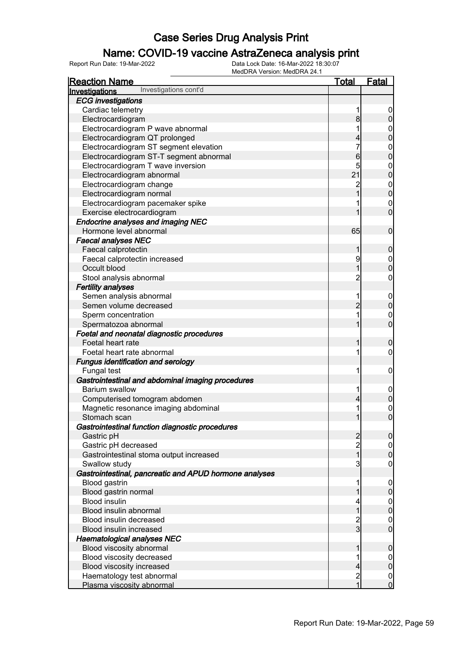### Name: COVID-19 vaccine AstraZeneca analysis print

| <u>Reaction Name</u>                                   | <u>Total</u>   | <b>Fatal</b>     |
|--------------------------------------------------------|----------------|------------------|
| Investigations cont'd<br>Investigations                |                |                  |
| <b>ECG</b> investigations                              |                |                  |
| Cardiac telemetry                                      | 1              | 0                |
| Electrocardiogram                                      | 8              | 0                |
| Electrocardiogram P wave abnormal                      | 1              | $\mathbf 0$      |
| Electrocardiogram QT prolonged                         | 4              | 0                |
| Electrocardiogram ST segment elevation                 | 7              | $\mathbf{0}$     |
| Electrocardiogram ST-T segment abnormal                | 6              | 0                |
| Electrocardiogram T wave inversion                     | 5              | $\mathbf{0}$     |
| Electrocardiogram abnormal                             | 21             | 0                |
| Electrocardiogram change                               | $\overline{c}$ | $\mathbf{0}$     |
| Electrocardiogram normal                               |                | $\mathbf 0$      |
| Electrocardiogram pacemaker spike                      |                | $\mathbf 0$      |
| Exercise electrocardiogram                             |                | $\overline{0}$   |
| Endocrine analyses and imaging NEC                     |                |                  |
| Hormone level abnormal                                 | 65             | $\mathbf 0$      |
| <b>Faecal analyses NEC</b>                             |                |                  |
| Faecal calprotectin                                    | 1              | $\boldsymbol{0}$ |
| Faecal calprotectin increased                          | 9              | $\mathbf 0$      |
| Occult blood                                           | 1              | 0                |
| Stool analysis abnormal                                | $\overline{c}$ | 0                |
| <b>Fertility analyses</b>                              |                |                  |
| Semen analysis abnormal                                | 1              | $\mathbf 0$      |
| Semen volume decreased                                 | $\overline{2}$ | 0                |
| Sperm concentration                                    | 1              | $\mathbf 0$      |
| Spermatozoa abnormal                                   |                | $\mathbf 0$      |
| Foetal and neonatal diagnostic procedures              |                |                  |
| Foetal heart rate                                      | 1              | 0                |
| Foetal heart rate abnormal                             | 1              | 0                |
| <b>Fungus identification and serology</b>              |                |                  |
| Fungal test                                            | 1              | 0                |
| Gastrointestinal and abdominal imaging procedures      |                |                  |
| Barium swallow                                         | 1              | $\mathbf 0$      |
| Computerised tomogram abdomen                          | 4              | 0                |
| Magnetic resonance imaging abdominal                   | 1              | $\mathbf{0}$     |
| Stomach scan                                           |                | 0                |
| Gastrointestinal function diagnostic procedures        |                |                  |
| Gastric pH                                             | $\overline{c}$ | $\overline{0}$   |
| Gastric pH decreased                                   | $\overline{c}$ | $\overline{0}$   |
| Gastrointestinal stoma output increased                | 1              | $\overline{0}$   |
| Swallow study                                          | 3              | $\boldsymbol{0}$ |
| Gastrointestinal, pancreatic and APUD hormone analyses |                |                  |
| Blood gastrin                                          | 1              | $\mathbf 0$      |
| Blood gastrin normal                                   |                | $\mathbf 0$      |
| <b>Blood insulin</b>                                   | 4              | $\mathbf 0$      |
| Blood insulin abnormal                                 | 1              | $\overline{0}$   |
| Blood insulin decreased                                | $\overline{c}$ | $\mathbf 0$      |
| Blood insulin increased                                | $\overline{3}$ | $\overline{0}$   |
| <b>Haematological analyses NEC</b>                     |                |                  |
| Blood viscosity abnormal                               |                | 0                |
| Blood viscosity decreased                              | 1              | $\mathbf 0$      |
| Blood viscosity increased                              | 4              | $\mathbf 0$      |
| Haematology test abnormal                              | $\overline{c}$ | $\boldsymbol{0}$ |
| Plasma viscosity abnormal                              | $\overline{1}$ | $\mathbf 0$      |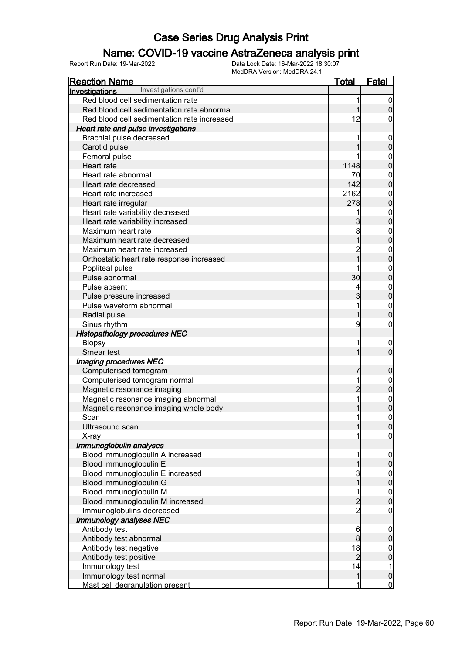### Name: COVID-19 vaccine AstraZeneca analysis print

| Red blood cell sedimentation rate<br>1<br>1<br>Red blood cell sedimentation rate abnormal<br>12<br>Red blood cell sedimentation rate increased<br>Heart rate and pulse investigations<br>Brachial pulse decreased<br>Carotid pulse<br>Femoral pulse<br>1148<br>Heart rate<br>Heart rate abnormal<br>70<br>142<br>Heart rate decreased<br>2162<br>Heart rate increased<br>$\overline{0}$<br>278<br>Heart rate irregular<br>Heart rate variability decreased<br>1<br>$\overline{0}$<br>Heart rate variability increased<br>3<br>Maximum heart rate<br>8<br>$\overline{0}$<br>Maximum heart rate decreased<br>Maximum heart rate increased<br>$\overline{c}$<br>$\overline{1}$<br>Orthostatic heart rate response increased<br>Popliteal pulse<br>$\overline{0}$<br>30<br>Pulse abnormal<br>Pulse absent<br>4<br>$\overline{0}$<br>$\overline{3}$<br>Pulse pressure increased<br>Pulse waveform abnormal<br>1<br>$\mathbf 0$<br>1<br>Radial pulse<br>Sinus rhythm<br>9<br><b>Histopathology procedures NEC</b><br><b>Biopsy</b><br>1<br>$\overline{0}$<br>1<br>Smear test<br>Imaging procedures NEC<br>Computerised tomogram<br>7<br>Computerised tomogram normal<br>1<br>$0\atop 0$<br>$\overline{c}$<br>Magnetic resonance imaging<br>1<br>Magnetic resonance imaging abnormal<br>0<br>0<br>Magnetic resonance imaging whole body<br>$\mathbf 0$<br>Scan<br>1<br>Ultrasound scan<br>1<br> 0 <br>$\overline{0}$<br>X-ray<br>Immunoglobulin analyses<br>Blood immunoglobulin A increased<br>1<br>$\boldsymbol{0}$<br>$\mathbf 0$<br>Blood immunoglobulin E<br>1<br>Blood immunoglobulin E increased<br>3<br>$0\atop 0$<br>1<br>Blood immunoglobulin G<br>Blood immunoglobulin M<br>1<br>$0\atop 0$<br>$\overline{c}$<br>Blood immunoglobulin M increased<br>$\overline{c}$<br>Immunoglobulins decreased<br>$\mathbf 0$<br><b>Immunology analyses NEC</b><br>Antibody test<br>$6 \overline{}$<br>$\boldsymbol{0}$<br>$\bf{8}$<br>$\mathbf 0$<br>Antibody test abnormal<br>Antibody test negative<br>18<br>$0\atop 0$<br>$\overline{2}$<br>Antibody test positive<br>14<br>Immunology test<br>1<br>$\mathbf{1}$<br>$\mathbf 0$<br>Immunology test normal | <b>Reaction Name</b>                    | <u>Total</u> | <b>Fatal</b>     |
|-----------------------------------------------------------------------------------------------------------------------------------------------------------------------------------------------------------------------------------------------------------------------------------------------------------------------------------------------------------------------------------------------------------------------------------------------------------------------------------------------------------------------------------------------------------------------------------------------------------------------------------------------------------------------------------------------------------------------------------------------------------------------------------------------------------------------------------------------------------------------------------------------------------------------------------------------------------------------------------------------------------------------------------------------------------------------------------------------------------------------------------------------------------------------------------------------------------------------------------------------------------------------------------------------------------------------------------------------------------------------------------------------------------------------------------------------------------------------------------------------------------------------------------------------------------------------------------------------------------------------------------------------------------------------------------------------------------------------------------------------------------------------------------------------------------------------------------------------------------------------------------------------------------------------------------------------------------------------------------------------------------------------------------------------------------------------------------------------------------------------------------------------------|-----------------------------------------|--------------|------------------|
|                                                                                                                                                                                                                                                                                                                                                                                                                                                                                                                                                                                                                                                                                                                                                                                                                                                                                                                                                                                                                                                                                                                                                                                                                                                                                                                                                                                                                                                                                                                                                                                                                                                                                                                                                                                                                                                                                                                                                                                                                                                                                                                                                     | Investigations cont'd<br>Investigations |              |                  |
|                                                                                                                                                                                                                                                                                                                                                                                                                                                                                                                                                                                                                                                                                                                                                                                                                                                                                                                                                                                                                                                                                                                                                                                                                                                                                                                                                                                                                                                                                                                                                                                                                                                                                                                                                                                                                                                                                                                                                                                                                                                                                                                                                     |                                         |              | $\overline{0}$   |
|                                                                                                                                                                                                                                                                                                                                                                                                                                                                                                                                                                                                                                                                                                                                                                                                                                                                                                                                                                                                                                                                                                                                                                                                                                                                                                                                                                                                                                                                                                                                                                                                                                                                                                                                                                                                                                                                                                                                                                                                                                                                                                                                                     |                                         |              | $\overline{0}$   |
|                                                                                                                                                                                                                                                                                                                                                                                                                                                                                                                                                                                                                                                                                                                                                                                                                                                                                                                                                                                                                                                                                                                                                                                                                                                                                                                                                                                                                                                                                                                                                                                                                                                                                                                                                                                                                                                                                                                                                                                                                                                                                                                                                     |                                         |              | 0                |
|                                                                                                                                                                                                                                                                                                                                                                                                                                                                                                                                                                                                                                                                                                                                                                                                                                                                                                                                                                                                                                                                                                                                                                                                                                                                                                                                                                                                                                                                                                                                                                                                                                                                                                                                                                                                                                                                                                                                                                                                                                                                                                                                                     |                                         |              |                  |
|                                                                                                                                                                                                                                                                                                                                                                                                                                                                                                                                                                                                                                                                                                                                                                                                                                                                                                                                                                                                                                                                                                                                                                                                                                                                                                                                                                                                                                                                                                                                                                                                                                                                                                                                                                                                                                                                                                                                                                                                                                                                                                                                                     |                                         |              | $\mathbf 0$      |
|                                                                                                                                                                                                                                                                                                                                                                                                                                                                                                                                                                                                                                                                                                                                                                                                                                                                                                                                                                                                                                                                                                                                                                                                                                                                                                                                                                                                                                                                                                                                                                                                                                                                                                                                                                                                                                                                                                                                                                                                                                                                                                                                                     |                                         |              | $\mathbf 0$      |
|                                                                                                                                                                                                                                                                                                                                                                                                                                                                                                                                                                                                                                                                                                                                                                                                                                                                                                                                                                                                                                                                                                                                                                                                                                                                                                                                                                                                                                                                                                                                                                                                                                                                                                                                                                                                                                                                                                                                                                                                                                                                                                                                                     |                                         |              | $\mathbf{0}$     |
|                                                                                                                                                                                                                                                                                                                                                                                                                                                                                                                                                                                                                                                                                                                                                                                                                                                                                                                                                                                                                                                                                                                                                                                                                                                                                                                                                                                                                                                                                                                                                                                                                                                                                                                                                                                                                                                                                                                                                                                                                                                                                                                                                     |                                         |              | $\mathbf 0$      |
|                                                                                                                                                                                                                                                                                                                                                                                                                                                                                                                                                                                                                                                                                                                                                                                                                                                                                                                                                                                                                                                                                                                                                                                                                                                                                                                                                                                                                                                                                                                                                                                                                                                                                                                                                                                                                                                                                                                                                                                                                                                                                                                                                     |                                         |              | $\mathbf{0}$     |
|                                                                                                                                                                                                                                                                                                                                                                                                                                                                                                                                                                                                                                                                                                                                                                                                                                                                                                                                                                                                                                                                                                                                                                                                                                                                                                                                                                                                                                                                                                                                                                                                                                                                                                                                                                                                                                                                                                                                                                                                                                                                                                                                                     |                                         |              | $\overline{0}$   |
|                                                                                                                                                                                                                                                                                                                                                                                                                                                                                                                                                                                                                                                                                                                                                                                                                                                                                                                                                                                                                                                                                                                                                                                                                                                                                                                                                                                                                                                                                                                                                                                                                                                                                                                                                                                                                                                                                                                                                                                                                                                                                                                                                     |                                         |              | $\mathbf{0}$     |
|                                                                                                                                                                                                                                                                                                                                                                                                                                                                                                                                                                                                                                                                                                                                                                                                                                                                                                                                                                                                                                                                                                                                                                                                                                                                                                                                                                                                                                                                                                                                                                                                                                                                                                                                                                                                                                                                                                                                                                                                                                                                                                                                                     |                                         |              |                  |
|                                                                                                                                                                                                                                                                                                                                                                                                                                                                                                                                                                                                                                                                                                                                                                                                                                                                                                                                                                                                                                                                                                                                                                                                                                                                                                                                                                                                                                                                                                                                                                                                                                                                                                                                                                                                                                                                                                                                                                                                                                                                                                                                                     |                                         |              | $\mathbf{0}$     |
|                                                                                                                                                                                                                                                                                                                                                                                                                                                                                                                                                                                                                                                                                                                                                                                                                                                                                                                                                                                                                                                                                                                                                                                                                                                                                                                                                                                                                                                                                                                                                                                                                                                                                                                                                                                                                                                                                                                                                                                                                                                                                                                                                     |                                         |              |                  |
|                                                                                                                                                                                                                                                                                                                                                                                                                                                                                                                                                                                                                                                                                                                                                                                                                                                                                                                                                                                                                                                                                                                                                                                                                                                                                                                                                                                                                                                                                                                                                                                                                                                                                                                                                                                                                                                                                                                                                                                                                                                                                                                                                     |                                         |              | $\mathbf{0}$     |
|                                                                                                                                                                                                                                                                                                                                                                                                                                                                                                                                                                                                                                                                                                                                                                                                                                                                                                                                                                                                                                                                                                                                                                                                                                                                                                                                                                                                                                                                                                                                                                                                                                                                                                                                                                                                                                                                                                                                                                                                                                                                                                                                                     |                                         |              |                  |
|                                                                                                                                                                                                                                                                                                                                                                                                                                                                                                                                                                                                                                                                                                                                                                                                                                                                                                                                                                                                                                                                                                                                                                                                                                                                                                                                                                                                                                                                                                                                                                                                                                                                                                                                                                                                                                                                                                                                                                                                                                                                                                                                                     |                                         |              | $\mathbf{0}$     |
|                                                                                                                                                                                                                                                                                                                                                                                                                                                                                                                                                                                                                                                                                                                                                                                                                                                                                                                                                                                                                                                                                                                                                                                                                                                                                                                                                                                                                                                                                                                                                                                                                                                                                                                                                                                                                                                                                                                                                                                                                                                                                                                                                     |                                         |              | $\mathbf 0$      |
|                                                                                                                                                                                                                                                                                                                                                                                                                                                                                                                                                                                                                                                                                                                                                                                                                                                                                                                                                                                                                                                                                                                                                                                                                                                                                                                                                                                                                                                                                                                                                                                                                                                                                                                                                                                                                                                                                                                                                                                                                                                                                                                                                     |                                         |              | $\mathbf{0}$     |
|                                                                                                                                                                                                                                                                                                                                                                                                                                                                                                                                                                                                                                                                                                                                                                                                                                                                                                                                                                                                                                                                                                                                                                                                                                                                                                                                                                                                                                                                                                                                                                                                                                                                                                                                                                                                                                                                                                                                                                                                                                                                                                                                                     |                                         |              |                  |
|                                                                                                                                                                                                                                                                                                                                                                                                                                                                                                                                                                                                                                                                                                                                                                                                                                                                                                                                                                                                                                                                                                                                                                                                                                                                                                                                                                                                                                                                                                                                                                                                                                                                                                                                                                                                                                                                                                                                                                                                                                                                                                                                                     |                                         |              | $\mathbf{0}$     |
|                                                                                                                                                                                                                                                                                                                                                                                                                                                                                                                                                                                                                                                                                                                                                                                                                                                                                                                                                                                                                                                                                                                                                                                                                                                                                                                                                                                                                                                                                                                                                                                                                                                                                                                                                                                                                                                                                                                                                                                                                                                                                                                                                     |                                         |              |                  |
|                                                                                                                                                                                                                                                                                                                                                                                                                                                                                                                                                                                                                                                                                                                                                                                                                                                                                                                                                                                                                                                                                                                                                                                                                                                                                                                                                                                                                                                                                                                                                                                                                                                                                                                                                                                                                                                                                                                                                                                                                                                                                                                                                     |                                         |              | $\mathbf{0}$     |
|                                                                                                                                                                                                                                                                                                                                                                                                                                                                                                                                                                                                                                                                                                                                                                                                                                                                                                                                                                                                                                                                                                                                                                                                                                                                                                                                                                                                                                                                                                                                                                                                                                                                                                                                                                                                                                                                                                                                                                                                                                                                                                                                                     |                                         |              |                  |
|                                                                                                                                                                                                                                                                                                                                                                                                                                                                                                                                                                                                                                                                                                                                                                                                                                                                                                                                                                                                                                                                                                                                                                                                                                                                                                                                                                                                                                                                                                                                                                                                                                                                                                                                                                                                                                                                                                                                                                                                                                                                                                                                                     |                                         |              | 0                |
|                                                                                                                                                                                                                                                                                                                                                                                                                                                                                                                                                                                                                                                                                                                                                                                                                                                                                                                                                                                                                                                                                                                                                                                                                                                                                                                                                                                                                                                                                                                                                                                                                                                                                                                                                                                                                                                                                                                                                                                                                                                                                                                                                     |                                         |              |                  |
|                                                                                                                                                                                                                                                                                                                                                                                                                                                                                                                                                                                                                                                                                                                                                                                                                                                                                                                                                                                                                                                                                                                                                                                                                                                                                                                                                                                                                                                                                                                                                                                                                                                                                                                                                                                                                                                                                                                                                                                                                                                                                                                                                     |                                         |              | $\boldsymbol{0}$ |
|                                                                                                                                                                                                                                                                                                                                                                                                                                                                                                                                                                                                                                                                                                                                                                                                                                                                                                                                                                                                                                                                                                                                                                                                                                                                                                                                                                                                                                                                                                                                                                                                                                                                                                                                                                                                                                                                                                                                                                                                                                                                                                                                                     |                                         |              |                  |
|                                                                                                                                                                                                                                                                                                                                                                                                                                                                                                                                                                                                                                                                                                                                                                                                                                                                                                                                                                                                                                                                                                                                                                                                                                                                                                                                                                                                                                                                                                                                                                                                                                                                                                                                                                                                                                                                                                                                                                                                                                                                                                                                                     |                                         |              |                  |
|                                                                                                                                                                                                                                                                                                                                                                                                                                                                                                                                                                                                                                                                                                                                                                                                                                                                                                                                                                                                                                                                                                                                                                                                                                                                                                                                                                                                                                                                                                                                                                                                                                                                                                                                                                                                                                                                                                                                                                                                                                                                                                                                                     |                                         |              | $\boldsymbol{0}$ |
|                                                                                                                                                                                                                                                                                                                                                                                                                                                                                                                                                                                                                                                                                                                                                                                                                                                                                                                                                                                                                                                                                                                                                                                                                                                                                                                                                                                                                                                                                                                                                                                                                                                                                                                                                                                                                                                                                                                                                                                                                                                                                                                                                     |                                         |              |                  |
|                                                                                                                                                                                                                                                                                                                                                                                                                                                                                                                                                                                                                                                                                                                                                                                                                                                                                                                                                                                                                                                                                                                                                                                                                                                                                                                                                                                                                                                                                                                                                                                                                                                                                                                                                                                                                                                                                                                                                                                                                                                                                                                                                     |                                         |              |                  |
|                                                                                                                                                                                                                                                                                                                                                                                                                                                                                                                                                                                                                                                                                                                                                                                                                                                                                                                                                                                                                                                                                                                                                                                                                                                                                                                                                                                                                                                                                                                                                                                                                                                                                                                                                                                                                                                                                                                                                                                                                                                                                                                                                     |                                         |              |                  |
|                                                                                                                                                                                                                                                                                                                                                                                                                                                                                                                                                                                                                                                                                                                                                                                                                                                                                                                                                                                                                                                                                                                                                                                                                                                                                                                                                                                                                                                                                                                                                                                                                                                                                                                                                                                                                                                                                                                                                                                                                                                                                                                                                     |                                         |              |                  |
|                                                                                                                                                                                                                                                                                                                                                                                                                                                                                                                                                                                                                                                                                                                                                                                                                                                                                                                                                                                                                                                                                                                                                                                                                                                                                                                                                                                                                                                                                                                                                                                                                                                                                                                                                                                                                                                                                                                                                                                                                                                                                                                                                     |                                         |              |                  |
|                                                                                                                                                                                                                                                                                                                                                                                                                                                                                                                                                                                                                                                                                                                                                                                                                                                                                                                                                                                                                                                                                                                                                                                                                                                                                                                                                                                                                                                                                                                                                                                                                                                                                                                                                                                                                                                                                                                                                                                                                                                                                                                                                     |                                         |              |                  |
|                                                                                                                                                                                                                                                                                                                                                                                                                                                                                                                                                                                                                                                                                                                                                                                                                                                                                                                                                                                                                                                                                                                                                                                                                                                                                                                                                                                                                                                                                                                                                                                                                                                                                                                                                                                                                                                                                                                                                                                                                                                                                                                                                     |                                         |              |                  |
|                                                                                                                                                                                                                                                                                                                                                                                                                                                                                                                                                                                                                                                                                                                                                                                                                                                                                                                                                                                                                                                                                                                                                                                                                                                                                                                                                                                                                                                                                                                                                                                                                                                                                                                                                                                                                                                                                                                                                                                                                                                                                                                                                     |                                         |              |                  |
|                                                                                                                                                                                                                                                                                                                                                                                                                                                                                                                                                                                                                                                                                                                                                                                                                                                                                                                                                                                                                                                                                                                                                                                                                                                                                                                                                                                                                                                                                                                                                                                                                                                                                                                                                                                                                                                                                                                                                                                                                                                                                                                                                     |                                         |              |                  |
|                                                                                                                                                                                                                                                                                                                                                                                                                                                                                                                                                                                                                                                                                                                                                                                                                                                                                                                                                                                                                                                                                                                                                                                                                                                                                                                                                                                                                                                                                                                                                                                                                                                                                                                                                                                                                                                                                                                                                                                                                                                                                                                                                     |                                         |              |                  |
|                                                                                                                                                                                                                                                                                                                                                                                                                                                                                                                                                                                                                                                                                                                                                                                                                                                                                                                                                                                                                                                                                                                                                                                                                                                                                                                                                                                                                                                                                                                                                                                                                                                                                                                                                                                                                                                                                                                                                                                                                                                                                                                                                     |                                         |              |                  |
|                                                                                                                                                                                                                                                                                                                                                                                                                                                                                                                                                                                                                                                                                                                                                                                                                                                                                                                                                                                                                                                                                                                                                                                                                                                                                                                                                                                                                                                                                                                                                                                                                                                                                                                                                                                                                                                                                                                                                                                                                                                                                                                                                     |                                         |              |                  |
|                                                                                                                                                                                                                                                                                                                                                                                                                                                                                                                                                                                                                                                                                                                                                                                                                                                                                                                                                                                                                                                                                                                                                                                                                                                                                                                                                                                                                                                                                                                                                                                                                                                                                                                                                                                                                                                                                                                                                                                                                                                                                                                                                     |                                         |              |                  |
|                                                                                                                                                                                                                                                                                                                                                                                                                                                                                                                                                                                                                                                                                                                                                                                                                                                                                                                                                                                                                                                                                                                                                                                                                                                                                                                                                                                                                                                                                                                                                                                                                                                                                                                                                                                                                                                                                                                                                                                                                                                                                                                                                     |                                         |              |                  |
|                                                                                                                                                                                                                                                                                                                                                                                                                                                                                                                                                                                                                                                                                                                                                                                                                                                                                                                                                                                                                                                                                                                                                                                                                                                                                                                                                                                                                                                                                                                                                                                                                                                                                                                                                                                                                                                                                                                                                                                                                                                                                                                                                     |                                         |              |                  |
|                                                                                                                                                                                                                                                                                                                                                                                                                                                                                                                                                                                                                                                                                                                                                                                                                                                                                                                                                                                                                                                                                                                                                                                                                                                                                                                                                                                                                                                                                                                                                                                                                                                                                                                                                                                                                                                                                                                                                                                                                                                                                                                                                     |                                         |              |                  |
|                                                                                                                                                                                                                                                                                                                                                                                                                                                                                                                                                                                                                                                                                                                                                                                                                                                                                                                                                                                                                                                                                                                                                                                                                                                                                                                                                                                                                                                                                                                                                                                                                                                                                                                                                                                                                                                                                                                                                                                                                                                                                                                                                     |                                         |              |                  |
|                                                                                                                                                                                                                                                                                                                                                                                                                                                                                                                                                                                                                                                                                                                                                                                                                                                                                                                                                                                                                                                                                                                                                                                                                                                                                                                                                                                                                                                                                                                                                                                                                                                                                                                                                                                                                                                                                                                                                                                                                                                                                                                                                     |                                         |              |                  |
|                                                                                                                                                                                                                                                                                                                                                                                                                                                                                                                                                                                                                                                                                                                                                                                                                                                                                                                                                                                                                                                                                                                                                                                                                                                                                                                                                                                                                                                                                                                                                                                                                                                                                                                                                                                                                                                                                                                                                                                                                                                                                                                                                     |                                         |              |                  |
|                                                                                                                                                                                                                                                                                                                                                                                                                                                                                                                                                                                                                                                                                                                                                                                                                                                                                                                                                                                                                                                                                                                                                                                                                                                                                                                                                                                                                                                                                                                                                                                                                                                                                                                                                                                                                                                                                                                                                                                                                                                                                                                                                     |                                         |              |                  |
|                                                                                                                                                                                                                                                                                                                                                                                                                                                                                                                                                                                                                                                                                                                                                                                                                                                                                                                                                                                                                                                                                                                                                                                                                                                                                                                                                                                                                                                                                                                                                                                                                                                                                                                                                                                                                                                                                                                                                                                                                                                                                                                                                     |                                         |              |                  |
|                                                                                                                                                                                                                                                                                                                                                                                                                                                                                                                                                                                                                                                                                                                                                                                                                                                                                                                                                                                                                                                                                                                                                                                                                                                                                                                                                                                                                                                                                                                                                                                                                                                                                                                                                                                                                                                                                                                                                                                                                                                                                                                                                     | Mast cell degranulation present         | 1            | $\mathbf 0$      |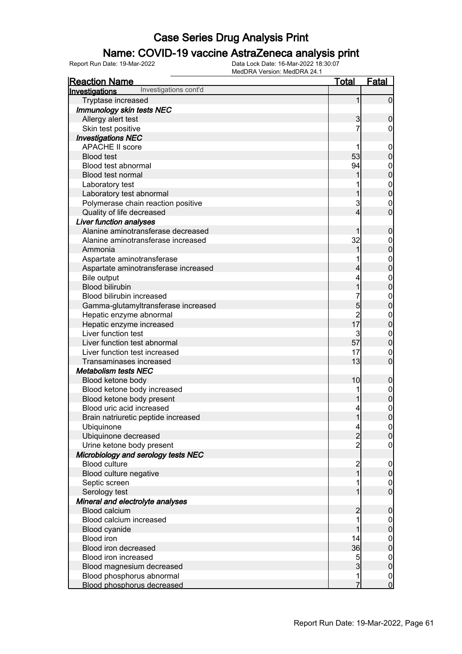### Name: COVID-19 vaccine AstraZeneca analysis print

| <u>Reaction Name</u>                    | <u>Total</u>             | <b>Fatal</b>                     |
|-----------------------------------------|--------------------------|----------------------------------|
| Investigations cont'd<br>Investigations |                          |                                  |
| Tryptase increased                      | 1                        | $\overline{0}$                   |
| <b>Immunology skin tests NEC</b>        |                          |                                  |
| Allergy alert test                      | 3                        | $\mathbf 0$                      |
| Skin test positive                      | 7                        | $\overline{0}$                   |
| <b>Investigations NEC</b>               |                          |                                  |
| <b>APACHE II score</b>                  | 1                        | $\boldsymbol{0}$                 |
| <b>Blood test</b>                       | 53                       | $\overline{0}$                   |
| Blood test abnormal                     | 94                       | $\mathbf{0}$                     |
| <b>Blood test normal</b>                | 1                        | $\overline{0}$                   |
| Laboratory test                         |                          |                                  |
| Laboratory test abnormal                |                          | $0\atop 0$                       |
| Polymerase chain reaction positive      | 3                        | $\mathbf{0}$                     |
| Quality of life decreased               | 4                        | $\overline{0}$                   |
| <b>Liver function analyses</b>          |                          |                                  |
| Alanine aminotransferase decreased      | 1                        | $\boldsymbol{0}$                 |
| Alanine aminotransferase increased      | 32                       | $\mathbf{0}$                     |
| Ammonia                                 | 1                        | $\overline{0}$                   |
| Aspartate aminotransferase              |                          | $\mathbf{0}$                     |
| Aspartate aminotransferase increased    | 4                        | $\overline{0}$                   |
| <b>Bile output</b>                      | 4                        | $\mathbf{0}$                     |
| <b>Blood bilirubin</b>                  | 1                        | $\overline{0}$                   |
| Blood bilirubin increased               |                          | $\mathbf{0}$                     |
| Gamma-glutamyltransferase increased     |                          | $\overline{0}$                   |
| Hepatic enzyme abnormal                 | $\frac{5}{2}$            | $\mathbf{0}$                     |
| Hepatic enzyme increased                | 17                       | $\mathbf 0$                      |
| Liver function test                     | 3                        | $\mathbf{0}$                     |
| Liver function test abnormal            | 57                       | $\mathbf 0$                      |
| Liver function test increased           | 17                       | $\mathbf{0}$                     |
| Transaminases increased                 | 13                       | $\overline{0}$                   |
| <b>Metabolism tests NEC</b>             |                          |                                  |
| Blood ketone body                       | 10                       | $\boldsymbol{0}$                 |
| Blood ketone body increased             |                          | $\boldsymbol{0}$                 |
| Blood ketone body present               | 1                        | $\mathbf 0$                      |
| Blood uric acid increased               | 4                        | $\mathbf{0}$                     |
| Brain natriuretic peptide increased     | 1                        | $\overline{0}$                   |
| Ubiquinone                              | $\overline{\mathcal{L}}$ | 0                                |
| Ubiquinone decreased                    | $\overline{c}$           | $\overline{0}$                   |
| Urine ketone body present               | $\overline{2}$           | $\mathbf 0$                      |
| Microbiology and serology tests NEC     |                          |                                  |
| <b>Blood culture</b>                    | $\frac{2}{1}$            | $\boldsymbol{0}$                 |
| Blood culture negative                  |                          | $\mathbf 0$                      |
| Septic screen                           | 1                        | $\boldsymbol{0}$                 |
| Serology test                           | 1                        | $\overline{0}$                   |
| Mineral and electrolyte analyses        |                          |                                  |
| <b>Blood calcium</b>                    | $\overline{c}$           | $\boldsymbol{0}$                 |
| Blood calcium increased                 | 1                        | $\mathbf 0$                      |
| Blood cyanide                           | 1                        | $\mathbf 0$                      |
| <b>Blood iron</b>                       | 14                       | $\boldsymbol{0}$                 |
| Blood iron decreased                    | 36                       | $\mathbf 0$                      |
| Blood iron increased                    | 5                        | $\boldsymbol{0}$                 |
| Blood magnesium decreased               | $\overline{3}$           | $\mathbf 0$                      |
| Blood phosphorus abnormal               | 1                        | $\begin{matrix}0\\0\end{matrix}$ |
| Blood phosphorus decreased              | 7                        |                                  |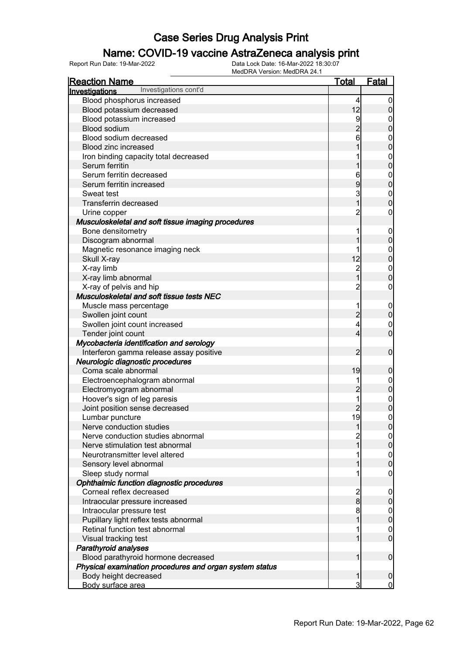### Name: COVID-19 vaccine AstraZeneca analysis print

| <u>Reaction Name</u>                                    | <u>Total</u>            | Fatal          |
|---------------------------------------------------------|-------------------------|----------------|
| Investigations cont'd<br>Investigations                 |                         |                |
| Blood phosphorus increased                              | 4                       | 0              |
| Blood potassium decreased                               | 12                      |                |
| Blood potassium increased                               | 9                       | 0              |
| <b>Blood sodium</b>                                     |                         | 0              |
| Blood sodium decreased                                  | 6                       | $\mathbf 0$    |
| <b>Blood zinc increased</b>                             |                         | 0              |
| Iron binding capacity total decreased                   |                         | $\mathbf{0}$   |
| Serum ferritin                                          |                         | 0              |
| Serum ferritin decreased                                | 6                       | $\mathbf{0}$   |
| Serum ferritin increased                                | 9                       | 0              |
| Sweat test                                              | 3                       | $\mathbf{0}$   |
| <b>Transferrin decreased</b>                            |                         | 0              |
| Urine copper                                            | 2                       | 0              |
| Musculoskeletal and soft tissue imaging procedures      |                         |                |
| Bone densitometry                                       | 1                       | $\mathbf 0$    |
| Discogram abnormal                                      |                         | 0              |
| Magnetic resonance imaging neck                         |                         | $\mathbf 0$    |
| Skull X-ray                                             | 12                      | 0              |
| X-ray limb                                              | $\overline{c}$          | $\mathbf{0}$   |
| X-ray limb abnormal                                     |                         | 0              |
| X-ray of pelvis and hip                                 | $\overline{c}$          | 0              |
| Musculoskeletal and soft tissue tests NEC               |                         |                |
| Muscle mass percentage                                  | 1                       | $\mathbf 0$    |
| Swollen joint count                                     | 2                       | 0              |
| Swollen joint count increased                           | 4                       | $\mathbf 0$    |
| Tender joint count                                      | 4                       | 0              |
| Mycobacteria identification and serology                |                         |                |
| Interferon gamma release assay positive                 | 2                       | $\mathbf 0$    |
| Neurologic diagnostic procedures                        |                         |                |
| Coma scale abnormal                                     | 19                      | 0              |
| Electroencephalogram abnormal                           | 1                       | $\mathbf 0$    |
| Electromyogram abnormal                                 | 2                       | 0              |
| Hoover's sign of leg paresis                            | 1                       | $\mathbf{0}$   |
| Joint position sense decreased                          |                         | 0              |
| Lumbar puncture                                         | 19                      | 0              |
| Nerve conduction studies                                |                         | U              |
| Nerve conduction studies abnormal                       | $\overline{c}$          | 0              |
| Nerve stimulation test abnormal                         |                         | 0              |
| Neurotransmitter level altered                          |                         | $\mathbf 0$    |
| Sensory level abnormal                                  |                         | 0              |
| Sleep study normal                                      | 1                       | 0              |
| Ophthalmic function diagnostic procedures               |                         |                |
| Corneal reflex decreased                                | $\overline{\mathbf{c}}$ | 0              |
| Intraocular pressure increased                          | 8                       | 0              |
| Intraocular pressure test                               | 8                       | 0              |
| Pupillary light reflex tests abnormal                   |                         | 0              |
| Retinal function test abnormal                          | 1                       | $\mathbf 0$    |
| Visual tracking test                                    |                         | $\overline{0}$ |
| <b>Parathyroid analyses</b>                             |                         |                |
| Blood parathyroid hormone decreased                     | 1                       | 0              |
| Physical examination procedures and organ system status |                         |                |
| Body height decreased                                   | 1                       | 0              |
| Body surface area                                       | 3                       | $\overline{0}$ |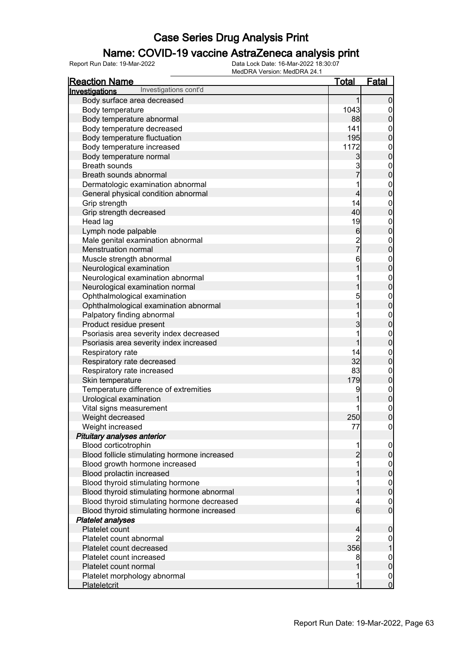### Name: COVID-19 vaccine AstraZeneca analysis print

| <b>Reaction Name</b>                         | <u>Total</u>                     | <b>Fatal</b>                         |
|----------------------------------------------|----------------------------------|--------------------------------------|
| Investigations cont'd<br>Investigations      |                                  |                                      |
| Body surface area decreased                  | 1                                | $\boldsymbol{0}$                     |
| Body temperature                             | 1043                             | $\overline{0}$                       |
| Body temperature abnormal                    | 88                               | $\overline{0}$                       |
| Body temperature decreased                   | 141                              | $\boldsymbol{0}$                     |
| Body temperature fluctuation                 | 195                              | $\overline{0}$                       |
| Body temperature increased                   | 1172                             |                                      |
| Body temperature normal                      | $\mathbf{3}$                     | $0\atop 0$                           |
| <b>Breath sounds</b>                         | 3                                |                                      |
| Breath sounds abnormal                       | $\overline{7}$                   | $0\atop 0$                           |
| Dermatologic examination abnormal            | 1                                |                                      |
| General physical condition abnormal          | $\overline{\mathcal{L}}$         | $0\atop 0$                           |
| Grip strength                                | 14                               | $0\atop 0$                           |
| Grip strength decreased                      | 40                               |                                      |
| Head lag                                     | 19                               | $0\atop 0$                           |
| Lymph node palpable                          | $6\phantom{a}$                   |                                      |
| Male genital examination abnormal            | $\frac{2}{7}$                    | $0\atop 0$                           |
| Menstruation normal                          |                                  |                                      |
| Muscle strength abnormal                     | 6                                | $0$<br>0                             |
| Neurological examination                     | 1                                |                                      |
| Neurological examination abnormal            | 1                                | $0\atop 0$                           |
| Neurological examination normal              | 1                                |                                      |
| Ophthalmological examination                 | 5                                | $0\atop 0$                           |
| Ophthalmological examination abnormal        | $\overline{1}$                   |                                      |
| Palpatory finding abnormal                   | 1                                | $0\atop 0$                           |
| Product residue present                      | 3                                |                                      |
| Psoriasis area severity index decreased      | 1                                | $0\atop 0$                           |
| Psoriasis area severity index increased      | 1                                |                                      |
| Respiratory rate                             | 14                               | $\begin{matrix} 0 \\ 0 \end{matrix}$ |
| Respiratory rate decreased                   | 32                               |                                      |
| Respiratory rate increased                   | 83                               | $\boldsymbol{0}$                     |
| Skin temperature                             | 179                              | $\mathbf 0$                          |
| Temperature difference of extremities        | 9                                | $\begin{matrix} 0 \\ 0 \end{matrix}$ |
| Urological examination                       |                                  |                                      |
| Vital signs measurement                      |                                  | $\mathbf{0}$                         |
| Weight decreased                             | 250                              | $\overline{0}$                       |
| Weight increased                             | 77                               | 0                                    |
| Pituitary analyses anterior                  |                                  |                                      |
| Blood corticotrophin                         | 1                                | $\overline{0}$                       |
| Blood follicle stimulating hormone increased | $\overline{c}$                   | $\pmb{0}$                            |
| Blood growth hormone increased               | 1                                | $\mathbf 0$                          |
| Blood prolactin increased                    |                                  | $\overline{0}$                       |
| Blood thyroid stimulating hormone            |                                  | $\boldsymbol{0}$                     |
| Blood thyroid stimulating hormone abnormal   | 1                                | $\mathbf 0$                          |
| Blood thyroid stimulating hormone decreased  | 4                                | $\boldsymbol{0}$<br>$\overline{0}$   |
| Blood thyroid stimulating hormone increased  | $6 \mid$                         |                                      |
| <b>Platelet analyses</b><br>Platelet count   |                                  |                                      |
| Platelet count abnormal                      | $\overline{4}$<br>$\overline{2}$ | $\mathbf 0$                          |
| Platelet count decreased                     | 356                              | $\mathbf 0$<br>1                     |
| Platelet count increased                     | 8                                |                                      |
| Platelet count normal                        | 1                                | $\boldsymbol{0}$<br>$\mathbf 0$      |
| Platelet morphology abnormal                 | 1                                |                                      |
| <b>Plateletcrit</b>                          | 1                                | $\begin{matrix} 0 \\ 0 \end{matrix}$ |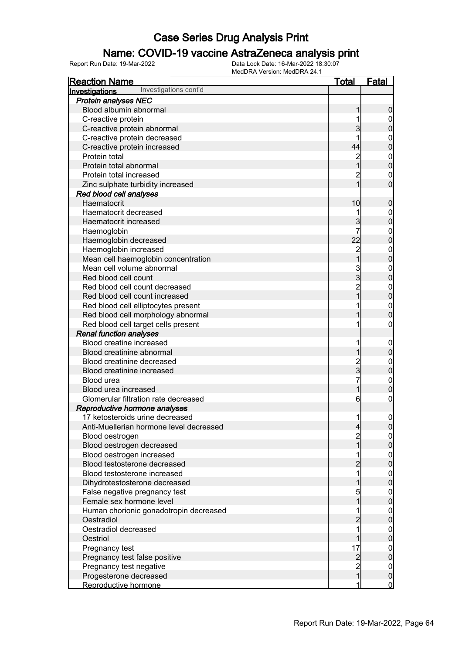### Name: COVID-19 vaccine AstraZeneca analysis print

| <u>Reaction Name</u>                    | <u>Total</u>                               | <b>Fatal</b>                    |
|-----------------------------------------|--------------------------------------------|---------------------------------|
| Investigations cont'd<br>Investigations |                                            |                                 |
| <b>Protein analyses NEC</b>             |                                            |                                 |
| Blood albumin abnormal                  | 1                                          | $\boldsymbol{0}$                |
| C-reactive protein                      | 1                                          | $\overline{0}$                  |
| C-reactive protein abnormal             | 3                                          | $\mathbf 0$                     |
| C-reactive protein decreased            |                                            | $\mathbf{0}$                    |
| C-reactive protein increased            | 44                                         | $\mathbf 0$                     |
| Protein total                           |                                            | $\mathbf{0}$                    |
| Protein total abnormal                  | 2<br>1                                     | $\mathbf 0$                     |
| Protein total increased                 | $\mathbf 2$                                | $\mathbf 0$                     |
| Zinc sulphate turbidity increased       | 1                                          | $\mathbf 0$                     |
| Red blood cell analyses                 |                                            |                                 |
| Haematocrit                             | 10                                         | $\boldsymbol{0}$                |
| Haematocrit decreased                   | 1                                          | $\boldsymbol{0}$                |
| Haematocrit increased                   | 3                                          | $\mathbf 0$                     |
| Haemoglobin                             | 7                                          | $\mathbf{0}$                    |
| Haemoglobin decreased                   | 22                                         | $\overline{0}$                  |
| Haemoglobin increased                   |                                            | $\mathbf{0}$                    |
| Mean cell haemoglobin concentration     | 2<br>1                                     | $\overline{0}$                  |
| Mean cell volume abnormal               |                                            | $\mathbf{0}$                    |
| Red blood cell count                    | 3<br>3                                     | $\overline{0}$                  |
| Red blood cell count decreased          | $\overline{c}$                             | $\mathbf{0}$                    |
| Red blood cell count increased          |                                            | $\mathbf 0$                     |
| Red blood cell elliptocytes present     |                                            | $\mathbf{0}$                    |
| Red blood cell morphology abnormal      |                                            | $\overline{0}$                  |
| Red blood cell target cells present     |                                            | $\boldsymbol{0}$                |
| <b>Renal function analyses</b>          |                                            |                                 |
| Blood creatine increased                | 1                                          | $\mathbf 0$                     |
| Blood creatinine abnormal               |                                            | $\pmb{0}$                       |
| Blood creatinine decreased              |                                            | $\mathbf{0}$                    |
| Blood creatinine increased              | 2<br>3                                     | $\mathbf 0$                     |
| Blood urea                              | 7                                          | $\mathbf{0}$                    |
| Blood urea increased                    | 1                                          | $\mathbf 0$                     |
| Glomerular filtration rate decreased    | 6                                          | $\boldsymbol{0}$                |
| Reproductive hormone analyses           |                                            |                                 |
| 17 ketosteroids urine decreased         | $\mathbf{1}$                               | $\mathbf 0$                     |
| Anti-Muellerian hormone level decreased | $\overline{4}$                             | 0                               |
| Blood oestrogen                         | $\overline{c}$                             | $\overline{0}$                  |
| Blood oestrogen decreased               | $\overline{1}$                             | $\overline{0}$                  |
| Blood oestrogen increased               | 1                                          |                                 |
| Blood testosterone decreased            | $\overline{c}$                             | $0$<br>0                        |
| Blood testosterone increased            | 1                                          |                                 |
| Dihydrotestosterone decreased           | 1                                          | $0\atop 0$                      |
| False negative pregnancy test           | 5                                          |                                 |
| Female sex hormone level                | 1                                          | $0\atop 0$                      |
| Human chorionic gonadotropin decreased  | 1                                          | $\overline{0}$                  |
| Oestradiol                              | $\overline{c}$                             | $\overline{0}$                  |
| Oestradiol decreased                    | 1                                          |                                 |
| Oestriol                                | 1                                          | $\mathbf 0$<br>$\overline{0}$   |
| Pregnancy test                          | 17                                         |                                 |
| Pregnancy test false positive           |                                            | $0\atop 0$                      |
| Pregnancy test negative                 |                                            |                                 |
| Progesterone decreased                  | $\begin{array}{c} 2 \\ 2 \\ 1 \end{array}$ | $\boldsymbol{0}$<br>$\mathbf 0$ |
|                                         | 1                                          |                                 |
| Reproductive hormone                    |                                            | $\overline{0}$                  |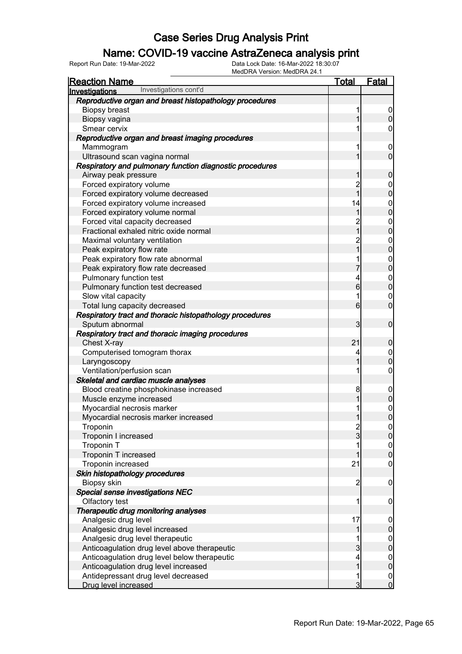### Name: COVID-19 vaccine AstraZeneca analysis print

| <b>Reaction Name</b>                                     | <b>Total</b>     | <b>Fatal</b>          |
|----------------------------------------------------------|------------------|-----------------------|
| Investigations cont'd<br><b>Investigations</b>           |                  |                       |
| Reproductive organ and breast histopathology procedures  |                  |                       |
| <b>Biopsy breast</b>                                     | 1                | $\mathbf 0$           |
| Biopsy vagina                                            |                  | 0                     |
| Smear cervix                                             |                  | 0                     |
| Reproductive organ and breast imaging procedures         |                  |                       |
| Mammogram                                                | 1                | $\overline{0}$        |
| Ultrasound scan vagina normal                            |                  | $\overline{0}$        |
| Respiratory and pulmonary function diagnostic procedures |                  |                       |
| Airway peak pressure                                     |                  | 0                     |
| Forced expiratory volume                                 | $\overline{c}$   | $\mathbf 0$           |
| Forced expiratory volume decreased                       | 1                | 0                     |
| Forced expiratory volume increased                       | 14               | $\mathbf{0}$          |
| Forced expiratory volume normal                          | 1                | 0                     |
| Forced vital capacity decreased                          | $\overline{c}$   | $\mathbf 0$           |
| Fractional exhaled nitric oxide normal                   | 1                | 0                     |
| Maximal voluntary ventilation                            | $\overline{c}$   | $\mathbf{0}$          |
| Peak expiratory flow rate                                | 1                | 0                     |
| Peak expiratory flow rate abnormal                       | 1                | $\mathbf{0}$          |
| Peak expiratory flow rate decreased                      | 7                | 0                     |
| Pulmonary function test                                  | 4                | $\mathbf 0$           |
| Pulmonary function test decreased                        | 6                | $\overline{0}$        |
| Slow vital capacity                                      | 1                | $\mathbf 0$           |
| Total lung capacity decreased                            | $6 \overline{6}$ | $\overline{0}$        |
| Respiratory tract and thoracic histopathology procedures |                  |                       |
| Sputum abnormal                                          | 3                | $\mathbf 0$           |
|                                                          |                  |                       |
| Respiratory tract and thoracic imaging procedures        | 21               |                       |
| Chest X-ray                                              |                  | 0                     |
| Computerised tomogram thorax                             | 4<br>1           | $\boldsymbol{0}$<br>0 |
| Laryngoscopy                                             | 1                |                       |
| Ventilation/perfusion scan                               |                  | 0                     |
| Skeletal and cardiac muscle analyses                     |                  |                       |
| Blood creatine phosphokinase increased                   | 8                | $\mathbf 0$           |
| Muscle enzyme increased                                  |                  | $\mathbf 0$           |
| Myocardial necrosis marker                               |                  | $\mathbf{0}$          |
| Myocardial necrosis marker increased                     |                  | $\overline{0}$        |
| Troponin                                                 | $\frac{2}{3}$    | 이                     |
| Troponin I increased                                     |                  | $\overline{0}$        |
| Troponin T                                               |                  | $0$<br>0              |
| Troponin T increased                                     |                  |                       |
| Troponin increased                                       | 21               | $\mathbf 0$           |
| Skin histopathology procedures                           |                  |                       |
| Biopsy skin                                              | $\overline{2}$   | $\mathbf 0$           |
| Special sense investigations NEC                         |                  |                       |
| Olfactory test                                           | 1                | 0                     |
| Therapeutic drug monitoring analyses                     |                  |                       |
| Analgesic drug level                                     | 17               | $\mathbf 0$           |
| Analgesic drug level increased                           | 1                | 0                     |
| Analgesic drug level therapeutic                         | 1                | $\boldsymbol{0}$      |
| Anticoagulation drug level above therapeutic             | 3                | $\overline{0}$        |
| Anticoagulation drug level below therapeutic             | 4                | $\boldsymbol{0}$      |
| Anticoagulation drug level increased                     | 1                | $\overline{0}$        |
| Antidepressant drug level decreased                      | 1                | $\boldsymbol{0}$      |
| Drug level increased                                     | $\overline{3}$   | $\overline{0}$        |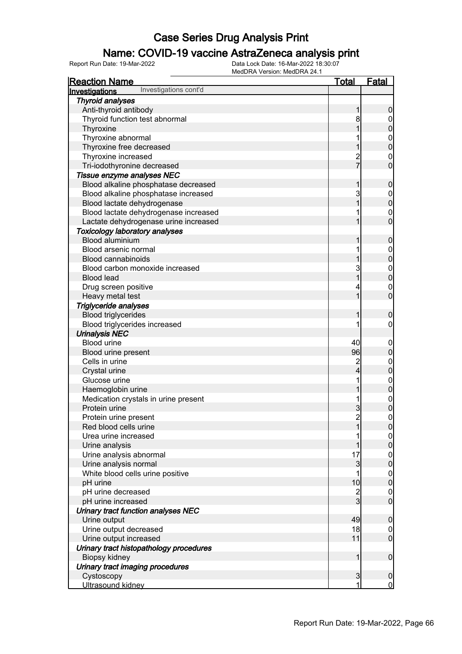### Name: COVID-19 vaccine AstraZeneca analysis print

| <u>Reaction Name</u>                           | <u>Total</u>            | <b>Fatal</b>                  |
|------------------------------------------------|-------------------------|-------------------------------|
| Investigations cont'd<br>Investigations        |                         |                               |
| <b>Thyroid analyses</b>                        |                         |                               |
| Anti-thyroid antibody                          | 1                       | $\boldsymbol{0}$              |
| Thyroid function test abnormal                 | 8                       | $\overline{0}$                |
| Thyroxine                                      |                         | $\mathbf 0$                   |
| Thyroxine abnormal                             |                         |                               |
| Thyroxine free decreased                       |                         | $0\atop 0$                    |
| Thyroxine increased                            |                         | $\boldsymbol{0}$              |
| Tri-iodothyronine decreased                    | 2<br>7                  | $\mathbf 0$                   |
| Tissue enzyme analyses NEC                     |                         |                               |
| Blood alkaline phosphatase decreased           | 1                       | $\mathbf 0$                   |
| Blood alkaline phosphatase increased           | 3                       | $\boldsymbol{0}$              |
| Blood lactate dehydrogenase                    | 1                       | $\mathbf 0$                   |
| Blood lactate dehydrogenase increased          |                         | $\mathbf 0$                   |
| Lactate dehydrogenase urine increased          |                         | $\overline{0}$                |
| <b>Toxicology laboratory analyses</b>          |                         |                               |
| Blood aluminium                                | 1                       | $\mathbf 0$                   |
| Blood arsenic normal                           |                         | $\boldsymbol{0}$              |
| <b>Blood cannabinoids</b>                      |                         | $\mathbf 0$                   |
| Blood carbon monoxide increased                | 3                       | $\mathbf{0}$                  |
| <b>Blood lead</b>                              | 1                       | $\overline{0}$                |
| Drug screen positive                           | 4                       | $\mathbf 0$                   |
| Heavy metal test                               |                         | $\overline{0}$                |
| Triglyceride analyses                          |                         |                               |
| <b>Blood triglycerides</b>                     | 1                       | $\mathbf 0$                   |
| Blood triglycerides increased                  |                         | 0                             |
| <b>Urinalysis NEC</b>                          |                         |                               |
| <b>Blood urine</b>                             | 40                      | $\mathbf 0$                   |
| Blood urine present                            | 96                      | $\pmb{0}$                     |
| Cells in urine                                 | $\overline{\mathbf{c}}$ | $\mathbf{0}$                  |
| Crystal urine                                  | $\overline{\mathbf{4}}$ | $\mathbf 0$                   |
| Glucose urine                                  |                         |                               |
| Haemoglobin urine                              |                         | $0$<br>0                      |
| Medication crystals in urine present           | 1                       |                               |
| Protein urine                                  | 3                       | $0\atop 0$                    |
| Protein urine present                          | $\overline{2}$          | $\mathbf 0$                   |
| Red blood cells urine                          |                         | 0                             |
| Urea urine increased                           |                         | 0                             |
| Urine analysis                                 |                         | $\overline{0}$                |
| Urine analysis abnormal                        | 17                      |                               |
| Urine analysis normal                          | $\mathbf{3}$            | $0\atop 0$                    |
| White blood cells urine positive               | 1                       |                               |
| pH urine                                       | 10                      | $0\atop 0$                    |
| pH urine decreased                             |                         | $\boldsymbol{0}$              |
| pH urine increased                             | $\frac{2}{3}$           | $\overline{0}$                |
| Urinary tract function analyses NEC            |                         |                               |
| Urine output                                   | 49                      | $\boldsymbol{0}$              |
| Urine output decreased                         | 18                      | $\overline{0}$                |
| Urine output increased                         | 11                      | $\overline{0}$                |
| Urinary tract histopathology procedures        |                         |                               |
| Biopsy kidney                                  | 1                       | $\boldsymbol{0}$              |
|                                                |                         |                               |
| Urinary tract imaging procedures<br>Cystoscopy |                         |                               |
|                                                | $\mathbf{3}$<br>1       | $\mathbf 0$<br>$\overline{0}$ |
| Ultrasound kidney                              |                         |                               |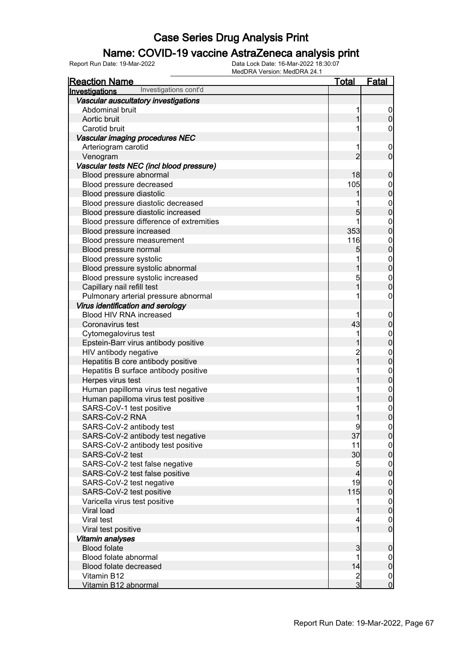### Name: COVID-19 vaccine AstraZeneca analysis print

| <b>Reaction Name</b>                     | <u>Total</u>   | <b>Fatal</b>                         |
|------------------------------------------|----------------|--------------------------------------|
| Investigations cont'd<br>Investigations  |                |                                      |
| Vascular auscultatory investigations     |                |                                      |
| Abdominal bruit                          | 1              | $\overline{0}$                       |
| Aortic bruit                             | 1              | $\overline{0}$                       |
| Carotid bruit                            |                | 0                                    |
| Vascular imaging procedures NEC          |                |                                      |
| Arteriogram carotid                      | 1              | $\mathbf 0$                          |
| Venogram                                 | $\overline{2}$ | $\mathbf 0$                          |
| Vascular tests NEC (incl blood pressure) |                |                                      |
| Blood pressure abnormal                  | 18             | $\boldsymbol{0}$                     |
| Blood pressure decreased                 | 105            |                                      |
| Blood pressure diastolic                 |                | $0\atop 0$                           |
| Blood pressure diastolic decreased       | 1              |                                      |
| Blood pressure diastolic increased       | 5              | $0$<br>0                             |
| Blood pressure difference of extremities | 1              |                                      |
| Blood pressure increased                 | 353            | $0\atop 0$                           |
| Blood pressure measurement               | 116            | $0\atop 0$                           |
| Blood pressure normal                    | 5              |                                      |
| Blood pressure systolic                  | 1              |                                      |
| Blood pressure systolic abnormal         | 1              | $0$<br>0                             |
| Blood pressure systolic increased        | 5              | $\begin{matrix}0\\0\end{matrix}$     |
| Capillary nail refill test               | 1              |                                      |
| Pulmonary arterial pressure abnormal     |                | $\pmb{0}$                            |
| Virus identification and serology        |                |                                      |
| Blood HIV RNA increased                  |                | $\boldsymbol{0}$                     |
| Coronavirus test                         | 43             | $\mathbf 0$                          |
| Cytomegalovirus test                     | 1              | $0$ 0                                |
| Epstein-Barr virus antibody positive     | 1              |                                      |
| HIV antibody negative                    | $\overline{c}$ | $0$ 0                                |
| Hepatitis B core antibody positive       | $\overline{1}$ |                                      |
| Hepatitis B surface antibody positive    |                | $0$ 0                                |
| Herpes virus test                        | 1              |                                      |
| Human papilloma virus test negative      | 1              |                                      |
| Human papilloma virus test positive      | 1              | $0$<br>0                             |
| SARS-CoV-1 test positive                 |                | $\begin{matrix}0\\0\end{matrix}$     |
| SARS-CoV-2 RNA                           | 1              |                                      |
| SARS-CoV-2 antibody test                 | $\overline{9}$ | 0                                    |
| SARS-CoV-2 antibody test negative        | 37             | $\overline{0}$                       |
| SARS-CoV-2 antibody test positive        | 11             | $\overline{0}$                       |
| SARS-CoV-2 test                          | 30             | $\mathbf 0$                          |
| SARS-CoV-2 test false negative           | 5              | $\overline{0}$                       |
| SARS-CoV-2 test false positive           | $\overline{4}$ | $\mathbf 0$                          |
| SARS-CoV-2 test negative                 | 19             | $\boldsymbol{0}$                     |
| SARS-CoV-2 test positive                 | 115            | $\mathbf 0$                          |
| Varicella virus test positive            | 1              | $\begin{matrix} 0 \\ 0 \end{matrix}$ |
| Viral load                               | 1              |                                      |
| Viral test                               | 4              | $\begin{matrix} 0 \\ 0 \end{matrix}$ |
| Viral test positive                      | $\overline{1}$ |                                      |
| Vitamin analyses                         |                |                                      |
| <b>Blood folate</b>                      | 3              | $\mathbf 0$                          |
| Blood folate abnormal                    | 1              | $\boldsymbol{0}$                     |
| Blood folate decreased                   | 14             | $\bf{0}$                             |
| Vitamin B12                              | $\frac{2}{3}$  | $\begin{matrix} 0 \\ 0 \end{matrix}$ |
| Vitamin B12 abnormal                     |                |                                      |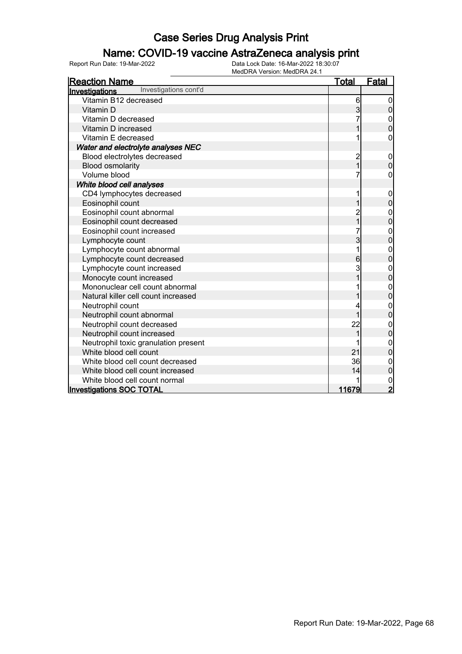### Name: COVID-19 vaccine AstraZeneca analysis print

| <b>Reaction Name</b>                    | <u>Total</u>   | <b>Fatal</b>     |
|-----------------------------------------|----------------|------------------|
| Investigations cont'd<br>Investigations |                |                  |
| Vitamin B12 decreased                   | 6              |                  |
| Vitamin D                               | 3              | 0                |
| Vitamin D decreased                     | 7              | $\mathbf 0$      |
| Vitamin D increased                     | 1              | $\mathbf{0}$     |
| Vitamin E decreased                     |                | 0                |
| Water and electrolyte analyses NEC      |                |                  |
| Blood electrolytes decreased            | 2<br>1         | $\mathbf{0}$     |
| <b>Blood osmolarity</b>                 |                | 0                |
| Volume blood                            | 7              | 0                |
| White blood cell analyses               |                |                  |
| CD4 lymphocytes decreased               |                | $\mathbf 0$      |
| Eosinophil count                        |                | $\overline{0}$   |
| Eosinophil count abnormal               |                | 0                |
| Eosinophil count decreased              | 2<br>1         | 0                |
| Eosinophil count increased              | 7              | $\mathbf{0}$     |
| Lymphocyte count                        | $\overline{3}$ | $\overline{0}$   |
| Lymphocyte count abnormal               |                | $\boldsymbol{0}$ |
| Lymphocyte count decreased              | 6              | 0                |
| Lymphocyte count increased              | 3              | $\mathbf 0$      |
| Monocyte count increased                |                | 0                |
| Mononuclear cell count abnormal         |                | $\mathbf{0}$     |
| Natural killer cell count increased     |                | $\overline{0}$   |
| Neutrophil count                        |                |                  |
| Neutrophil count abnormal               |                | 0                |
| Neutrophil count decreased              | 22             | $\mathbf{0}$     |
| Neutrophil count increased              | 1              | $\overline{0}$   |
| Neutrophil toxic granulation present    |                | $\mathbf 0$      |
| White blood cell count                  | 21             | $\overline{0}$   |
| White blood cell count decreased        | 36             | 0                |
| White blood cell count increased        | 14             | 0                |
| White blood cell count normal           |                | $\mathbf{0}$     |
| <b>Investigations SOC TOTAL</b>         | 11679          | $\overline{2}$   |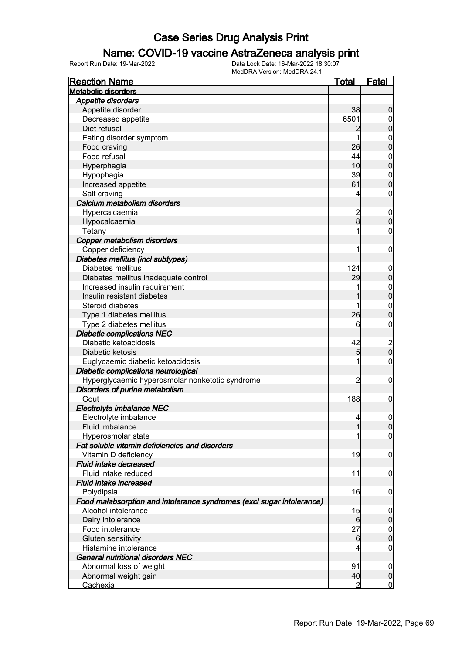### Name: COVID-19 vaccine AstraZeneca analysis print

| <b>Reaction Name</b>                                                  | <b>Total</b>    | <b>Fatal</b>                         |
|-----------------------------------------------------------------------|-----------------|--------------------------------------|
| <b>Metabolic disorders</b>                                            |                 |                                      |
| <b>Appetite disorders</b>                                             |                 |                                      |
| Appetite disorder                                                     | 38              | $\boldsymbol{0}$                     |
| Decreased appetite                                                    | 6501            | $\overline{0}$                       |
| Diet refusal                                                          | $\overline{c}$  | $\pmb{0}$                            |
| Eating disorder symptom                                               | 1               | $\mathbf{0}$                         |
| Food craving                                                          | 26              | $\overline{0}$                       |
| Food refusal                                                          | 44              | $\mathbf{0}$                         |
| Hyperphagia                                                           | 10              | $\overline{0}$                       |
| Hypophagia                                                            | 39              | $\mathbf{0}$                         |
| Increased appetite                                                    | 61              | $\overline{0}$                       |
| Salt craving                                                          | 4               | $\boldsymbol{0}$                     |
| Calcium metabolism disorders                                          |                 |                                      |
| Hypercalcaemia                                                        |                 | $\boldsymbol{0}$                     |
| Hypocalcaemia                                                         | $\frac{2}{8}$   | $\mathbf 0$                          |
|                                                                       | 1               | $\boldsymbol{0}$                     |
| Tetany                                                                |                 |                                      |
| Copper metabolism disorders                                           | 1               |                                      |
| Copper deficiency                                                     |                 | $\boldsymbol{0}$                     |
| Diabetes mellitus (incl subtypes)                                     |                 |                                      |
| Diabetes mellitus                                                     | 124             | $\mathbf 0$                          |
| Diabetes mellitus inadequate control                                  | 29              | $\pmb{0}$                            |
| Increased insulin requirement                                         | 1               | $0\atop 0$                           |
| Insulin resistant diabetes                                            |                 |                                      |
| Steroid diabetes                                                      |                 | $\mathbf{0}$                         |
| Type 1 diabetes mellitus                                              | 26              | $\mathbf 0$                          |
| Type 2 diabetes mellitus                                              | 6               | $\mathbf 0$                          |
| <b>Diabetic complications NEC</b>                                     |                 |                                      |
| Diabetic ketoacidosis                                                 | 42              | $\begin{matrix} 2 \\ 0 \end{matrix}$ |
| Diabetic ketosis                                                      | 5               |                                      |
| Euglycaemic diabetic ketoacidosis                                     | 1               | $\pmb{0}$                            |
| Diabetic complications neurological                                   |                 |                                      |
| Hyperglycaemic hyperosmolar nonketotic syndrome                       | $\overline{2}$  | $\boldsymbol{0}$                     |
| Disorders of purine metabolism                                        |                 |                                      |
| Gout                                                                  | 188             | $\mathbf 0$                          |
| Electrolyte imbalance NEC                                             |                 |                                      |
| Electrolyte imbalance                                                 | $\overline{4}$  | $\mathbf 0$                          |
| Fluid imbalance                                                       | $\mathbf{1}$    | 0                                    |
| Hyperosmolar state                                                    | 1               | $\overline{0}$                       |
| Fat soluble vitamin deficiencies and disorders                        |                 |                                      |
| Vitamin D deficiency                                                  | 19              | $\mathbf 0$                          |
| Fluid intake decreased                                                |                 |                                      |
| Fluid intake reduced                                                  | 11              | $\boldsymbol{0}$                     |
| Fluid intake increased                                                |                 |                                      |
| Polydipsia                                                            | 16              | $\mathbf 0$                          |
| Food malabsorption and intolerance syndromes (excl sugar intolerance) |                 |                                      |
| Alcohol intolerance                                                   | 15              | $\boldsymbol{0}$                     |
| Dairy intolerance                                                     | 6               | $\pmb{0}$                            |
| Food intolerance                                                      | 27              | $\boldsymbol{0}$                     |
| Gluten sensitivity                                                    | $6 \overline{}$ | $\mathbf 0$                          |
| Histamine intolerance                                                 | 4               | $\mathbf 0$                          |
| General nutritional disorders NEC                                     |                 |                                      |
| Abnormal loss of weight                                               | 91              | $\overline{0}$                       |
| Abnormal weight gain                                                  | 40              | $\boldsymbol{0}$                     |
| <b>Cachexia</b>                                                       | $\overline{2}$  | $\overline{0}$                       |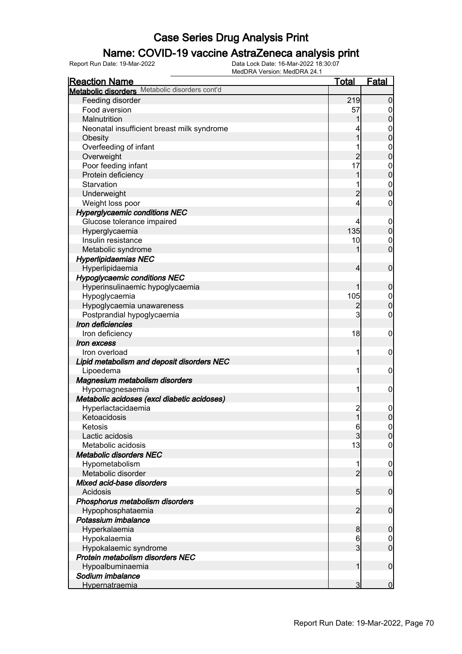### Name: COVID-19 vaccine AstraZeneca analysis print

| <b>Reaction Name</b>                           | <u>Total</u>            | Fatal                                |
|------------------------------------------------|-------------------------|--------------------------------------|
| Metabolic disorders Metabolic disorders cont'd |                         |                                      |
| Feeding disorder                               | 219                     | $\overline{0}$                       |
| Food aversion                                  | 57                      | 0                                    |
| Malnutrition                                   |                         | $\mathbf 0$                          |
| Neonatal insufficient breast milk syndrome     |                         | $\mathbf 0$                          |
| Obesity                                        | 1                       | $\overline{0}$                       |
| Overfeeding of infant                          |                         | $\mathbf 0$                          |
| Overweight                                     | $\overline{2}$          | $\overline{0}$                       |
| Poor feeding infant                            | 17                      | $\mathbf 0$                          |
| Protein deficiency                             | 1                       | $\overline{0}$                       |
| Starvation                                     |                         | $\boldsymbol{0}$                     |
| Underweight                                    | $\overline{2}$          | $\overline{0}$                       |
| Weight loss poor                               | 4                       | 0                                    |
| <b>Hyperglycaemic conditions NEC</b>           |                         |                                      |
| Glucose tolerance impaired                     | 4                       |                                      |
|                                                | 135                     | $\boldsymbol{0}$<br>$\boldsymbol{0}$ |
| Hyperglycaemia                                 |                         |                                      |
| Insulin resistance                             | 10                      | $\mathbf 0$                          |
| Metabolic syndrome                             |                         | $\overline{0}$                       |
| <b>Hyperlipidaemias NEC</b>                    |                         |                                      |
| Hyperlipidaemia                                | 4                       | $\mathbf 0$                          |
| <b>Hypoglycaemic conditions NEC</b>            |                         |                                      |
| Hyperinsulinaemic hypoglycaemia                | 1                       | $\boldsymbol{0}$                     |
| Hypoglycaemia                                  | 105                     | $\mathbf 0$                          |
| Hypoglycaemia unawareness                      | $\overline{c}$          | $\overline{0}$                       |
| Postprandial hypoglycaemia                     | 3                       | $\mathbf 0$                          |
| Iron deficiencies                              |                         |                                      |
| Iron deficiency                                | 18                      | $\mathbf 0$                          |
| Iron excess                                    |                         |                                      |
| Iron overload                                  | 1                       | $\mathbf 0$                          |
| Lipid metabolism and deposit disorders NEC     |                         |                                      |
| Lipoedema                                      | 1                       | $\mathbf 0$                          |
| Magnesium metabolism disorders                 |                         |                                      |
| Hypomagnesaemia                                | 1                       | $\mathbf 0$                          |
| Metabolic acidoses (excl diabetic acidoses)    |                         |                                      |
| Hyperlactacidaemia                             | $\overline{\mathbf{c}}$ | $\boldsymbol{0}$                     |
| Ketoacidosis                                   | $\mathbf{1}$            | $\overline{0}$                       |
| Ketosis                                        | 6                       | 0                                    |
| Lactic acidosis                                | $\mathbf{3}$            | $\overline{0}$                       |
| Metabolic acidosis                             | 13                      | 0                                    |
| <b>Metabolic disorders NEC</b>                 |                         |                                      |
| Hypometabolism                                 |                         | $\overline{0}$                       |
| Metabolic disorder                             | $\overline{2}$          | $\mathbf 0$                          |
| Mixed acid-base disorders                      |                         |                                      |
| Acidosis                                       | 5 <sub>5</sub>          | $\mathbf 0$                          |
| Phosphorus metabolism disorders                |                         |                                      |
| Hypophosphataemia                              | $\overline{2}$          | $\mathbf 0$                          |
| Potassium imbalance                            |                         |                                      |
| Hyperkalaemia                                  | 8                       | $\mathbf 0$                          |
| Hypokalaemia                                   | 6                       | $\boldsymbol{0}$                     |
| Hypokalaemic syndrome                          | 3                       | $\overline{0}$                       |
| Protein metabolism disorders NEC               |                         |                                      |
|                                                | 1                       | $\mathbf 0$                          |
| Hypoalbuminaemia                               |                         |                                      |
| Sodium imbalance                               | 3                       | $\mathbf 0$                          |
| <b>Hypernatraemia</b>                          |                         |                                      |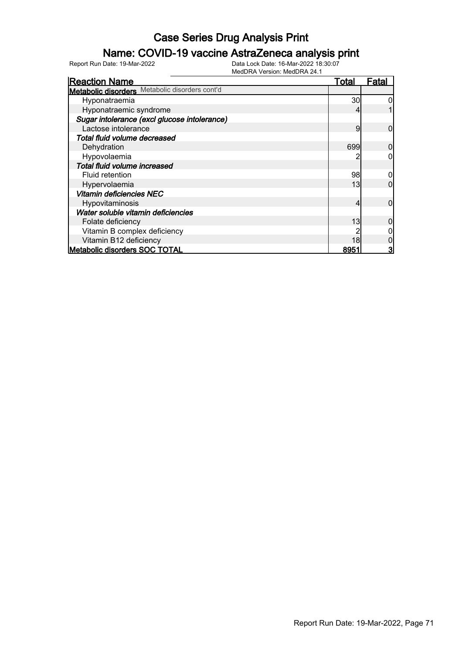### Name: COVID-19 vaccine AstraZeneca analysis print

| <b>Reaction Name</b>                           | <u>Total</u> | Fatal          |
|------------------------------------------------|--------------|----------------|
| Metabolic disorders Metabolic disorders cont'd |              |                |
| Hyponatraemia                                  | 30           |                |
| Hyponatraemic syndrome                         |              |                |
| Sugar intolerance (excl glucose intolerance)   |              |                |
| Lactose intolerance                            | 9            | 0              |
| Total fluid volume decreased                   |              |                |
| Dehydration                                    | 699          |                |
| Hypovolaemia                                   |              |                |
| Total fluid volume increased                   |              |                |
| Fluid retention                                | 98           |                |
| Hypervolaemia                                  | 13           | ი              |
| <b>Vitamin deficiencies NEC</b>                |              |                |
| Hypovitaminosis                                | 4            | 0              |
| Water soluble vitamin deficiencies             |              |                |
| Folate deficiency                              | 13           |                |
| Vitamin B complex deficiency                   |              |                |
| Vitamin B12 deficiency                         | 18           |                |
| <b>Metabolic disorders SOC TOTAL</b>           | 8951         | 3 <sub>l</sub> |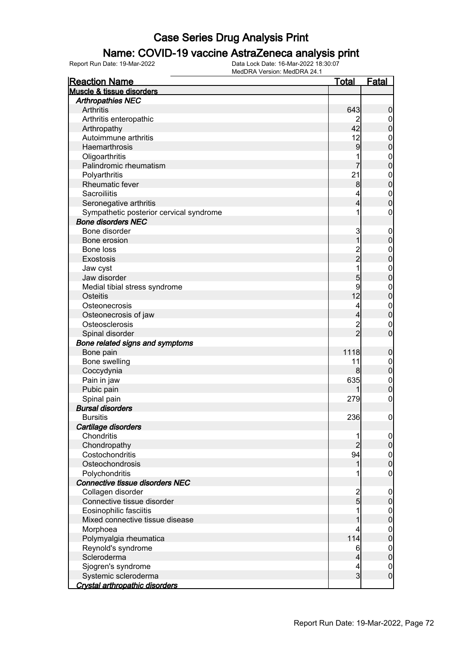### Name: COVID-19 vaccine AstraZeneca analysis print

| <b>Reaction Name</b>                    | <u>Total</u>   | <b>Fatal</b>     |
|-----------------------------------------|----------------|------------------|
| Muscle & tissue disorders               |                |                  |
| <b>Arthropathies NEC</b>                |                |                  |
| Arthritis                               | 643            | $\boldsymbol{0}$ |
| Arthritis enteropathic                  |                | $\overline{0}$   |
| Arthropathy                             | 42             | $\pmb{0}$        |
| Autoimmune arthritis                    | 12             | $\boldsymbol{0}$ |
| Haemarthrosis                           | 9              | $\mathbf 0$      |
| Oligoarthritis                          |                | $\mathbf{0}$     |
| Palindromic rheumatism                  |                | $\overline{0}$   |
| Polyarthritis                           | 21             | $\mathbf{0}$     |
| <b>Rheumatic fever</b>                  | 8              | $\mathbf 0$      |
| Sacroiliitis                            | 4              | $\mathbf{0}$     |
| Seronegative arthritis                  | 4              | $\overline{0}$   |
| Sympathetic posterior cervical syndrome | 1              | $\boldsymbol{0}$ |
| <b>Bone disorders NEC</b>               |                |                  |
| Bone disorder                           | 3              | $\boldsymbol{0}$ |
| Bone erosion                            | 1              | $\mathbf 0$      |
| Bone loss                               | 2<br>2         | $\mathbf{0}$     |
| Exostosis                               |                | $\mathbf 0$      |
| Jaw cyst                                | 1              | $\mathbf{0}$     |
| Jaw disorder                            | 5              | $\mathbf 0$      |
| Medial tibial stress syndrome           | 9              | $\mathbf{0}$     |
| Osteitis                                | 12             | $\mathbf 0$      |
| Osteonecrosis                           | 4              | $\mathbf{0}$     |
| Osteonecrosis of jaw                    | 4              | $\mathbf 0$      |
| Osteosclerosis                          | 2<br>2         | $\mathbf 0$      |
| Spinal disorder                         |                | $\overline{0}$   |
| Bone related signs and symptoms         |                |                  |
| Bone pain                               | 1118           | $\boldsymbol{0}$ |
| Bone swelling                           | 11             | $\boldsymbol{0}$ |
| Coccydynia                              | 8              | $\mathbf 0$      |
| Pain in jaw                             | 635            | $\mathbf{0}$     |
| Pubic pain                              |                | $\mathbf 0$      |
| Spinal pain                             | 279            | $\boldsymbol{0}$ |
| <b>Bursal disorders</b>                 |                |                  |
| <b>Bursitis</b>                         | 236            | $\boldsymbol{0}$ |
| Cartilage disorders                     |                |                  |
| Chondritis                              | 1              | $\overline{0}$   |
| Chondropathy                            | $\overline{2}$ | $\pmb{0}$        |
| Costochondritis                         | 94             | $\boldsymbol{0}$ |
| Osteochondrosis                         | 1              | $\overline{0}$   |
| Polychondritis                          |                | $\boldsymbol{0}$ |
| <b>Connective tissue disorders NEC</b>  |                |                  |
| Collagen disorder                       | $\frac{2}{5}$  | $\mathbf 0$      |
| Connective tissue disorder              |                | $\pmb{0}$        |
| Eosinophilic fasciitis                  | 1              | $\boldsymbol{0}$ |
| Mixed connective tissue disease         | 1              | $\pmb{0}$        |
| Morphoea                                | 4              | $\boldsymbol{0}$ |
| Polymyalgia rheumatica                  | 114            | $\mathbf 0$      |
| Reynold's syndrome                      | 6              | $\boldsymbol{0}$ |
| Scleroderma                             | 4              | $\pmb{0}$        |
| Sjogren's syndrome                      | 4              | $\mathbf{0}$     |
| Systemic scleroderma                    | $\overline{3}$ | $\boldsymbol{0}$ |
| Crystal arthropathic disorders          |                |                  |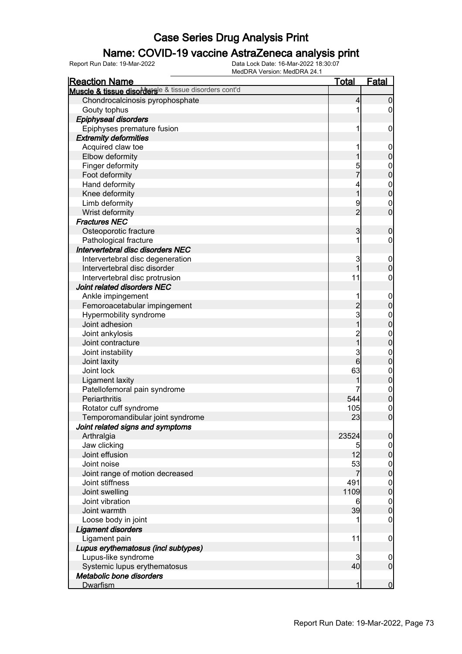#### Name: COVID-19 vaccine AstraZeneca analysis print

| <b>Reaction Name</b>                                  | <b>Total</b>   | <b>Fatal</b>                         |
|-------------------------------------------------------|----------------|--------------------------------------|
| Muscle & tissue disordersle & tissue disorders cont'd |                |                                      |
| Chondrocalcinosis pyrophosphate                       | 4              | $\boldsymbol{0}$                     |
| Gouty tophus                                          |                | 0                                    |
| <b>Epiphyseal disorders</b>                           |                |                                      |
| Epiphyses premature fusion                            | 1              | $\mathbf 0$                          |
| <b>Extremity deformities</b>                          |                |                                      |
| Acquired claw toe                                     |                | $\mathbf 0$                          |
| Elbow deformity                                       |                | $\pmb{0}$                            |
| Finger deformity                                      |                | $\boldsymbol{0}$                     |
| Foot deformity                                        | 5<br>7         | $\overline{0}$                       |
| Hand deformity                                        | 4              |                                      |
| Knee deformity                                        | $\overline{1}$ | $\begin{matrix} 0 \\ 0 \end{matrix}$ |
| Limb deformity                                        | 9              | $\mathbf 0$                          |
| Wrist deformity                                       | $\overline{2}$ | $\mathbf 0$                          |
| <b>Fractures NEC</b>                                  |                |                                      |
| Osteoporotic fracture                                 | 3              | $\boldsymbol{0}$                     |
| Pathological fracture                                 | 1              | 0                                    |
| Intervertebral disc disorders NEC                     |                |                                      |
| Intervertebral disc degeneration                      | 3              | $\mathbf 0$                          |
| Intervertebral disc disorder                          | $\mathbf{1}$   | $\mathbf 0$                          |
| Intervertebral disc protrusion                        | 11             | 0                                    |
| Joint related disorders NEC                           |                |                                      |
| Ankle impingement                                     |                | $\mathbf 0$                          |
| Femoroacetabular impingement                          | $\overline{2}$ | $\overline{0}$                       |
| Hypermobility syndrome                                | $\mathbf{3}$   | $\boldsymbol{0}$                     |
| Joint adhesion                                        | $\overline{1}$ | $\overline{0}$                       |
| Joint ankylosis                                       |                | $\boldsymbol{0}$                     |
| Joint contracture                                     | $\frac{2}{1}$  | $\overline{0}$                       |
| Joint instability                                     | 3              | $\boldsymbol{0}$                     |
| Joint laxity                                          | $6 \mid$       | $\overline{0}$                       |
| Joint lock                                            | 63             | $\boldsymbol{0}$                     |
| <b>Ligament laxity</b>                                |                | $\overline{0}$                       |
| Patellofemoral pain syndrome                          |                |                                      |
| Periarthritis                                         | 544            | $0$<br>0                             |
| Rotator cuff syndrome                                 | 105            | $\mathbf{0}$                         |
| Temporomandibular joint syndrome                      | 23             | $\overline{0}$                       |
| Joint related signs and symptoms                      |                |                                      |
| Arthralgia                                            | 23524          | 0                                    |
| Jaw clicking                                          | 5              | $\overline{0}$                       |
| Joint effusion                                        | 12             | $\overline{0}$                       |
| Joint noise                                           | 53             |                                      |
| Joint range of motion decreased                       | 7              | $\begin{matrix} 0 \\ 0 \end{matrix}$ |
| Joint stiffness                                       | 491            |                                      |
| Joint swelling                                        | 1109           | $\begin{matrix} 0 \\ 0 \end{matrix}$ |
| Joint vibration                                       | 6              | $\boldsymbol{0}$                     |
| Joint warmth                                          | 39             | $\overline{0}$                       |
| Loose body in joint                                   |                | $\mathbf 0$                          |
| <b>Ligament disorders</b>                             |                |                                      |
| Ligament pain                                         | 11             | $\mathbf 0$                          |
| Lupus erythematosus (incl subtypes)                   |                |                                      |
| Lupus-like syndrome                                   | 3              | $\overline{0}$                       |
| Systemic lupus erythematosus                          | 40             | $\overline{0}$                       |
| Metabolic bone disorders                              |                |                                      |
| <b>Dwarfism</b>                                       |                | $\mathbf 0$                          |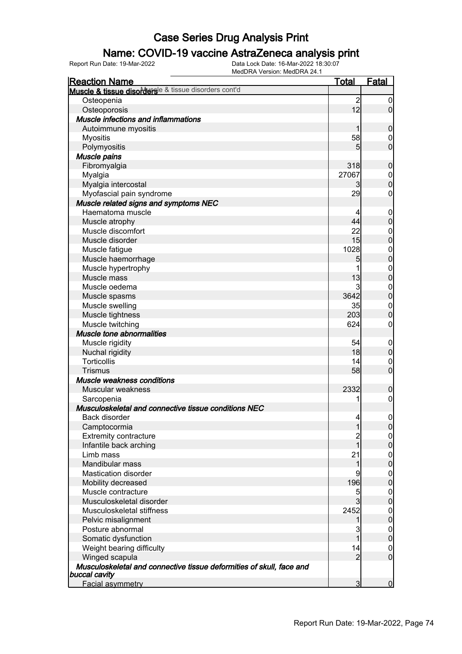### Name: COVID-19 vaccine AstraZeneca analysis print

| <b>Reaction Name</b>                                                 | <u>Total</u>   | Fatal            |
|----------------------------------------------------------------------|----------------|------------------|
| Muscle & tissue disorderse & tissue disorders cont'd                 |                |                  |
| Osteopenia                                                           | $\overline{2}$ | $\boldsymbol{0}$ |
| Osteoporosis                                                         | 12             | $\overline{0}$   |
| <b>Muscle infections and inflammations</b>                           |                |                  |
| Autoimmune myositis                                                  | 1              | $\boldsymbol{0}$ |
| <b>Myositis</b>                                                      | 58             | $\mathbf 0$      |
| Polymyositis                                                         | 5              | $\overline{0}$   |
| Muscle pains                                                         |                |                  |
| Fibromyalgia                                                         | 318            | $\boldsymbol{0}$ |
| Myalgia                                                              | 27067          | $\boldsymbol{0}$ |
| Myalgia intercostal                                                  | $\overline{3}$ | $\overline{0}$   |
| Myofascial pain syndrome                                             | 29             | 0                |
| Muscle related signs and symptoms NEC                                |                |                  |
| Haematoma muscle                                                     |                | $\mathbf 0$      |
| Muscle atrophy                                                       | 44             | $\mathbf 0$      |
| Muscle discomfort                                                    | 22             | $\boldsymbol{0}$ |
| Muscle disorder                                                      | 15             | $\overline{0}$   |
| Muscle fatigue                                                       | 1028           |                  |
| Muscle haemorrhage                                                   | 5              | $0\atop 0$       |
| Muscle hypertrophy                                                   | 1              | $\mathbf{0}$     |
| Muscle mass                                                          | 13             | $\overline{0}$   |
| Muscle oedema                                                        | 3              | $\mathbf{0}$     |
| Muscle spasms                                                        | 3642           | $\overline{0}$   |
| Muscle swelling                                                      | 35             | $\mathbf{0}$     |
| Muscle tightness                                                     | 203            | $\overline{0}$   |
| Muscle twitching                                                     | 624            | 0                |
| <b>Muscle tone abnormalities</b>                                     |                |                  |
| Muscle rigidity                                                      | 54             | $\mathbf 0$      |
| Nuchal rigidity                                                      | 18             | $\mathbf 0$      |
| <b>Torticollis</b>                                                   | 14             | $\mathbf 0$      |
| <b>Trismus</b>                                                       | 58             | $\overline{0}$   |
| Muscle weakness conditions                                           |                |                  |
| Muscular weakness                                                    | 2332           | $\boldsymbol{0}$ |
| Sarcopenia                                                           | 1              | $\boldsymbol{0}$ |
| Musculoskeletal and connective tissue conditions NEC                 |                |                  |
| Back disorder                                                        | $\overline{4}$ | $\mathbf 0$      |
| Camptocormia                                                         | 1              | 0                |
| <b>Extremity contracture</b>                                         |                | $\overline{0}$   |
| Infantile back arching                                               | 1              | $\overline{0}$   |
| Limb mass                                                            | 21             | $\boldsymbol{0}$ |
| Mandibular mass                                                      | 1              | $\overline{0}$   |
| <b>Mastication disorder</b>                                          | 9              | $\overline{0}$   |
| Mobility decreased                                                   | 196            | $\overline{0}$   |
| Muscle contracture                                                   | 5              | $\overline{0}$   |
| Musculoskeletal disorder                                             | $\overline{3}$ | $\overline{0}$   |
| Musculoskeletal stiffness                                            | 2452           | $\boldsymbol{0}$ |
| Pelvic misalignment                                                  | 1              | $\mathbf 0$      |
| Posture abnormal                                                     | 3              | $\boldsymbol{0}$ |
| Somatic dysfunction                                                  | 1              | $\mathbf 0$      |
| Weight bearing difficulty                                            | 14             | $\overline{0}$   |
| Winged scapula                                                       | $\overline{2}$ | $\overline{0}$   |
| Musculoskeletal and connective tissue deformities of skull, face and |                |                  |
| buccal cavity                                                        |                |                  |
| <b>Facial asymmetry</b>                                              | $\overline{3}$ | $\overline{0}$   |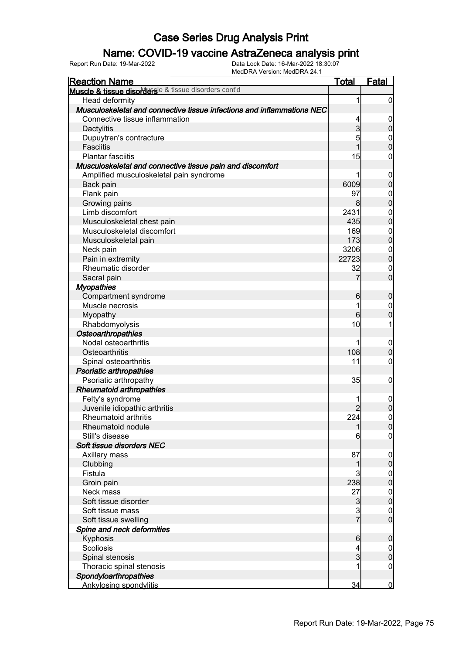### Name: COVID-19 vaccine AstraZeneca analysis print

| <b>Reaction Name</b>                                                   | <u>Total</u>    | Fatal               |
|------------------------------------------------------------------------|-----------------|---------------------|
| Muscle & tissue disorderse & tissue disorders cont'd                   |                 |                     |
| Head deformity                                                         | 1               | $\overline{0}$      |
| Musculoskeletal and connective tissue infections and inflammations NEC |                 |                     |
| Connective tissue inflammation                                         | 4               | $\mathbf 0$         |
| Dactylitis                                                             | $\overline{3}$  | $\mathbf 0$         |
| Dupuytren's contracture                                                | 5               |                     |
| <b>Fasciitis</b>                                                       | $\overline{1}$  | $0$<br>0            |
| <b>Plantar fasciitis</b>                                               | 15              | $\mathbf 0$         |
| Musculoskeletal and connective tissue pain and discomfort              |                 |                     |
| Amplified musculoskeletal pain syndrome                                |                 | $\mathbf 0$         |
| Back pain                                                              | 6009            | $\mathbf 0$         |
| Flank pain                                                             | 97              | $\mathbf{0}$        |
| Growing pains                                                          | 8               | $\mathbf 0$         |
| Limb discomfort                                                        | 2431            | $\boldsymbol{0}$    |
| Musculoskeletal chest pain                                             | 435             | $\overline{0}$      |
| Musculoskeletal discomfort                                             | 169             | $\mathbf{0}$        |
| Musculoskeletal pain                                                   | 173             | $\mathbf 0$         |
| Neck pain                                                              | 3206            | $\boldsymbol{0}$    |
| Pain in extremity                                                      | 22723           | $\overline{0}$      |
| Rheumatic disorder                                                     | 32              | $\mathbf 0$         |
| Sacral pain                                                            | 7               | $\overline{0}$      |
| <b>Myopathies</b>                                                      |                 |                     |
| Compartment syndrome                                                   | 6               | $\boldsymbol{0}$    |
| Muscle necrosis                                                        | 1               | $\mathbf 0$         |
| Myopathy                                                               | 6               | $\overline{0}$      |
| Rhabdomyolysis                                                         | 10              | 1                   |
| <b>Osteoarthropathies</b>                                              |                 |                     |
| Nodal osteoarthritis                                                   | 1               | $\mathbf 0$         |
| Osteoarthritis                                                         | 108             | $\pmb{0}$           |
| Spinal osteoarthritis                                                  | 11              | $\mathbf 0$         |
| Psoriatic arthropathies                                                |                 |                     |
| Psoriatic arthropathy                                                  | 35              | $\mathbf 0$         |
| <b>Rheumatoid arthropathies</b>                                        |                 |                     |
| Felty's syndrome                                                       |                 | $\boldsymbol{0}$    |
| Juvenile idiopathic arthritis                                          | $\overline{2}$  | $\overline{0}$      |
| <b>Rheumatoid arthritis</b>                                            | 224             | $\mathsf{O}\xspace$ |
| Rheumatoid nodule                                                      | 1               | 0                   |
| Still's disease                                                        | 6               | $\overline{0}$      |
| Soft tissue disorders NEC                                              |                 |                     |
| Axillary mass                                                          | 87              | $\mathbf 0$         |
| Clubbing                                                               | 1               | $\pmb{0}$           |
| Fistula                                                                | 3               | $\overline{0}$      |
| Groin pain                                                             | 238             | $\overline{0}$      |
| Neck mass                                                              | 27              | $\boldsymbol{0}$    |
| Soft tissue disorder                                                   | $\mathbf{3}$    | $\mathbf 0$         |
| Soft tissue mass                                                       |                 | $\mathbf 0$         |
| Soft tissue swelling                                                   | $rac{3}{7}$     | $\overline{0}$      |
| Spine and neck deformities                                             |                 |                     |
| Kyphosis                                                               | $6 \overline{}$ | $\boldsymbol{0}$    |
| Scoliosis                                                              | 4               | $\overline{0}$      |
| Spinal stenosis                                                        | $\overline{3}$  | $\pmb{0}$           |
| Thoracic spinal stenosis                                               |                 | $\mathbf 0$         |
| Spondyloarthropathies                                                  |                 |                     |
| <b>Ankylosing spondylitis</b>                                          | 34              | $\mathbf 0$         |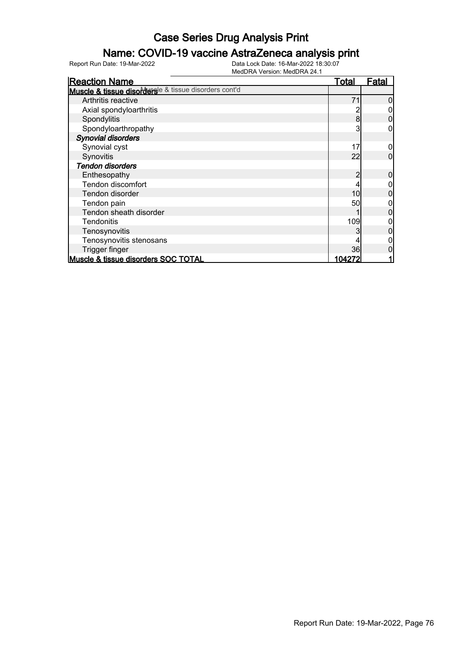### Name: COVID-19 vaccine AstraZeneca analysis print

| <b>Reaction Name</b>                                  | <u>Total</u> | <b>Fatal</b> |
|-------------------------------------------------------|--------------|--------------|
| Muscle & tissue disordersle & tissue disorders cont'd |              |              |
| Arthritis reactive                                    | 71           |              |
| Axial spondyloarthritis                               |              |              |
| Spondylitis                                           | 8            |              |
| Spondyloarthropathy                                   |              |              |
| <b>Synovial disorders</b>                             |              |              |
| Synovial cyst                                         | 17           |              |
| Synovitis                                             | 22           |              |
| <b>Tendon disorders</b>                               |              |              |
| Enthesopathy                                          | 2            |              |
| <b>Tendon discomfort</b>                              |              |              |
| Tendon disorder                                       | 10           |              |
| Tendon pain                                           | 50           |              |
| Tendon sheath disorder                                |              |              |
| Tendonitis                                            | 109          |              |
| Tenosynovitis                                         |              |              |
| Tenosynovitis stenosans                               |              |              |
| Trigger finger                                        | 36           |              |
| Muscle & tissue disorders SOC TOTAL                   | 104272       |              |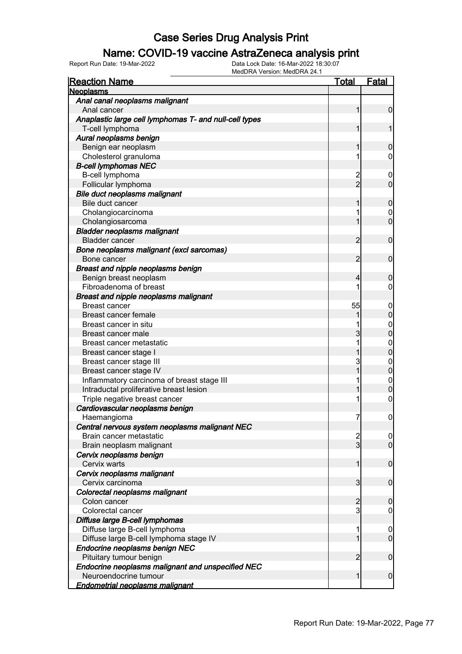### Name: COVID-19 vaccine AstraZeneca analysis print

| <b>Reaction Name</b>                                   | <u>Total</u>                     | <b>Fatal</b>                     |
|--------------------------------------------------------|----------------------------------|----------------------------------|
| <b>Neoplasms</b>                                       |                                  |                                  |
| Anal canal neoplasms malignant                         |                                  |                                  |
| Anal cancer                                            | 1                                | $\mathbf 0$                      |
| Anaplastic large cell lymphomas T- and null-cell types |                                  |                                  |
| T-cell lymphoma                                        | 1                                | 1                                |
| Aural neoplasms benign                                 |                                  |                                  |
| Benign ear neoplasm                                    | 1                                | $\mathbf 0$                      |
| Cholesterol granuloma                                  | 1                                | $\mathbf 0$                      |
| <b>B-cell lymphomas NEC</b>                            |                                  |                                  |
| B-cell lymphoma                                        | $\overline{c}$                   | $\overline{0}$                   |
| Follicular lymphoma                                    | $\overline{2}$                   | $\overline{0}$                   |
| Bile duct neoplasms malignant                          |                                  |                                  |
| Bile duct cancer                                       | 1                                | $\mathbf 0$                      |
| Cholangiocarcinoma                                     | 1                                | $\mathbf 0$                      |
| Cholangiosarcoma                                       | 1                                | $\overline{0}$                   |
| <b>Bladder neoplasms malignant</b>                     |                                  |                                  |
| <b>Bladder cancer</b>                                  | $\overline{2}$                   | $\mathbf 0$                      |
| Bone neoplasms malignant (excl sarcomas)               |                                  |                                  |
| Bone cancer                                            | $\overline{2}$                   | $\mathbf 0$                      |
| Breast and nipple neoplasms benign                     |                                  |                                  |
| Benign breast neoplasm                                 | 4                                | $\mathbf 0$                      |
| Fibroadenoma of breast                                 | 1                                | 0                                |
| <b>Breast and nipple neoplasms malignant</b>           |                                  |                                  |
| <b>Breast cancer</b>                                   | 55                               | $\boldsymbol{0}$                 |
| <b>Breast cancer female</b>                            |                                  | $\mathbf 0$                      |
| Breast cancer in situ                                  |                                  | $\mathbf{0}$                     |
| Breast cancer male                                     | 3                                | $\overline{0}$                   |
| Breast cancer metastatic                               | 1                                | $\mathbf{0}$                     |
| Breast cancer stage I                                  |                                  | $\overline{0}$                   |
| Breast cancer stage III                                | 3                                | $\mathbf{0}$                     |
| Breast cancer stage IV                                 | 1                                | $\overline{0}$                   |
| Inflammatory carcinoma of breast stage III             | 1                                | $\mathbf{0}$                     |
| Intraductal proliferative breast lesion                | 1                                | $\overline{0}$                   |
| Triple negative breast cancer                          | 1                                | $\mathbf 0$                      |
| Cardiovascular neoplasms benign                        |                                  |                                  |
| Haemangioma                                            | 7                                | $\boldsymbol{0}$                 |
| Central nervous system neoplasms malignant NEC         |                                  |                                  |
| Brain cancer metastatic                                | $\overline{c}$<br>$\overline{3}$ | $\overline{0}$<br>$\overline{0}$ |
| Brain neoplasm malignant                               |                                  |                                  |
| Cervix neoplasms benign<br>Cervix warts                |                                  | $\mathbf 0$                      |
|                                                        | $\mathbf{1}$                     |                                  |
| Cervix neoplasms malignant<br>Cervix carcinoma         | $\overline{3}$                   | $\boldsymbol{0}$                 |
| Colorectal neoplasms malignant                         |                                  |                                  |
| Colon cancer                                           | $\overline{2}$                   | $\mathbf 0$                      |
| Colorectal cancer                                      | $\overline{3}$                   | $\mathbf 0$                      |
| Diffuse large B-cell lymphomas                         |                                  |                                  |
| Diffuse large B-cell lymphoma                          | 1                                | $\mathbf 0$                      |
| Diffuse large B-cell lymphoma stage IV                 | $\mathbf{1}$                     | $\overline{0}$                   |
| Endocrine neoplasms benign NEC                         |                                  |                                  |
| Pituitary tumour benign                                | $\overline{2}$                   | $\boldsymbol{0}$                 |
| Endocrine neoplasms malignant and unspecified NEC      |                                  |                                  |
| Neuroendocrine tumour                                  | 1                                | $\boldsymbol{0}$                 |
| Endometrial neoplasms malignant                        |                                  |                                  |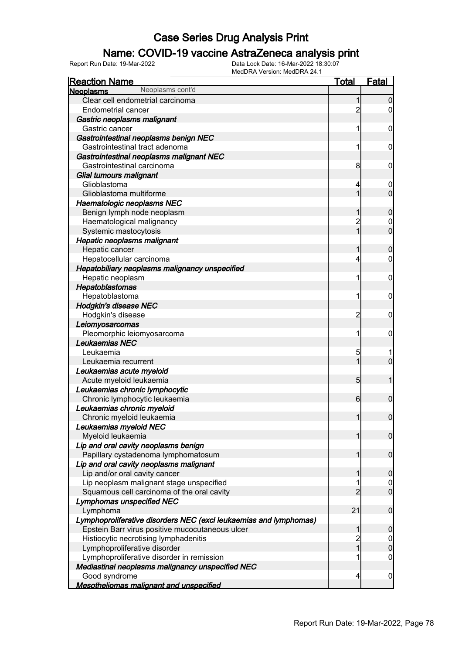### Name: COVID-19 vaccine AstraZeneca analysis print

| <b>Reaction Name</b>                                              | <b>Total</b>   | Fatal            |
|-------------------------------------------------------------------|----------------|------------------|
| Neoplasms cont'd<br><b>Neoplasms</b>                              |                |                  |
| Clear cell endometrial carcinoma                                  | 1              | $\overline{0}$   |
| <b>Endometrial cancer</b>                                         | $\overline{c}$ | 0                |
| Gastric neoplasms malignant                                       |                |                  |
| Gastric cancer                                                    |                | $\mathbf 0$      |
| Gastrointestinal neoplasms benign NEC                             |                |                  |
| Gastrointestinal tract adenoma                                    | 1              | $\mathbf 0$      |
| Gastrointestinal neoplasms malignant NEC                          |                |                  |
| Gastrointestinal carcinoma                                        | 8              | $\mathbf 0$      |
| Glial tumours malignant                                           |                |                  |
| Glioblastoma                                                      | 4              | $\mathbf 0$      |
| Glioblastoma multiforme                                           | 1              | $\overline{0}$   |
| Haematologic neoplasms NEC                                        |                |                  |
| Benign lymph node neoplasm                                        |                | $\mathbf 0$      |
| Haematological malignancy                                         | $\overline{c}$ | 0                |
| Systemic mastocytosis                                             | $\mathbf{1}$   | $\overline{0}$   |
| Hepatic neoplasms malignant                                       |                |                  |
| Hepatic cancer                                                    |                | $\boldsymbol{0}$ |
| Hepatocellular carcinoma                                          | 4              | 0                |
| Hepatobiliary neoplasms malignancy unspecified                    |                |                  |
| Hepatic neoplasm                                                  |                | $\mathbf 0$      |
| Hepatoblastomas                                                   |                |                  |
| Hepatoblastoma                                                    | 1              | $\mathbf 0$      |
| <b>Hodgkin's disease NEC</b>                                      |                |                  |
| Hodgkin's disease                                                 | 2              | $\mathbf 0$      |
| Leiomyosarcomas                                                   |                |                  |
| Pleomorphic leiomyosarcoma                                        | 1              | $\mathbf 0$      |
| Leukaemias NEC                                                    |                |                  |
| Leukaemia                                                         | 5              |                  |
| Leukaemia recurrent                                               | 1              | $\overline{0}$   |
| Leukaemias acute myeloid                                          |                |                  |
| Acute myeloid leukaemia                                           | 5 <sub>5</sub> | 1                |
| Leukaemias chronic lymphocytic                                    |                |                  |
| Chronic lymphocytic leukaemia                                     | $6 \mid$       | $\mathbf 0$      |
| Leukaemias chronic myeloid                                        |                |                  |
| Chronic myeloid leukaemia                                         | $\mathbf{1}$   | $\overline{0}$   |
| Leukaemias myeloid NEC                                            |                |                  |
| Myeloid leukaemia                                                 | 1              | $\overline{0}$   |
| Lip and oral cavity neoplasms benign                              |                |                  |
| Papillary cystadenoma lymphomatosum                               |                | $\overline{0}$   |
| Lip and oral cavity neoplasms malignant                           |                |                  |
| Lip and/or oral cavity cancer                                     |                | $\mathbf 0$      |
| Lip neoplasm malignant stage unspecified                          |                | 0                |
| Squamous cell carcinoma of the oral cavity                        | $\overline{c}$ | $\overline{0}$   |
| <b>Lymphomas unspecified NEC</b>                                  |                |                  |
| Lymphoma                                                          | 21             | $\mathbf 0$      |
| Lymphoproliferative disorders NEC (excl leukaemias and lymphomas) |                |                  |
| Epstein Barr virus positive mucocutaneous ulcer                   |                | $\mathbf 0$      |
| Histiocytic necrotising lymphadenitis                             | $\overline{c}$ | $\boldsymbol{0}$ |
| Lymphoproliferative disorder                                      | $\overline{1}$ | $\mathbf 0$      |
| Lymphoproliferative disorder in remission                         |                | 0                |
| Mediastinal neoplasms malignancy unspecified NEC                  |                |                  |
| Good syndrome                                                     | 4              | $\mathbf 0$      |
| <b>Mesotheliomas malignant and unspecified</b>                    |                |                  |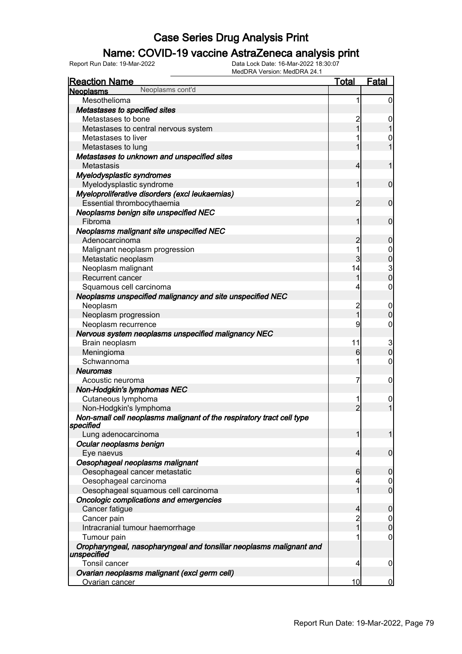### Name: COVID-19 vaccine AstraZeneca analysis print

| <b>Reaction Name</b>                                                               | <b>Total</b>   | <b>Fatal</b>     |
|------------------------------------------------------------------------------------|----------------|------------------|
| Neoplasms cont'd<br><b>Neoplasms</b>                                               |                |                  |
| Mesothelioma                                                                       | 1              | $\boldsymbol{0}$ |
| Metastases to specified sites                                                      |                |                  |
| Metastases to bone                                                                 | $\overline{c}$ | 0                |
| Metastases to central nervous system                                               | 1              |                  |
| Metastases to liver                                                                |                | 0                |
| Metastases to lung                                                                 | 1              | 1                |
| Metastases to unknown and unspecified sites                                        |                |                  |
| Metastasis                                                                         | $\overline{4}$ | 1                |
| Myelodysplastic syndromes                                                          |                |                  |
| Myelodysplastic syndrome                                                           | 1              | $\mathbf 0$      |
| Myeloproliferative disorders (excl leukaemias)                                     |                |                  |
| Essential thrombocythaemia                                                         | $\overline{2}$ | $\mathbf 0$      |
| Neoplasms benign site unspecified NEC                                              |                |                  |
| Fibroma                                                                            | 1              | $\mathbf 0$      |
| Neoplasms malignant site unspecified NEC                                           |                |                  |
| Adenocarcinoma                                                                     | $\overline{c}$ | $\mathbf 0$      |
| Malignant neoplasm progression                                                     | 1              |                  |
| Metastatic neoplasm                                                                | 3              | 0<br>0           |
| Neoplasm malignant                                                                 | 14             |                  |
| Recurrent cancer                                                                   | 1              | $\frac{3}{0}$    |
| Squamous cell carcinoma                                                            | 4              | $\mathbf 0$      |
| Neoplasms unspecified malignancy and site unspecified NEC                          |                |                  |
| Neoplasm                                                                           | $\overline{c}$ | $\mathbf 0$      |
| Neoplasm progression                                                               | $\overline{1}$ | $\mathbf 0$      |
| Neoplasm recurrence                                                                | 9              | $\mathbf 0$      |
| Nervous system neoplasms unspecified malignancy NEC                                |                |                  |
| Brain neoplasm                                                                     | 11             |                  |
| Meningioma                                                                         | 6              | $\frac{3}{0}$    |
| Schwannoma                                                                         | 1              | $\mathbf 0$      |
| <b>Neuromas</b>                                                                    |                |                  |
| Acoustic neuroma                                                                   | 7              | $\mathbf 0$      |
| Non-Hodgkin's lymphomas NEC                                                        |                |                  |
| Cutaneous lymphoma                                                                 | 1              | $\mathbf{0}$     |
| Non-Hodgkin's lymphoma                                                             | $\overline{2}$ | $\overline{1}$   |
| Non-small cell neoplasms malignant of the respiratory tract cell type              |                |                  |
| specified                                                                          |                |                  |
| Lung adenocarcinoma                                                                | 1              | 1                |
| Ocular neoplasms benign                                                            |                |                  |
| Eye naevus                                                                         | 4              | $\mathbf 0$      |
| Oesophageal neoplasms malignant                                                    |                |                  |
| Oesophageal cancer metastatic                                                      | 6              | 0                |
| Oesophageal carcinoma                                                              | 4              | $\boldsymbol{0}$ |
| Oesophageal squamous cell carcinoma                                                | 1              | $\mathbf 0$      |
| Oncologic complications and emergencies                                            |                |                  |
| Cancer fatigue                                                                     | 4              | 0                |
| Cancer pain                                                                        | $\overline{c}$ | $\boldsymbol{0}$ |
| Intracranial tumour haemorrhage                                                    | 1              | 0                |
| Tumour pain                                                                        | 1              | 0                |
| Oropharyngeal, nasopharyngeal and tonsillar neoplasms malignant and<br>unspecified |                |                  |
| Tonsil cancer                                                                      | 4              | 0                |
| Ovarian neoplasms malignant (excl germ cell)                                       |                |                  |
| Ovarian cancer                                                                     | 10             | $\Omega$         |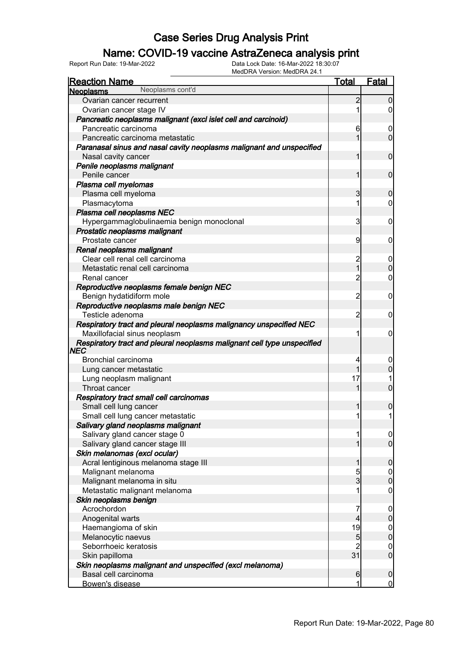### Name: COVID-19 vaccine AstraZeneca analysis print

| <b>Reaction Name</b>                                                    | <u>Total</u>   | <b>Fatal</b>        |
|-------------------------------------------------------------------------|----------------|---------------------|
| Neoplasms cont'd<br>Neoplasms                                           |                |                     |
| Ovarian cancer recurrent                                                | 2              | $\overline{0}$      |
| Ovarian cancer stage IV                                                 | 1              | $\overline{0}$      |
| Pancreatic neoplasms malignant (excl islet cell and carcinoid)          |                |                     |
| Pancreatic carcinoma                                                    | 6              | 0                   |
| Pancreatic carcinoma metastatic                                         | 1              | $\overline{0}$      |
| Paranasal sinus and nasal cavity neoplasms malignant and unspecified    |                |                     |
| Nasal cavity cancer                                                     | 1              | $\mathbf 0$         |
| Penile neoplasms malignant                                              |                |                     |
| Penile cancer                                                           | 1              | $\mathbf 0$         |
| Plasma cell myelomas                                                    |                |                     |
| Plasma cell myeloma                                                     | 3              | $\mathbf 0$         |
| Plasmacytoma                                                            | 1              | $\overline{0}$      |
| Plasma cell neoplasms NEC                                               |                |                     |
| Hypergammaglobulinaemia benign monoclonal                               | 3              | 0                   |
| Prostatic neoplasms malignant                                           |                |                     |
| Prostate cancer                                                         | 9              | 0                   |
| Renal neoplasms malignant                                               |                |                     |
| Clear cell renal cell carcinoma                                         | $\overline{c}$ | $\boldsymbol{0}$    |
| Metastatic renal cell carcinoma                                         | $\overline{1}$ | $\mathbf 0$         |
| Renal cancer                                                            | $\overline{c}$ | 0                   |
| Reproductive neoplasms female benign NEC                                |                |                     |
| Benign hydatidiform mole                                                | $\overline{c}$ | 0                   |
| Reproductive neoplasms male benign NEC                                  |                |                     |
| Testicle adenoma                                                        | $\overline{c}$ | 0                   |
| Respiratory tract and pleural neoplasms malignancy unspecified NEC      |                |                     |
| Maxillofacial sinus neoplasm                                            | 1              | 0                   |
| Respiratory tract and pleural neoplasms malignant cell type unspecified |                |                     |
| NEC                                                                     |                |                     |
| Bronchial carcinoma                                                     | 4              | 0                   |
| Lung cancer metastatic                                                  | 17             | 0                   |
| Lung neoplasm malignant<br>Throat cancer                                |                | 0                   |
| Respiratory tract small cell carcinomas                                 |                |                     |
| Small cell lung cancer                                                  |                |                     |
| Small cell lung cancer metastatic                                       | 1              | 0<br>1              |
|                                                                         |                |                     |
| Salivary gland neoplasms malignant<br>Salivary gland cancer stage 0     | 1              |                     |
| Salivary gland cancer stage III                                         |                | 0<br>$\overline{0}$ |
| Skin melanomas (excl ocular)                                            |                |                     |
| Acral lentiginous melanoma stage III                                    |                | 0                   |
| Malignant melanoma                                                      | 5              | $\mathbf 0$         |
| Malignant melanoma in situ                                              | 3              | 0                   |
| Metastatic malignant melanoma                                           | 1              | 0                   |
| Skin neoplasms benign                                                   |                |                     |
| Acrochordon                                                             | 7              | 0                   |
| Anogenital warts                                                        | 4              | 0                   |
| Haemangioma of skin                                                     | 19             | 0                   |
| Melanocytic naevus                                                      | 5              | 0                   |
| Seborrhoeic keratosis                                                   | 2              | 0                   |
| Skin papilloma                                                          | 31             | $\overline{0}$      |
| Skin neoplasms malignant and unspecified (excl melanoma)                |                |                     |
| Basal cell carcinoma                                                    | 6              | 0                   |
| Bowen's disease                                                         | 1              | $\overline{0}$      |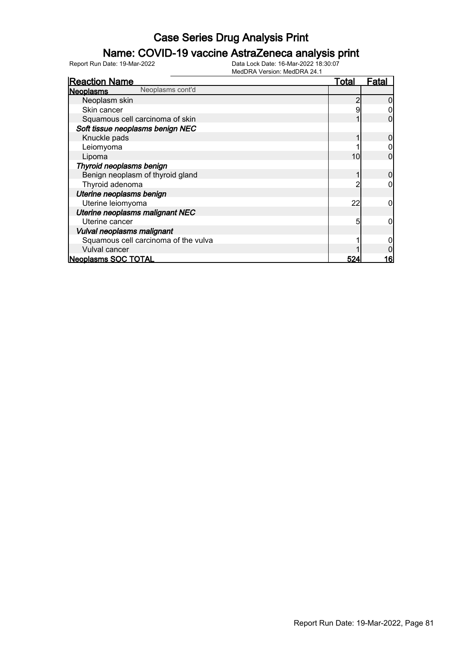### Name: COVID-19 vaccine AstraZeneca analysis print

| <b>Reaction Name</b>                 | <b>Total</b> | <u>Fatal</u> |
|--------------------------------------|--------------|--------------|
| Neoplasms cont'd<br><b>Neoplasms</b> |              |              |
| Neoplasm skin                        |              |              |
| Skin cancer                          |              |              |
| Squamous cell carcinoma of skin      |              |              |
| Soft tissue neoplasms benign NEC     |              |              |
| Knuckle pads                         |              |              |
| Leiomyoma                            |              |              |
| Lipoma                               | 10           |              |
| Thyroid neoplasms benign             |              |              |
| Benign neoplasm of thyroid gland     |              |              |
| Thyroid adenoma                      |              |              |
| Uterine neoplasms benign             |              |              |
| Uterine leiomyoma                    | 22           |              |
| Uterine neoplasms malignant NEC      |              |              |
| Uterine cancer                       | 5            |              |
| Vulval neoplasms malignant           |              |              |
| Squamous cell carcinoma of the vulva |              |              |
| Vulval cancer                        |              |              |
| <b>Neoplasms SOC TOTAL</b>           | 524          | 16           |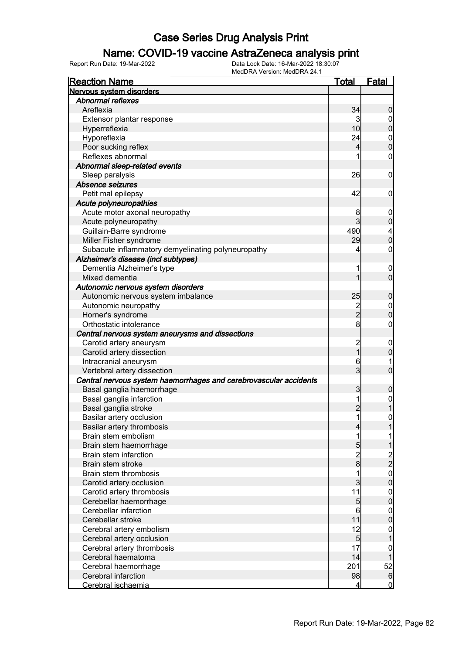#### Name: COVID-19 vaccine AstraZeneca analysis print

| <b>Reaction Name</b>                                              | <u>Total</u>    | <b>Fatal</b>                  |
|-------------------------------------------------------------------|-----------------|-------------------------------|
| Nervous system disorders                                          |                 |                               |
| <b>Abnormal reflexes</b>                                          |                 |                               |
| Areflexia                                                         | 34              | 0                             |
| Extensor plantar response                                         | 3               | 0                             |
| Hyperreflexia                                                     | 10              | $\overline{0}$                |
| Hyporeflexia                                                      | 24              | $\mathbf{0}$                  |
| Poor sucking reflex                                               | 4               | $\overline{0}$                |
| Reflexes abnormal                                                 | 1               | 0                             |
| Abnormal sleep-related events                                     |                 |                               |
| Sleep paralysis                                                   | 26              | $\mathbf 0$                   |
| Absence seizures                                                  |                 |                               |
| Petit mal epilepsy                                                | 42              | 0                             |
| Acute polyneuropathies                                            |                 |                               |
| Acute motor axonal neuropathy                                     | 8               | $\mathbf 0$                   |
| Acute polyneuropathy                                              | $\overline{3}$  | 0                             |
| Guillain-Barre syndrome                                           | 490             |                               |
| Miller Fisher syndrome                                            | 29              | $\frac{4}{0}$                 |
| Subacute inflammatory demyelinating polyneuropathy                | 4               | 0                             |
| Alzheimer's disease (incl subtypes)                               |                 |                               |
| Dementia Alzheimer's type                                         | 1               | $\mathbf 0$                   |
| Mixed dementia                                                    | 1               | $\overline{0}$                |
| Autonomic nervous system disorders                                |                 |                               |
| Autonomic nervous system imbalance                                | 25              | 0                             |
| Autonomic neuropathy                                              |                 |                               |
|                                                                   | $\frac{2}{2}$   | $\mathbf 0$<br>$\overline{0}$ |
| Horner's syndrome                                                 | 8 <sup>1</sup>  |                               |
| Orthostatic intolerance                                           |                 | 0                             |
| Central nervous system aneurysms and dissections                  |                 |                               |
| Carotid artery aneurysm                                           | $\overline{c}$  | $\mathbf 0$                   |
| Carotid artery dissection                                         | 1               | 0                             |
| Intracranial aneurysm                                             | 6               |                               |
| Vertebral artery dissection                                       | $\overline{3}$  | $\mathbf{0}$                  |
| Central nervous system haemorrhages and cerebrovascular accidents |                 |                               |
| Basal ganglia haemorrhage                                         | 3               | 0                             |
| Basal ganglia infarction                                          | 1               | $\boldsymbol{0}$              |
| Basal ganglia stroke                                              | $\overline{2}$  |                               |
| Basilar artery occlusion                                          | 1               | $\mathbf{0}$                  |
| Basilar artery thrombosis                                         | $\overline{4}$  |                               |
| Brain stem embolism                                               | 1               | 1                             |
| Brain stem haemorrhage                                            | 5               |                               |
| Brain stem infarction                                             | $\overline{2}$  | 2<br>2                        |
| Brain stem stroke                                                 | $\overline{8}$  |                               |
| Brain stem thrombosis                                             | 1               | $\boldsymbol{0}$              |
| Carotid artery occlusion                                          | $\overline{3}$  | $\overline{0}$                |
| Carotid artery thrombosis                                         | 11              | $\mathbf{0}$                  |
| Cerebellar haemorrhage                                            | $5\overline{)}$ | $\mathbf 0$                   |
| Cerebellar infarction                                             | 6               | $\mathbf 0$                   |
| Cerebellar stroke                                                 | 11              | $\mathbf 0$                   |
| Cerebral artery embolism                                          | 12              | $\boldsymbol{0}$              |
| Cerebral artery occlusion                                         | 5 <sub>5</sub>  |                               |
| Cerebral artery thrombosis                                        | 17              | $\boldsymbol{0}$              |
| Cerebral haematoma                                                | 14              |                               |
| Cerebral haemorrhage                                              | 201             | 52                            |
| Cerebral infarction                                               | 98              | 6                             |
| Cerebral ischaemia                                                | $\vert 4 \vert$ | $\overline{0}$                |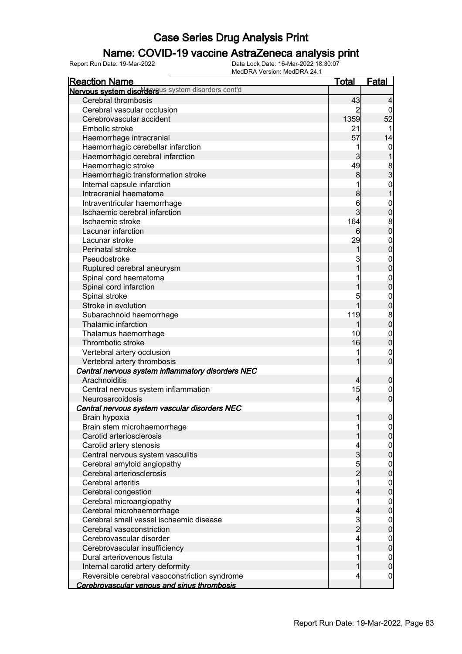### Name: COVID-19 vaccine AstraZeneca analysis print

| <b>Reaction Name</b>                               | <b>Total</b>   | <b>Fatal</b>                         |
|----------------------------------------------------|----------------|--------------------------------------|
| Nervous system disordersus system disorders cont'd |                |                                      |
| Cerebral thrombosis                                | 43             | 4                                    |
| Cerebral vascular occlusion                        | 2              | $\Omega$                             |
| Cerebrovascular accident                           | 1359           | 52                                   |
| Embolic stroke                                     | 21             |                                      |
| Haemorrhage intracranial                           | 57             | 14                                   |
| Haemorrhagic cerebellar infarction                 | 1              | $\mathbf 0$                          |
| Haemorrhagic cerebral infarction                   | $\mathbf{3}$   |                                      |
| Haemorrhagic stroke                                | 49             |                                      |
| Haemorrhagic transformation stroke                 | 8              | $\frac{8}{3}$                        |
| Internal capsule infarction                        |                | $\mathbf{0}$                         |
| Intracranial haematoma                             | 8              | $\mathbf{1}$                         |
| Intraventricular haemorrhage                       | 6              | $\mathbf{0}$                         |
| Ischaemic cerebral infarction                      | $\overline{3}$ | $\mathbf 0$                          |
| Ischaemic stroke                                   | 164            |                                      |
| Lacunar infarction                                 | 6              | $\begin{matrix} 8 \\ 0 \end{matrix}$ |
| Lacunar stroke                                     | 29             | $\boldsymbol{0}$                     |
| Perinatal stroke                                   | 1              | $\overline{0}$                       |
| Pseudostroke                                       | 3              |                                      |
| Ruptured cerebral aneurysm                         | 1              | $0\atop 0$                           |
| Spinal cord haematoma                              |                |                                      |
| Spinal cord infarction                             |                | $0\atop 0$                           |
| Spinal stroke                                      | 5              | $\mathbf{0}$                         |
| Stroke in evolution                                | 1              | $\mathbf 0$                          |
| Subarachnoid haemorrhage                           | 119            |                                      |
| Thalamic infarction                                | 1              | $\begin{matrix} 8 \\ 0 \end{matrix}$ |
| Thalamus haemorrhage                               | 10             | $\boldsymbol{0}$                     |
| Thrombotic stroke                                  | 16             | $\mathbf 0$                          |
| Vertebral artery occlusion                         |                | $\mathbf 0$                          |
| Vertebral artery thrombosis                        | 1              | $\overline{0}$                       |
| Central nervous system inflammatory disorders NEC  |                |                                      |
| Arachnoiditis                                      | $\overline{4}$ | $\mathbf 0$                          |
| Central nervous system inflammation                | 15             | $\mathbf 0$                          |
| Neurosarcoidosis                                   | $\overline{4}$ | $\mathbf 0$                          |
| Central nervous system vascular disorders NEC      |                |                                      |
| Brain hypoxia                                      | $\mathbf{1}$   | $\boldsymbol{0}$                     |
| Brain stem microhaemorrhage                        | 1              |                                      |
| Carotid arteriosclerosis                           |                | $\Omega$<br>$\overline{0}$           |
| Carotid artery stenosis                            | 4              | $\mathbf 0$                          |
| Central nervous system vasculitis                  | $\overline{3}$ | $\mathbf 0$                          |
| Cerebral amyloid angiopathy                        |                | $\mathbf 0$                          |
| Cerebral arteriosclerosis                          | $\frac{5}{2}$  | $\mathbf 0$                          |
| Cerebral arteritis                                 | 1              | $\mathbf 0$                          |
| Cerebral congestion                                | 4              | $\mathbf 0$                          |
| Cerebral microangiopathy                           | 1              |                                      |
| Cerebral microhaemorrhage                          | 4              | $\mathbf{0}$<br>$\mathbf 0$          |
| Cerebral small vessel ischaemic disease            |                |                                      |
| Cerebral vasoconstriction                          | $\frac{3}{2}$  | $\mathbf 0$                          |
|                                                    |                | $\mathbf 0$                          |
| Cerebrovascular disorder                           | 4<br>1         | $\mathbf{0}$                         |
| Cerebrovascular insufficiency                      |                | $\mathbf 0$                          |
| Dural arteriovenous fistula                        |                | $\mathbf 0$                          |
| Internal carotid artery deformity                  | 1              | $\mathbf 0$                          |
| Reversible cerebral vasoconstriction syndrome      | 4              | $\boldsymbol{0}$                     |
| Cerebrovascular venous and sinus thrombosis        |                |                                      |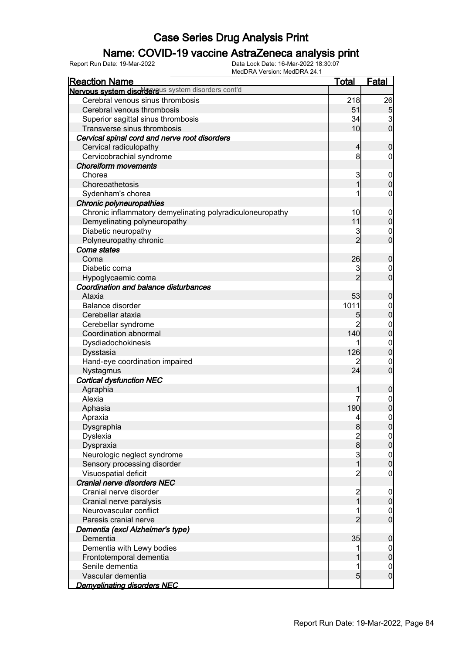### Name: COVID-19 vaccine AstraZeneca analysis print

| IVIEGURA VEISIOII. IVIEGURA 24. I<br><b>Reaction Name</b> | <u>Total</u>   | <b>Fatal</b>               |
|-----------------------------------------------------------|----------------|----------------------------|
| Nervous system disordersus system disorders cont'd        |                |                            |
| Cerebral venous sinus thrombosis                          | 218            | 26                         |
| Cerebral venous thrombosis                                | 51             | $\overline{5}$             |
| Superior sagittal sinus thrombosis                        | 34             |                            |
| Transverse sinus thrombosis                               | 10             | $\frac{3}{0}$              |
| Cervical spinal cord and nerve root disorders             |                |                            |
| Cervical radiculopathy                                    | $\overline{4}$ | $\mathbf 0$                |
| Cervicobrachial syndrome                                  | 8              | 0                          |
| <b>Choreiform movements</b>                               |                |                            |
| Chorea                                                    | 3              | $\mathbf 0$                |
| Choreoathetosis                                           | 1              | $\mathbf 0$                |
| Sydenham's chorea                                         |                | 0                          |
| Chronic polyneuropathies                                  |                |                            |
| Chronic inflammatory demyelinating polyradiculoneuropathy | 10             | $\mathbf 0$                |
| Demyelinating polyneuropathy                              | 11             | $\mathbf 0$                |
| Diabetic neuropathy                                       | 3              | 0                          |
| Polyneuropathy chronic                                    | $\overline{2}$ | $\overline{0}$             |
| Coma states                                               |                |                            |
| Coma                                                      | 26             | $\mathbf 0$                |
| Diabetic coma                                             | 3              | 0                          |
| Hypoglycaemic coma                                        | $\overline{2}$ | $\overline{0}$             |
| Coordination and balance disturbances                     |                |                            |
| Ataxia                                                    | 53             | $\mathbf 0$                |
| Balance disorder                                          | 1011           | 0                          |
| Cerebellar ataxia                                         | 5              | $\overline{0}$             |
| Cerebellar syndrome                                       |                | 0                          |
| Coordination abnormal                                     | 140            | $\overline{0}$             |
| Dysdiadochokinesis                                        |                | $\mathbf 0$                |
| Dysstasia                                                 | 126            | $\overline{0}$             |
| Hand-eye coordination impaired                            |                | 0                          |
| Nystagmus                                                 | 24             | $\overline{0}$             |
| <b>Cortical dysfunction NEC</b>                           |                |                            |
| Agraphia                                                  |                | 0                          |
| Alexia                                                    |                | 0                          |
| Aphasia                                                   | 190            | 0                          |
| Apraxia                                                   | 4              | 0                          |
| Dysgraphia                                                | 8              | $\overline{0}$             |
| Dyslexia                                                  | $\frac{2}{8}$  |                            |
| Dyspraxia                                                 |                | $\overline{0}$             |
| Neurologic neglect syndrome                               | 3              | $0\atop 0$                 |
| Sensory processing disorder                               | $\overline{1}$ |                            |
| Visuospatial deficit                                      | $\overline{c}$ | 0                          |
| Cranial nerve disorders NEC<br>Cranial nerve disorder     |                |                            |
|                                                           | 2<br>1         | $\mathbf 0$<br>$\mathbf 0$ |
| Cranial nerve paralysis<br>Neurovascular conflict         | 1              |                            |
| Paresis cranial nerve                                     | $\overline{c}$ | 0<br>$\overline{0}$        |
| Dementia (excl Alzheimer's type)                          |                |                            |
| Dementia                                                  | 35             |                            |
| Dementia with Lewy bodies                                 |                | 0                          |
| Frontotemporal dementia                                   |                | $\mathbf 0$<br>$\mathbf 0$ |
| Senile dementia                                           | 1              | 0                          |
| Vascular dementia                                         | 5              | $\overline{0}$             |
| <b>Demyelinating disorders NEC</b>                        |                |                            |
|                                                           |                |                            |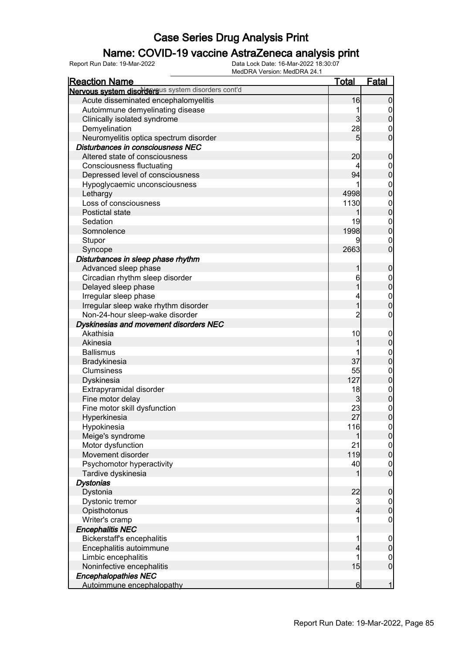### Name: COVID-19 vaccine AstraZeneca analysis print

| <b>Reaction Name</b>                               | <u>Total</u>   | <u>Fatal</u>                         |
|----------------------------------------------------|----------------|--------------------------------------|
| Nervous system disordersus system disorders cont'd |                |                                      |
| Acute disseminated encephalomyelitis               | 16             | $\overline{0}$                       |
| Autoimmune demyelinating disease                   |                | 0                                    |
| Clinically isolated syndrome                       | $\mathbf{3}$   | $\overline{0}$                       |
| Demyelination                                      | 28             | 0                                    |
| Neuromyelitis optica spectrum disorder             | 5              | $\overline{0}$                       |
| Disturbances in consciousness NEC                  |                |                                      |
| Altered state of consciousness                     | 20             | $\mathbf 0$                          |
| <b>Consciousness fluctuating</b>                   |                | $\mathbf 0$                          |
| Depressed level of consciousness                   | 94             | $\overline{0}$                       |
| Hypoglycaemic unconsciousness                      |                | $\mathbf 0$                          |
| Lethargy                                           | 4998           | $\overline{0}$                       |
| Loss of consciousness                              | 1130           | $\boldsymbol{0}$                     |
| Postictal state                                    | 1              | $\overline{0}$                       |
| Sedation                                           | 19             | $\mathbf 0$                          |
| Somnolence                                         | 1998           | $\overline{0}$                       |
| Stupor                                             |                | $\mathbf 0$                          |
|                                                    | 2663           | $\overline{0}$                       |
| Syncope                                            |                |                                      |
| Disturbances in sleep phase rhythm                 |                |                                      |
| Advanced sleep phase                               | 1              | $\mathbf 0$                          |
| Circadian rhythm sleep disorder                    | 6              | $\mathbf 0$<br>$\overline{0}$        |
| Delayed sleep phase                                |                |                                      |
| Irregular sleep phase                              | 4              | $\mathbf 0$                          |
| Irregular sleep wake rhythm disorder               | $\overline{1}$ | $\overline{0}$                       |
| Non-24-hour sleep-wake disorder                    | $\overline{2}$ | 0                                    |
| Dyskinesias and movement disorders NEC             |                |                                      |
| Akathisia                                          | 10             | $\mathbf 0$                          |
| Akinesia                                           | 1              | $\overline{0}$                       |
| <b>Ballismus</b>                                   |                | $\mathbf 0$                          |
| Bradykinesia                                       | 37             | $\overline{0}$                       |
| Clumsiness                                         | 55             | $\mathbf 0$                          |
| Dyskinesia                                         | 127            | $\overline{0}$                       |
| Extrapyramidal disorder                            | 18             | $\mathbf{0}$                         |
| Fine motor delay                                   | 3              | $\overline{0}$                       |
| Fine motor skill dysfunction                       | 23             | $\mathbf 0$                          |
| Hyperkinesia                                       | 27             | $\overline{0}$                       |
| Hypokinesia                                        | 116            | 0                                    |
| Meige's syndrome                                   |                | 0                                    |
| Motor dysfunction                                  | 21             | $\begin{matrix} 0 \\ 0 \end{matrix}$ |
| Movement disorder                                  | 119            |                                      |
| Psychomotor hyperactivity                          | 40             | $\mathbf 0$                          |
| Tardive dyskinesia                                 |                | $\overline{0}$                       |
| <b>Dystonias</b>                                   |                |                                      |
| Dystonia                                           | 22             | $\boldsymbol{0}$                     |
| Dystonic tremor                                    | 3              | $\mathbf 0$                          |
| Opisthotonus                                       | 4              | $\overline{0}$                       |
| Writer's cramp                                     |                | $\mathbf 0$                          |
| <b>Encephalitis NEC</b>                            |                |                                      |
| Bickerstaff's encephalitis                         |                | $\mathbf 0$                          |
| Encephalitis autoimmune                            | 4              | $\mathbf 0$                          |
| Limbic encephalitis                                |                | $\overline{0}$                       |
| Noninfective encephalitis                          | 15             | $\overline{0}$                       |
| <b>Encephalopathies NEC</b>                        |                |                                      |
| Autoimmune encephalopathy                          | 6              | 1                                    |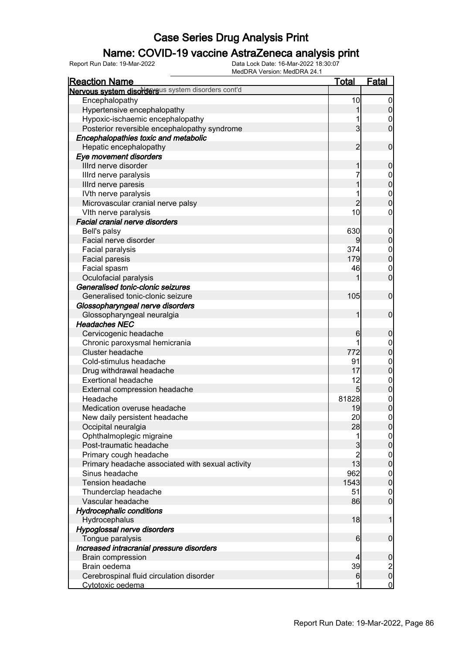### Name: COVID-19 vaccine AstraZeneca analysis print

| <b>Reaction Name</b>                               | <u>Total</u>    | <b>Fatal</b>     |
|----------------------------------------------------|-----------------|------------------|
| Nervous system disordersus system disorders cont'd |                 |                  |
| Encephalopathy                                     | 10              | $\overline{0}$   |
| Hypertensive encephalopathy                        | 1               | $\overline{0}$   |
| Hypoxic-ischaemic encephalopathy                   |                 | 0                |
| Posterior reversible encephalopathy syndrome       | $\overline{3}$  | $\overline{0}$   |
| Encephalopathies toxic and metabolic               |                 |                  |
| Hepatic encephalopathy                             | $\overline{2}$  | $\mathbf 0$      |
| Eye movement disorders                             |                 |                  |
| Illrd nerve disorder                               | 1               | $\mathbf 0$      |
| Illrd nerve paralysis                              | 7               | $\boldsymbol{0}$ |
| Illrd nerve paresis                                | 1               | $\overline{0}$   |
| IVth nerve paralysis                               |                 | $\boldsymbol{0}$ |
| Microvascular cranial nerve palsy                  | $\overline{2}$  | $\overline{0}$   |
| VIth nerve paralysis                               | 10              | 0                |
| <b>Facial cranial nerve disorders</b>              |                 |                  |
| Bell's palsy                                       | 630             | $\mathbf 0$      |
| Facial nerve disorder                              | $\overline{9}$  | $\mathbf 0$      |
| Facial paralysis                                   | 374             | $\boldsymbol{0}$ |
| Facial paresis                                     | 179             | $\overline{0}$   |
| Facial spasm                                       | 46              | $\mathbf 0$      |
| Oculofacial paralysis                              |                 | $\mathbf 0$      |
| Generalised tonic-clonic seizures                  |                 |                  |
| Generalised tonic-clonic seizure                   | 105             | $\mathbf 0$      |
| Glossopharyngeal nerve disorders                   |                 |                  |
| Glossopharyngeal neuralgia                         | 1               | $\mathbf 0$      |
| <b>Headaches NEC</b>                               |                 |                  |
| Cervicogenic headache                              | 6               | $\boldsymbol{0}$ |
| Chronic paroxysmal hemicrania                      |                 | $\boldsymbol{0}$ |
| Cluster headache                                   | 772             | $\overline{0}$   |
| Cold-stimulus headache                             | 91              | $\mathbf{0}$     |
| Drug withdrawal headache                           | 17              | $\overline{0}$   |
| <b>Exertional headache</b>                         | 12              | $\boldsymbol{0}$ |
| External compression headache                      | $5\overline{)}$ | $\overline{0}$   |
| Headache                                           | 81828           | $\mathbf{0}$     |
| Medication overuse headache                        | 19              | $\overline{0}$   |
| New daily persistent headache                      | 20              | $\overline{0}$   |
| Occipital neuralgia                                | 28              | 0                |
| Ophthalmoplegic migraine                           | 1               | $\overline{0}$   |
| Post-traumatic headache                            | 3               | $\overline{0}$   |
| Primary cough headache                             | $\overline{2}$  | $\boldsymbol{0}$ |
| Primary headache associated with sexual activity   | 13              | $\overline{0}$   |
| Sinus headache                                     | 962             | $\boldsymbol{0}$ |
| <b>Tension headache</b>                            | 1543            | $\overline{0}$   |
| Thunderclap headache                               | 51              | $\mathbf 0$      |
| Vascular headache                                  | 86              | $\overline{0}$   |
| <b>Hydrocephalic conditions</b>                    |                 |                  |
| Hydrocephalus                                      | 18              | $\mathbf 1$      |
| Hypoglossal nerve disorders                        |                 |                  |
| Tongue paralysis                                   | 6               | $\boldsymbol{0}$ |
| Increased intracranial pressure disorders          |                 |                  |
| <b>Brain compression</b>                           | 4               | $\boldsymbol{0}$ |
| Brain oedema                                       | 39              |                  |
| Cerebrospinal fluid circulation disorder           | 6               | $\frac{2}{0}$    |
| Cytotoxic oedema                                   | 1               | $\overline{0}$   |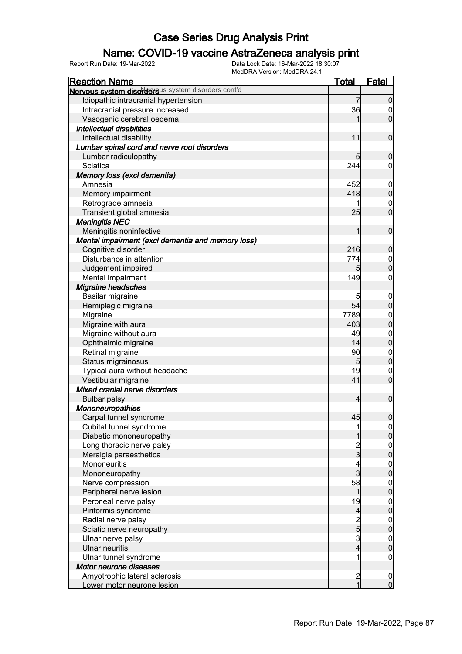### Name: COVID-19 vaccine AstraZeneca analysis print

| INICULITA VEISION. INICULITA Z4. I<br><b>Reaction Name</b> | <u>Total</u>                                     | Fatal            |
|------------------------------------------------------------|--------------------------------------------------|------------------|
| Nervous system disordersus system disorders cont'd         |                                                  |                  |
| Idiopathic intracranial hypertension                       | 7                                                | 0                |
| Intracranial pressure increased                            | 36                                               | 0                |
| Vasogenic cerebral oedema                                  |                                                  | $\overline{0}$   |
| Intellectual disabilities                                  |                                                  |                  |
| Intellectual disability                                    | 11                                               | $\mathbf 0$      |
| Lumbar spinal cord and nerve root disorders                |                                                  |                  |
| Lumbar radiculopathy                                       | 5                                                | 0                |
| Sciatica                                                   | 244                                              | 0                |
| Memory loss (excl dementia)                                |                                                  |                  |
| Amnesia                                                    | 452                                              | $\mathbf 0$      |
| Memory impairment                                          | 418                                              | $\overline{0}$   |
| Retrograde amnesia                                         |                                                  | $\mathbf 0$      |
| Transient global amnesia                                   | 25                                               | $\overline{0}$   |
| <b>Meningitis NEC</b>                                      |                                                  |                  |
| Meningitis noninfective                                    | 1                                                | $\mathbf 0$      |
| Mental impairment (excl dementia and memory loss)          |                                                  |                  |
| Cognitive disorder                                         | 216                                              | 0                |
| Disturbance in attention                                   | 774                                              | $\boldsymbol{0}$ |
| Judgement impaired                                         | 5                                                | $\overline{0}$   |
| Mental impairment                                          | 149                                              | 0                |
| Migraine headaches                                         |                                                  |                  |
| Basilar migraine                                           | 5                                                | $\boldsymbol{0}$ |
| Hemiplegic migraine                                        | 54                                               | $\mathbf 0$      |
| Migraine                                                   | 7789                                             | $\mathbf 0$      |
| Migraine with aura                                         | 403                                              | $\overline{0}$   |
| Migraine without aura                                      | 49                                               | $\mathbf 0$      |
| Ophthalmic migraine                                        | 14                                               | $\overline{0}$   |
| Retinal migraine                                           | 90                                               | $\mathbf 0$      |
| Status migrainosus                                         | 5                                                | $\overline{0}$   |
| Typical aura without headache                              | 19                                               | $\mathbf 0$      |
| Vestibular migraine                                        | 41                                               | $\overline{0}$   |
| Mixed cranial nerve disorders                              |                                                  |                  |
| <b>Bulbar palsy</b>                                        | 4                                                | $\pmb{0}$        |
| Mononeuropathies                                           |                                                  |                  |
| Carpal tunnel syndrome                                     | 45                                               | $\mathbf 0$      |
| Cubital tunnel syndrome                                    |                                                  |                  |
| Diabetic mononeuropathy                                    |                                                  | 0                |
| Long thoracic nerve palsy                                  |                                                  | $\mathbf 0$      |
| Meralgia paraesthetica                                     | 2<br>3                                           | 0                |
| Mononeuritis                                               | 4                                                | $\overline{0}$   |
| Mononeuropathy                                             | 3                                                | $\overline{0}$   |
| Nerve compression                                          | 58                                               | $\overline{0}$   |
| Peripheral nerve lesion                                    | 1                                                | $\overline{0}$   |
| Peroneal nerve palsy                                       | 19                                               | $\overline{0}$   |
| Piriformis syndrome                                        | 4                                                | $\mathbf 0$      |
| Radial nerve palsy                                         | $\begin{array}{c}\n 2 \\  5 \\  3\n \end{array}$ | $0\atop 0$       |
| Sciatic nerve neuropathy                                   |                                                  |                  |
| Ulnar nerve palsy                                          |                                                  | $\overline{0}$   |
| <b>Ulnar neuritis</b>                                      | $\overline{\mathbf{4}}$                          | $\overline{0}$   |
| Ulnar tunnel syndrome                                      | 1                                                | 0                |
| Motor neurone diseases                                     |                                                  |                  |
| Amyotrophic lateral sclerosis                              | $\frac{2}{1}$                                    | $\mathbf 0$      |
| Lower motor neurone lesion                                 |                                                  | $\overline{0}$   |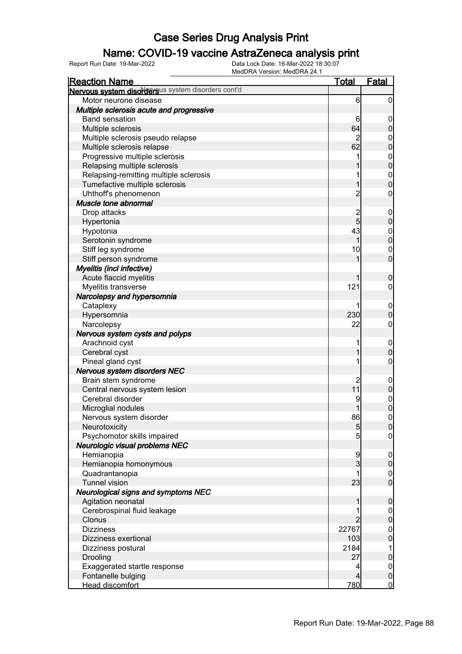### Name: COVID-19 vaccine AstraZeneca analysis print

| <b>Reaction Name</b>                               | <u>Total</u>   | <b>Fatal</b>                  |
|----------------------------------------------------|----------------|-------------------------------|
| Nervous system disordersus system disorders cont'd |                |                               |
| Motor neurone disease                              | 6              | $\overline{0}$                |
| Multiple sclerosis acute and progressive           |                |                               |
| <b>Band sensation</b>                              | 6              | $\boldsymbol{0}$              |
| Multiple sclerosis                                 | 64             | $\overline{0}$                |
| Multiple sclerosis pseudo relapse                  | $\overline{c}$ | $\mathbf{0}$                  |
| Multiple sclerosis relapse                         | 62             | $\overline{0}$                |
| Progressive multiple sclerosis                     |                | $\mathbf{0}$                  |
| Relapsing multiple sclerosis                       |                | $\overline{0}$                |
| Relapsing-remitting multiple sclerosis             | 1              | $\mathbf{0}$                  |
| Tumefactive multiple sclerosis                     | 1              | $\overline{0}$                |
| Uhthoff's phenomenon                               | $\overline{2}$ | 0                             |
| Muscle tone abnormal                               |                |                               |
| Drop attacks                                       |                | $\boldsymbol{0}$              |
| Hypertonia                                         | $\frac{2}{5}$  | $\overline{0}$                |
| Hypotonia                                          | 43             | $\mathbf 0$                   |
| Serotonin syndrome                                 |                | $\overline{0}$                |
| Stiff leg syndrome                                 | 10             | $\overline{0}$                |
| Stiff person syndrome                              |                | $\overline{0}$                |
| <b>Myelitis (incl infective)</b>                   |                |                               |
| Acute flaccid myelitis                             |                | $\mathbf 0$                   |
| Myelitis transverse                                | 121            | 0                             |
|                                                    |                |                               |
| Narcolepsy and hypersomnia                         |                |                               |
| Cataplexy                                          |                | $\mathbf 0$<br>$\overline{0}$ |
| Hypersomnia                                        | 230            |                               |
| Narcolepsy                                         | 22             | 0                             |
| Nervous system cysts and polyps                    |                |                               |
| Arachnoid cyst                                     |                | $\mathbf 0$<br>$\overline{0}$ |
| Cerebral cyst                                      |                |                               |
| Pineal gland cyst                                  |                | 0                             |
| Nervous system disorders NEC                       |                |                               |
| Brain stem syndrome                                | $\overline{c}$ | $\mathbf 0$                   |
| Central nervous system lesion                      | 11             | $\mathbf 0$                   |
| Cerebral disorder                                  |                | $\mathbf{0}$                  |
| Microglial nodules                                 |                | $\overline{0}$                |
| Nervous system disorder                            | 86             | $\mathbf 0$                   |
| Neurotoxicity                                      | 5 <sub>5</sub> | 0                             |
| Psychomotor skills impaired                        | 5              | 0                             |
| Neurologic visual problems NEC                     |                |                               |
| Hemianopia                                         | 9              | $\overline{0}$                |
| Hemianopia homonymous                              | 3              | $\overline{0}$                |
| Quadrantanopia                                     |                | $\mathbf 0$                   |
| <b>Tunnel vision</b>                               | 23             | $\overline{0}$                |
| <b>Neurological signs and symptoms NEC</b>         |                |                               |
| Agitation neonatal                                 |                | $\mathbf 0$                   |
| Cerebrospinal fluid leakage                        |                | $\overline{0}$                |
| Clonus                                             |                | $\overline{0}$                |
| <b>Dizziness</b>                                   | 22767          | $\mathbf{0}$                  |
| Dizziness exertional                               | 103            | $\overline{0}$                |
| Dizziness postural                                 | 2184           | 1                             |
| Drooling                                           | 27             | $\pmb{0}$                     |
| Exaggerated startle response                       | 4              | $\mathbf 0$                   |
| Fontanelle bulging                                 | 4              | $\mathbf 0$                   |
| Head discomfort                                    | 780            | $\overline{0}$                |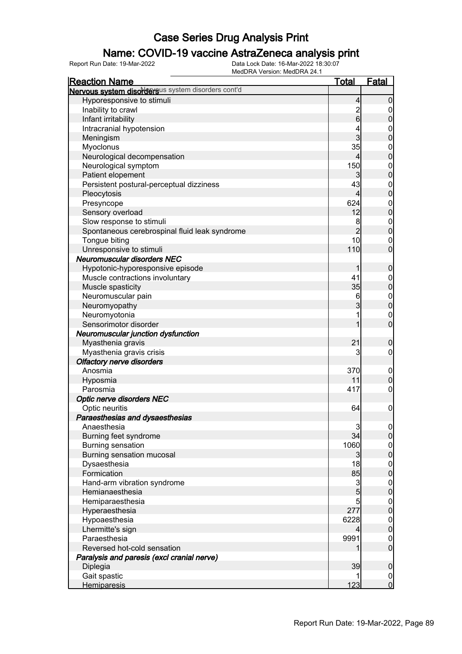### Name: COVID-19 vaccine AstraZeneca analysis print

| <b>Reaction Name</b>                                    | <u>Total</u>         | <b>Fatal</b>                  |
|---------------------------------------------------------|----------------------|-------------------------------|
| Nervous system disordersus system disorders cont'd      |                      |                               |
| Hyporesponsive to stimuli                               | 4                    | $\mathbf 0$                   |
| Inability to crawl                                      |                      | 0                             |
| Infant irritability                                     | $\frac{2}{6}$        | $\pmb{0}$                     |
| Intracranial hypotension                                |                      |                               |
| Meningism                                               | 3                    | $0\atop 0$                    |
| Myoclonus                                               | 35                   |                               |
| Neurological decompensation                             | 4                    | $0\atop 0$                    |
| Neurological symptom                                    | 150                  |                               |
| Patient elopement                                       | 3                    | $0\atop 0$                    |
| Persistent postural-perceptual dizziness                | 43                   |                               |
| Pleocytosis                                             | 4                    | $0\atop 0$                    |
| Presyncope                                              | 624                  |                               |
| Sensory overload                                        | 12                   | $0\atop 0$                    |
| Slow response to stimuli                                | 8                    |                               |
| Spontaneous cerebrospinal fluid leak syndrome           | $\overline{2}$       | $0\atop 0$                    |
| Tongue biting                                           | 10                   | $\mathbf 0$                   |
| Unresponsive to stimuli                                 | 110                  | $\overline{0}$                |
| <b>Neuromuscular disorders NEC</b>                      |                      |                               |
| Hypotonic-hyporesponsive episode                        | 1                    | $\boldsymbol{0}$              |
| Muscle contractions involuntary                         | 41                   |                               |
| Muscle spasticity                                       | 35                   | $0\atop 0$                    |
| Neuromuscular pain                                      | 6                    |                               |
| Neuromyopathy                                           | 3                    | $0\atop 0$                    |
| Neuromyotonia                                           |                      |                               |
| Sensorimotor disorder                                   |                      | $\mathbf 0$<br>$\overline{0}$ |
|                                                         |                      |                               |
| Neuromuscular junction dysfunction<br>Myasthenia gravis | 21                   | $\boldsymbol{0}$              |
|                                                         | 3                    | 0                             |
| Myasthenia gravis crisis                                |                      |                               |
| <b>Olfactory nerve disorders</b><br>Anosmia             | 370                  |                               |
|                                                         | 11                   | $\mathbf 0$<br>$\mathbf 0$    |
| Hyposmia<br>Parosmia                                    | 417                  | $\mathbf 0$                   |
|                                                         |                      |                               |
| Optic nerve disorders NEC                               |                      |                               |
| Optic neuritis                                          | 64                   | $\mathbf 0$                   |
| Paraesthesias and dysaesthesias                         |                      |                               |
| Anaesthesia                                             | $\overline{3}$<br>34 | $\frac{0}{0}$                 |
| Burning feet syndrome                                   |                      |                               |
| <b>Burning sensation</b>                                | 1060                 | $0\atop 0$                    |
| Burning sensation mucosal                               | 3                    |                               |
| Dysaesthesia                                            | 18                   | $0\atop 0$                    |
| Formication                                             | 85                   |                               |
| Hand-arm vibration syndrome                             | 3                    | $0\atop 0$                    |
| Hemianaesthesia                                         | $\overline{5}$       |                               |
| Hemiparaesthesia                                        | 5                    | $0\atop 0$                    |
| Hyperaesthesia                                          | 277                  |                               |
| Hypoaesthesia                                           | 6228                 | $0\atop 0$                    |
| Lhermitte's sign                                        | 4                    |                               |
| Paraesthesia                                            | 9991                 | $\boldsymbol{0}$              |
| Reversed hot-cold sensation                             |                      | $\overline{0}$                |
| Paralysis and paresis (excl cranial nerve)              |                      |                               |
| Diplegia                                                | 39                   | $\mathbf 0$                   |
| Gait spastic                                            |                      | $\overline{0}$                |
| <b>Hemiparesis</b>                                      | 123                  | $\overline{0}$                |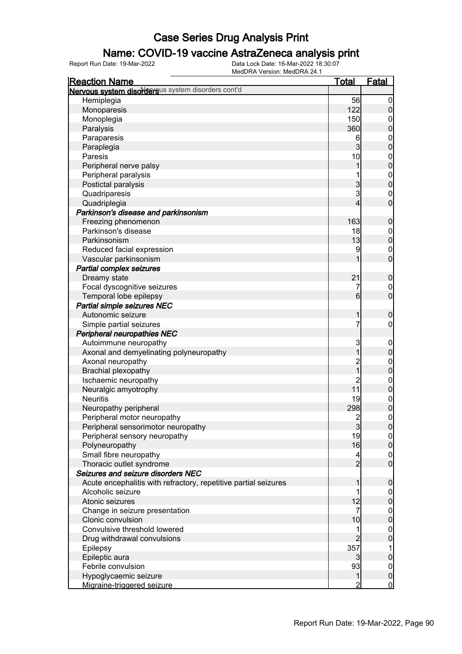#### Name: COVID-19 vaccine AstraZeneca analysis print

| <b>Reaction Name</b>                                            | <u>Total</u>     | <b>Fatal</b>                  |
|-----------------------------------------------------------------|------------------|-------------------------------|
| Nervous system disordersus system disorders cont'd              |                  |                               |
| Hemiplegia                                                      | 56               | $\overline{0}$                |
| Monoparesis                                                     | 122              | $\mathbf 0$                   |
| Monoplegia                                                      | 150              | $\mathbf 0$                   |
| Paralysis                                                       | 360              | $\mathbf 0$                   |
| Paraparesis                                                     | 6                | $\boldsymbol{0}$              |
| Paraplegia                                                      | $\overline{3}$   | $\overline{0}$                |
| Paresis                                                         | 10               | $\boldsymbol{0}$              |
| Peripheral nerve palsy                                          | 1                | $\overline{0}$                |
| Peripheral paralysis                                            |                  |                               |
| Postictal paralysis                                             | $\overline{3}$   | $0\atop 0$                    |
| Quadriparesis                                                   | 3                | $\mathbf 0$                   |
| Quadriplegia                                                    | 4                | $\overline{0}$                |
| Parkinson's disease and parkinsonism                            |                  |                               |
| Freezing phenomenon                                             | 163              | $\boldsymbol{0}$              |
| Parkinson's disease                                             | 18               | $\boldsymbol{0}$              |
| Parkinsonism                                                    | 13               | $\mathbf 0$                   |
| Reduced facial expression                                       | 9                | $\mathbf 0$                   |
| Vascular parkinsonism                                           |                  | $\overline{0}$                |
| <b>Partial complex seizures</b>                                 |                  |                               |
| Dreamy state                                                    | 21               | $\boldsymbol{0}$              |
|                                                                 | 7                |                               |
| Focal dyscognitive seizures                                     | $6 \overline{6}$ | $\mathbf 0$<br>$\overline{0}$ |
| Temporal lobe epilepsy                                          |                  |                               |
| Partial simple seizures NEC                                     |                  |                               |
| Autonomic seizure                                               | 1                | $\boldsymbol{0}$              |
| Simple partial seizures                                         | 7                | $\boldsymbol{0}$              |
| Peripheral neuropathies NEC                                     |                  |                               |
| Autoimmune neuropathy                                           | 3                | $\mathbf 0$                   |
| Axonal and demyelinating polyneuropathy                         | 1                | $\mathbf 0$                   |
| Axonal neuropathy                                               | 2<br>1           | $\boldsymbol{0}$              |
| <b>Brachial plexopathy</b>                                      |                  | $\overline{0}$                |
| Ischaemic neuropathy                                            | $\overline{c}$   | $0$<br>0                      |
| Neuralgic amyotrophy                                            | 11               |                               |
| <b>Neuritis</b>                                                 | 19               | $\boldsymbol{0}$              |
| Neuropathy peripheral                                           | 298              | $\overline{0}$                |
| Peripheral motor neuropathy                                     | $\overline{2}$   | $\boldsymbol{0}$              |
| Peripheral sensorimotor neuropathy                              | $\overline{3}$   | 0                             |
| Peripheral sensory neuropathy                                   | 19               | 0                             |
| Polyneuropathy                                                  | 16               | 0                             |
| Small fibre neuropathy                                          | 4                | $\overline{0}$                |
| Thoracic outlet syndrome                                        | $\overline{2}$   | $\overline{0}$                |
| Seizures and seizure disorders NEC                              |                  |                               |
| Acute encephalitis with refractory, repetitive partial seizures |                  | $\mathbf 0$                   |
| Alcoholic seizure                                               |                  | $\overline{0}$                |
| Atonic seizures                                                 | 12               | $\pmb{0}$                     |
| Change in seizure presentation                                  | 7                | $\mathbf 0$                   |
| Clonic convulsion                                               | 10               | $\mathbf 0$                   |
| Convulsive threshold lowered                                    |                  | $\boldsymbol{0}$              |
| Drug withdrawal convulsions                                     | $\overline{2}$   | $\overline{0}$                |
| Epilepsy                                                        | 357              | 1                             |
| Epileptic aura                                                  | 3                | $\pmb{0}$                     |
| Febrile convulsion                                              | 93               | $\boldsymbol{0}$              |
| Hypoglycaemic seizure                                           | 1                | $\mathbf 0$                   |
| Migraine-triggered seizure                                      | 2                | $\overline{0}$                |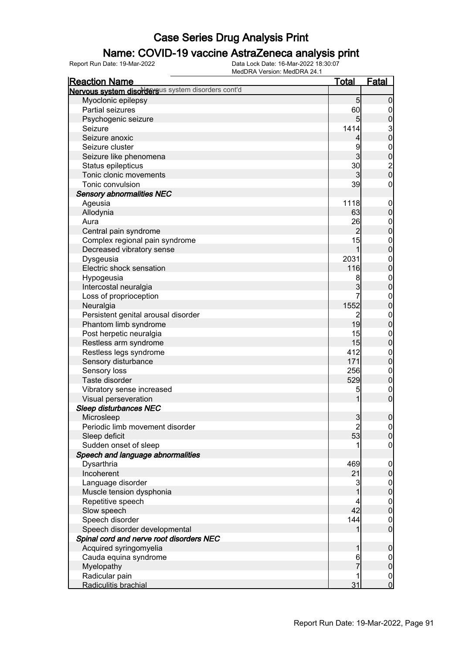### Name: COVID-19 vaccine AstraZeneca analysis print

| <b>Reaction Name</b>                               | <u>Total</u>                           | Fatal                                  |
|----------------------------------------------------|----------------------------------------|----------------------------------------|
| Nervous system disordersus system disorders cont'd |                                        |                                        |
| Myoclonic epilepsy                                 | 5                                      | $\mathbf 0$                            |
| Partial seizures                                   | 60                                     | 0                                      |
| Psychogenic seizure                                | $5\overline{)}$                        | $\mathbf 0$                            |
| Seizure                                            | 1414                                   |                                        |
| Seizure anoxic                                     | 4                                      | $\frac{3}{0}$                          |
| Seizure cluster                                    | 9                                      |                                        |
| Seizure like phenomena                             | 3                                      | $0\atop 0$                             |
| Status epilepticus                                 | 30                                     |                                        |
| Tonic clonic movements                             | 3                                      | $\begin{bmatrix} 2 \\ 0 \end{bmatrix}$ |
| Tonic convulsion                                   | 39                                     | $\mathbf 0$                            |
| <b>Sensory abnormalities NEC</b>                   |                                        |                                        |
| Ageusia                                            | 1118                                   | $\mathbf 0$                            |
| Allodynia                                          | 63                                     | $\mathbf 0$                            |
| Aura                                               | 26                                     | $\boldsymbol{0}$                       |
| Central pain syndrome                              | $\overline{2}$                         | $\mathbf 0$                            |
| Complex regional pain syndrome                     | 15                                     | $\boldsymbol{0}$                       |
| Decreased vibratory sense                          | 1                                      | $\overline{0}$                         |
| Dysgeusia                                          | 2031                                   | $\boldsymbol{0}$                       |
| Electric shock sensation                           | 116                                    | $\overline{0}$                         |
| Hypogeusia                                         | 8                                      | $\boldsymbol{0}$                       |
| Intercostal neuralgia                              | $\overline{3}$                         | $\overline{0}$                         |
| Loss of proprioception                             |                                        | $\boldsymbol{0}$                       |
| Neuralgia                                          | 1552                                   | $\overline{0}$                         |
| Persistent genital arousal disorder                | 2                                      | $\boldsymbol{0}$                       |
| Phantom limb syndrome                              | 19                                     | $\overline{0}$                         |
| Post herpetic neuralgia                            | 15                                     | $\boldsymbol{0}$                       |
| Restless arm syndrome                              | 15                                     | $\pmb{0}$                              |
| Restless legs syndrome                             | 412                                    | $\boldsymbol{0}$                       |
| Sensory disturbance                                | 171                                    | $\mathbf 0$                            |
| Sensory loss                                       | 256                                    | $\boldsymbol{0}$                       |
| Taste disorder                                     | 529                                    | $\boldsymbol{0}$                       |
| Vibratory sense increased                          | 5                                      | $\mathbf 0$                            |
| Visual perseveration                               |                                        | $\mathbf 0$                            |
| <b>Sleep disturbances NEC</b>                      |                                        |                                        |
| Microsleep                                         | $\overline{3}$                         | $\boldsymbol{0}$                       |
| Periodic limb movement disorder                    | $\begin{array}{c} 2 \\ 53 \end{array}$ | $\begin{bmatrix} 0 \\ 0 \end{bmatrix}$ |
| Sleep deficit                                      |                                        |                                        |
| Sudden onset of sleep                              |                                        | $\mathbf 0$                            |
| Speech and language abnormalities                  |                                        |                                        |
| Dysarthria                                         | 469                                    | $\mathbf 0$                            |
| Incoherent                                         | 21                                     | $\pmb{0}$                              |
| Language disorder                                  | 3                                      | 0                                      |
| Muscle tension dysphonia                           |                                        |                                        |
| Repetitive speech                                  |                                        | $\begin{matrix} 0 \\ 0 \end{matrix}$   |
| Slow speech                                        | 42                                     |                                        |
| Speech disorder                                    | 144                                    | $\begin{matrix} 0 \\ 0 \end{matrix}$   |
| Speech disorder developmental                      |                                        |                                        |
| Spinal cord and nerve root disorders NEC           |                                        |                                        |
| Acquired syringomyelia                             | 1                                      | $\boldsymbol{0}$                       |
| Cauda equina syndrome                              | 6                                      | $\boldsymbol{0}$                       |
| Myelopathy                                         |                                        | $\mathbf 0$                            |
| Radicular pain                                     |                                        | $\boldsymbol{0}$                       |
| Radiculitis brachial                               | 31                                     | $\overline{0}$                         |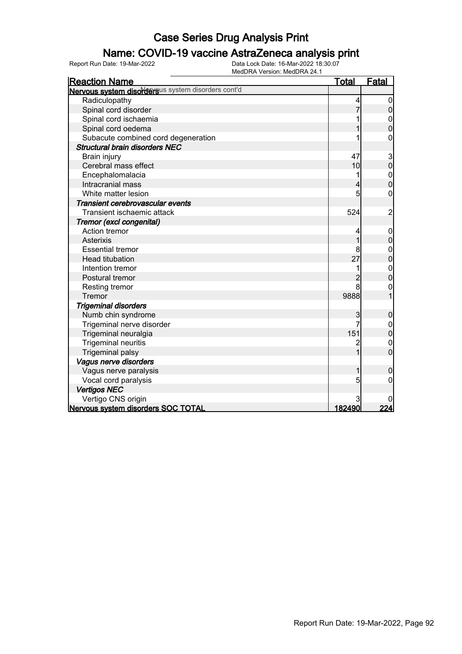### Name: COVID-19 vaccine AstraZeneca analysis print

| <b>Reaction Name</b>                               | <u>Total</u>   | <b>Fatal</b>   |
|----------------------------------------------------|----------------|----------------|
| Nervous system disordersus system disorders cont'd |                |                |
| Radiculopathy                                      |                | 0              |
| Spinal cord disorder                               |                | $\overline{0}$ |
| Spinal cord ischaemia                              |                |                |
| Spinal cord oedema                                 |                | $\overline{0}$ |
| Subacute combined cord degeneration                |                | 0              |
| <b>Structural brain disorders NEC</b>              |                |                |
| Brain injury                                       | 47             | $\frac{3}{0}$  |
| Cerebral mass effect                               | 10             |                |
| Encephalomalacia                                   |                | $\mathbf{0}$   |
| Intracranial mass                                  | 4              | $\overline{0}$ |
| White matter lesion                                | 5              | 0              |
| Transient cerebrovascular events                   |                |                |
| Transient ischaemic attack                         | 524            | $\overline{c}$ |
| Tremor (excl congenital)                           |                |                |
| Action tremor                                      |                | $\mathbf 0$    |
| Asterixis                                          | 1              | $\mathbf 0$    |
| <b>Essential tremor</b>                            |                | $\mathbf{0}$   |
| <b>Head titubation</b>                             | 27             | $\overline{0}$ |
| Intention tremor                                   |                | $\mathbf{0}$   |
| Postural tremor                                    | $\overline{2}$ | $\overline{0}$ |
| Resting tremor                                     | 8              | 0              |
| Tremor                                             | 9888           |                |
| <b>Trigeminal disorders</b>                        |                |                |
| Numb chin syndrome                                 | 3              | $\mathbf 0$    |
| Trigeminal nerve disorder                          |                | $\mathbf{0}$   |
| Trigeminal neuralgia                               | 151            | $\overline{0}$ |
| <b>Trigeminal neuritis</b>                         |                | $\mathbf 0$    |
| <b>Trigeminal palsy</b>                            |                | O              |
| Vagus nerve disorders                              |                |                |
| Vagus nerve paralysis                              |                | 0              |
| Vocal cord paralysis                               | 5              | 0              |
| <b>Vertigos NEC</b>                                |                |                |
| Vertigo CNS origin                                 |                |                |
| Nervous system disorders SOC TOTAL                 | 182490         | 224            |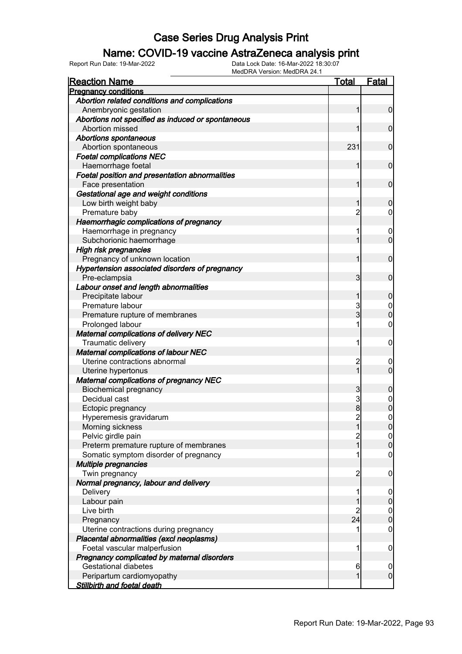### Name: COVID-19 vaccine AstraZeneca analysis print

| <b>Reaction Name</b>                              | <b>Total</b>   | <b>Fatal</b>                  |
|---------------------------------------------------|----------------|-------------------------------|
| <b>Pregnancy conditions</b>                       |                |                               |
| Abortion related conditions and complications     |                |                               |
| Anembryonic gestation                             | 1              | $\mathbf 0$                   |
| Abortions not specified as induced or spontaneous |                |                               |
| Abortion missed                                   | 1              | $\mathbf 0$                   |
| <b>Abortions spontaneous</b>                      |                |                               |
| Abortion spontaneous                              | 231            | $\mathbf 0$                   |
| <b>Foetal complications NEC</b>                   |                |                               |
| Haemorrhage foetal                                | 1              | $\mathbf 0$                   |
| Foetal position and presentation abnormalities    |                |                               |
| Face presentation                                 | 1              | $\mathbf 0$                   |
| Gestational age and weight conditions             |                |                               |
| Low birth weight baby                             | 1              | $\mathbf 0$                   |
| Premature baby                                    | $\overline{c}$ | $\overline{0}$                |
| Haemorrhagic complications of pregnancy           |                |                               |
| Haemorrhage in pregnancy                          | 1              | $\boldsymbol{0}$              |
| Subchorionic haemorrhage                          | 1              | $\mathbf 0$                   |
| <b>High risk pregnancies</b>                      |                |                               |
| Pregnancy of unknown location                     | 1              | $\mathbf 0$                   |
| Hypertension associated disorders of pregnancy    |                |                               |
| Pre-eclampsia                                     | 3              | $\mathbf 0$                   |
| Labour onset and length abnormalities             |                |                               |
| Precipitate labour                                | 1              | $\mathbf 0$                   |
| Premature labour                                  | 3              | $\boldsymbol{0}$              |
| Premature rupture of membranes                    | 3              | $\overline{0}$                |
| Prolonged labour                                  | 1              | $\boldsymbol{0}$              |
| <b>Maternal complications of delivery NEC</b>     |                |                               |
| Traumatic delivery                                | 1              | $\mathbf 0$                   |
| <b>Maternal complications of labour NEC</b>       |                |                               |
| Uterine contractions abnormal                     | $\overline{c}$ | $\mathbf 0$                   |
| Uterine hypertonus                                | 1              | $\mathbf 0$                   |
| <b>Maternal complications of pregnancy NEC</b>    |                |                               |
| <b>Biochemical pregnancy</b>                      | 3              | $\mathbf 0$                   |
| Decidual cast                                     | 3              |                               |
| Ectopic pregnancy                                 | 8              | $0\atop 0$                    |
| Hyperemesis gravidarum                            | $\overline{2}$ | $\pmb{0}$                     |
| Morning sickness                                  | 1              | 0                             |
| Pelvic girdle pain                                | $\overline{c}$ | 0                             |
| Preterm premature rupture of membranes            | $\mathbf{1}$   | $\pmb{0}$                     |
| Somatic symptom disorder of pregnancy             |                | $\mathbf 0$                   |
| Multiple pregnancies                              |                |                               |
| Twin pregnancy                                    | $\overline{c}$ | $\mathbf 0$                   |
| Normal pregnancy, labour and delivery             |                |                               |
| Delivery                                          | 1              | $\mathbf 0$                   |
| Labour pain                                       |                | $\pmb{0}$                     |
| Live birth                                        | $\overline{c}$ |                               |
| Pregnancy                                         | 24             | $0\atop 0$                    |
| Uterine contractions during pregnancy             | 1              | $\mathbf 0$                   |
| Placental abnormalities (excl neoplasms)          |                |                               |
| Foetal vascular malperfusion                      | 1              | $\mathbf 0$                   |
| Pregnancy complicated by maternal disorders       |                |                               |
| <b>Gestational diabetes</b>                       | 6              |                               |
| Peripartum cardiomyopathy                         | 1              | $\mathbf 0$<br>$\overline{0}$ |
|                                                   |                |                               |
| <b>Stillbirth and foetal death</b>                |                |                               |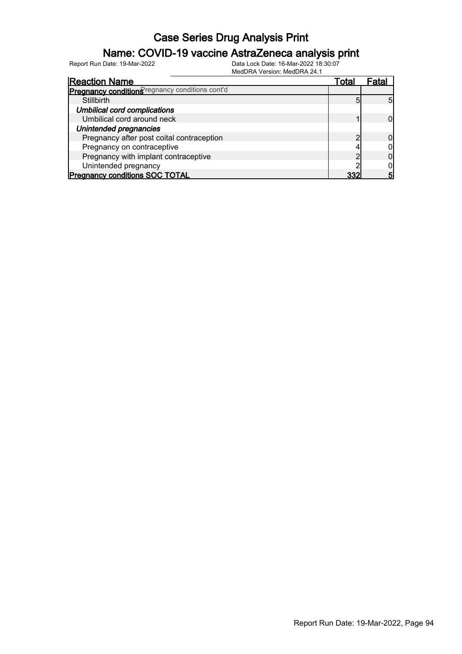### Name: COVID-19 vaccine AstraZeneca analysis print

|                                                 | $1010011171$ $0.0131011$ . $101001117727$ . |       |      |
|-------------------------------------------------|---------------------------------------------|-------|------|
| <b>Reaction Name</b>                            |                                             | Total | Fata |
| Pregnancy conditions regnancy conditions cont'd |                                             |       |      |
| Stillbirth                                      |                                             | 5     |      |
| <b>Umbilical cord complications</b>             |                                             |       |      |
| Umbilical cord around neck                      |                                             |       |      |
| Unintended pregnancies                          |                                             |       |      |
| Pregnancy after post coital contraception       |                                             |       |      |
| Pregnancy on contraceptive                      |                                             |       |      |
| Pregnancy with implant contraceptive            |                                             |       |      |
| Unintended pregnancy                            |                                             |       |      |
| <b>Pregnancy conditions SOC TOTAL</b>           |                                             | つつつ   |      |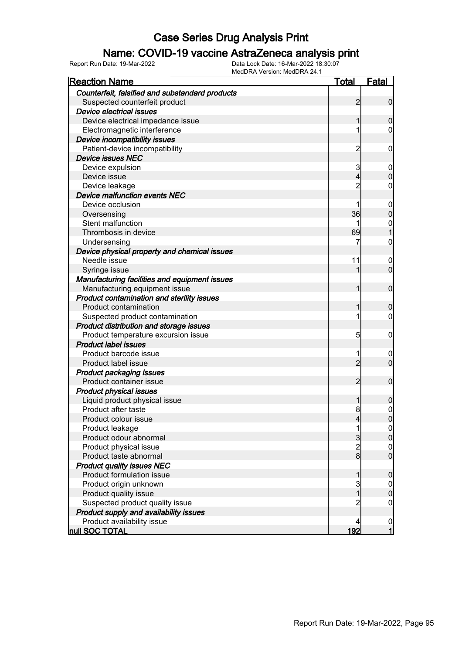#### Name: COVID-19 vaccine AstraZeneca analysis print

| <b>IVICULIVA VEISIUII. IVICULIVA 24.</b><br><b>Reaction Name</b> | <u>Total</u>   | Fatal            |
|------------------------------------------------------------------|----------------|------------------|
| Counterfeit, falsified and substandard products                  |                |                  |
| Suspected counterfeit product                                    | 2              | $\boldsymbol{0}$ |
| <b>Device electrical issues</b>                                  |                |                  |
| Device electrical impedance issue                                | 1              | 0                |
| Electromagnetic interference                                     | 1              | 0                |
| Device incompatibility issues                                    |                |                  |
| Patient-device incompatibility                                   | $\overline{c}$ | 0                |
| <b>Device issues NEC</b>                                         |                |                  |
| Device expulsion                                                 | 3              | $\overline{0}$   |
| Device issue                                                     | 4              | 0                |
| Device leakage                                                   | $\overline{c}$ | 0                |
| Device malfunction events NEC                                    |                |                  |
| Device occlusion                                                 | 1              | $\mathbf 0$      |
| Oversensing                                                      | 36             | 0                |
| Stent malfunction                                                | 1              | $\mathbf 0$      |
| Thrombosis in device                                             | 69             |                  |
| Undersensing                                                     | 7              | $\mathbf 0$      |
| Device physical property and chemical issues                     |                |                  |
| Needle issue                                                     | 11             | $\overline{0}$   |
| Syringe issue                                                    |                | $\overline{0}$   |
| Manufacturing facilities and equipment issues                    |                |                  |
| Manufacturing equipment issue                                    | 1              | $\mathbf 0$      |
| Product contamination and sterility issues                       |                |                  |
| <b>Product contamination</b>                                     | 1              | 0                |
| Suspected product contamination                                  | 1              | 0                |
| Product distribution and storage issues                          |                |                  |
| Product temperature excursion issue                              | 5              | 0                |
| <b>Product label issues</b>                                      |                |                  |
| Product barcode issue                                            | 1              | $\boldsymbol{0}$ |
| Product label issue                                              | $\overline{2}$ | $\overline{0}$   |
| <b>Product packaging issues</b>                                  |                |                  |
| Product container issue                                          | $\overline{2}$ | $\mathbf 0$      |
| <b>Product physical issues</b>                                   |                |                  |
| Liquid product physical issue                                    | 1              | 0                |
| Product after taste                                              | 8              | $\mathbf 0$      |
| Product colour issue                                             | $\vert$        | $\overline{0}$   |
| Product leakage                                                  |                | $\overline{0}$   |
| Product odour abnormal                                           | 3              | $\overline{0}$   |
| Product physical issue                                           | $\overline{c}$ | 0                |
| Product taste abnormal                                           | $\mathbf{8}$   | 0                |
| <b>Product quality issues NEC</b>                                |                |                  |
| Product formulation issue                                        | 1              | $\mathbf 0$      |
| Product origin unknown                                           | 3              | $\mathbf 0$      |
| Product quality issue                                            | 1              | 0                |
| Suspected product quality issue                                  | 2              | 0                |
| Product supply and availability issues                           |                |                  |
| Product availability issue                                       | 4              | $\boldsymbol{0}$ |
| null SOC TOTAL                                                   | 192            | $\mathbf{1}$     |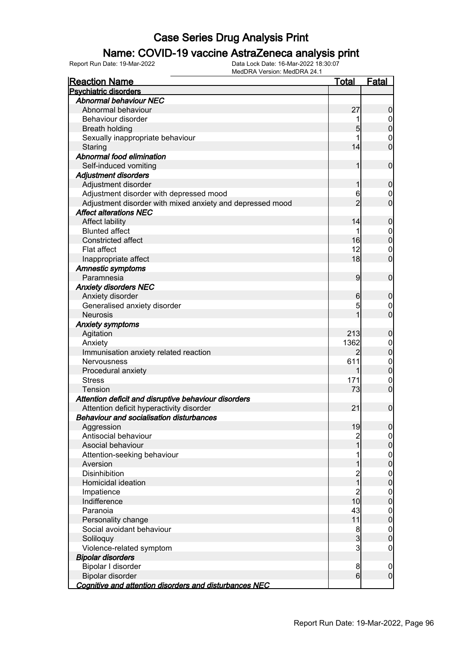### Name: COVID-19 vaccine AstraZeneca analysis print

| <b>Reaction Name</b>                                      | <u>Total</u>   | <b>Fatal</b>                         |
|-----------------------------------------------------------|----------------|--------------------------------------|
| <b>Psychiatric disorders</b>                              |                |                                      |
| <b>Abnormal behaviour NEC</b>                             |                |                                      |
| Abnormal behaviour                                        | 27             | $\boldsymbol{0}$                     |
| Behaviour disorder                                        | 1              |                                      |
| <b>Breath holding</b>                                     | 5              | $\begin{matrix} 0 \\ 0 \end{matrix}$ |
| Sexually inappropriate behaviour                          | 1              | $\mathbf 0$                          |
| Staring                                                   | 14             | $\overline{0}$                       |
| Abnormal food elimination                                 |                |                                      |
| Self-induced vomiting                                     | 1              | $\mathbf 0$                          |
| <b>Adjustment disorders</b>                               |                |                                      |
| Adjustment disorder                                       | 1              | $\mathbf 0$                          |
| Adjustment disorder with depressed mood                   | 6              | $\mathbf{0}$                         |
| Adjustment disorder with mixed anxiety and depressed mood | $\overline{2}$ | $\overline{0}$                       |
| <b>Affect alterations NEC</b>                             |                |                                      |
| Affect lability                                           | 14             | $\mathbf 0$                          |
| <b>Blunted affect</b>                                     | 1              |                                      |
| <b>Constricted affect</b>                                 | 16             | $0$<br>0                             |
| Flat affect                                               | 12             | $\mathbf{0}$                         |
| Inappropriate affect                                      | 18             | $\overline{0}$                       |
| Amnestic symptoms                                         |                |                                      |
| Paramnesia                                                | 9              | $\mathbf 0$                          |
| <b>Anxiety disorders NEC</b>                              |                |                                      |
| Anxiety disorder                                          | 6              | $\mathbf 0$                          |
| Generalised anxiety disorder                              | 5              |                                      |
| <b>Neurosis</b>                                           | 1              | $\begin{matrix} 0 \\ 0 \end{matrix}$ |
| <b>Anxiety symptoms</b>                                   |                |                                      |
| Agitation                                                 | 213            | $\mathbf 0$                          |
| Anxiety                                                   | 1362           |                                      |
| Immunisation anxiety related reaction                     | $\overline{2}$ | $\begin{matrix}0\\0\end{matrix}$     |
| <b>Nervousness</b>                                        | 611            |                                      |
| Procedural anxiety                                        | 1              | $\begin{matrix}0\\0\end{matrix}$     |
| <b>Stress</b>                                             | 171            | $\mathbf 0$                          |
| Tension                                                   | 73             | $\overline{0}$                       |
| Attention deficit and disruptive behaviour disorders      |                |                                      |
| Attention deficit hyperactivity disorder                  | 21             | $\mathbf 0$                          |
| <b>Behaviour and socialisation disturbances</b>           |                |                                      |
| Aggression                                                | 19             | 0                                    |
| Antisocial behaviour                                      | $\overline{c}$ | $\overline{0}$                       |
| Asocial behaviour                                         | 1              | $\mathsf{O}\xspace$                  |
| Attention-seeking behaviour                               | 1              | $\boldsymbol{0}$                     |
| Aversion                                                  | 1              | $\overline{0}$                       |
| Disinhibition                                             | $\overline{c}$ | $\boldsymbol{0}$                     |
| Homicidal ideation                                        | $\frac{1}{1}$  | $\overline{0}$                       |
| Impatience                                                | $\overline{2}$ | $\boldsymbol{0}$                     |
| Indifference                                              | 10             | $\overline{0}$                       |
| Paranoia                                                  | 43             | $\boldsymbol{0}$                     |
| Personality change                                        | 11             | $\pmb{0}$                            |
| Social avoidant behaviour                                 | 8              | $\boldsymbol{0}$                     |
| Soliloquy                                                 | $\mathbf{3}$   | $\overline{0}$                       |
| Violence-related symptom                                  | $\overline{3}$ | $\mathbf 0$                          |
| <b>Bipolar disorders</b>                                  |                |                                      |
| Bipolar I disorder                                        | 8              | $\mathbf 0$                          |
| Bipolar disorder                                          | 6              | $\overline{0}$                       |
|                                                           |                |                                      |
| Cognitive and attention disorders and disturbances NEC    |                |                                      |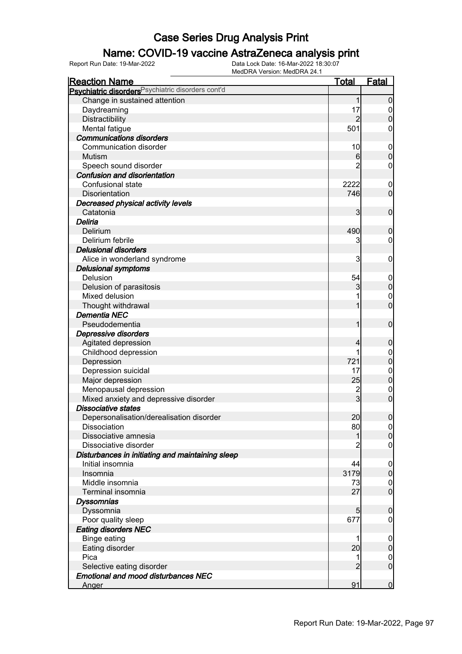### Name: COVID-19 vaccine AstraZeneca analysis print

| <b>Reaction Name</b>                                          | <u>Total</u>   | Fatal            |
|---------------------------------------------------------------|----------------|------------------|
| Psychiatric disorders <sup>Psychiatric disorders cont'd</sup> |                |                  |
| Change in sustained attention                                 | $\mathbf{1}$   | $\overline{0}$   |
| Daydreaming                                                   | 17             | $\overline{0}$   |
| Distractibility                                               | $\overline{2}$ | $\mathbf 0$      |
| Mental fatigue                                                | 501            | 0                |
| <b>Communications disorders</b>                               |                |                  |
| Communication disorder                                        | 10             | $\mathbf 0$      |
| Mutism                                                        | 6              | $\mathbf 0$      |
| Speech sound disorder                                         | 2              | $\mathbf 0$      |
| <b>Confusion and disorientation</b>                           |                |                  |
| Confusional state                                             | 2222           | $\mathbf 0$      |
| Disorientation                                                | 746            | $\overline{0}$   |
| Decreased physical activity levels                            |                |                  |
| Catatonia                                                     | $\overline{3}$ | $\mathbf 0$      |
| Deliria                                                       |                |                  |
| Delirium                                                      | 490            | $\mathbf 0$      |
| Delirium febrile                                              | 3              | $\mathbf 0$      |
| <b>Delusional disorders</b>                                   |                |                  |
| Alice in wonderland syndrome                                  | 3              | $\mathbf 0$      |
| <b>Delusional symptoms</b>                                    |                |                  |
| Delusion                                                      | 54             | $\mathbf 0$      |
| Delusion of parasitosis                                       | 3              | $\boldsymbol{0}$ |
| Mixed delusion                                                |                | $\mathbf 0$      |
| Thought withdrawal                                            |                | $\overline{0}$   |
| <b>Dementia NEC</b>                                           |                |                  |
| Pseudodementia                                                | 1              | $\mathbf 0$      |
| Depressive disorders                                          |                |                  |
| Agitated depression                                           | 4              | $\mathbf 0$      |
| Childhood depression                                          |                | $\boldsymbol{0}$ |
| Depression                                                    | 721            | $\mathbf 0$      |
| Depression suicidal                                           | 17             | $\boldsymbol{0}$ |
| Major depression                                              | 25             | $\mathbf 0$      |
| Menopausal depression                                         | $\overline{c}$ | $\mathbf 0$      |
| Mixed anxiety and depressive disorder                         | $\overline{3}$ | $\overline{0}$   |
| <b>Dissociative states</b>                                    |                |                  |
| Depersonalisation/derealisation disorder                      | 20             | $\mathbf 0$      |
| Dissociation                                                  | 80             | 0                |
| Dissociative amnesia                                          | 1              | 0                |
| Dissociative disorder                                         |                | $\mathbf 0$      |
| Disturbances in initiating and maintaining sleep              |                |                  |
| Initial insomnia                                              | 44             | $\overline{0}$   |
| Insomnia                                                      | 3179           | $\overline{0}$   |
| Middle insomnia                                               | 73             | $\overline{0}$   |
| Terminal insomnia                                             | 27             | $\overline{0}$   |
| <b>Dyssomnias</b>                                             |                |                  |
| Dyssomnia                                                     | 5 <sub>5</sub> | $\mathbf 0$      |
| Poor quality sleep                                            | 677            | 0                |
| <b>Eating disorders NEC</b>                                   |                |                  |
| <b>Binge eating</b>                                           |                | $\overline{0}$   |
| Eating disorder                                               | 20             | $\pmb{0}$        |
| Pica                                                          |                | $\overline{0}$   |
| Selective eating disorder                                     | $\overline{2}$ | $\overline{0}$   |
| <b>Emotional and mood disturbances NEC</b>                    |                |                  |
| Anger                                                         | 91             | $\overline{0}$   |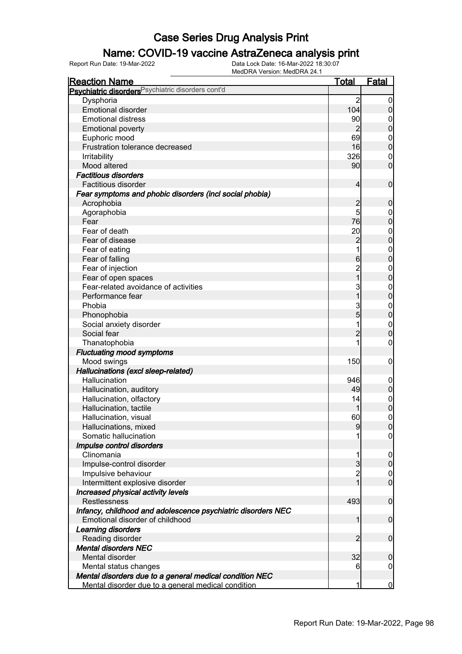### Name: COVID-19 vaccine AstraZeneca analysis print

| Psychiatric disorders <sup>Psychiatric disorders cont'd</sup><br>$\overline{2}$<br>Dysphoria<br><b>Emotional disorder</b><br>104<br>90<br><b>Emotional distress</b><br><b>Emotional poverty</b><br>2<br>69<br>Euphoric mood<br>$\mathbf 0$<br>Frustration tolerance decreased<br>16<br>326<br><b>Irritability</b><br>90<br>Mood altered<br><b>Factitious disorders</b><br>Factitious disorder<br>$\overline{4}$<br>Fear symptoms and phobic disorders (incl social phobia)<br>$\overline{c}$<br>Acrophobia<br>5<br>Agoraphobia<br>$\mathbf 0$<br>76<br>Fear<br>Fear of death<br>20<br>$\boldsymbol{0}$<br>$\overline{c}$<br>Fear of disease<br>Fear of eating<br>$\boldsymbol{0}$<br>Fear of falling<br>$6\phantom{.0}$<br>Fear of injection<br>$\boldsymbol{0}$<br>$\overline{1}$<br>$\pmb{0}$<br>Fear of open spaces<br>Fear-related avoidance of activities<br>3<br>$\boldsymbol{0}$<br>$\overline{0}$<br>1<br>Performance fear<br>3<br>Phobia<br>$\boldsymbol{0}$<br>$\overline{5}$<br>$\overline{0}$<br>Phonophobia<br>Social anxiety disorder<br>$\boldsymbol{0}$<br>$\mathbf 0$<br>$\overline{2}$<br>Social fear<br>Thanatophobia<br>0<br><b>Fluctuating mood symptoms</b><br>Mood swings<br>150<br>$\mathbf 0$<br>Hallucinations (excl sleep-related)<br>Hallucination<br>946<br>$\mathbf 0$<br>$\boldsymbol{0}$<br>Hallucination, auditory<br>49<br>Hallucination, olfactory<br>14<br>$\boldsymbol{0}$<br>$\overline{0}$<br>Hallucination, tactile<br>60<br>$\mathbf 0$<br>Hallucination, visual<br>$\overline{9}$<br>Hallucinations, mixed<br> 0 <br>Somatic hallucination<br>$\overline{0}$<br>Impulse control disorders<br>Clinomania<br>$\overline{0}$<br>$\overline{3}$<br>Impulse-control disorder<br>$\overline{c}$<br>Impulsive behaviour<br>$\mathbf 0$<br>1<br>Intermittent explosive disorder<br>Increased physical activity levels<br>Restlessness<br>493<br>Infancy, childhood and adolescence psychiatric disorders NEC<br>$\overline{0}$<br>Emotional disorder of childhood<br>1<br>Learning disorders<br>$\overline{2}$<br>$\overline{0}$<br>Reading disorder<br><b>Mental disorders NEC</b><br>32<br>Mental disorder<br>$\mathbf 0$ | <b>Reaction Name</b> | <u>Total</u> | Fatal            |
|---------------------------------------------------------------------------------------------------------------------------------------------------------------------------------------------------------------------------------------------------------------------------------------------------------------------------------------------------------------------------------------------------------------------------------------------------------------------------------------------------------------------------------------------------------------------------------------------------------------------------------------------------------------------------------------------------------------------------------------------------------------------------------------------------------------------------------------------------------------------------------------------------------------------------------------------------------------------------------------------------------------------------------------------------------------------------------------------------------------------------------------------------------------------------------------------------------------------------------------------------------------------------------------------------------------------------------------------------------------------------------------------------------------------------------------------------------------------------------------------------------------------------------------------------------------------------------------------------------------------------------------------------------------------------------------------------------------------------------------------------------------------------------------------------------------------------------------------------------------------------------------------------------------------------------------------------------------------------------------------------------------------------------------------------------------------------------------------------------------------------------------------------------------|----------------------|--------------|------------------|
|                                                                                                                                                                                                                                                                                                                                                                                                                                                                                                                                                                                                                                                                                                                                                                                                                                                                                                                                                                                                                                                                                                                                                                                                                                                                                                                                                                                                                                                                                                                                                                                                                                                                                                                                                                                                                                                                                                                                                                                                                                                                                                                                                               |                      |              |                  |
|                                                                                                                                                                                                                                                                                                                                                                                                                                                                                                                                                                                                                                                                                                                                                                                                                                                                                                                                                                                                                                                                                                                                                                                                                                                                                                                                                                                                                                                                                                                                                                                                                                                                                                                                                                                                                                                                                                                                                                                                                                                                                                                                                               |                      |              | $\boldsymbol{0}$ |
|                                                                                                                                                                                                                                                                                                                                                                                                                                                                                                                                                                                                                                                                                                                                                                                                                                                                                                                                                                                                                                                                                                                                                                                                                                                                                                                                                                                                                                                                                                                                                                                                                                                                                                                                                                                                                                                                                                                                                                                                                                                                                                                                                               |                      |              | $\overline{0}$   |
|                                                                                                                                                                                                                                                                                                                                                                                                                                                                                                                                                                                                                                                                                                                                                                                                                                                                                                                                                                                                                                                                                                                                                                                                                                                                                                                                                                                                                                                                                                                                                                                                                                                                                                                                                                                                                                                                                                                                                                                                                                                                                                                                                               |                      |              | 0                |
|                                                                                                                                                                                                                                                                                                                                                                                                                                                                                                                                                                                                                                                                                                                                                                                                                                                                                                                                                                                                                                                                                                                                                                                                                                                                                                                                                                                                                                                                                                                                                                                                                                                                                                                                                                                                                                                                                                                                                                                                                                                                                                                                                               |                      |              | $\boldsymbol{0}$ |
|                                                                                                                                                                                                                                                                                                                                                                                                                                                                                                                                                                                                                                                                                                                                                                                                                                                                                                                                                                                                                                                                                                                                                                                                                                                                                                                                                                                                                                                                                                                                                                                                                                                                                                                                                                                                                                                                                                                                                                                                                                                                                                                                                               |                      |              |                  |
|                                                                                                                                                                                                                                                                                                                                                                                                                                                                                                                                                                                                                                                                                                                                                                                                                                                                                                                                                                                                                                                                                                                                                                                                                                                                                                                                                                                                                                                                                                                                                                                                                                                                                                                                                                                                                                                                                                                                                                                                                                                                                                                                                               |                      |              | $\mathbf 0$      |
|                                                                                                                                                                                                                                                                                                                                                                                                                                                                                                                                                                                                                                                                                                                                                                                                                                                                                                                                                                                                                                                                                                                                                                                                                                                                                                                                                                                                                                                                                                                                                                                                                                                                                                                                                                                                                                                                                                                                                                                                                                                                                                                                                               |                      |              | 0                |
|                                                                                                                                                                                                                                                                                                                                                                                                                                                                                                                                                                                                                                                                                                                                                                                                                                                                                                                                                                                                                                                                                                                                                                                                                                                                                                                                                                                                                                                                                                                                                                                                                                                                                                                                                                                                                                                                                                                                                                                                                                                                                                                                                               |                      |              | $\mathbf 0$      |
|                                                                                                                                                                                                                                                                                                                                                                                                                                                                                                                                                                                                                                                                                                                                                                                                                                                                                                                                                                                                                                                                                                                                                                                                                                                                                                                                                                                                                                                                                                                                                                                                                                                                                                                                                                                                                                                                                                                                                                                                                                                                                                                                                               |                      |              |                  |
|                                                                                                                                                                                                                                                                                                                                                                                                                                                                                                                                                                                                                                                                                                                                                                                                                                                                                                                                                                                                                                                                                                                                                                                                                                                                                                                                                                                                                                                                                                                                                                                                                                                                                                                                                                                                                                                                                                                                                                                                                                                                                                                                                               |                      |              | $\mathbf 0$      |
|                                                                                                                                                                                                                                                                                                                                                                                                                                                                                                                                                                                                                                                                                                                                                                                                                                                                                                                                                                                                                                                                                                                                                                                                                                                                                                                                                                                                                                                                                                                                                                                                                                                                                                                                                                                                                                                                                                                                                                                                                                                                                                                                                               |                      |              |                  |
|                                                                                                                                                                                                                                                                                                                                                                                                                                                                                                                                                                                                                                                                                                                                                                                                                                                                                                                                                                                                                                                                                                                                                                                                                                                                                                                                                                                                                                                                                                                                                                                                                                                                                                                                                                                                                                                                                                                                                                                                                                                                                                                                                               |                      |              | $\boldsymbol{0}$ |
|                                                                                                                                                                                                                                                                                                                                                                                                                                                                                                                                                                                                                                                                                                                                                                                                                                                                                                                                                                                                                                                                                                                                                                                                                                                                                                                                                                                                                                                                                                                                                                                                                                                                                                                                                                                                                                                                                                                                                                                                                                                                                                                                                               |                      |              |                  |
|                                                                                                                                                                                                                                                                                                                                                                                                                                                                                                                                                                                                                                                                                                                                                                                                                                                                                                                                                                                                                                                                                                                                                                                                                                                                                                                                                                                                                                                                                                                                                                                                                                                                                                                                                                                                                                                                                                                                                                                                                                                                                                                                                               |                      |              | $\pmb{0}$        |
|                                                                                                                                                                                                                                                                                                                                                                                                                                                                                                                                                                                                                                                                                                                                                                                                                                                                                                                                                                                                                                                                                                                                                                                                                                                                                                                                                                                                                                                                                                                                                                                                                                                                                                                                                                                                                                                                                                                                                                                                                                                                                                                                                               |                      |              |                  |
|                                                                                                                                                                                                                                                                                                                                                                                                                                                                                                                                                                                                                                                                                                                                                                                                                                                                                                                                                                                                                                                                                                                                                                                                                                                                                                                                                                                                                                                                                                                                                                                                                                                                                                                                                                                                                                                                                                                                                                                                                                                                                                                                                               |                      |              | $\mathbf 0$      |
|                                                                                                                                                                                                                                                                                                                                                                                                                                                                                                                                                                                                                                                                                                                                                                                                                                                                                                                                                                                                                                                                                                                                                                                                                                                                                                                                                                                                                                                                                                                                                                                                                                                                                                                                                                                                                                                                                                                                                                                                                                                                                                                                                               |                      |              |                  |
|                                                                                                                                                                                                                                                                                                                                                                                                                                                                                                                                                                                                                                                                                                                                                                                                                                                                                                                                                                                                                                                                                                                                                                                                                                                                                                                                                                                                                                                                                                                                                                                                                                                                                                                                                                                                                                                                                                                                                                                                                                                                                                                                                               |                      |              | $\mathbf 0$      |
|                                                                                                                                                                                                                                                                                                                                                                                                                                                                                                                                                                                                                                                                                                                                                                                                                                                                                                                                                                                                                                                                                                                                                                                                                                                                                                                                                                                                                                                                                                                                                                                                                                                                                                                                                                                                                                                                                                                                                                                                                                                                                                                                                               |                      |              |                  |
|                                                                                                                                                                                                                                                                                                                                                                                                                                                                                                                                                                                                                                                                                                                                                                                                                                                                                                                                                                                                                                                                                                                                                                                                                                                                                                                                                                                                                                                                                                                                                                                                                                                                                                                                                                                                                                                                                                                                                                                                                                                                                                                                                               |                      |              |                  |
|                                                                                                                                                                                                                                                                                                                                                                                                                                                                                                                                                                                                                                                                                                                                                                                                                                                                                                                                                                                                                                                                                                                                                                                                                                                                                                                                                                                                                                                                                                                                                                                                                                                                                                                                                                                                                                                                                                                                                                                                                                                                                                                                                               |                      |              |                  |
|                                                                                                                                                                                                                                                                                                                                                                                                                                                                                                                                                                                                                                                                                                                                                                                                                                                                                                                                                                                                                                                                                                                                                                                                                                                                                                                                                                                                                                                                                                                                                                                                                                                                                                                                                                                                                                                                                                                                                                                                                                                                                                                                                               |                      |              |                  |
|                                                                                                                                                                                                                                                                                                                                                                                                                                                                                                                                                                                                                                                                                                                                                                                                                                                                                                                                                                                                                                                                                                                                                                                                                                                                                                                                                                                                                                                                                                                                                                                                                                                                                                                                                                                                                                                                                                                                                                                                                                                                                                                                                               |                      |              |                  |
|                                                                                                                                                                                                                                                                                                                                                                                                                                                                                                                                                                                                                                                                                                                                                                                                                                                                                                                                                                                                                                                                                                                                                                                                                                                                                                                                                                                                                                                                                                                                                                                                                                                                                                                                                                                                                                                                                                                                                                                                                                                                                                                                                               |                      |              |                  |
|                                                                                                                                                                                                                                                                                                                                                                                                                                                                                                                                                                                                                                                                                                                                                                                                                                                                                                                                                                                                                                                                                                                                                                                                                                                                                                                                                                                                                                                                                                                                                                                                                                                                                                                                                                                                                                                                                                                                                                                                                                                                                                                                                               |                      |              |                  |
|                                                                                                                                                                                                                                                                                                                                                                                                                                                                                                                                                                                                                                                                                                                                                                                                                                                                                                                                                                                                                                                                                                                                                                                                                                                                                                                                                                                                                                                                                                                                                                                                                                                                                                                                                                                                                                                                                                                                                                                                                                                                                                                                                               |                      |              |                  |
|                                                                                                                                                                                                                                                                                                                                                                                                                                                                                                                                                                                                                                                                                                                                                                                                                                                                                                                                                                                                                                                                                                                                                                                                                                                                                                                                                                                                                                                                                                                                                                                                                                                                                                                                                                                                                                                                                                                                                                                                                                                                                                                                                               |                      |              |                  |
|                                                                                                                                                                                                                                                                                                                                                                                                                                                                                                                                                                                                                                                                                                                                                                                                                                                                                                                                                                                                                                                                                                                                                                                                                                                                                                                                                                                                                                                                                                                                                                                                                                                                                                                                                                                                                                                                                                                                                                                                                                                                                                                                                               |                      |              |                  |
|                                                                                                                                                                                                                                                                                                                                                                                                                                                                                                                                                                                                                                                                                                                                                                                                                                                                                                                                                                                                                                                                                                                                                                                                                                                                                                                                                                                                                                                                                                                                                                                                                                                                                                                                                                                                                                                                                                                                                                                                                                                                                                                                                               |                      |              |                  |
|                                                                                                                                                                                                                                                                                                                                                                                                                                                                                                                                                                                                                                                                                                                                                                                                                                                                                                                                                                                                                                                                                                                                                                                                                                                                                                                                                                                                                                                                                                                                                                                                                                                                                                                                                                                                                                                                                                                                                                                                                                                                                                                                                               |                      |              |                  |
|                                                                                                                                                                                                                                                                                                                                                                                                                                                                                                                                                                                                                                                                                                                                                                                                                                                                                                                                                                                                                                                                                                                                                                                                                                                                                                                                                                                                                                                                                                                                                                                                                                                                                                                                                                                                                                                                                                                                                                                                                                                                                                                                                               |                      |              |                  |
|                                                                                                                                                                                                                                                                                                                                                                                                                                                                                                                                                                                                                                                                                                                                                                                                                                                                                                                                                                                                                                                                                                                                                                                                                                                                                                                                                                                                                                                                                                                                                                                                                                                                                                                                                                                                                                                                                                                                                                                                                                                                                                                                                               |                      |              |                  |
|                                                                                                                                                                                                                                                                                                                                                                                                                                                                                                                                                                                                                                                                                                                                                                                                                                                                                                                                                                                                                                                                                                                                                                                                                                                                                                                                                                                                                                                                                                                                                                                                                                                                                                                                                                                                                                                                                                                                                                                                                                                                                                                                                               |                      |              |                  |
|                                                                                                                                                                                                                                                                                                                                                                                                                                                                                                                                                                                                                                                                                                                                                                                                                                                                                                                                                                                                                                                                                                                                                                                                                                                                                                                                                                                                                                                                                                                                                                                                                                                                                                                                                                                                                                                                                                                                                                                                                                                                                                                                                               |                      |              |                  |
|                                                                                                                                                                                                                                                                                                                                                                                                                                                                                                                                                                                                                                                                                                                                                                                                                                                                                                                                                                                                                                                                                                                                                                                                                                                                                                                                                                                                                                                                                                                                                                                                                                                                                                                                                                                                                                                                                                                                                                                                                                                                                                                                                               |                      |              |                  |
|                                                                                                                                                                                                                                                                                                                                                                                                                                                                                                                                                                                                                                                                                                                                                                                                                                                                                                                                                                                                                                                                                                                                                                                                                                                                                                                                                                                                                                                                                                                                                                                                                                                                                                                                                                                                                                                                                                                                                                                                                                                                                                                                                               |                      |              |                  |
|                                                                                                                                                                                                                                                                                                                                                                                                                                                                                                                                                                                                                                                                                                                                                                                                                                                                                                                                                                                                                                                                                                                                                                                                                                                                                                                                                                                                                                                                                                                                                                                                                                                                                                                                                                                                                                                                                                                                                                                                                                                                                                                                                               |                      |              |                  |
|                                                                                                                                                                                                                                                                                                                                                                                                                                                                                                                                                                                                                                                                                                                                                                                                                                                                                                                                                                                                                                                                                                                                                                                                                                                                                                                                                                                                                                                                                                                                                                                                                                                                                                                                                                                                                                                                                                                                                                                                                                                                                                                                                               |                      |              |                  |
|                                                                                                                                                                                                                                                                                                                                                                                                                                                                                                                                                                                                                                                                                                                                                                                                                                                                                                                                                                                                                                                                                                                                                                                                                                                                                                                                                                                                                                                                                                                                                                                                                                                                                                                                                                                                                                                                                                                                                                                                                                                                                                                                                               |                      |              |                  |
|                                                                                                                                                                                                                                                                                                                                                                                                                                                                                                                                                                                                                                                                                                                                                                                                                                                                                                                                                                                                                                                                                                                                                                                                                                                                                                                                                                                                                                                                                                                                                                                                                                                                                                                                                                                                                                                                                                                                                                                                                                                                                                                                                               |                      |              | $\overline{0}$   |
|                                                                                                                                                                                                                                                                                                                                                                                                                                                                                                                                                                                                                                                                                                                                                                                                                                                                                                                                                                                                                                                                                                                                                                                                                                                                                                                                                                                                                                                                                                                                                                                                                                                                                                                                                                                                                                                                                                                                                                                                                                                                                                                                                               |                      |              |                  |
|                                                                                                                                                                                                                                                                                                                                                                                                                                                                                                                                                                                                                                                                                                                                                                                                                                                                                                                                                                                                                                                                                                                                                                                                                                                                                                                                                                                                                                                                                                                                                                                                                                                                                                                                                                                                                                                                                                                                                                                                                                                                                                                                                               |                      |              | $\overline{0}$   |
|                                                                                                                                                                                                                                                                                                                                                                                                                                                                                                                                                                                                                                                                                                                                                                                                                                                                                                                                                                                                                                                                                                                                                                                                                                                                                                                                                                                                                                                                                                                                                                                                                                                                                                                                                                                                                                                                                                                                                                                                                                                                                                                                                               |                      |              |                  |
|                                                                                                                                                                                                                                                                                                                                                                                                                                                                                                                                                                                                                                                                                                                                                                                                                                                                                                                                                                                                                                                                                                                                                                                                                                                                                                                                                                                                                                                                                                                                                                                                                                                                                                                                                                                                                                                                                                                                                                                                                                                                                                                                                               |                      |              | $\mathbf 0$      |
|                                                                                                                                                                                                                                                                                                                                                                                                                                                                                                                                                                                                                                                                                                                                                                                                                                                                                                                                                                                                                                                                                                                                                                                                                                                                                                                                                                                                                                                                                                                                                                                                                                                                                                                                                                                                                                                                                                                                                                                                                                                                                                                                                               |                      |              |                  |
|                                                                                                                                                                                                                                                                                                                                                                                                                                                                                                                                                                                                                                                                                                                                                                                                                                                                                                                                                                                                                                                                                                                                                                                                                                                                                                                                                                                                                                                                                                                                                                                                                                                                                                                                                                                                                                                                                                                                                                                                                                                                                                                                                               |                      |              |                  |
|                                                                                                                                                                                                                                                                                                                                                                                                                                                                                                                                                                                                                                                                                                                                                                                                                                                                                                                                                                                                                                                                                                                                                                                                                                                                                                                                                                                                                                                                                                                                                                                                                                                                                                                                                                                                                                                                                                                                                                                                                                                                                                                                                               |                      |              |                  |
|                                                                                                                                                                                                                                                                                                                                                                                                                                                                                                                                                                                                                                                                                                                                                                                                                                                                                                                                                                                                                                                                                                                                                                                                                                                                                                                                                                                                                                                                                                                                                                                                                                                                                                                                                                                                                                                                                                                                                                                                                                                                                                                                                               |                      |              |                  |
|                                                                                                                                                                                                                                                                                                                                                                                                                                                                                                                                                                                                                                                                                                                                                                                                                                                                                                                                                                                                                                                                                                                                                                                                                                                                                                                                                                                                                                                                                                                                                                                                                                                                                                                                                                                                                                                                                                                                                                                                                                                                                                                                                               |                      |              |                  |
| Mental status changes<br>6                                                                                                                                                                                                                                                                                                                                                                                                                                                                                                                                                                                                                                                                                                                                                                                                                                                                                                                                                                                                                                                                                                                                                                                                                                                                                                                                                                                                                                                                                                                                                                                                                                                                                                                                                                                                                                                                                                                                                                                                                                                                                                                                    |                      |              |                  |
|                                                                                                                                                                                                                                                                                                                                                                                                                                                                                                                                                                                                                                                                                                                                                                                                                                                                                                                                                                                                                                                                                                                                                                                                                                                                                                                                                                                                                                                                                                                                                                                                                                                                                                                                                                                                                                                                                                                                                                                                                                                                                                                                                               |                      |              | $\boldsymbol{0}$ |
| Mental disorders due to a general medical condition NEC<br>Mental disorder due to a general medical condition<br>1                                                                                                                                                                                                                                                                                                                                                                                                                                                                                                                                                                                                                                                                                                                                                                                                                                                                                                                                                                                                                                                                                                                                                                                                                                                                                                                                                                                                                                                                                                                                                                                                                                                                                                                                                                                                                                                                                                                                                                                                                                            |                      |              | $\overline{0}$   |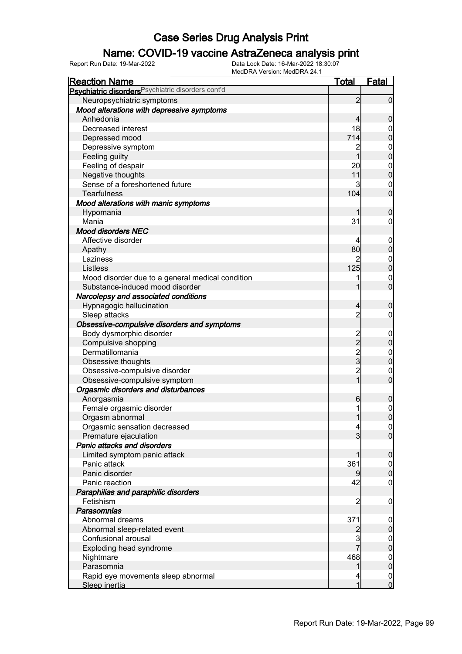### Name: COVID-19 vaccine AstraZeneca analysis print

| <b>Reaction Name</b>                                          | <u>Total</u>    | <b>Fatal</b>     |
|---------------------------------------------------------------|-----------------|------------------|
| Psychiatric disorders <sup>Psychiatric disorders cont'd</sup> |                 |                  |
| Neuropsychiatric symptoms                                     | $\overline{2}$  | $\mathbf 0$      |
| Mood alterations with depressive symptoms                     |                 |                  |
| Anhedonia                                                     | 4               | $\mathbf 0$      |
| Decreased interest                                            | 18              | 0                |
| Depressed mood                                                | 714             | $\overline{0}$   |
| Depressive symptom                                            | 2               |                  |
| Feeling guilty                                                | $\mathbf{1}$    | $0\atop 0$       |
| Feeling of despair                                            | 20              |                  |
| Negative thoughts                                             | 11              | $0\atop 0$       |
| Sense of a foreshortened future                               | 3               | $\boldsymbol{0}$ |
| <b>Tearfulness</b>                                            | 104             | $\overline{0}$   |
| Mood alterations with manic symptoms                          |                 |                  |
| Hypomania                                                     |                 | $\boldsymbol{0}$ |
| Mania                                                         | 31              | 0                |
| <b>Mood disorders NEC</b>                                     |                 |                  |
| Affective disorder                                            | 4               | $\mathbf 0$      |
| Apathy                                                        | 80              | $\pmb{0}$        |
| Laziness                                                      |                 |                  |
| Listless                                                      | 125             | $0\atop 0$       |
| Mood disorder due to a general medical condition              |                 | $\mathbf 0$      |
| Substance-induced mood disorder                               |                 | $\overline{0}$   |
| Narcolepsy and associated conditions                          |                 |                  |
| Hypnagogic hallucination                                      | 4               | $\boldsymbol{0}$ |
| Sleep attacks                                                 | $\overline{2}$  | 0                |
| Obsessive-compulsive disorders and symptoms                   |                 |                  |
| Body dysmorphic disorder                                      |                 | $\mathbf 0$      |
| Compulsive shopping                                           | 2<br>2          | $\pmb{0}$        |
| Dermatillomania                                               |                 |                  |
| Obsessive thoughts                                            | $\frac{2}{3}$   | $0\atop 0$       |
| Obsessive-compulsive disorder                                 | $\overline{2}$  | $\mathbf 0$      |
| Obsessive-compulsive symptom                                  | $\overline{1}$  | $\overline{0}$   |
| Orgasmic disorders and disturbances                           |                 |                  |
| Anorgasmia                                                    | $6\phantom{.0}$ | $\mathbf 0$      |
| Female orgasmic disorder                                      |                 | $\mathbf{0}$     |
| Orgasm abnormal                                               | 1               | $\overline{0}$   |
| Orgasmic sensation decreased                                  | 4               | 0                |
| Premature ejaculation                                         | 3               | $\overline{0}$   |
| Panic attacks and disorders                                   |                 |                  |
| Limited symptom panic attack                                  |                 | $\mathbf 0$      |
| Panic attack                                                  | 361             | $\mathbf 0$      |
| Panic disorder                                                | 9               | $\pmb{0}$        |
| Panic reaction                                                | 42              | $\mathbf 0$      |
| Paraphilias and paraphilic disorders                          |                 |                  |
| Fetishism                                                     | $\overline{2}$  | $\mathbf 0$      |
| <b>Parasomnias</b>                                            |                 |                  |
| Abnormal dreams                                               | 371             | $\mathbf 0$      |
| Abnormal sleep-related event                                  | $\overline{2}$  | $\pmb{0}$        |
| Confusional arousal                                           | 3               | $\boldsymbol{0}$ |
| Exploding head syndrome                                       | $\overline{7}$  | $\overline{0}$   |
| Nightmare                                                     | 468             | $\boldsymbol{0}$ |
| Parasomnia                                                    | 1               | $\overline{0}$   |
| Rapid eye movements sleep abnormal                            | 4               | $\overline{0}$   |
| Sleep inertia                                                 | 1               | $\overline{0}$   |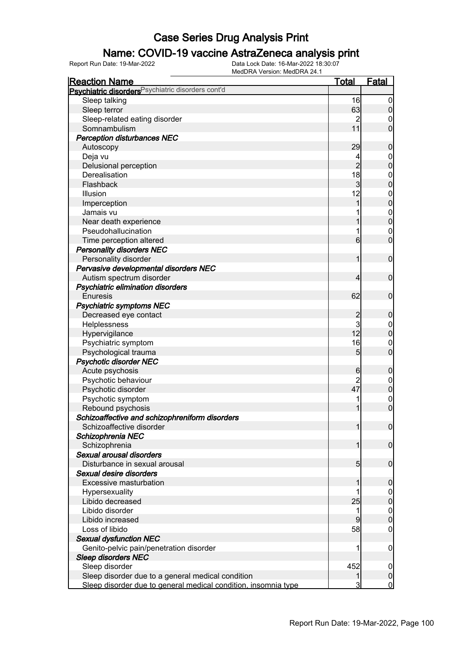#### Name: COVID-19 vaccine AstraZeneca analysis print

| <b>Reaction Name</b>                                           | <u>Total</u>    | <b>Fatal</b>     |
|----------------------------------------------------------------|-----------------|------------------|
| Psychiatric disorders <sup>Psychiatric disorders cont'd</sup>  |                 |                  |
| Sleep talking                                                  | 16              | $\overline{0}$   |
| Sleep terror                                                   | 63              | $\mathbf 0$      |
| Sleep-related eating disorder                                  | $\overline{c}$  | 0                |
| Somnambulism                                                   | 11              | $\mathbf 0$      |
| <b>Perception disturbances NEC</b>                             |                 |                  |
| Autoscopy                                                      | 29              | $\boldsymbol{0}$ |
| Deja vu                                                        | 4               | $\boldsymbol{0}$ |
| Delusional perception                                          | $\overline{2}$  | $\overline{0}$   |
| Derealisation                                                  | 18              | $\boldsymbol{0}$ |
| Flashback                                                      | 3               | $\overline{0}$   |
| Illusion                                                       | 12              | $\boldsymbol{0}$ |
| Imperception                                                   | 1               | $\overline{0}$   |
| Jamais vu                                                      |                 | $\mathbf{0}$     |
| Near death experience                                          |                 | $\overline{0}$   |
| Pseudohallucination                                            |                 | $\mathbf 0$      |
| Time perception altered                                        | 6               | $\mathbf 0$      |
| <b>Personality disorders NEC</b>                               |                 |                  |
| Personality disorder                                           | 1               | $\mathbf 0$      |
| Pervasive developmental disorders NEC                          |                 |                  |
| Autism spectrum disorder                                       | 4               | $\mathbf 0$      |
| Psychiatric elimination disorders                              |                 |                  |
| <b>Enuresis</b>                                                | 62              | $\mathbf 0$      |
| <b>Psychiatric symptoms NEC</b>                                |                 |                  |
| Decreased eye contact                                          | $\overline{c}$  | $\boldsymbol{0}$ |
| Helplessness                                                   | 3               | $\boldsymbol{0}$ |
| Hypervigilance                                                 | 12              | $\mathbf 0$      |
| Psychiatric symptom                                            | 16              | $\mathbf 0$      |
| Psychological trauma                                           | 5               | $\mathbf 0$      |
| <b>Psychotic disorder NEC</b>                                  |                 |                  |
| Acute psychosis                                                | $6\phantom{.0}$ | $\boldsymbol{0}$ |
| Psychotic behaviour                                            | $\overline{c}$  | $\boldsymbol{0}$ |
| Psychotic disorder                                             | 47              | $\mathbf 0$      |
| Psychotic symptom                                              |                 | $\boldsymbol{0}$ |
| Rebound psychosis                                              |                 | $\mathbf 0$      |
| Schizoaffective and schizophreniform disorders                 |                 |                  |
| Schizoaffective disorder                                       | 1               | 0                |
| Schizophrenia NEC                                              |                 |                  |
| Schizophrenia                                                  |                 | $\overline{0}$   |
| Sexual arousal disorders                                       |                 |                  |
| Disturbance in sexual arousal                                  | 5 <sub>5</sub>  | $\mathbf 0$      |
| Sexual desire disorders                                        |                 |                  |
| Excessive masturbation                                         |                 | $\mathbf 0$      |
| Hypersexuality                                                 |                 | $\overline{0}$   |
| Libido decreased                                               | 25              | $\pmb{0}$        |
| Libido disorder                                                |                 | $\mathbf 0$      |
| Libido increased                                               | 9               | $\boldsymbol{0}$ |
| Loss of libido                                                 | 58              | 0                |
| <b>Sexual dysfunction NEC</b>                                  |                 |                  |
| Genito-pelvic pain/penetration disorder                        |                 | $\mathbf 0$      |
| <b>Sleep disorders NEC</b>                                     |                 |                  |
| Sleep disorder                                                 | 452             | 0                |
| Sleep disorder due to a general medical condition              |                 | $\pmb{0}$        |
| Sleep disorder due to general medical condition, insomnia type | 3               | $\overline{0}$   |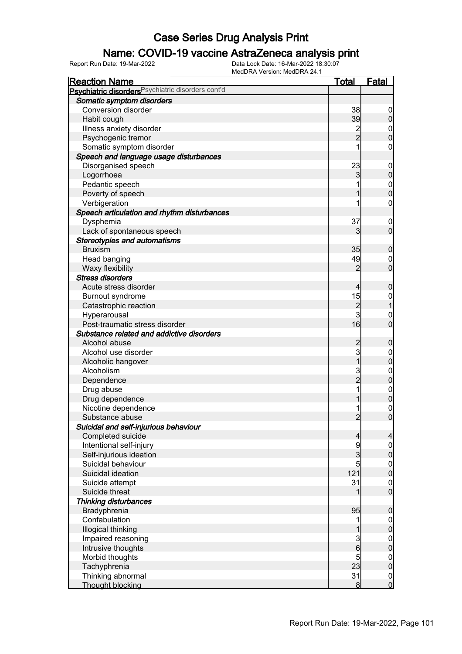#### Name: COVID-19 vaccine AstraZeneca analysis print

| <b>Reaction Name</b>                               | <u>Total</u>         | <b>Fatal</b>                       |
|----------------------------------------------------|----------------------|------------------------------------|
| Psychiatric disorders Psychiatric disorders cont'd |                      |                                    |
| Somatic symptom disorders                          |                      |                                    |
| <b>Conversion disorder</b>                         | 38                   | $\mathbf 0$                        |
| Habit cough                                        | 39                   | $\mathbf 0$                        |
| Illness anxiety disorder                           |                      | $\mathbf 0$                        |
| Psychogenic tremor                                 | 2<br>2               | $\overline{0}$                     |
| Somatic symptom disorder                           |                      | $\mathbf 0$                        |
| Speech and language usage disturbances             |                      |                                    |
| Disorganised speech                                | 23                   | $\mathbf 0$                        |
| Logorrhoea                                         | 3                    | $\pmb{0}$                          |
| Pedantic speech                                    |                      |                                    |
| Poverty of speech                                  |                      | $0\atop 0$                         |
| Verbigeration                                      |                      | $\boldsymbol{0}$                   |
| Speech articulation and rhythm disturbances        |                      |                                    |
| Dysphemia                                          | 37                   | $\mathbf 0$                        |
| Lack of spontaneous speech                         | 3                    | $\mathbf 0$                        |
| <b>Stereotypies and automatisms</b>                |                      |                                    |
| <b>Bruxism</b>                                     | 35                   | $\boldsymbol{0}$                   |
| Head banging                                       | 49                   | $\mathbf 0$                        |
| Waxy flexibility                                   | $\overline{2}$       | $\mathbf 0$                        |
| <b>Stress disorders</b>                            |                      |                                    |
| Acute stress disorder                              | $\overline{4}$       | $\boldsymbol{0}$                   |
| Burnout syndrome                                   | 15                   | $\mathbf{0}$                       |
| Catastrophic reaction                              |                      | $\mathbf 1$                        |
| Hyperarousal                                       | $\frac{2}{3}$        | $\mathbf 0$                        |
| Post-traumatic stress disorder                     | 16                   | $\overline{0}$                     |
| Substance related and addictive disorders          |                      |                                    |
| Alcohol abuse                                      |                      | $\boldsymbol{0}$                   |
| Alcohol use disorder                               | $\frac{2}{3}$        | $\boldsymbol{0}$                   |
| Alcoholic hangover                                 | $\overline{1}$       | $\mathbf 0$                        |
| Alcoholism                                         |                      | $\boldsymbol{0}$                   |
| Dependence                                         | 3<br>2               | $\overline{0}$                     |
| Drug abuse                                         |                      |                                    |
| Drug dependence                                    |                      | $0$ 0                              |
| Nicotine dependence                                |                      |                                    |
| Substance abuse                                    | $\overline{2}$       | $\begin{matrix}0\\0\end{matrix}$   |
| Suicidal and self-injurious behaviour              |                      |                                    |
| Completed suicide                                  | $\overline{4}$       | $\overline{a}$                     |
| Intentional self-injury                            | 9                    | $\overline{0}$                     |
| Self-injurious ideation                            | $\overline{3}$       | $\mathbf 0$                        |
| Suicidal behaviour                                 | 5                    |                                    |
| Suicidal ideation                                  | 121                  | $0$<br>0                           |
| Suicide attempt                                    | 31                   |                                    |
| Suicide threat                                     | 1                    | $\boldsymbol{0}$<br>$\overline{0}$ |
|                                                    |                      |                                    |
| <b>Thinking disturbances</b><br>Bradyphrenia       | 95                   |                                    |
| Confabulation                                      | 1                    | $\pmb{0}$                          |
|                                                    |                      | $\overline{0}$                     |
| Illogical thinking                                 |                      | $\mathbf 0$                        |
| Impaired reasoning                                 | $\frac{3}{6}$        | $\boldsymbol{0}$<br>$\mathbf 0$    |
| Intrusive thoughts                                 |                      |                                    |
| Morbid thoughts                                    | $\overline{5}$<br>23 | $\boldsymbol{0}$                   |
| Tachyphrenia                                       |                      | $\mathbf 0$                        |
| Thinking abnormal<br><b>Thought blocking</b>       | 31<br>$\bf{8}$       | $\boldsymbol{0}$<br>$\overline{0}$ |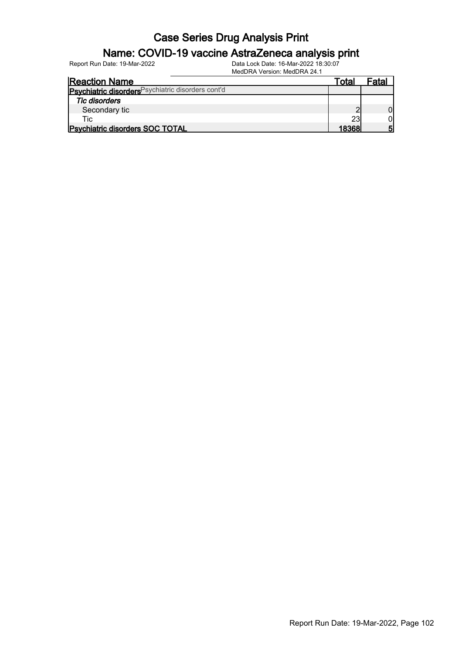#### Name: COVID-19 vaccine AstraZeneca analysis print

Report Run Date: 19-Mar-2022 Data Lock Date: 16-Mar-2022 18:30:07

MedDRA Version: MedDRA 24.1

| <b>Reaction Name</b>                               | ™ota∟ | Fata |
|----------------------------------------------------|-------|------|
| Psychiatric disorders Psychiatric disorders cont'd |       |      |
| <b>Tic disorders</b>                               |       |      |
| Secondary tic                                      |       |      |
| Tic:                                               | 23    |      |
| <b>Psychiatric disorders SOC TOTAL</b>             | 18368 | Б    |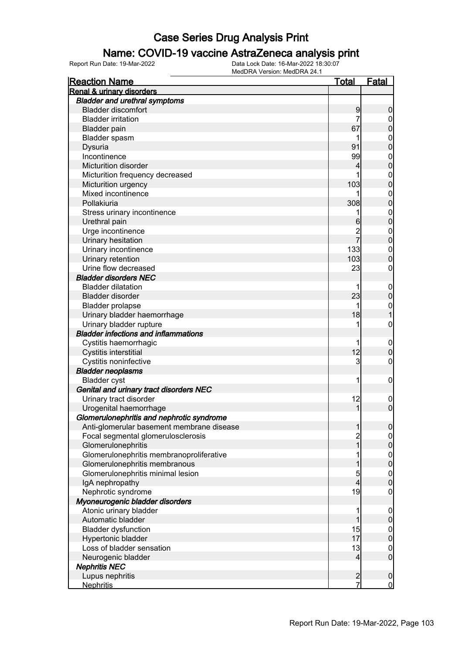#### Name: COVID-19 vaccine AstraZeneca analysis print

| <b>Reaction Name</b>                        | <u>Total</u>            | <b>Fatal</b>                         |
|---------------------------------------------|-------------------------|--------------------------------------|
| Renal & urinary disorders                   |                         |                                      |
| <b>Bladder and urethral symptoms</b>        |                         |                                      |
| <b>Bladder discomfort</b>                   | 9                       | $\boldsymbol{0}$                     |
| <b>Bladder irritation</b>                   | 7                       | $\mathbf 0$                          |
| <b>Bladder pain</b>                         | 67                      | $\overline{0}$                       |
| Bladder spasm                               |                         |                                      |
| Dysuria                                     | 91                      | $\begin{matrix}0\\0\end{matrix}$     |
| Incontinence                                | 99                      |                                      |
| Micturition disorder                        | 4                       | $0\atop 0$                           |
| Micturition frequency decreased             |                         |                                      |
| Micturition urgency                         | 103                     | $0\atop 0$                           |
| Mixed incontinence                          |                         |                                      |
| Pollakiuria                                 | 308                     | $0\atop 0$                           |
| Stress urinary incontinence                 | 1                       |                                      |
| Urethral pain                               | 6                       | $0\atop 0$                           |
| Urge incontinence                           | $\overline{2}$          |                                      |
| Urinary hesitation                          | 7                       | $\begin{matrix}0\\0\end{matrix}$     |
| Urinary incontinence                        | 133                     |                                      |
|                                             |                         | $\begin{matrix}0\\0\end{matrix}$     |
| Urinary retention<br>Urine flow decreased   | 103                     |                                      |
|                                             | 23                      | $\mathbf 0$                          |
| <b>Bladder disorders NEC</b>                |                         |                                      |
| <b>Bladder dilatation</b>                   | 1                       | $\boldsymbol{0}$                     |
| Bladder disorder                            | 23                      | $\overline{0}$                       |
| <b>Bladder prolapse</b>                     | 1                       | $\mathbf{0}$                         |
| Urinary bladder haemorrhage                 | 18                      | $\overline{1}$                       |
| Urinary bladder rupture                     | 1                       | $\mathbf 0$                          |
| <b>Bladder infections and inflammations</b> |                         |                                      |
| Cystitis haemorrhagic                       | 1                       | $\mathbf 0$                          |
| Cystitis interstitial                       | 12                      | $\overline{0}$                       |
| Cystitis noninfective                       | $\mathbf{3}$            | 0                                    |
| <b>Bladder neoplasms</b>                    |                         |                                      |
| <b>Bladder cyst</b>                         | 1                       | $\mathbf 0$                          |
| Genital and urinary tract disorders NEC     |                         |                                      |
| Urinary tract disorder                      | 12                      | $\mathbf{0}$                         |
| Urogenital haemorrhage                      | 1                       | $\overline{0}$                       |
| Glomerulonephritis and nephrotic syndrome   |                         |                                      |
| Anti-glomerular basement membrane disease   | 1                       | 0                                    |
| Focal segmental glomerulosclerosis          | $\overline{\mathbf{c}}$ | $\Omega$                             |
| Glomerulonephritis                          | $\mathbf{1}$            | $\pmb{0}$                            |
| Glomerulonephritis membranoproliferative    | 1                       |                                      |
| Glomerulonephritis membranous               | 1                       | $\begin{matrix} 0 \\ 0 \end{matrix}$ |
| Glomerulonephritis minimal lesion           | $\overline{5}$          |                                      |
| IgA nephropathy                             | $\overline{4}$          | $\begin{matrix} 0 \\ 0 \end{matrix}$ |
| Nephrotic syndrome                          | 19                      | $\boldsymbol{0}$                     |
| Myoneurogenic bladder disorders             |                         |                                      |
| Atonic urinary bladder                      | 1                       | $\boldsymbol{0}$                     |
| Automatic bladder                           | 1                       | $\pmb{0}$                            |
| <b>Bladder dysfunction</b>                  | 15                      |                                      |
| Hypertonic bladder                          | 17                      | $0\atop 0$                           |
| Loss of bladder sensation                   | 13                      |                                      |
| Neurogenic bladder                          | $\overline{4}$          | $\begin{matrix} 0 \\ 0 \end{matrix}$ |
| <b>Nephritis NEC</b>                        |                         |                                      |
| Lupus nephritis                             | $\overline{c}$          | $\boldsymbol{0}$                     |
| <b>Nephritis</b>                            | 7                       | $\overline{0}$                       |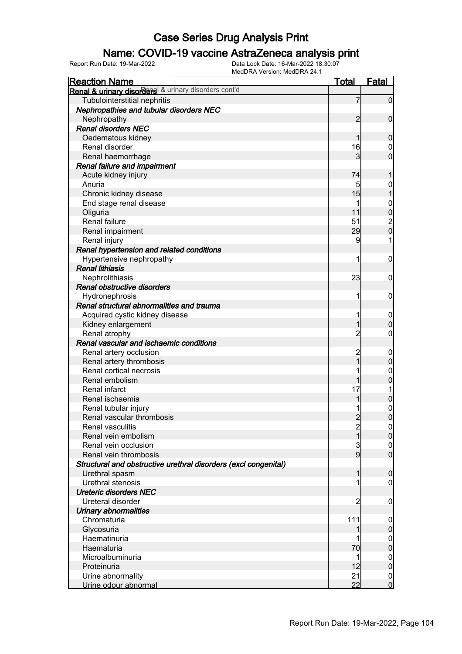### Name: COVID-19 vaccine AstraZeneca analysis print

| <b>Reaction Name</b>                                            | Total                   | Fatal            |
|-----------------------------------------------------------------|-------------------------|------------------|
| Renal & urinary disorders & urinary disorders cont'd            |                         |                  |
| Tubulointerstitial nephritis                                    | 7                       | $\mathbf 0$      |
| Nephropathies and tubular disorders NEC                         |                         |                  |
| Nephropathy                                                     | $\overline{2}$          | $\mathbf 0$      |
| <b>Renal disorders NEC</b>                                      |                         |                  |
| Oedematous kidney                                               |                         | $\mathbf 0$      |
| Renal disorder                                                  | 16                      | 0                |
| Renal haemorrhage                                               | 3                       | $\overline{0}$   |
| Renal failure and impairment                                    |                         |                  |
| Acute kidney injury                                             | 74                      | 1                |
| Anuria                                                          | 5                       | 0                |
| Chronic kidney disease                                          | 15                      | $\overline{1}$   |
| End stage renal disease                                         |                         | $\boldsymbol{0}$ |
| Oliguria                                                        | 11                      | $\bf{0}$         |
| Renal failure                                                   | 51                      |                  |
| Renal impairment                                                | 29                      | $\frac{2}{0}$    |
| Renal injury                                                    | 9                       | 1                |
| Renal hypertension and related conditions                       |                         |                  |
| Hypertensive nephropathy                                        | 1                       | $\mathbf 0$      |
| <b>Renal lithiasis</b>                                          |                         |                  |
| Nephrolithiasis                                                 | 23                      | $\mathbf 0$      |
| Renal obstructive disorders                                     |                         |                  |
| Hydronephrosis                                                  | 1                       | $\mathbf 0$      |
| Renal structural abnormalities and trauma                       |                         |                  |
| Acquired cystic kidney disease                                  |                         | $\boldsymbol{0}$ |
| Kidney enlargement                                              |                         | $\boldsymbol{0}$ |
| Renal atrophy                                                   | $\overline{c}$          | $\mathbf 0$      |
| Renal vascular and ischaemic conditions                         |                         |                  |
| Renal artery occlusion                                          | 2                       | $\mathbf 0$      |
| Renal artery thrombosis                                         |                         | $\mathbf 0$      |
| Renal cortical necrosis                                         |                         | $\mathbf{0}$     |
| Renal embolism                                                  | 1                       | $\mathbf 0$      |
| Renal infarct                                                   | 17                      |                  |
| Renal ischaemia                                                 |                         | $\pmb{0}$        |
| Renal tubular injury                                            |                         | $\mathbf{0}$     |
| Renal vascular thrombosis                                       | $\overline{2}$          | $\overline{0}$   |
| Renal vasculitis                                                | $\overline{\mathbf{c}}$ | 0                |
| Renal vein embolism                                             | $\overline{1}$          | $\overline{0}$   |
| Renal vein occlusion                                            | 3                       | $\mathbf 0$      |
| Renal vein thrombosis                                           | $\overline{9}$          | $\overline{0}$   |
| Structural and obstructive urethral disorders (excl congenital) |                         |                  |
| Urethral spasm                                                  | 1                       | $\boldsymbol{0}$ |
| Urethral stenosis                                               |                         | 0                |
| <b>Ureteric disorders NEC</b>                                   |                         |                  |
| Ureteral disorder                                               | 2                       | $\mathbf 0$      |
| Urinary abnormalities                                           |                         |                  |
| Chromaturia                                                     | 111                     | 0                |
| Glycosuria                                                      |                         | $\boldsymbol{0}$ |
| Haematinuria                                                    |                         | $\overline{0}$   |
| Haematuria                                                      | 70                      | $\pmb{0}$        |
| Microalbuminuria                                                |                         | $\mathbf 0$      |
| Proteinuria                                                     | 12                      | $\pmb{0}$        |
| Urine abnormality                                               | 21                      | $\mathbf 0$      |
| Urine odour abnormal                                            | 22                      | $\overline{0}$   |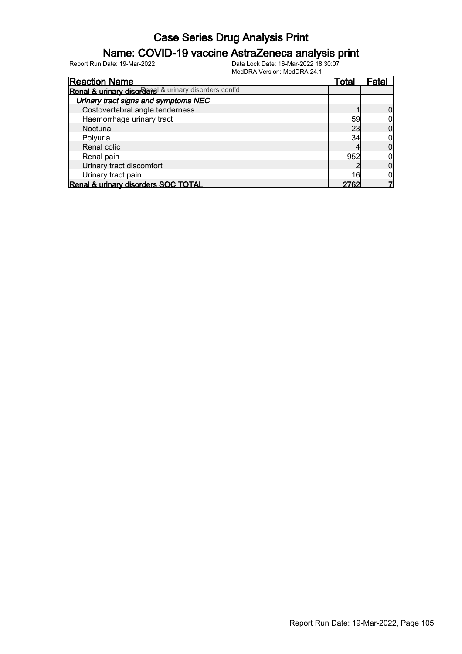#### Name: COVID-19 vaccine AstraZeneca analysis print

| <b>Reaction Name</b>                                 | Total | ⊦ata |
|------------------------------------------------------|-------|------|
| Renal & urinary disorders & urinary disorders cont'd |       |      |
| Urinary tract signs and symptoms NEC                 |       |      |
| Costovertebral angle tenderness                      |       |      |
| Haemorrhage urinary tract                            | 59    |      |
| Nocturia                                             | 23    |      |
| Polyuria                                             | 34    |      |
| Renal colic                                          |       |      |
| Renal pain                                           | 952   |      |
| Urinary tract discomfort                             |       |      |
| Urinary tract pain                                   | 16    |      |
| Renal & urinary disorders SOC TOTAL                  |       |      |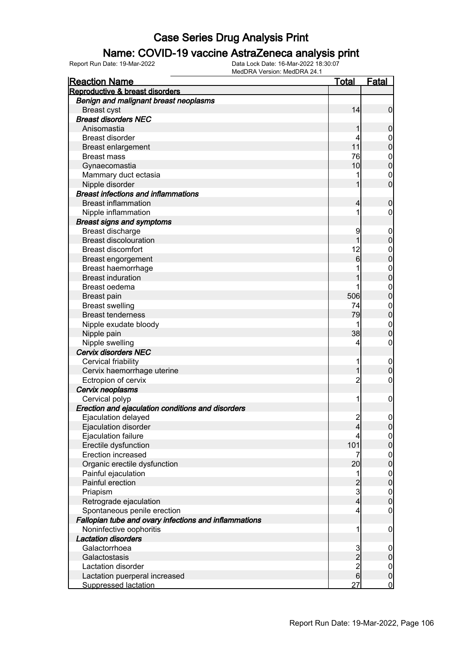#### Name: COVID-19 vaccine AstraZeneca analysis print

| Reproductive & breast disorders                       |                             | <b>Fatal</b>                |
|-------------------------------------------------------|-----------------------------|-----------------------------|
|                                                       |                             |                             |
| Benign and malignant breast neoplasms                 |                             |                             |
| <b>Breast cyst</b>                                    | 14                          | $\mathbf 0$                 |
| <b>Breast disorders NEC</b>                           |                             |                             |
| Anisomastia                                           |                             | $\boldsymbol{0}$            |
| <b>Breast disorder</b>                                |                             | 0                           |
| Breast enlargement                                    | 11                          | $\mathbf 0$                 |
| <b>Breast mass</b>                                    | 76                          | 0                           |
| Gynaecomastia                                         | 10                          | $\mathbf 0$                 |
| Mammary duct ectasia                                  |                             | $\mathbf 0$                 |
| Nipple disorder                                       |                             | $\mathbf 0$                 |
| <b>Breast infections and inflammations</b>            |                             |                             |
| <b>Breast inflammation</b>                            | 4                           | $\mathbf 0$                 |
| Nipple inflammation                                   |                             | 0                           |
| <b>Breast signs and symptoms</b>                      |                             |                             |
| Breast discharge                                      | 9                           | $\overline{0}$              |
| <b>Breast discolouration</b>                          | 1                           | $\pmb{0}$                   |
| <b>Breast discomfort</b>                              | 12                          | 0                           |
| Breast engorgement                                    | 6                           | $\mathbf 0$                 |
| Breast haemorrhage                                    |                             | $\mathbf 0$                 |
| <b>Breast induration</b>                              |                             | $\mathbf 0$                 |
| Breast oedema                                         |                             | $\mathbf 0$                 |
| <b>Breast pain</b>                                    | 506                         | $\mathbf 0$                 |
| <b>Breast swelling</b>                                | 74                          | $\mathbf 0$                 |
| <b>Breast tenderness</b>                              | 79                          | $\mathbf 0$                 |
| Nipple exudate bloody                                 |                             | $\mathbf 0$                 |
| Nipple pain                                           | 38                          | $\mathbf 0$                 |
| Nipple swelling                                       | 4                           | $\mathbf 0$                 |
| <b>Cervix disorders NEC</b>                           |                             |                             |
| Cervical friability                                   |                             | $\overline{0}$              |
| Cervix haemorrhage uterine                            | 1                           | $\boldsymbol{0}$            |
| Ectropion of cervix                                   | $\overline{c}$              | 0                           |
| Cervix neoplasms                                      |                             |                             |
| Cervical polyp                                        | 1                           | $\mathbf 0$                 |
| Erection and ejaculation conditions and disorders     |                             |                             |
| Ejaculation delayed                                   | $\overline{2}$              | $\mathbf 0$                 |
| Ejaculation disorder                                  | $\overline{4}$              | $\overline{0}$              |
| Ejaculation failure                                   | 4                           | $\overline{0}$              |
| Erectile dysfunction                                  | 101                         | $\pmb{0}$                   |
| Erection increased                                    | 7                           | $\overline{0}$              |
| Organic erectile dysfunction                          | 20                          | $\mathbf 0$                 |
| Painful ejaculation                                   | 1                           | $\overline{0}$              |
| Painful erection                                      |                             | $\mathbf 0$                 |
| Priapism                                              | $\frac{2}{3}$               | $\boldsymbol{0}$            |
| Retrograde ejaculation                                | $\overline{4}$              | $\boldsymbol{0}$            |
| Spontaneous penile erection                           | 4                           | $\mathbf 0$                 |
| Fallopian tube and ovary infections and inflammations |                             |                             |
| Noninfective oophoritis                               | 1                           | $\mathbf 0$                 |
| <b>Lactation disorders</b>                            |                             |                             |
| Galactorrhoea                                         |                             | $\mathbf 0$                 |
| Galactostasis                                         |                             | $\pmb{0}$                   |
| Lactation disorder                                    |                             |                             |
| Lactation puerperal increased                         | $\frac{3}{2}$ $\frac{2}{6}$ | $\overline{0}$<br>$\pmb{0}$ |
| <b>Suppressed lactation</b>                           | 27                          | $\overline{0}$              |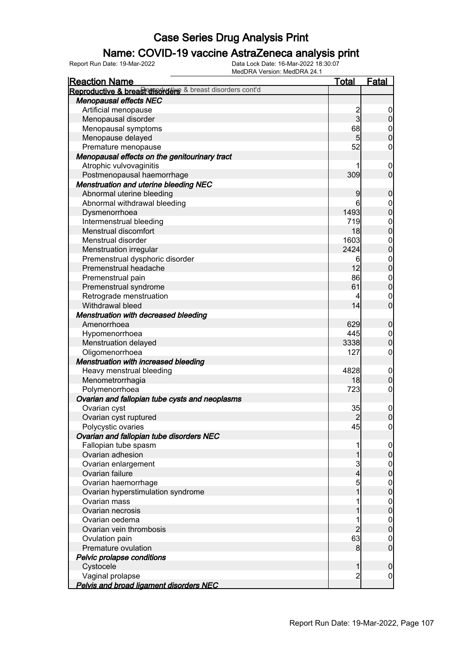### Name: COVID-19 vaccine AstraZeneca analysis print

| <b>Reaction Name</b>                                      | <u>Total</u>   | <b>Fatal</b>                         |
|-----------------------------------------------------------|----------------|--------------------------------------|
| Reproductive & breast disorders & breast disorders cont'd |                |                                      |
| <b>Menopausal effects NEC</b>                             |                |                                      |
| Artificial menopause                                      |                | $\overline{0}$                       |
| Menopausal disorder                                       | $\frac{2}{3}$  | $\overline{0}$                       |
| Menopausal symptoms                                       | 68             | $\mathbf 0$                          |
| Menopause delayed                                         | 5 <sub>5</sub> | $\overline{0}$                       |
| Premature menopause                                       | 52             | $\mathbf 0$                          |
| Menopausal effects on the genitourinary tract             |                |                                      |
| Atrophic vulvovaginitis                                   |                | $\mathbf 0$                          |
| Postmenopausal haemorrhage                                | 309            | $\overline{0}$                       |
| <b>Menstruation and uterine bleeding NEC</b>              |                |                                      |
| Abnormal uterine bleeding                                 | 9              | $\mathbf 0$                          |
| Abnormal withdrawal bleeding                              | 6              | $\boldsymbol{0}$                     |
| Dysmenorrhoea                                             | 1493           | $\overline{0}$                       |
| Intermenstrual bleeding                                   | 719            |                                      |
| Menstrual discomfort                                      | 18             | $0\atop 0$                           |
| Menstrual disorder                                        | 1603           |                                      |
| Menstruation irregular                                    | 2424           | $\begin{matrix} 0 \\ 0 \end{matrix}$ |
| Premenstrual dysphoric disorder                           | 6              |                                      |
| Premenstrual headache                                     | 12             | $\begin{matrix} 0 \\ 0 \end{matrix}$ |
| Premenstrual pain                                         | 86             | $\mathbf{0}$                         |
| Premenstrual syndrome                                     | 61             | $\overline{0}$                       |
| Retrograde menstruation                                   | 4              | $\mathbf 0$                          |
| Withdrawal bleed                                          | 14             | $\overline{0}$                       |
| <b>Menstruation with decreased bleeding</b>               |                |                                      |
| Amenorrhoea                                               | 629            | $\boldsymbol{0}$                     |
| Hypomenorrhoea                                            | 445            | $\mathbf{0}$                         |
| Menstruation delayed                                      | 3338           | $\overline{0}$                       |
| Oligomenorrhoea                                           | 127            | $\boldsymbol{0}$                     |
| <b>Menstruation with increased bleeding</b>               |                |                                      |
| Heavy menstrual bleeding                                  | 4828           | $\mathbf 0$                          |
| Menometrorrhagia                                          | 18             | $\mathbf 0$                          |
| Polymenorrhoea                                            | 723            | $\boldsymbol{0}$                     |
| Ovarian and fallopian tube cysts and neoplasms            |                |                                      |
| Ovarian cyst                                              | 35             | $\mathbf 0$                          |
| Ovarian cyst ruptured                                     | $\overline{2}$ | $\overline{0}$                       |
| Polycystic ovaries                                        | 45             | $\overline{0}$                       |
| Ovarian and fallopian tube disorders NEC                  |                |                                      |
| Fallopian tube spasm                                      |                | $\overline{0}$                       |
| Ovarian adhesion                                          | 1              | $\boldsymbol{0}$                     |
| Ovarian enlargement                                       | 3              | $\overline{0}$                       |
| Ovarian failure                                           | 4              | $\overline{0}$                       |
| Ovarian haemorrhage                                       | 5              | $\boldsymbol{0}$                     |
| Ovarian hyperstimulation syndrome                         | 1              | $\overline{0}$                       |
| Ovarian mass                                              |                | $\mathbf{0}$                         |
| Ovarian necrosis                                          |                | $\overline{0}$                       |
| Ovarian oedema                                            |                | $\mathbf 0$                          |
| Ovarian vein thrombosis                                   | $\overline{2}$ | $\mathbf 0$                          |
| Ovulation pain                                            | 63             | $\mathbf 0$                          |
| Premature ovulation                                       | 8              | $\mathbf 0$                          |
| Pelvic prolapse conditions                                |                |                                      |
| Cystocele                                                 | 1              | $\boldsymbol{0}$                     |
| Vaginal prolapse                                          | $\overline{2}$ | 0                                    |
| <b>Pelvis and broad ligament disorders NEC</b>            |                |                                      |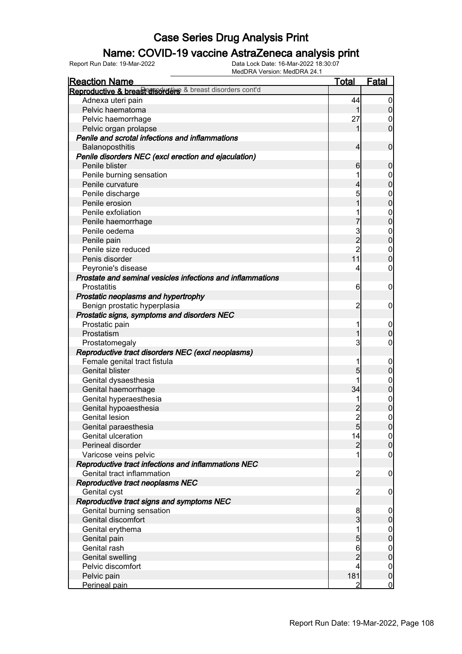### Name: COVID-19 vaccine AstraZeneca analysis print

| <b>Reaction Name</b>                                        | <u>Total</u>    | Fatal                                |
|-------------------------------------------------------------|-----------------|--------------------------------------|
| Reproductive & breas conservative & breast disorders cont'd |                 |                                      |
| Adnexa uteri pain                                           | 44              | $\overline{0}$                       |
| Pelvic haematoma                                            | 1               | $\overline{0}$                       |
| Pelvic haemorrhage                                          | 27              | 0                                    |
| Pelvic organ prolapse                                       | 1               | $\mathbf 0$                          |
| Penile and scrotal infections and inflammations             |                 |                                      |
| Balanoposthitis                                             | 4               | $\mathbf 0$                          |
| Penile disorders NEC (excl erection and ejaculation)        |                 |                                      |
| Penile blister                                              | 6               | $\boldsymbol{0}$                     |
| Penile burning sensation                                    |                 | $\boldsymbol{0}$                     |
| Penile curvature                                            | 4               | $\overline{0}$                       |
| Penile discharge                                            | 5               |                                      |
| Penile erosion                                              | 1               | $0\atop 0$                           |
| Penile exfoliation                                          |                 | $\mathbf{0}$                         |
| Penile haemorrhage                                          |                 | $\overline{0}$                       |
| Penile oedema                                               | 3               | $\boldsymbol{0}$                     |
| Penile pain                                                 | $\overline{c}$  | $\overline{0}$                       |
| Penile size reduced                                         | $\overline{c}$  | $\mathbf{0}$                         |
| Penis disorder                                              | 11              | $\mathbf 0$                          |
| Peyronie's disease                                          | 4               | $\boldsymbol{0}$                     |
| Prostate and seminal vesicles infections and inflammations  |                 |                                      |
| <b>Prostatitis</b>                                          | 6               | $\mathbf 0$                          |
| Prostatic neoplasms and hypertrophy                         |                 |                                      |
| Benign prostatic hyperplasia                                | $\overline{c}$  | $\mathbf 0$                          |
| Prostatic signs, symptoms and disorders NEC                 |                 |                                      |
| Prostatic pain                                              | 1               | $\mathbf 0$                          |
| Prostatism                                                  | 1               | $\mathbf 0$                          |
| Prostatomegaly                                              | 3               | $\boldsymbol{0}$                     |
| Reproductive tract disorders NEC (excl neoplasms)           |                 |                                      |
| Female genital tract fistula                                |                 | $\mathbf 0$                          |
| <b>Genital blister</b>                                      | 5               | $\mathbf 0$                          |
| Genital dysaesthesia                                        |                 | $\boldsymbol{0}$                     |
| Genital haemorrhage                                         | 34              | $\mathbf 0$                          |
| Genital hyperaesthesia                                      |                 | $\begin{matrix} 0 \\ 0 \end{matrix}$ |
| Genital hypoaesthesia                                       |                 |                                      |
| <b>Genital lesion</b>                                       | $\overline{2}$  | $\mathbf 0$                          |
| Genital paraesthesia                                        | $5\overline{)}$ | 0                                    |
| <b>Genital ulceration</b>                                   | 14              | 0                                    |
| Perineal disorder                                           | $\overline{2}$  | $\overline{0}$                       |
| Varicose veins pelvic                                       | 1               | $\mathbf 0$                          |
| Reproductive tract infections and inflammations NEC         |                 |                                      |
| Genital tract inflammation                                  | $\overline{c}$  | $\mathbf 0$                          |
| Reproductive tract neoplasms NEC                            |                 |                                      |
| Genital cyst                                                | $\overline{c}$  | $\mathbf 0$                          |
| Reproductive tract signs and symptoms NEC                   |                 |                                      |
| Genital burning sensation                                   | 8               | $\overline{0}$                       |
| Genital discomfort                                          | 3               | $\pmb{0}$                            |
| Genital erythema                                            | 1               | $0\atop 0$                           |
| Genital pain                                                | 5               |                                      |
| Genital rash                                                | 6               | $\boldsymbol{0}$                     |
| <b>Genital swelling</b>                                     | $\overline{2}$  | $\overline{0}$                       |
| Pelvic discomfort                                           | 4               | $\overline{0}$                       |
| Pelvic pain                                                 | 181             | $\mathbf 0$                          |
| Perineal pain                                               | $\overline{2}$  | $\overline{0}$                       |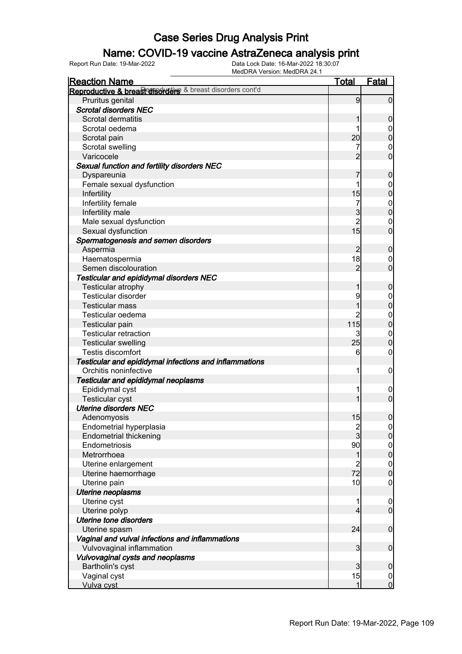### Name: COVID-19 vaccine AstraZeneca analysis print

| <b>Reaction Name</b>                                      | <u>Total</u>            | Fatal                                |
|-----------------------------------------------------------|-------------------------|--------------------------------------|
| Reproductive & breast disorders & breast disorders cont'd |                         |                                      |
| Pruritus genital                                          | 9                       | $\overline{0}$                       |
| <b>Scrotal disorders NEC</b>                              |                         |                                      |
| Scrotal dermatitis                                        |                         | $\mathbf 0$                          |
| Scrotal oedema                                            |                         | $\mathbf 0$                          |
| Scrotal pain                                              | 20 <sup>1</sup>         | $\pmb{0}$                            |
| Scrotal swelling                                          |                         | $\mathbf 0$                          |
| Varicocele                                                | $\overline{2}$          | $\mathbf 0$                          |
| Sexual function and fertility disorders NEC               |                         |                                      |
| Dyspareunia                                               | 7                       | $\boldsymbol{0}$                     |
| Female sexual dysfunction                                 |                         | $\mathbf 0$                          |
| Infertility                                               | 15                      | $\overline{0}$                       |
| Infertility female                                        | 7                       | $\boldsymbol{0}$                     |
| Infertility male                                          | $\overline{3}$          | $\overline{0}$                       |
| Male sexual dysfunction                                   | $\overline{c}$          | $\mathbf 0$                          |
| Sexual dysfunction                                        | 15                      | $\mathbf 0$                          |
| Spermatogenesis and semen disorders                       |                         |                                      |
| Aspermia                                                  | $\overline{2}$          | $\boldsymbol{0}$                     |
| Haematospermia                                            | 18                      | $\mathbf 0$                          |
| Semen discolouration                                      | $\overline{2}$          | $\mathbf 0$                          |
| Testicular and epididymal disorders NEC                   |                         |                                      |
| Testicular atrophy                                        | 1                       | $\boldsymbol{0}$                     |
| <b>Testicular disorder</b>                                | 9                       | $\boldsymbol{0}$                     |
| <b>Testicular mass</b>                                    |                         | $\overline{0}$                       |
| Testicular oedema                                         | 2                       | $\boldsymbol{0}$                     |
| Testicular pain                                           | 115                     | $\mathbf 0$                          |
| <b>Testicular retraction</b>                              | 3                       | $\mathbf 0$                          |
| <b>Testicular swelling</b>                                | 25                      | $\boldsymbol{0}$                     |
| Testis discomfort                                         | 6                       | $\boldsymbol{0}$                     |
| Testicular and epididymal infections and inflammations    |                         |                                      |
| Orchitis noninfective                                     | 1                       | $\mathbf 0$                          |
| Testicular and epididymal neoplasms                       |                         |                                      |
| Epididymal cyst                                           |                         | $\boldsymbol{0}$                     |
| <b>Testicular cyst</b>                                    |                         | $\overline{0}$                       |
| <b>Uterine disorders NEC</b>                              |                         |                                      |
| Adenomyosis                                               | 15                      | $\boldsymbol{0}$                     |
| Endometrial hyperplasia                                   |                         | 0                                    |
| <b>Endometrial thickening</b>                             | $\frac{2}{3}$           | 0                                    |
| Endometriosis                                             | 90                      |                                      |
| Metrorrhoea                                               | 1                       | $\begin{matrix} 0 \\ 0 \end{matrix}$ |
| Uterine enlargement                                       | $\overline{\mathbf{c}}$ | $\overline{0}$                       |
| Uterine haemorrhage                                       | 72                      | $\overline{0}$                       |
| Uterine pain                                              | 10                      | $\mathbf 0$                          |
| <b>Uterine neoplasms</b>                                  |                         |                                      |
| Uterine cyst                                              |                         | $\overline{0}$                       |
| Uterine polyp                                             | 4                       | $\overline{0}$                       |
| <b>Uterine tone disorders</b>                             |                         |                                      |
| Uterine spasm                                             | 24                      | $\mathbf 0$                          |
| Vaginal and vulval infections and inflammations           |                         |                                      |
| Vulvovaginal inflammation                                 | 3                       | $\bf 0$                              |
| Vulvovaginal cysts and neoplasms                          |                         |                                      |
| Bartholin's cyst                                          | $\overline{3}$          | $\mathbf 0$                          |
| Vaginal cyst                                              | 15                      | $\overline{0}$                       |
| Vulva cyst                                                | 1                       | $\overline{0}$                       |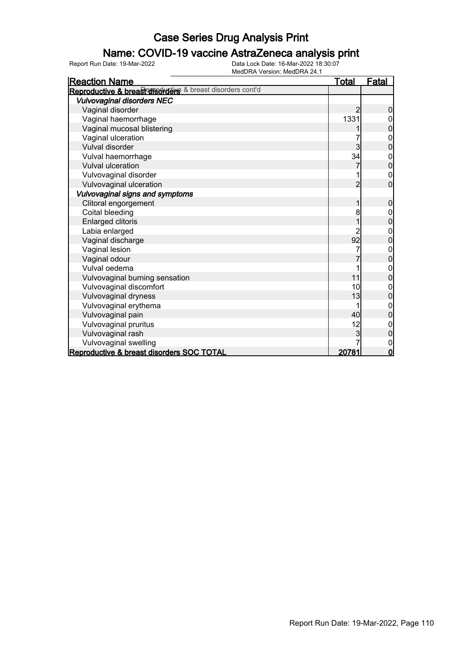### Name: COVID-19 vaccine AstraZeneca analysis print

| <b>Reaction Name</b>                                      | <u>Total</u> | <b>Fatal</b>   |
|-----------------------------------------------------------|--------------|----------------|
| Reproductive & breast disorders & breast disorders cont'd |              |                |
| <b>Vulvovaginal disorders NEC</b>                         |              |                |
| Vaginal disorder                                          | 2            | 0              |
| Vaginal haemorrhage                                       | 1331         |                |
| Vaginal mucosal blistering                                |              | 0              |
| Vaginal ulceration                                        |              | 0              |
| Vulval disorder                                           | 3            | 0              |
| Vulval haemorrhage                                        | 34           | 0              |
| <b>Vulval ulceration</b>                                  |              | 0              |
| Vulvovaginal disorder                                     |              | $\mathbf 0$    |
| Vulvovaginal ulceration                                   | 2            | $\overline{0}$ |
| Vulvovaginal signs and symptoms                           |              |                |
| Clitoral engorgement                                      | 1            | $\mathbf 0$    |
| Coital bleeding                                           | 8            | 0              |
| <b>Enlarged clitoris</b>                                  |              | $\overline{0}$ |
| Labia enlarged                                            | 2            | 0              |
| Vaginal discharge                                         | 92           | $\overline{0}$ |
| Vaginal lesion                                            |              | $\mathbf{0}$   |
| Vaginal odour                                             |              | $\overline{0}$ |
| Vulval oedema                                             |              | 0              |
| Vulvovaginal burning sensation                            | 11           | $\mathbf 0$    |
| Vulvovaginal discomfort                                   | 10           | 0              |
| Vulvovaginal dryness                                      | 13           | $\overline{0}$ |
| Vulvovaginal erythema                                     |              | 0              |
| Vulvovaginal pain                                         | 40           | 0              |
| Vulvovaginal pruritus                                     | 12           | 0              |
| Vulvovaginal rash                                         | 3            | 0              |
| Vulvovaginal swelling                                     |              | 0              |
| Reproductive & breast disorders SOC TOTAL                 | 20781        | $\mathbf 0$    |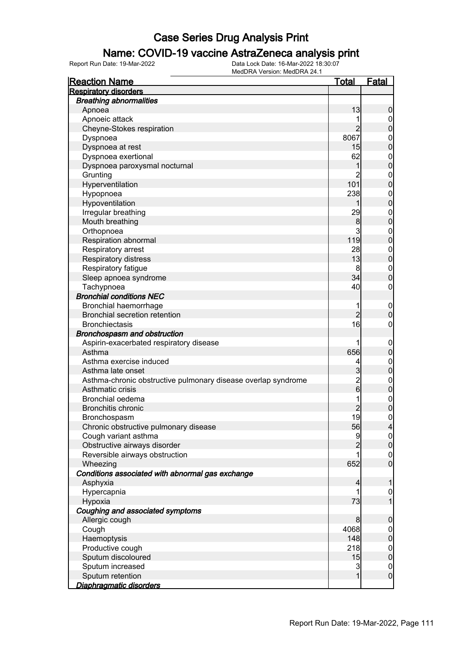### Name: COVID-19 vaccine AstraZeneca analysis print

| <b>Reaction Name</b>                                          | <u>Total</u>   | <u>Fatal</u>     |
|---------------------------------------------------------------|----------------|------------------|
| <b>Respiratory disorders</b>                                  |                |                  |
| <b>Breathing abnormalities</b>                                |                |                  |
| Apnoea                                                        | 13             | $\boldsymbol{0}$ |
| Apnoeic attack                                                |                | $\overline{0}$   |
| Cheyne-Stokes respiration                                     | $\overline{2}$ | $\mathbf 0$      |
| Dyspnoea                                                      | 8067           | $\mathbf 0$      |
| Dyspnoea at rest                                              | 15             | $\overline{0}$   |
| Dyspnoea exertional                                           | 62             | $\mathbf{0}$     |
| Dyspnoea paroxysmal nocturnal                                 | 1              | $\overline{0}$   |
| Grunting                                                      | $\overline{2}$ | $\mathbf 0$      |
| Hyperventilation                                              | 101            | $\overline{0}$   |
| Hypopnoea                                                     | 238            | $\mathbf{0}$     |
| Hypoventilation                                               |                | $\overline{0}$   |
| Irregular breathing                                           | 29             | $\mathbf{0}$     |
| Mouth breathing                                               | 8              | $\overline{0}$   |
| Orthopnoea                                                    | 3              | $\mathbf{0}$     |
| Respiration abnormal                                          | 119            | $\overline{0}$   |
| Respiratory arrest                                            | 28             | $\mathbf{0}$     |
| Respiratory distress                                          | 13             | $\overline{0}$   |
| Respiratory fatigue                                           | 8              | $\mathbf{0}$     |
| Sleep apnoea syndrome                                         | 34             | $\overline{0}$   |
| Tachypnoea                                                    | 40             | $\mathbf 0$      |
| <b>Bronchial conditions NEC</b>                               |                |                  |
| Bronchial haemorrhage                                         | 1              | $\mathbf 0$      |
| <b>Bronchial secretion retention</b>                          | $\overline{2}$ | $\overline{0}$   |
| <b>Bronchiectasis</b>                                         | 16             | $\mathbf 0$      |
| Bronchospasm and obstruction                                  |                |                  |
| Aspirin-exacerbated respiratory disease                       | 1              | $\mathbf 0$      |
| Asthma                                                        | 656            | $\mathbf 0$      |
| Asthma exercise induced                                       | 4              | $\mathbf 0$      |
| Asthma late onset                                             | 3              | $\overline{0}$   |
| Asthma-chronic obstructive pulmonary disease overlap syndrome |                | $\mathbf{0}$     |
| Asthmatic crisis                                              | $\frac{2}{6}$  | $\overline{0}$   |
| <b>Bronchial oedema</b>                                       | 1              | $\mathbf{0}$     |
| <b>Bronchitis chronic</b>                                     |                | $\overline{0}$   |
| Bronchospasm                                                  | 19             | $\mathbf 0$      |
| Chronic obstructive pulmonary disease                         | 56             | $\overline{4}$   |
| Cough variant asthma                                          | 9              | 0                |
| Obstructive airways disorder                                  |                | $\overline{0}$   |
| Reversible airways obstruction                                |                | $\boldsymbol{0}$ |
| Wheezing                                                      | 652            | $\mathbf 0$      |
| Conditions associated with abnormal gas exchange              |                |                  |
| Asphyxia                                                      | 4              | 1                |
| Hypercapnia                                                   | 1              | $\boldsymbol{0}$ |
| Hypoxia                                                       | 73             | $\overline{1}$   |
| Coughing and associated symptoms                              |                |                  |
| Allergic cough                                                | 8              | $\mathbf 0$      |
| Cough                                                         | 4068           | $\overline{0}$   |
| Haemoptysis                                                   | 148            | $\mathbf 0$      |
| Productive cough                                              | 218            | $\boldsymbol{0}$ |
| Sputum discoloured                                            | 15             | $\overline{0}$   |
| Sputum increased                                              | 3              | $\boldsymbol{0}$ |
| Sputum retention                                              | $\mathbf{1}$   | $\mathbf 0$      |
| Diaphragmatic disorders                                       |                |                  |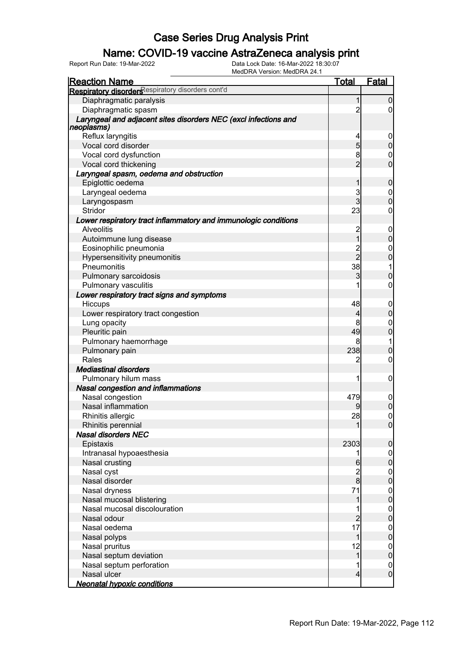### Name: COVID-19 vaccine AstraZeneca analysis print

| Respiratory disorders espiratory disorders cont'd<br>Diaphragmatic paralysis<br>1<br>0<br>Diaphragmatic spasm<br>$\overline{2}$<br>0<br>Laryngeal and adjacent sites disorders NEC (excl infections and<br>neoplasms)<br>Reflux laryngitis<br>4<br>0<br>5<br>Vocal cord disorder<br>0<br>8<br>Vocal cord dysfunction<br>0<br>$\overline{2}$<br>0<br>Vocal cord thickening<br>Laryngeal spasm, oedema and obstruction<br>Epiglottic oedema<br>0<br>1<br>3<br>Laryngeal oedema<br>$\boldsymbol{0}$<br>3<br>0<br>Laryngospasm<br>23<br>Stridor<br>0<br>Lower respiratory tract inflammatory and immunologic conditions<br><b>Alveolitis</b><br>$\overline{c}$<br>$\overline{0}$<br>1<br>Autoimmune lung disease<br>0<br>2<br>2<br>Eosinophilic pneumonia<br>0<br>Hypersensitivity pneumonitis<br>0<br>38<br>Pneumonitis<br>1<br>3<br>0<br>Pulmonary sarcoidosis<br>1<br>0<br>Pulmonary vasculitis<br>Lower respiratory tract signs and symptoms<br>Hiccups<br>48<br>$\mathbf 0$<br>0<br>Lower respiratory tract congestion<br>4<br>8<br>Lung opacity<br>0<br>49<br>0<br>Pleuritic pain<br>Pulmonary haemorrhage<br>8<br>1<br>238<br>Pulmonary pain<br>0<br>Rales<br>0<br>2<br><b>Mediastinal disorders</b><br>Pulmonary hilum mass<br>1<br>0<br>Nasal congestion and inflammations<br>Nasal congestion<br>479<br>$\mathbf 0$<br>Nasal inflammation<br>$\overline{0}$<br>$\overline{0}$<br>28<br>Rhinitis allergic<br>Rhinitis perennial<br><sup>0</sup><br><b>Nasal disorders NEC</b><br>Epistaxis<br>2303<br>0<br>Intranasal hypoaesthesia<br>1<br>$\mathbf 0$<br>Nasal crusting<br>0<br>6<br>Nasal cyst<br>$\frac{2}{8}$<br>$\mathbf 0$<br>Nasal disorder<br>0<br>71<br>Nasal dryness<br>$\mathbf 0$ | <b>Reaction Name</b>     | <b>Total</b> | <b>Fatal</b> |
|-----------------------------------------------------------------------------------------------------------------------------------------------------------------------------------------------------------------------------------------------------------------------------------------------------------------------------------------------------------------------------------------------------------------------------------------------------------------------------------------------------------------------------------------------------------------------------------------------------------------------------------------------------------------------------------------------------------------------------------------------------------------------------------------------------------------------------------------------------------------------------------------------------------------------------------------------------------------------------------------------------------------------------------------------------------------------------------------------------------------------------------------------------------------------------------------------------------------------------------------------------------------------------------------------------------------------------------------------------------------------------------------------------------------------------------------------------------------------------------------------------------------------------------------------------------------------------------------------------------------------------------------------------------------------------------------------------|--------------------------|--------------|--------------|
|                                                                                                                                                                                                                                                                                                                                                                                                                                                                                                                                                                                                                                                                                                                                                                                                                                                                                                                                                                                                                                                                                                                                                                                                                                                                                                                                                                                                                                                                                                                                                                                                                                                                                                     |                          |              |              |
|                                                                                                                                                                                                                                                                                                                                                                                                                                                                                                                                                                                                                                                                                                                                                                                                                                                                                                                                                                                                                                                                                                                                                                                                                                                                                                                                                                                                                                                                                                                                                                                                                                                                                                     |                          |              |              |
|                                                                                                                                                                                                                                                                                                                                                                                                                                                                                                                                                                                                                                                                                                                                                                                                                                                                                                                                                                                                                                                                                                                                                                                                                                                                                                                                                                                                                                                                                                                                                                                                                                                                                                     |                          |              |              |
|                                                                                                                                                                                                                                                                                                                                                                                                                                                                                                                                                                                                                                                                                                                                                                                                                                                                                                                                                                                                                                                                                                                                                                                                                                                                                                                                                                                                                                                                                                                                                                                                                                                                                                     |                          |              |              |
|                                                                                                                                                                                                                                                                                                                                                                                                                                                                                                                                                                                                                                                                                                                                                                                                                                                                                                                                                                                                                                                                                                                                                                                                                                                                                                                                                                                                                                                                                                                                                                                                                                                                                                     |                          |              |              |
|                                                                                                                                                                                                                                                                                                                                                                                                                                                                                                                                                                                                                                                                                                                                                                                                                                                                                                                                                                                                                                                                                                                                                                                                                                                                                                                                                                                                                                                                                                                                                                                                                                                                                                     |                          |              |              |
|                                                                                                                                                                                                                                                                                                                                                                                                                                                                                                                                                                                                                                                                                                                                                                                                                                                                                                                                                                                                                                                                                                                                                                                                                                                                                                                                                                                                                                                                                                                                                                                                                                                                                                     |                          |              |              |
|                                                                                                                                                                                                                                                                                                                                                                                                                                                                                                                                                                                                                                                                                                                                                                                                                                                                                                                                                                                                                                                                                                                                                                                                                                                                                                                                                                                                                                                                                                                                                                                                                                                                                                     |                          |              |              |
|                                                                                                                                                                                                                                                                                                                                                                                                                                                                                                                                                                                                                                                                                                                                                                                                                                                                                                                                                                                                                                                                                                                                                                                                                                                                                                                                                                                                                                                                                                                                                                                                                                                                                                     |                          |              |              |
|                                                                                                                                                                                                                                                                                                                                                                                                                                                                                                                                                                                                                                                                                                                                                                                                                                                                                                                                                                                                                                                                                                                                                                                                                                                                                                                                                                                                                                                                                                                                                                                                                                                                                                     |                          |              |              |
|                                                                                                                                                                                                                                                                                                                                                                                                                                                                                                                                                                                                                                                                                                                                                                                                                                                                                                                                                                                                                                                                                                                                                                                                                                                                                                                                                                                                                                                                                                                                                                                                                                                                                                     |                          |              |              |
|                                                                                                                                                                                                                                                                                                                                                                                                                                                                                                                                                                                                                                                                                                                                                                                                                                                                                                                                                                                                                                                                                                                                                                                                                                                                                                                                                                                                                                                                                                                                                                                                                                                                                                     |                          |              |              |
|                                                                                                                                                                                                                                                                                                                                                                                                                                                                                                                                                                                                                                                                                                                                                                                                                                                                                                                                                                                                                                                                                                                                                                                                                                                                                                                                                                                                                                                                                                                                                                                                                                                                                                     |                          |              |              |
|                                                                                                                                                                                                                                                                                                                                                                                                                                                                                                                                                                                                                                                                                                                                                                                                                                                                                                                                                                                                                                                                                                                                                                                                                                                                                                                                                                                                                                                                                                                                                                                                                                                                                                     |                          |              |              |
|                                                                                                                                                                                                                                                                                                                                                                                                                                                                                                                                                                                                                                                                                                                                                                                                                                                                                                                                                                                                                                                                                                                                                                                                                                                                                                                                                                                                                                                                                                                                                                                                                                                                                                     |                          |              |              |
|                                                                                                                                                                                                                                                                                                                                                                                                                                                                                                                                                                                                                                                                                                                                                                                                                                                                                                                                                                                                                                                                                                                                                                                                                                                                                                                                                                                                                                                                                                                                                                                                                                                                                                     |                          |              |              |
|                                                                                                                                                                                                                                                                                                                                                                                                                                                                                                                                                                                                                                                                                                                                                                                                                                                                                                                                                                                                                                                                                                                                                                                                                                                                                                                                                                                                                                                                                                                                                                                                                                                                                                     |                          |              |              |
|                                                                                                                                                                                                                                                                                                                                                                                                                                                                                                                                                                                                                                                                                                                                                                                                                                                                                                                                                                                                                                                                                                                                                                                                                                                                                                                                                                                                                                                                                                                                                                                                                                                                                                     |                          |              |              |
|                                                                                                                                                                                                                                                                                                                                                                                                                                                                                                                                                                                                                                                                                                                                                                                                                                                                                                                                                                                                                                                                                                                                                                                                                                                                                                                                                                                                                                                                                                                                                                                                                                                                                                     |                          |              |              |
|                                                                                                                                                                                                                                                                                                                                                                                                                                                                                                                                                                                                                                                                                                                                                                                                                                                                                                                                                                                                                                                                                                                                                                                                                                                                                                                                                                                                                                                                                                                                                                                                                                                                                                     |                          |              |              |
|                                                                                                                                                                                                                                                                                                                                                                                                                                                                                                                                                                                                                                                                                                                                                                                                                                                                                                                                                                                                                                                                                                                                                                                                                                                                                                                                                                                                                                                                                                                                                                                                                                                                                                     |                          |              |              |
|                                                                                                                                                                                                                                                                                                                                                                                                                                                                                                                                                                                                                                                                                                                                                                                                                                                                                                                                                                                                                                                                                                                                                                                                                                                                                                                                                                                                                                                                                                                                                                                                                                                                                                     |                          |              |              |
|                                                                                                                                                                                                                                                                                                                                                                                                                                                                                                                                                                                                                                                                                                                                                                                                                                                                                                                                                                                                                                                                                                                                                                                                                                                                                                                                                                                                                                                                                                                                                                                                                                                                                                     |                          |              |              |
|                                                                                                                                                                                                                                                                                                                                                                                                                                                                                                                                                                                                                                                                                                                                                                                                                                                                                                                                                                                                                                                                                                                                                                                                                                                                                                                                                                                                                                                                                                                                                                                                                                                                                                     |                          |              |              |
|                                                                                                                                                                                                                                                                                                                                                                                                                                                                                                                                                                                                                                                                                                                                                                                                                                                                                                                                                                                                                                                                                                                                                                                                                                                                                                                                                                                                                                                                                                                                                                                                                                                                                                     |                          |              |              |
|                                                                                                                                                                                                                                                                                                                                                                                                                                                                                                                                                                                                                                                                                                                                                                                                                                                                                                                                                                                                                                                                                                                                                                                                                                                                                                                                                                                                                                                                                                                                                                                                                                                                                                     |                          |              |              |
|                                                                                                                                                                                                                                                                                                                                                                                                                                                                                                                                                                                                                                                                                                                                                                                                                                                                                                                                                                                                                                                                                                                                                                                                                                                                                                                                                                                                                                                                                                                                                                                                                                                                                                     |                          |              |              |
|                                                                                                                                                                                                                                                                                                                                                                                                                                                                                                                                                                                                                                                                                                                                                                                                                                                                                                                                                                                                                                                                                                                                                                                                                                                                                                                                                                                                                                                                                                                                                                                                                                                                                                     |                          |              |              |
|                                                                                                                                                                                                                                                                                                                                                                                                                                                                                                                                                                                                                                                                                                                                                                                                                                                                                                                                                                                                                                                                                                                                                                                                                                                                                                                                                                                                                                                                                                                                                                                                                                                                                                     |                          |              |              |
|                                                                                                                                                                                                                                                                                                                                                                                                                                                                                                                                                                                                                                                                                                                                                                                                                                                                                                                                                                                                                                                                                                                                                                                                                                                                                                                                                                                                                                                                                                                                                                                                                                                                                                     |                          |              |              |
|                                                                                                                                                                                                                                                                                                                                                                                                                                                                                                                                                                                                                                                                                                                                                                                                                                                                                                                                                                                                                                                                                                                                                                                                                                                                                                                                                                                                                                                                                                                                                                                                                                                                                                     |                          |              |              |
|                                                                                                                                                                                                                                                                                                                                                                                                                                                                                                                                                                                                                                                                                                                                                                                                                                                                                                                                                                                                                                                                                                                                                                                                                                                                                                                                                                                                                                                                                                                                                                                                                                                                                                     |                          |              |              |
|                                                                                                                                                                                                                                                                                                                                                                                                                                                                                                                                                                                                                                                                                                                                                                                                                                                                                                                                                                                                                                                                                                                                                                                                                                                                                                                                                                                                                                                                                                                                                                                                                                                                                                     |                          |              |              |
|                                                                                                                                                                                                                                                                                                                                                                                                                                                                                                                                                                                                                                                                                                                                                                                                                                                                                                                                                                                                                                                                                                                                                                                                                                                                                                                                                                                                                                                                                                                                                                                                                                                                                                     |                          |              |              |
|                                                                                                                                                                                                                                                                                                                                                                                                                                                                                                                                                                                                                                                                                                                                                                                                                                                                                                                                                                                                                                                                                                                                                                                                                                                                                                                                                                                                                                                                                                                                                                                                                                                                                                     |                          |              |              |
|                                                                                                                                                                                                                                                                                                                                                                                                                                                                                                                                                                                                                                                                                                                                                                                                                                                                                                                                                                                                                                                                                                                                                                                                                                                                                                                                                                                                                                                                                                                                                                                                                                                                                                     |                          |              |              |
|                                                                                                                                                                                                                                                                                                                                                                                                                                                                                                                                                                                                                                                                                                                                                                                                                                                                                                                                                                                                                                                                                                                                                                                                                                                                                                                                                                                                                                                                                                                                                                                                                                                                                                     |                          |              |              |
|                                                                                                                                                                                                                                                                                                                                                                                                                                                                                                                                                                                                                                                                                                                                                                                                                                                                                                                                                                                                                                                                                                                                                                                                                                                                                                                                                                                                                                                                                                                                                                                                                                                                                                     |                          |              |              |
|                                                                                                                                                                                                                                                                                                                                                                                                                                                                                                                                                                                                                                                                                                                                                                                                                                                                                                                                                                                                                                                                                                                                                                                                                                                                                                                                                                                                                                                                                                                                                                                                                                                                                                     |                          |              |              |
|                                                                                                                                                                                                                                                                                                                                                                                                                                                                                                                                                                                                                                                                                                                                                                                                                                                                                                                                                                                                                                                                                                                                                                                                                                                                                                                                                                                                                                                                                                                                                                                                                                                                                                     |                          |              |              |
|                                                                                                                                                                                                                                                                                                                                                                                                                                                                                                                                                                                                                                                                                                                                                                                                                                                                                                                                                                                                                                                                                                                                                                                                                                                                                                                                                                                                                                                                                                                                                                                                                                                                                                     |                          |              |              |
|                                                                                                                                                                                                                                                                                                                                                                                                                                                                                                                                                                                                                                                                                                                                                                                                                                                                                                                                                                                                                                                                                                                                                                                                                                                                                                                                                                                                                                                                                                                                                                                                                                                                                                     |                          |              |              |
|                                                                                                                                                                                                                                                                                                                                                                                                                                                                                                                                                                                                                                                                                                                                                                                                                                                                                                                                                                                                                                                                                                                                                                                                                                                                                                                                                                                                                                                                                                                                                                                                                                                                                                     |                          |              |              |
| 0                                                                                                                                                                                                                                                                                                                                                                                                                                                                                                                                                                                                                                                                                                                                                                                                                                                                                                                                                                                                                                                                                                                                                                                                                                                                                                                                                                                                                                                                                                                                                                                                                                                                                                   | Nasal mucosal blistering |              |              |
| Nasal mucosal discolouration                                                                                                                                                                                                                                                                                                                                                                                                                                                                                                                                                                                                                                                                                                                                                                                                                                                                                                                                                                                                                                                                                                                                                                                                                                                                                                                                                                                                                                                                                                                                                                                                                                                                        |                          |              |              |
| $\mathbf 0$<br>Nasal odour<br>2<br>0                                                                                                                                                                                                                                                                                                                                                                                                                                                                                                                                                                                                                                                                                                                                                                                                                                                                                                                                                                                                                                                                                                                                                                                                                                                                                                                                                                                                                                                                                                                                                                                                                                                                |                          |              |              |
| 17                                                                                                                                                                                                                                                                                                                                                                                                                                                                                                                                                                                                                                                                                                                                                                                                                                                                                                                                                                                                                                                                                                                                                                                                                                                                                                                                                                                                                                                                                                                                                                                                                                                                                                  |                          |              |              |
| Nasal oedema<br>0<br>0<br>1                                                                                                                                                                                                                                                                                                                                                                                                                                                                                                                                                                                                                                                                                                                                                                                                                                                                                                                                                                                                                                                                                                                                                                                                                                                                                                                                                                                                                                                                                                                                                                                                                                                                         |                          |              |              |
| Nasal polyps<br>12                                                                                                                                                                                                                                                                                                                                                                                                                                                                                                                                                                                                                                                                                                                                                                                                                                                                                                                                                                                                                                                                                                                                                                                                                                                                                                                                                                                                                                                                                                                                                                                                                                                                                  |                          |              |              |
| Nasal pruritus<br>0<br>1                                                                                                                                                                                                                                                                                                                                                                                                                                                                                                                                                                                                                                                                                                                                                                                                                                                                                                                                                                                                                                                                                                                                                                                                                                                                                                                                                                                                                                                                                                                                                                                                                                                                            |                          |              |              |
| Nasal septum deviation<br>0                                                                                                                                                                                                                                                                                                                                                                                                                                                                                                                                                                                                                                                                                                                                                                                                                                                                                                                                                                                                                                                                                                                                                                                                                                                                                                                                                                                                                                                                                                                                                                                                                                                                         |                          |              |              |
| Nasal septum perforation<br>1<br>$\mathbf 0$<br>$\mathbf 0$<br>Nasal ulcer<br>4                                                                                                                                                                                                                                                                                                                                                                                                                                                                                                                                                                                                                                                                                                                                                                                                                                                                                                                                                                                                                                                                                                                                                                                                                                                                                                                                                                                                                                                                                                                                                                                                                     |                          |              |              |
| <b>Neonatal hypoxic conditions</b>                                                                                                                                                                                                                                                                                                                                                                                                                                                                                                                                                                                                                                                                                                                                                                                                                                                                                                                                                                                                                                                                                                                                                                                                                                                                                                                                                                                                                                                                                                                                                                                                                                                                  |                          |              |              |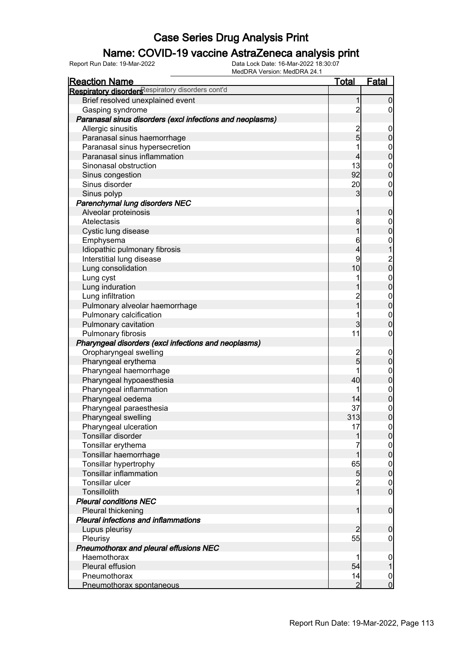### Name: COVID-19 vaccine AstraZeneca analysis print

| <u>Reaction Name</u>                                      | <u>Total</u>            | <b>Fatal</b>                           |
|-----------------------------------------------------------|-------------------------|----------------------------------------|
| Respiratory disorders espiratory disorders cont'd         |                         |                                        |
| Brief resolved unexplained event                          | 1                       | $\boldsymbol{0}$                       |
| Gasping syndrome                                          | $\overline{c}$          | $\overline{0}$                         |
| Paranasal sinus disorders (excl infections and neoplasms) |                         |                                        |
| Allergic sinusitis                                        |                         | $\mathbf 0$                            |
| Paranasal sinus haemorrhage                               | $\frac{2}{5}$           | $\pmb{0}$                              |
| Paranasal sinus hypersecretion                            | 1                       | $\boldsymbol{0}$                       |
| Paranasal sinus inflammation                              | $\overline{\mathbf{4}}$ | $\overline{0}$                         |
| Sinonasal obstruction                                     | 13                      | $\boldsymbol{0}$                       |
| Sinus congestion                                          | 92                      | $\overline{0}$                         |
| Sinus disorder                                            | 20                      | $\mathbf 0$                            |
| Sinus polyp                                               | 3                       | $\mathbf 0$                            |
| Parenchymal lung disorders NEC                            |                         |                                        |
| Alveolar proteinosis                                      | 1                       | $\mathbf 0$                            |
| Atelectasis                                               | 8                       | $\boldsymbol{0}$                       |
| Cystic lung disease                                       | 1                       | $\mathbf 0$                            |
| Emphysema                                                 | 6                       | $\mathbf{0}$                           |
| Idiopathic pulmonary fibrosis                             | 4                       | $\mathbf{1}$                           |
| Interstitial lung disease                                 | 9                       |                                        |
| Lung consolidation                                        | 10                      | $\begin{bmatrix} 2 \\ 0 \end{bmatrix}$ |
| Lung cyst                                                 | 1                       |                                        |
| Lung induration                                           |                         | $0\atop 0$                             |
| Lung infiltration                                         |                         |                                        |
| Pulmonary alveolar haemorrhage                            | 2<br>1                  | $0\atop 0$                             |
| Pulmonary calcification                                   | 1                       | $\mathbf{0}$                           |
| Pulmonary cavitation                                      | 3                       | $\mathbf 0$                            |
| Pulmonary fibrosis                                        | 11                      | $\boldsymbol{0}$                       |
| Pharyngeal disorders (excl infections and neoplasms)      |                         |                                        |
| Oropharyngeal swelling                                    |                         | $\mathbf 0$                            |
| Pharyngeal erythema                                       | $\frac{2}{5}$           | $\pmb{0}$                              |
| Pharyngeal haemorrhage                                    | 1                       |                                        |
| Pharyngeal hypoaesthesia                                  | 40                      | $0\atop 0$                             |
| Pharyngeal inflammation                                   | 1                       |                                        |
| Pharyngeal oedema                                         | 14                      | $\begin{matrix} 0 \\ 0 \end{matrix}$   |
| Pharyngeal paraesthesia                                   | 37                      | $\mathbf{0}$                           |
| Pharyngeal swelling                                       | 313                     | $\overline{0}$                         |
| Pharyngeal ulceration                                     | 17                      | 0                                      |
| Tonsillar disorder                                        | 1                       | 0                                      |
| Tonsillar erythema                                        |                         |                                        |
| Tonsillar haemorrhage                                     | $\overline{1}$          | $\begin{matrix} 0 \\ 0 \end{matrix}$   |
| Tonsillar hypertrophy                                     | 65                      |                                        |
| <b>Tonsillar inflammation</b>                             | $\overline{5}$          | $\begin{matrix} 0 \\ 0 \end{matrix}$   |
| Tonsillar ulcer                                           |                         | $\boldsymbol{0}$                       |
| Tonsillolith                                              | $\frac{2}{1}$           | $\mathbf 0$                            |
| <b>Pleural conditions NEC</b>                             |                         |                                        |
| Pleural thickening                                        | 1                       | $\boldsymbol{0}$                       |
| <b>Pleural infections and inflammations</b>               |                         |                                        |
| Lupus pleurisy                                            | $\overline{2}$          | $\mathbf 0$                            |
| Pleurisy                                                  | 55                      | $\boldsymbol{0}$                       |
| Pneumothorax and pleural effusions NEC                    |                         |                                        |
| Haemothorax                                               | 1                       | $\mathbf 0$                            |
| Pleural effusion                                          | 54                      | 1                                      |
| Pneumothorax                                              | 14                      | $\boldsymbol{0}$                       |
| Pneumothorax spontaneous                                  | $\overline{2}$          | $\mathbf 0$                            |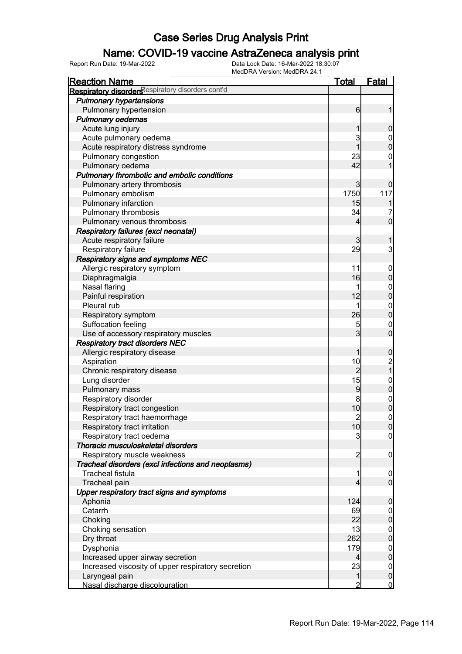### Name: COVID-19 vaccine AstraZeneca analysis print

| <b>Reaction Name</b>                               | <b>Total</b>   | <b>Fatal</b>                          |
|----------------------------------------------------|----------------|---------------------------------------|
| Respiratory disorders espiratory disorders cont'd  |                |                                       |
| <b>Pulmonary hypertensions</b>                     |                |                                       |
| Pulmonary hypertension                             | 6              | 1                                     |
| <b>Pulmonary oedemas</b>                           |                |                                       |
| Acute lung injury                                  |                | $\mathbf 0$                           |
| Acute pulmonary oedema                             | 3              |                                       |
| Acute respiratory distress syndrome                | 1              | $0\atop 0$                            |
| Pulmonary congestion                               | 23             | $\mathbf 0$                           |
| Pulmonary oedema                                   | 42             | 1                                     |
| Pulmonary thrombotic and embolic conditions        |                |                                       |
| Pulmonary artery thrombosis                        | 3              | $\mathbf 0$                           |
| Pulmonary embolism                                 | 1750           | 117                                   |
| Pulmonary infarction                               | 15             |                                       |
| Pulmonary thrombosis                               | 34             | 7                                     |
| Pulmonary venous thrombosis                        | 4              | $\overline{0}$                        |
| <b>Respiratory failures (excl neonatal)</b>        |                |                                       |
| Acute respiratory failure                          | 3              | 1                                     |
| Respiratory failure                                | 29             | 3                                     |
| Respiratory signs and symptoms NEC                 |                |                                       |
| Allergic respiratory symptom                       | 11             | $\mathbf 0$                           |
| Diaphragmalgia                                     | 16             | $\pmb{0}$                             |
| Nasal flaring                                      | 1              |                                       |
| Painful respiration                                | 12             | $0\atop 0$                            |
| Pleural rub                                        | 1              |                                       |
| Respiratory symptom                                | 26             | $0$<br>0                              |
| Suffocation feeling                                | 5              | $\mathbf 0$                           |
| Use of accessory respiratory muscles               | 3              | $\mathbf 0$                           |
| <b>Respiratory tract disorders NEC</b>             |                |                                       |
| Allergic respiratory disease                       | 1              | $\boldsymbol{0}$                      |
| Aspiration                                         | 10             |                                       |
| Chronic respiratory disease                        | $\overline{c}$ | $\begin{array}{c} 2 \\ 1 \end{array}$ |
| Lung disorder                                      | 15             |                                       |
| Pulmonary mass                                     | 9              | $0$<br>0                              |
| Respiratory disorder                               | 8              |                                       |
| Respiratory tract congestion                       | 10             | $0$<br>0                              |
| Respiratory tract haemorrhage                      | $\overline{2}$ | $\pmb{0}$                             |
| Respiratory tract irritation                       | 10             | 0                                     |
| Respiratory tract oedema                           | 3              | $\overline{0}$                        |
| Thoracic musculoskeletal disorders                 |                |                                       |
| Respiratory muscle weakness                        | $\overline{c}$ | $\mathbf 0$                           |
| Tracheal disorders (excl infections and neoplasms) |                |                                       |
| <b>Tracheal fistula</b>                            | 1              | $\mathbf 0$                           |
| Tracheal pain                                      | 4              | $\overline{0}$                        |
| Upper respiratory tract signs and symptoms         |                |                                       |
| Aphonia                                            | 124            | $\mathbf 0$                           |
| Catarrh                                            | 69             | $\overline{0}$                        |
| Choking                                            | 22             | $\pmb{0}$                             |
| Choking sensation                                  | 13             | $\overline{0}$                        |
| Dry throat                                         | 262            | $\pmb{0}$                             |
| Dysphonia                                          | 179            | $\overline{0}$                        |
| Increased upper airway secretion                   | 4              | $\pmb{0}$                             |
| Increased viscosity of upper respiratory secretion | 23             | $\overline{0}$                        |
| Laryngeal pain                                     | $\mathbf{1}$   | $\pmb{0}$                             |
| Nasal discharge discolouration                     | 2              | $\overline{0}$                        |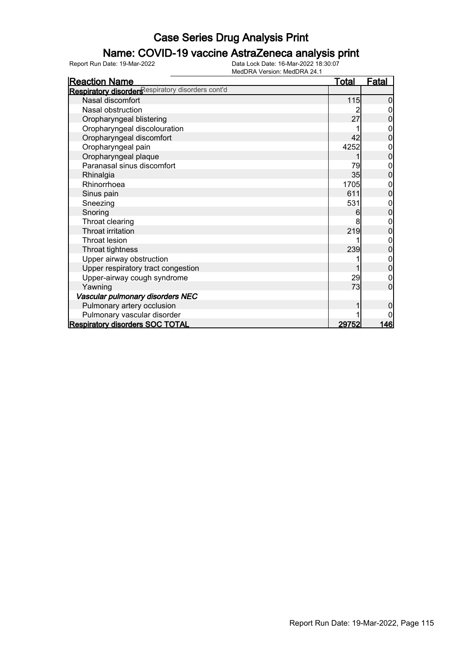### Name: COVID-19 vaccine AstraZeneca analysis print

| <b>Reaction Name</b>                              | Total | Fatal          |
|---------------------------------------------------|-------|----------------|
| Respiratory disorders espiratory disorders cont'd |       |                |
| Nasal discomfort                                  | 115   | 0              |
| Nasal obstruction                                 |       |                |
| Oropharyngeal blistering                          | 27    |                |
| Oropharyngeal discolouration                      |       | 0              |
| Oropharyngeal discomfort                          | 42    | 0              |
| Oropharyngeal pain                                | 4252  |                |
| Oropharyngeal plaque                              |       | 0              |
| Paranasal sinus discomfort                        | 79    | 0              |
| Rhinalgia                                         | 35    | 0              |
| Rhinorrhoea                                       | 1705  | 0              |
| Sinus pain                                        | 611   | $\overline{0}$ |
| Sneezing                                          | 531   | 0              |
| Snoring                                           | 6     | 0              |
| Throat clearing                                   | 8     | 0              |
| Throat irritation                                 | 219   | 0              |
| <b>Throat lesion</b>                              |       | 0              |
| Throat tightness                                  | 239   | 0              |
| Upper airway obstruction                          |       | 0              |
| Upper respiratory tract congestion                |       | $\Omega$       |
| Upper-airway cough syndrome                       | 29    | 0              |
| Yawning                                           | 73    | 0              |
| Vascular pulmonary disorders NEC                  |       |                |
| Pulmonary artery occlusion                        |       | 0              |
| Pulmonary vascular disorder                       |       |                |
| <b>Respiratory disorders SOC TOTAL</b>            | 29752 | 146            |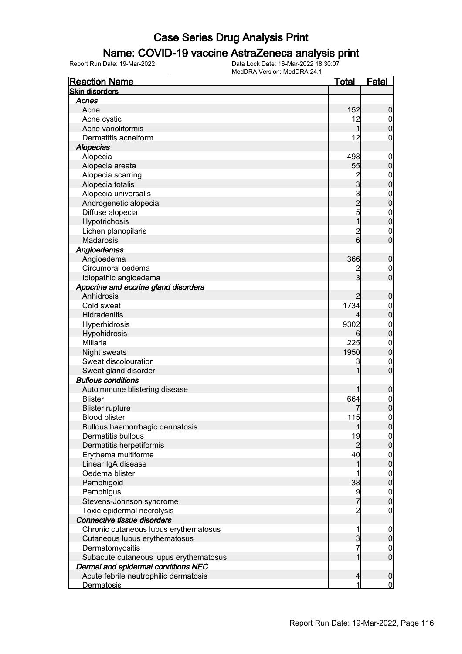### Name: COVID-19 vaccine AstraZeneca analysis print

| <b>Reaction Name</b>                   | <u>Total</u>            | <b>Fatal</b>     |
|----------------------------------------|-------------------------|------------------|
| <b>Skin disorders</b>                  |                         |                  |
| Acnes                                  |                         |                  |
| Acne                                   | 152                     | 0                |
| Acne cystic                            | 12                      | $\mathbf 0$      |
| Acne varioliformis                     | 1                       | $\overline{0}$   |
| Dermatitis acneiform                   | 12                      | 0                |
| Alopecias                              |                         |                  |
| Alopecia                               | 498                     | $\overline{0}$   |
| Alopecia areata                        | 55                      | $\mathbf 0$      |
| Alopecia scarring                      | $\overline{\mathbf{c}}$ | $\boldsymbol{0}$ |
| Alopecia totalis                       | 3                       | 0                |
| Alopecia universalis                   | 3                       | $\mathbf 0$      |
| Androgenetic alopecia                  | $\overline{2}$          | 0                |
| Diffuse alopecia                       | 5                       | $\mathbf{0}$     |
| Hypotrichosis                          |                         | $\overline{0}$   |
| Lichen planopilaris                    | $\overline{c}$          | $\mathbf 0$      |
| Madarosis                              | 6                       | 0                |
| Angioedemas                            |                         |                  |
| Angioedema                             | 366                     | 0                |
| Circumoral oedema                      | 2                       | $\boldsymbol{0}$ |
| Idiopathic angioedema                  | 3                       | $\overline{0}$   |
| Apocrine and eccrine gland disorders   |                         |                  |
| Anhidrosis                             | 2                       | 0                |
| Cold sweat                             | 1734                    | $\boldsymbol{0}$ |
| Hidradenitis                           |                         | 0                |
| Hyperhidrosis                          | 9302                    | $\mathbf 0$      |
| Hypohidrosis                           | 6                       | $\overline{0}$   |
| Miliaria                               | 225                     | $\mathbf{0}$     |
| <b>Night sweats</b>                    | 1950                    | $\overline{0}$   |
| Sweat discolouration                   | 3                       | $\mathbf{0}$     |
| Sweat gland disorder                   |                         | $\overline{0}$   |
| <b>Bullous conditions</b>              |                         |                  |
| Autoimmune blistering disease          |                         | 0                |
| <b>Blister</b>                         | 664                     | $\mathbf 0$      |
| <b>Blister rupture</b>                 |                         | $\overline{0}$   |
| <b>Blood blister</b>                   | 115                     | $\overline{0}$   |
| Bullous haemorrhagic dermatosis        | 1                       | U                |
| <b>Dermatitis bullous</b>              | 19                      | $\overline{0}$   |
| Dermatitis herpetiformis               | 2                       | 0                |
| Erythema multiforme                    | 40                      | $\mathbf 0$      |
| Linear IgA disease                     |                         | $\overline{0}$   |
| Oedema blister                         | 1                       | $\boldsymbol{0}$ |
| Pemphigoid                             | 38                      | $\overline{0}$   |
| Pemphigus                              | 9                       | $\mathbf 0$      |
| Stevens-Johnson syndrome               | 7                       | $\overline{0}$   |
| Toxic epidermal necrolysis             | $\overline{c}$          | 0                |
| Connective tissue disorders            |                         |                  |
| Chronic cutaneous lupus erythematosus  | 1                       | $\boldsymbol{0}$ |
| Cutaneous lupus erythematosus          | 3                       | 0                |
| Dermatomyositis                        | 7                       | $\boldsymbol{0}$ |
| Subacute cutaneous lupus erythematosus | 1                       | $\overline{0}$   |
| Dermal and epidermal conditions NEC    |                         |                  |
| Acute febrile neutrophilic dermatosis  | 4                       | $\mathbf 0$      |
| <b>Dermatosis</b>                      | 1                       | $\mathbf 0$      |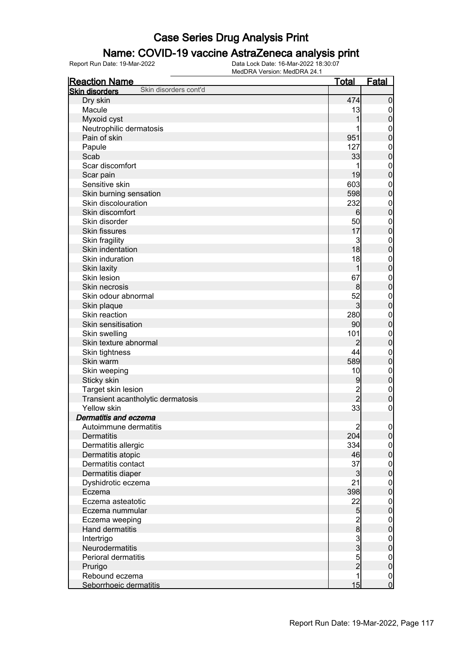### Name: COVID-19 vaccine AstraZeneca analysis print

| <b>Reaction Name</b>                           | <u>Total</u>    | Fatal                                |
|------------------------------------------------|-----------------|--------------------------------------|
| Skin disorders cont'd<br><b>Skin disorders</b> |                 |                                      |
| Dry skin                                       | 474             | $\boldsymbol{0}$                     |
| Macule                                         | 13              | $\mathbf 0$                          |
| Myxoid cyst                                    | 1               | $\mathbf 0$                          |
| Neutrophilic dermatosis                        |                 | $\mathbf{0}$                         |
| Pain of skin                                   | 951             | $\mathbf 0$                          |
| Papule                                         | 127             | $\mathbf{0}$                         |
| Scab                                           | 33              | $\overline{0}$                       |
| Scar discomfort                                |                 | $\mathbf{0}$                         |
| Scar pain                                      | 19              | $\overline{0}$                       |
| Sensitive skin                                 | 603             | $\mathbf{0}$                         |
| Skin burning sensation                         | 598             | $\overline{0}$                       |
| Skin discolouration                            | 232             | $\mathbf{0}$                         |
| Skin discomfort                                | 6               | $\overline{0}$                       |
| Skin disorder                                  | 50              | $\mathbf{0}$                         |
| <b>Skin fissures</b>                           | 17              | $\overline{0}$                       |
| Skin fragility                                 | 3               | $\mathbf{0}$                         |
| Skin indentation                               | 18              | $\overline{0}$                       |
| Skin induration                                | 18              | $\mathbf{0}$                         |
| Skin laxity                                    | 1               | $\overline{0}$                       |
| Skin lesion                                    | 67              |                                      |
| Skin necrosis                                  | 8               | $\mathbf{0}$<br>$\overline{0}$       |
| Skin odour abnormal                            | 52              |                                      |
|                                                |                 | $\mathbf{0}$                         |
| Skin plaque<br>Skin reaction                   | $\overline{3}$  | $\overline{0}$                       |
|                                                | 280             | $\mathbf{0}$                         |
| Skin sensitisation                             | 90              | $\overline{0}$                       |
| Skin swelling                                  | 101             | $\mathbf{0}$                         |
| Skin texture abnormal                          | $\overline{2}$  | $\overline{0}$                       |
| Skin tightness                                 | 44              | $\mathbf{0}$                         |
| Skin warm                                      | 589             | $\overline{0}$                       |
| Skin weeping                                   | 10              | $\mathbf{0}$                         |
| Sticky skin                                    | 9               | $\mathbf 0$                          |
| Target skin lesion                             | $\overline{c}$  | $\boldsymbol{0}$                     |
| Transient acantholytic dermatosis              | $\overline{2}$  | $\mathbf 0$                          |
| <b>Yellow skin</b>                             | 33              | $\mathbf 0$                          |
| Dermatitis and eczema                          |                 |                                      |
| Autoimmune dermatitis                          | $\overline{c}$  | 0                                    |
| <b>Dermatitis</b>                              | 204             | 0                                    |
| Dermatitis allergic                            | 334             | $\boldsymbol{0}$                     |
| Dermatitis atopic                              | 46              | $\overline{0}$                       |
| Dermatitis contact                             | 37              | $\boldsymbol{0}$                     |
| Dermatitis diaper                              | $\mathbf{3}$    | $\mathbf 0$                          |
| Dyshidrotic eczema                             | 21              | $\boldsymbol{0}$                     |
| Eczema                                         | 398             | $\mathbf 0$                          |
| Eczema asteatotic                              | 22              | $\boldsymbol{0}$                     |
| Eczema nummular                                | 5               | $\mathbf 0$                          |
| Eczema weeping                                 |                 | $\boldsymbol{0}$                     |
| Hand dermatitis                                |                 | $\overline{0}$                       |
| Intertrigo                                     |                 | $\boldsymbol{0}$                     |
| Neurodermatitis                                |                 | $\mathbf 0$                          |
| Perioral dermatitis                            | 2 0 0 0 0 0 0 0 | $\boldsymbol{0}$                     |
| Prurigo                                        |                 | $\overline{0}$                       |
| Rebound eczema                                 | $\overline{1}$  |                                      |
| Seborrhoeic dermatitis                         | 15              | $\begin{matrix} 0 \\ 0 \end{matrix}$ |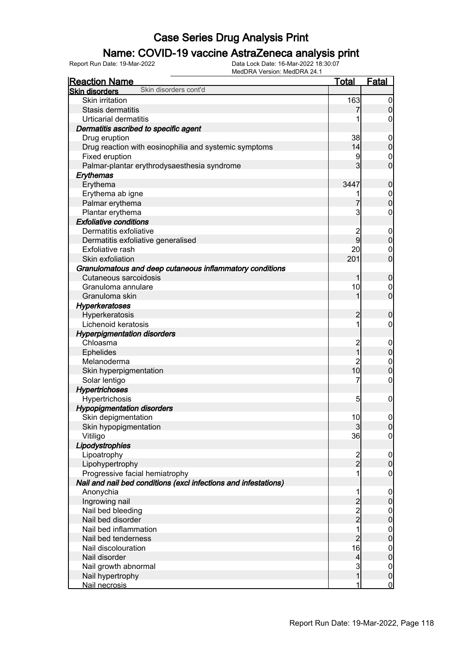### Name: COVID-19 vaccine AstraZeneca analysis print

| Skin disorders cont'd<br><b>Skin disorders</b><br><b>Skin irritation</b><br>163<br>Stasis dermatitis | $\mathbf 0$<br>$\boldsymbol{0}$ |
|------------------------------------------------------------------------------------------------------|---------------------------------|
|                                                                                                      |                                 |
|                                                                                                      |                                 |
|                                                                                                      |                                 |
| <b>Urticarial dermatitis</b>                                                                         | $\overline{0}$                  |
| Dermatitis ascribed to specific agent                                                                |                                 |
| 38<br>Drug eruption                                                                                  | $\mathbf 0$                     |
| Drug reaction with eosinophilia and systemic symptoms<br>14                                          | $\pmb{0}$                       |
| Fixed eruption<br>9                                                                                  | $\mathbf 0$                     |
| Palmar-plantar erythrodysaesthesia syndrome<br>3                                                     | $\overline{0}$                  |
| Erythemas                                                                                            |                                 |
| Erythema<br>3447                                                                                     | $\boldsymbol{0}$                |
| Erythema ab igne<br>1                                                                                | $\boldsymbol{0}$                |
| Palmar erythema<br>7                                                                                 | $\mathbf 0$                     |
| 3<br>Plantar erythema                                                                                | $\mathbf 0$                     |
| <b>Exfoliative conditions</b>                                                                        |                                 |
| Dermatitis exfoliative<br>$\overline{c}$                                                             | $\boldsymbol{0}$                |
| $\overline{9}$<br>Dermatitis exfoliative generalised                                                 | $\pmb{0}$                       |
| Exfoliative rash<br>20                                                                               | $\mathbf 0$                     |
| 201<br>Skin exfoliation                                                                              | $\overline{0}$                  |
|                                                                                                      |                                 |
| Granulomatous and deep cutaneous inflammatory conditions                                             |                                 |
| Cutaneous sarcoidosis<br>1                                                                           | $\mathbf 0$                     |
| 10<br>Granuloma annulare                                                                             | $\boldsymbol{0}$                |
| 1<br>Granuloma skin                                                                                  | $\overline{0}$                  |
| <b>Hyperkeratoses</b>                                                                                |                                 |
| Hyperkeratosis<br>$\overline{c}$                                                                     | $\mathbf 0$                     |
| 1<br>Lichenoid keratosis                                                                             | $\mathbf 0$                     |
| <b>Hyperpigmentation disorders</b>                                                                   |                                 |
| $\overline{c}$<br>Chloasma                                                                           | $\mathbf 0$                     |
| $\overline{1}$<br><b>Ephelides</b>                                                                   | $\mathbf 0$                     |
| $\overline{2}$<br>Melanoderma                                                                        | $\mathbf{0}$                    |
| 10<br>Skin hyperpigmentation                                                                         | $\overline{0}$                  |
| 7<br>Solar lentigo                                                                                   | $\boldsymbol{0}$                |
| <b>Hypertrichoses</b>                                                                                |                                 |
| Hypertrichosis<br>5                                                                                  | $\mathbf 0$                     |
| <b>Hypopigmentation disorders</b>                                                                    |                                 |
| 10<br>Skin depigmentation                                                                            | $\mathbf 0$                     |
| Skin hypopigmentation<br>$\mathbf{3}$                                                                | 0                               |
| 36<br>Vitiligo                                                                                       | $\overline{0}$                  |
| Lipodystrophies                                                                                      |                                 |
| Lipoatrophy<br>$\frac{2}{2}$                                                                         | $\boldsymbol{0}$                |
| Lipohypertrophy                                                                                      | $\pmb{0}$                       |
| Progressive facial hemiatrophy<br>1                                                                  | $\mathbf 0$                     |
| Nail and nail bed conditions (excl infections and infestations)                                      |                                 |
| Anonychia<br>1                                                                                       | $\boldsymbol{0}$                |
| Ingrowing nail                                                                                       | $\pmb{0}$                       |
| $\begin{array}{c}\n 2 \\ 2 \\ 1\n \end{array}$<br>Nail bed bleeding                                  | $\boldsymbol{0}$                |
| Nail bed disorder                                                                                    | $\mathbf 0$                     |
| Nail bed inflammation                                                                                | $\boldsymbol{0}$                |
| $\overline{2}$<br>Nail bed tenderness                                                                | $\mathbf 0$                     |
| 16<br>Nail discolouration                                                                            | $\boldsymbol{0}$                |
| $\overline{\mathcal{L}}$<br>Nail disorder                                                            | $\mathbf 0$                     |
| $\mathbf{3}$<br>Nail growth abnormal                                                                 | $\boldsymbol{0}$                |
| $\overline{1}$<br>Nail hypertrophy                                                                   | $\mathbf 0$                     |
| Nail necrosis<br>1                                                                                   | $\overline{0}$                  |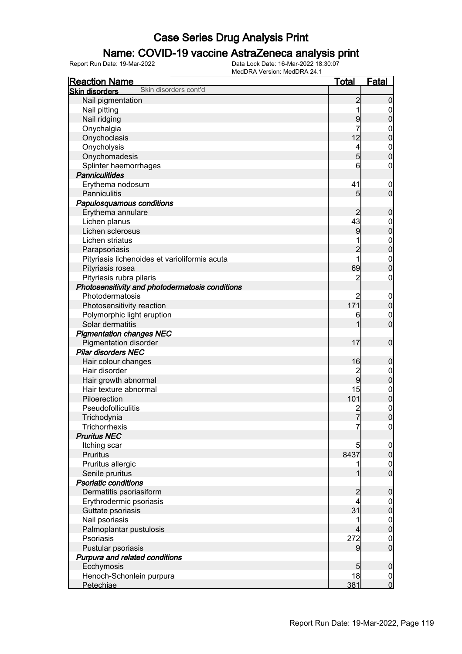### Name: COVID-19 vaccine AstraZeneca analysis print

| <b>Reaction Name</b>                            | <u>Total</u>   | <b>Fatal</b>                       |
|-------------------------------------------------|----------------|------------------------------------|
| Skin disorders cont'd<br><b>Skin disorders</b>  |                |                                    |
| Nail pigmentation                               | $\overline{c}$ | $\boldsymbol{0}$                   |
| Nail pitting                                    | 1              | $\overline{0}$                     |
| Nail ridging                                    | 9              | $\boldsymbol{0}$                   |
| Onychalgia                                      | 7              | $\boldsymbol{0}$                   |
| Onychoclasis                                    | 12             | $\overline{0}$                     |
| Onycholysis                                     | 4              | $\boldsymbol{0}$                   |
| Onychomadesis                                   | $\overline{5}$ | $\overline{0}$                     |
| Splinter haemorrhages                           | 6              | 0                                  |
| <b>Panniculitides</b>                           |                |                                    |
| Erythema nodosum                                | 41             | $\boldsymbol{0}$                   |
| <b>Panniculitis</b>                             | 5              | $\overline{0}$                     |
| Papulosquamous conditions                       |                |                                    |
| Erythema annulare                               | $\overline{2}$ | $\boldsymbol{0}$                   |
| Lichen planus                                   | 43             | $\boldsymbol{0}$                   |
| Lichen sclerosus                                | 9              | $\mathbf 0$                        |
| Lichen striatus                                 |                |                                    |
| Parapsoriasis                                   | $\overline{2}$ | $\boldsymbol{0}$<br>$\overline{0}$ |
|                                                 | 1              |                                    |
| Pityriasis lichenoides et varioliformis acuta   |                | $\mathbf{0}$<br>$\overline{0}$     |
| Pityriasis rosea                                | 69             |                                    |
| Pityriasis rubra pilaris                        | $\overline{2}$ | 0                                  |
| Photosensitivity and photodermatosis conditions |                |                                    |
| Photodermatosis                                 | $\overline{2}$ | $\mathbf 0$                        |
| Photosensitivity reaction                       | 171            | $\mathbf 0$                        |
| Polymorphic light eruption                      | 6              | $\mathbf 0$                        |
| Solar dermatitis                                |                | $\overline{0}$                     |
| <b>Pigmentation changes NEC</b>                 |                |                                    |
| <b>Pigmentation disorder</b>                    | 17             | $\boldsymbol{0}$                   |
| <b>Pilar disorders NEC</b>                      |                |                                    |
| Hair colour changes                             | 16             | $\mathbf 0$                        |
| Hair disorder                                   | $\overline{c}$ | $\boldsymbol{0}$                   |
| Hair growth abnormal                            | $\overline{9}$ | $\overline{0}$                     |
| Hair texture abnormal                           | 15             | $\boldsymbol{0}$                   |
| Piloerection                                    | 101            | $\mathbf 0$                        |
| Pseudofolliculitis                              | $\overline{c}$ | $\mathbf 0$                        |
| Trichodynia                                     | $\overline{7}$ | $\overline{0}$                     |
| <b>Trichorrhexis</b>                            | 7              | $\overline{0}$                     |
| <b>Pruritus NEC</b>                             |                |                                    |
| Itching scar                                    | 5              | $\overline{0}$                     |
| Pruritus                                        | 8437           | $\overline{0}$                     |
| Pruritus allergic                               |                | $\boldsymbol{0}$                   |
| Senile pruritus                                 |                | $\overline{0}$                     |
| <b>Psoriatic conditions</b>                     |                |                                    |
| Dermatitis psoriasiform                         | $\overline{c}$ | $\boldsymbol{0}$                   |
| Erythrodermic psoriasis                         | $\overline{4}$ | $\overline{0}$                     |
| Guttate psoriasis                               | 31             | $\overline{0}$                     |
| Nail psoriasis                                  |                | $0\atop 0$                         |
| Palmoplantar pustulosis                         | 4              |                                    |
| Psoriasis                                       | 272            | $\mathbf 0$                        |
| Pustular psoriasis                              | 9              | $\overline{0}$                     |
| Purpura and related conditions                  |                |                                    |
| Ecchymosis                                      | 5              | $\boldsymbol{0}$                   |
| Henoch-Schonlein purpura                        | 18             | $\overline{0}$                     |
| Petechiae                                       | 381            | $\overline{0}$                     |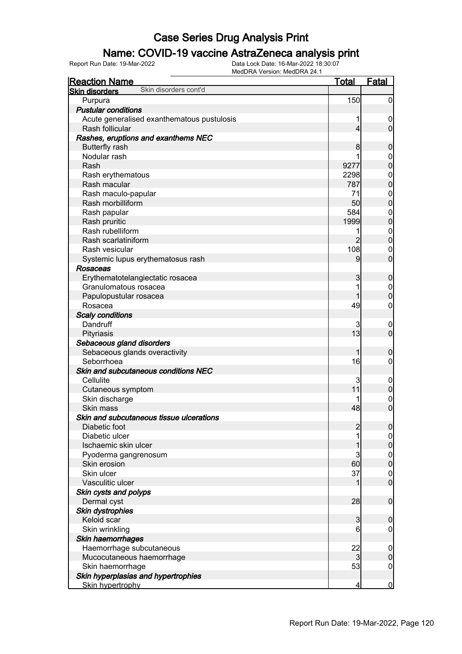### Name: COVID-19 vaccine AstraZeneca analysis print

| <b>Reaction Name</b>                           | <u>Total</u>   | Fatal            |
|------------------------------------------------|----------------|------------------|
| Skin disorders cont'd<br><b>Skin disorders</b> |                |                  |
| Purpura                                        | 150            | $\mathbf 0$      |
| <b>Pustular conditions</b>                     |                |                  |
| Acute generalised exanthematous pustulosis     |                | $\mathbf 0$      |
| Rash follicular                                | 4              | $\mathbf 0$      |
| Rashes, eruptions and exanthems NEC            |                |                  |
| <b>Butterfly rash</b>                          | 8              | $\boldsymbol{0}$ |
| Nodular rash                                   |                | $\boldsymbol{0}$ |
| Rash                                           | 9277           | $\overline{0}$   |
| Rash erythematous                              | 2298           | $\mathbf{0}$     |
| Rash macular                                   | 787            | $\overline{0}$   |
| Rash maculo-papular                            | 71             | $\boldsymbol{0}$ |
| Rash morbilliform                              | 50             | $\overline{0}$   |
| Rash papular                                   | 584            | $\mathbf{0}$     |
| Rash pruritic                                  | 1999           | $\mathbf 0$      |
| Rash rubelliform                               | 1              | $\boldsymbol{0}$ |
| Rash scarlatiniform                            | $\overline{2}$ | $\mathbf 0$      |
| Rash vesicular                                 | 108            | $\mathbf 0$      |
| Systemic lupus erythematosus rash              | 9              | $\mathbf 0$      |
| <b>Rosaceas</b>                                |                |                  |
| Erythematotelangiectatic rosacea               | 3              | $\boldsymbol{0}$ |
| Granulomatous rosacea                          |                | $\boldsymbol{0}$ |
| Papulopustular rosacea                         |                | $\overline{0}$   |
| Rosacea                                        | 49             | $\boldsymbol{0}$ |
| <b>Scaly conditions</b>                        |                |                  |
| Dandruff                                       | 3              | $\boldsymbol{0}$ |
| Pityriasis                                     | 13             | $\overline{0}$   |
| Sebaceous gland disorders                      |                |                  |
| Sebaceous glands overactivity                  | 1              | $\boldsymbol{0}$ |
| Seborrhoea                                     | 16             | 0                |
| Skin and subcutaneous conditions NEC           |                |                  |
| Cellulite                                      | 3              | $\mathbf 0$      |
| Cutaneous symptom                              | 11             | $\boldsymbol{0}$ |
| Skin discharge                                 |                | $\mathbf 0$      |
| Skin mass                                      | 48             | $\overline{0}$   |
| Skin and subcutaneous tissue ulcerations       |                |                  |
| Diabetic foot                                  | $\overline{c}$ | 0                |
| Diabetic ulcer                                 |                | $\overline{0}$   |
| Ischaemic skin ulcer                           |                | $\mathbf 0$      |
| Pyoderma gangrenosum                           | 3              | $0\atop 0$       |
| Skin erosion                                   | 60             |                  |
| Skin ulcer                                     | 37             | $\boldsymbol{0}$ |
| Vasculitic ulcer                               |                | $\overline{0}$   |
| Skin cysts and polyps                          |                |                  |
| Dermal cyst                                    | 28             | $\mathbf 0$      |
| Skin dystrophies                               |                |                  |
| Keloid scar                                    | $\mathbf{3}$   | $\mathbf 0$      |
| Skin wrinkling                                 | 6              | 0                |
| Skin haemorrhages                              |                |                  |
| Haemorrhage subcutaneous                       | 22             | $\mathbf 0$      |
| Mucocutaneous haemorrhage                      | 3              | $\pmb{0}$        |
| Skin haemorrhage                               | 53             | $\mathbf 0$      |
| Skin hyperplasias and hypertrophies            |                |                  |
| Skin hypertrophy                               | 4              | $\overline{0}$   |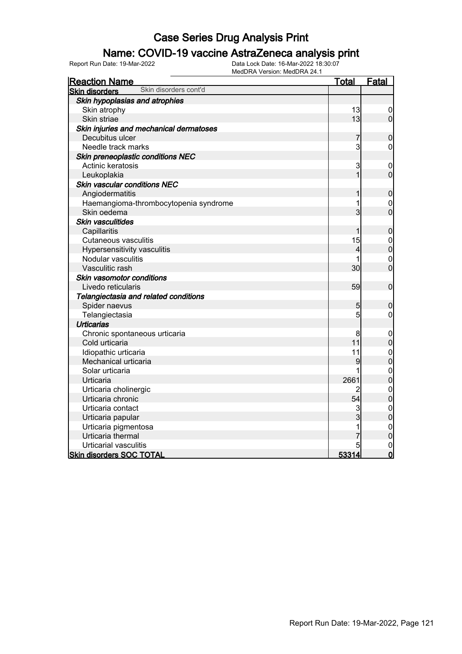### Name: COVID-19 vaccine AstraZeneca analysis print

| <b>Reaction Name</b>                           | <u>Total</u> | <b>Fatal</b>                         |
|------------------------------------------------|--------------|--------------------------------------|
| Skin disorders cont'd<br><b>Skin disorders</b> |              |                                      |
| Skin hypoplasias and atrophies                 |              |                                      |
| Skin atrophy                                   | 13           | $\overline{0}$                       |
| Skin striae                                    | 13           | $\overline{0}$                       |
| Skin injuries and mechanical dermatoses        |              |                                      |
| Decubitus ulcer                                | 7            | $\boldsymbol{0}$                     |
| Needle track marks                             | 3            | $\mathbf 0$                          |
| Skin preneoplastic conditions NEC              |              |                                      |
| Actinic keratosis                              | 3            | $\mathbf 0$                          |
| Leukoplakia                                    | 1            | $\overline{0}$                       |
| Skin vascular conditions NEC                   |              |                                      |
| Angiodermatitis                                |              | $\boldsymbol{0}$                     |
| Haemangioma-thrombocytopenia syndrome          | 1            | $\mathbf 0$                          |
| Skin oedema                                    | 3            | $\overline{0}$                       |
| <b>Skin vasculitides</b>                       |              |                                      |
| Capillaritis                                   | 1            | $\pmb{0}$                            |
| <b>Cutaneous vasculitis</b>                    | 15           | $\begin{matrix} 0 \\ 0 \end{matrix}$ |
| Hypersensitivity vasculitis                    | 4            |                                      |
| Nodular vasculitis                             |              | $\mathbf 0$                          |
| Vasculitic rash                                | 30           | $\overline{0}$                       |
| Skin vasomotor conditions                      |              |                                      |
| Livedo reticularis                             | 59           | $\mathbf 0$                          |
| Telangiectasia and related conditions          |              |                                      |
| Spider naevus                                  | 5            | $\boldsymbol{0}$                     |
| Telangiectasia                                 | 5            | $\mathbf 0$                          |
| <b>Urticarias</b>                              |              |                                      |
| Chronic spontaneous urticaria                  | 8            | $\boldsymbol{0}$                     |
| Cold urticaria                                 | 11           | $\mathbf 0$                          |
| Idiopathic urticaria                           | 11           | $\begin{matrix} 0 \\ 0 \end{matrix}$ |
| Mechanical urticaria                           | 9            |                                      |
| Solar urticaria                                | 1            | $\begin{matrix}0\\0\end{matrix}$     |
| Urticaria                                      | 2661         |                                      |
| Urticaria cholinergic                          | 2            | $\mathbf{0}$                         |
| Urticaria chronic                              | 54           | $\overline{0}$                       |
| Urticaria contact                              | 3            | $\mathbf{0}$                         |
| Urticaria papular                              | 3            | $\overline{0}$                       |
| Urticaria pigmentosa                           | 1            | $\begin{matrix}0\\0\end{matrix}$     |
| Urticaria thermal                              |              |                                      |
| Urticarial vasculitis                          |              | $\mathbf 0$                          |
| <b>Skin disorders SOC TOTAL</b>                | 53314        | $\overline{0}$                       |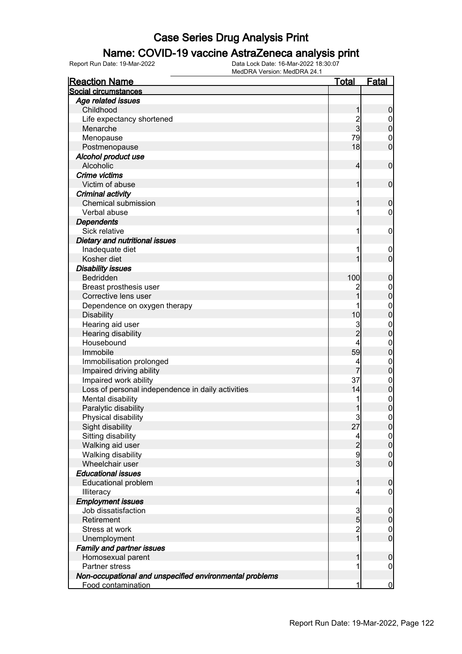### Name: COVID-19 vaccine AstraZeneca analysis print

| <b>Reaction Name</b>                                    | <u>Total</u>                          | <u>Fatal</u>                     |
|---------------------------------------------------------|---------------------------------------|----------------------------------|
| Social circumstances                                    |                                       |                                  |
| Age related issues                                      |                                       |                                  |
| Childhood                                               | 1                                     | 0                                |
| Life expectancy shortened                               | $\frac{2}{3}$                         | $\boldsymbol{0}$                 |
| Menarche                                                |                                       | $\overline{0}$                   |
| Menopause                                               | 79                                    | $\mathbf 0$                      |
| Postmenopause                                           | 18                                    | $\overline{0}$                   |
| Alcohol product use                                     |                                       |                                  |
| Alcoholic                                               | 4                                     | $\mathbf 0$                      |
| Crime victims                                           |                                       |                                  |
| Victim of abuse                                         | 1                                     | $\mathbf 0$                      |
| Criminal activity                                       |                                       |                                  |
| <b>Chemical submission</b>                              | 1                                     | $\mathbf 0$                      |
| Verbal abuse                                            | 1                                     | 0                                |
| <b>Dependents</b>                                       |                                       |                                  |
| Sick relative                                           | 1                                     | $\mathbf 0$                      |
| Dietary and nutritional issues                          |                                       |                                  |
| Inadequate diet                                         | 1                                     | $\mathbf 0$                      |
| Kosher diet                                             |                                       | $\mathbf 0$                      |
| <b>Disability issues</b>                                |                                       |                                  |
| Bedridden                                               | 100                                   | $\boldsymbol{0}$                 |
| Breast prosthesis user                                  |                                       | $\boldsymbol{0}$                 |
| Corrective lens user                                    | 1                                     | $\overline{0}$                   |
| Dependence on oxygen therapy                            |                                       | $\mathbf{0}$                     |
| <b>Disability</b>                                       | 10                                    | $\overline{0}$                   |
| Hearing aid user                                        | 3                                     | $\mathbf{0}$                     |
| Hearing disability                                      | $\overline{2}$                        | $\overline{0}$                   |
| Housebound                                              | 4                                     | $\mathbf{0}$                     |
| Immobile                                                | 59                                    | $\overline{0}$                   |
| Immobilisation prolonged                                | 4                                     | $\mathbf{0}$                     |
| Impaired driving ability                                | 7                                     | $\overline{0}$                   |
| Impaired work ability                                   | 37                                    |                                  |
| Loss of personal independence in daily activities       | 14                                    | $\begin{matrix}0\\0\end{matrix}$ |
| Mental disability                                       | 1                                     | $\begin{matrix}0\\0\end{matrix}$ |
| Paralytic disability                                    | 1                                     |                                  |
| Physical disability                                     | 3                                     | $\mathbf 0$                      |
| Sight disability                                        | 27                                    | 0                                |
| Sitting disability                                      | 4                                     | $\overline{0}$                   |
| Walking aid user                                        | $\overline{c}$                        | $\boldsymbol{0}$                 |
| Walking disability                                      | 9                                     | $\mathbf 0$                      |
| Wheelchair user                                         | $\overline{3}$                        | $\overline{0}$                   |
| <b>Educational issues</b>                               |                                       |                                  |
| <b>Educational problem</b>                              | 1                                     | $\mathbf 0$                      |
| Illiteracy                                              | 4                                     | 0                                |
| <b>Employment issues</b>                                |                                       |                                  |
| Job dissatisfaction                                     | 3                                     | $\mathbf 0$                      |
| Retirement                                              | $\overline{5}$                        | $\boldsymbol{0}$                 |
| Stress at work                                          | $\begin{array}{c} 2 \\ 1 \end{array}$ | $\mathbf 0$                      |
| Unemployment                                            |                                       | $\overline{0}$                   |
| <b>Family and partner issues</b>                        |                                       |                                  |
| Homosexual parent                                       | 1                                     | $\mathbf 0$                      |
| <b>Partner stress</b>                                   | 1                                     | $\boldsymbol{0}$                 |
| Non-occupational and unspecified environmental problems |                                       |                                  |
| Food contamination                                      | 1                                     | $\mathbf 0$                      |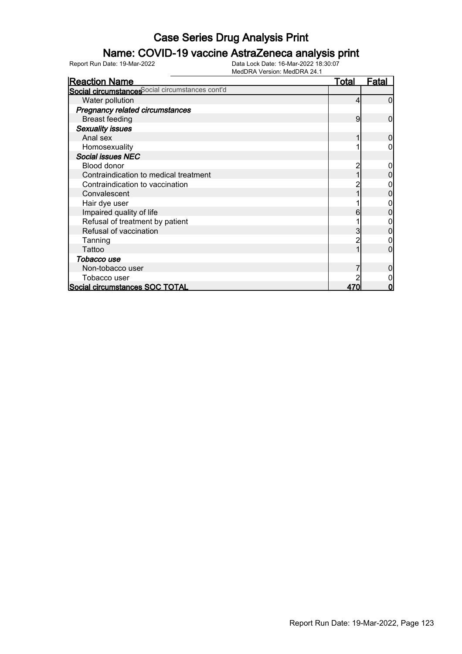### Name: COVID-19 vaccine AstraZeneca analysis print

| <b>Reaction Name</b>                            | Total | Fatal |
|-------------------------------------------------|-------|-------|
| Social circumstances ocial circumstances cont'd |       |       |
| Water pollution                                 | 4     |       |
| <b>Pregnancy related circumstances</b>          |       |       |
| <b>Breast feeding</b>                           | 9     | O     |
| <b>Sexuality issues</b>                         |       |       |
| Anal sex                                        |       |       |
| Homosexuality                                   |       |       |
| <b>Social issues NEC</b>                        |       |       |
| Blood donor                                     |       |       |
| Contraindication to medical treatment           |       |       |
| Contraindication to vaccination                 |       |       |
| Convalescent                                    |       |       |
| Hair dye user                                   |       |       |
| Impaired quality of life                        | 6     |       |
| Refusal of treatment by patient                 |       |       |
| Refusal of vaccination                          |       |       |
| Tanning                                         |       |       |
| Tattoo                                          |       |       |
| Tobacco use                                     |       |       |
| Non-tobacco user                                |       |       |
| Tobacco user                                    |       |       |
| Social circumstances SOC TOTAL                  | 470   | Π     |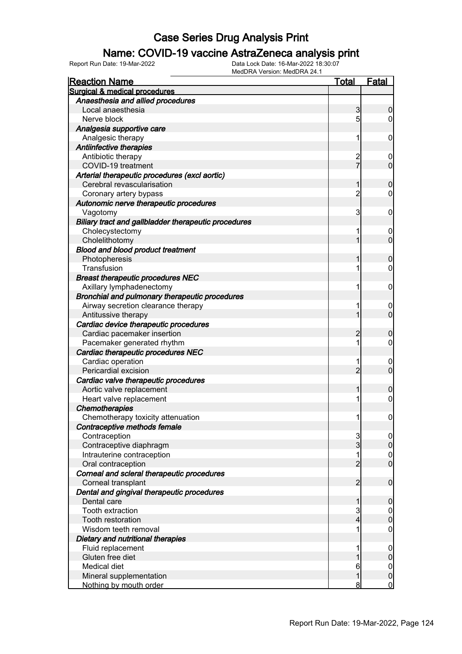#### Name: COVID-19 vaccine AstraZeneca analysis print

| <b>Reaction Name</b>                                 | <u>Total</u>    | <u>Fatal</u>     |
|------------------------------------------------------|-----------------|------------------|
| Surgical & medical procedures                        |                 |                  |
| Anaesthesia and allied procedures                    |                 |                  |
| Local anaesthesia                                    | 3               | 0                |
| Nerve block                                          | $5\overline{)}$ | 0                |
| Analgesia supportive care                            |                 |                  |
| Analgesic therapy                                    | 1               | $\mathbf 0$      |
| Antiinfective therapies                              |                 |                  |
| Antibiotic therapy                                   |                 | $\mathbf 0$      |
| COVID-19 treatment                                   | 2<br>7          | $\overline{0}$   |
| Arterial therapeutic procedures (excl aortic)        |                 |                  |
| Cerebral revascularisation                           | 1               | 0                |
| Coronary artery bypass                               | $\overline{2}$  | 0                |
| Autonomic nerve therapeutic procedures               |                 |                  |
| Vagotomy                                             | 3               | $\mathbf 0$      |
| Biliary tract and gallbladder therapeutic procedures |                 |                  |
| Cholecystectomy                                      | 1               | $\mathbf 0$      |
| Cholelithotomy                                       | 1               | $\overline{0}$   |
| <b>Blood and blood product treatment</b>             |                 |                  |
| Photopheresis                                        | 1               | 0                |
| Transfusion                                          | 1               | $\mathbf 0$      |
| <b>Breast therapeutic procedures NEC</b>             |                 |                  |
| Axillary lymphadenectomy                             | 1               | $\mathbf 0$      |
| Bronchial and pulmonary therapeutic procedures       |                 |                  |
| Airway secretion clearance therapy                   | 1               | $\overline{0}$   |
| Antitussive therapy                                  | 1               | $\overline{0}$   |
| Cardiac device therapeutic procedures                |                 |                  |
| Cardiac pacemaker insertion                          | 2               | 0                |
| Pacemaker generated rhythm                           | 1               | $\mathbf 0$      |
| Cardiac therapeutic procedures NEC                   |                 |                  |
| Cardiac operation                                    | 1               | $\overline{0}$   |
| Pericardial excision                                 | $\overline{2}$  | $\overline{0}$   |
| Cardiac valve therapeutic procedures                 |                 |                  |
| Aortic valve replacement                             | 1               | 0                |
| Heart valve replacement                              | 1               | $\mathbf 0$      |
| <b>Chemotherapies</b>                                |                 |                  |
| Chemotherapy toxicity attenuation                    | 1               | $\mathbf 0$      |
| Contraceptive methods female                         |                 |                  |
| Contraception                                        | 3               | $\overline{0}$   |
| Contraceptive diaphragm                              | $\overline{3}$  | $\mathbf 0$      |
| Intrauterine contraception                           | 1               | $\overline{0}$   |
| Oral contraception                                   | $\overline{2}$  | $\overline{0}$   |
| Corneal and scleral therapeutic procedures           |                 |                  |
| Corneal transplant                                   | $\overline{2}$  | $\boldsymbol{0}$ |
| Dental and gingival therapeutic procedures           |                 |                  |
| Dental care                                          | 1               | $\boldsymbol{0}$ |
| Tooth extraction                                     | 3               | $\mathbf 0$      |
| Tooth restoration                                    | 4               | $\mathbf 0$      |
| Wisdom teeth removal                                 | 1               | $\boldsymbol{0}$ |
| Dietary and nutritional therapies                    |                 |                  |
| Fluid replacement                                    | 1               | $\boldsymbol{0}$ |
| Gluten free diet                                     |                 | $\pmb{0}$        |
| Medical diet                                         | 6               | $\mathbf 0$      |
| Mineral supplementation                              | 1               | $\mathbf 0$      |
| Nothing by mouth order                               | 8               | $\overline{0}$   |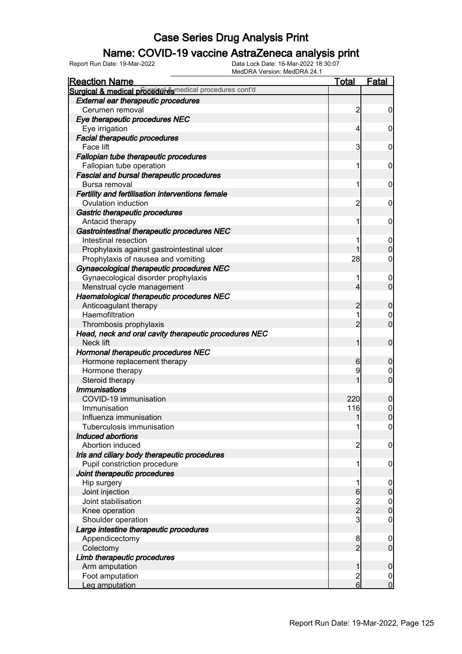### Name: COVID-19 vaccine AstraZeneca analysis print

| <b>Reaction Name</b>                                    | <b>Total</b>   | <b>Fatal</b>     |
|---------------------------------------------------------|----------------|------------------|
| Surgical & medical proceed example al procedures cont'd |                |                  |
| <b>External ear therapeutic procedures</b>              |                |                  |
| Cerumen removal                                         | $\overline{c}$ | $\boldsymbol{0}$ |
| Eye therapeutic procedures NEC                          |                |                  |
| Eye irrigation                                          | $\overline{4}$ | $\boldsymbol{0}$ |
| <b>Facial therapeutic procedures</b>                    |                |                  |
| Face lift                                               | 3              | 0                |
| Fallopian tube therapeutic procedures                   |                |                  |
| Fallopian tube operation                                | 1              | $\mathbf 0$      |
| <b>Fascial and bursal therapeutic procedures</b>        |                |                  |
| Bursa removal                                           | 1              | $\mathbf 0$      |
| Fertility and fertilisation interventions female        |                |                  |
| Ovulation induction                                     | $\overline{2}$ | $\mathbf 0$      |
| Gastric therapeutic procedures                          |                |                  |
| Antacid therapy                                         | 1              | $\mathbf 0$      |
| Gastrointestinal therapeutic procedures NEC             |                |                  |
| Intestinal resection                                    | 1              | $\mathbf 0$      |
| Prophylaxis against gastrointestinal ulcer              | 1              | $\mathbf 0$      |
| Prophylaxis of nausea and vomiting                      | 28             | $\mathbf 0$      |
| Gynaecological therapeutic procedures NEC               |                |                  |
| Gynaecological disorder prophylaxis                     | 1              | 0                |
| Menstrual cycle management                              | $\overline{4}$ | $\mathbf 0$      |
| Haematological therapeutic procedures NEC               |                |                  |
| Anticoagulant therapy                                   | $\overline{c}$ | $\mathbf 0$      |
| Haemofiltration                                         | 1              | 0                |
| Thrombosis prophylaxis                                  | $\overline{2}$ | $\mathbf 0$      |
| Head, neck and oral cavity therapeutic procedures NEC   |                |                  |
| Neck lift                                               | 1              | $\mathbf 0$      |
| Hormonal therapeutic procedures NEC                     |                |                  |
| Hormone replacement therapy                             | 6              | $\mathbf 0$      |
| Hormone therapy                                         | 9              | 0                |
| Steroid therapy                                         |                | $\mathbf 0$      |
| <b>Immunisations</b>                                    |                |                  |
| COVID-19 immunisation                                   | 220            | $\mathbf 0$      |
| Immunisation                                            | 116            | $\mathbf{0}$     |
| Influenza immunisation                                  | 1              | $\overline{0}$   |
| Tuberculosis immunisation                               | 1              | 0                |
| Induced abortions                                       |                |                  |
| Abortion induced                                        | $\overline{c}$ | $\mathbf 0$      |
| Iris and ciliary body therapeutic procedures            |                |                  |
| Pupil constriction procedure                            | 1              | $\mathbf 0$      |
| Joint therapeutic procedures                            |                |                  |
| Hip surgery                                             | 1              | $\mathbf 0$      |
| Joint injection                                         | $6\phantom{.}$ | $\pmb{0}$        |
| Joint stabilisation                                     |                |                  |
| Knee operation                                          | $\frac{2}{2}$  | $0\atop 0$       |
| Shoulder operation                                      | 3              | $\mathbf 0$      |
| Large intestine therapeutic procedures                  |                |                  |
| Appendicectomy                                          | 8              | $\mathbf 0$      |
| Colectomy                                               | $\overline{2}$ | $\mathbf 0$      |
| Limb therapeutic procedures                             |                |                  |
| Arm amputation                                          | 1              | $\mathbf 0$      |
| Foot amputation                                         | $\overline{c}$ | $\mathbf 0$      |
| Leg amputation                                          | $6 \mid$       | $\overline{0}$   |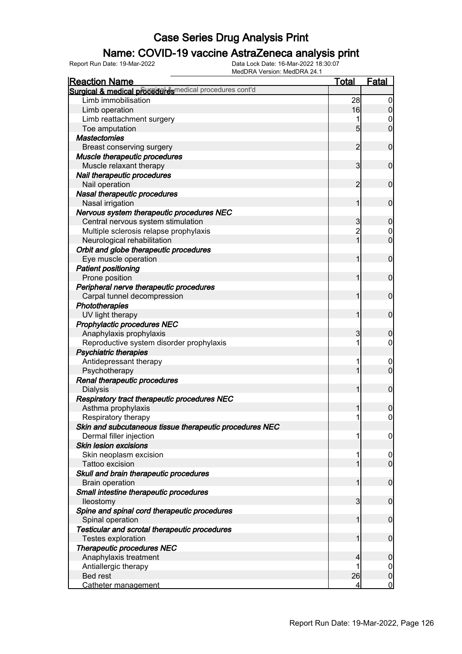### Name: COVID-19 vaccine AstraZeneca analysis print

| <b>Reaction Name</b>                                     | <b>Total</b>    | <b>Fatal</b>               |
|----------------------------------------------------------|-----------------|----------------------------|
| Surgical & medical proceduares medical procedures cont'd |                 |                            |
| Limb immobilisation                                      | 28              | $\boldsymbol{0}$           |
| Limb operation                                           | 16              | $\overline{0}$             |
| Limb reattachment surgery                                |                 | 0                          |
| Toe amputation                                           | $5\overline{)}$ | $\overline{0}$             |
| <b>Mastectomies</b>                                      |                 |                            |
| Breast conserving surgery                                | $\overline{2}$  | $\mathbf 0$                |
| Muscle therapeutic procedures                            |                 |                            |
| Muscle relaxant therapy                                  | 3               | $\mathbf 0$                |
| Nail therapeutic procedures                              |                 |                            |
| Nail operation                                           | 2               | $\mathbf 0$                |
| Nasal therapeutic procedures                             |                 |                            |
| Nasal irrigation                                         | 1               | $\mathbf 0$                |
| Nervous system therapeutic procedures NEC                |                 |                            |
| Central nervous system stimulation                       | 3               | $\boldsymbol{0}$           |
| Multiple sclerosis relapse prophylaxis                   | $\overline{2}$  | $\mathbf 0$                |
| Neurological rehabilitation                              | $\overline{1}$  | $\overline{0}$             |
| Orbit and globe therapeutic procedures                   |                 |                            |
| Eye muscle operation                                     | 1               | $\mathbf 0$                |
| <b>Patient positioning</b>                               |                 |                            |
| Prone position                                           |                 | $\mathbf 0$                |
| Peripheral nerve therapeutic procedures                  |                 |                            |
| Carpal tunnel decompression                              |                 | $\mathbf 0$                |
|                                                          |                 |                            |
| Phototherapies                                           | 1               | $\mathbf 0$                |
| UV light therapy                                         |                 |                            |
| Prophylactic procedures NEC                              |                 |                            |
| Anaphylaxis prophylaxis                                  | 3               | $\mathbf 0$                |
| Reproductive system disorder prophylaxis                 |                 | 0                          |
| <b>Psychiatric therapies</b>                             |                 |                            |
| Antidepressant therapy                                   | 1               | $\mathbf 0$<br>$\mathbf 0$ |
| Psychotherapy                                            |                 |                            |
| Renal therapeutic procedures                             |                 | $\mathbf 0$                |
| <b>Dialysis</b>                                          |                 |                            |
| Respiratory tract therapeutic procedures NEC             |                 |                            |
| Asthma prophylaxis                                       | 1               | $\mathbf 0$                |
| Respiratory therapy                                      |                 | $\overline{0}$             |
| Skin and subcutaneous tissue therapeutic procedures NEC  |                 |                            |
| Dermal filler injection                                  | 1               | $\overline{0}$             |
| <b>Skin lesion excisions</b>                             |                 |                            |
| Skin neoplasm excision                                   |                 | $\overline{0}$             |
| Tattoo excision                                          |                 | $\overline{0}$             |
| Skull and brain therapeutic procedures                   |                 |                            |
| <b>Brain operation</b>                                   | 1               | $\mathbf 0$                |
| Small intestine therapeutic procedures                   |                 |                            |
| lleostomy                                                | $\mathbf{3}$    | $\mathbf 0$                |
| Spine and spinal cord therapeutic procedures             |                 |                            |
| Spinal operation                                         |                 | $\mathbf 0$                |
| Testicular and scrotal therapeutic procedures            |                 |                            |
| Testes exploration                                       |                 | $\boldsymbol{0}$           |
| <b>Therapeutic procedures NEC</b>                        |                 |                            |
| Anaphylaxis treatment                                    |                 | $\boldsymbol{0}$           |
| Antiallergic therapy                                     |                 | $\overline{0}$             |
| <b>Bed rest</b>                                          | 26              | $\pmb{0}$                  |
| Catheter management                                      | 4               | $\overline{0}$             |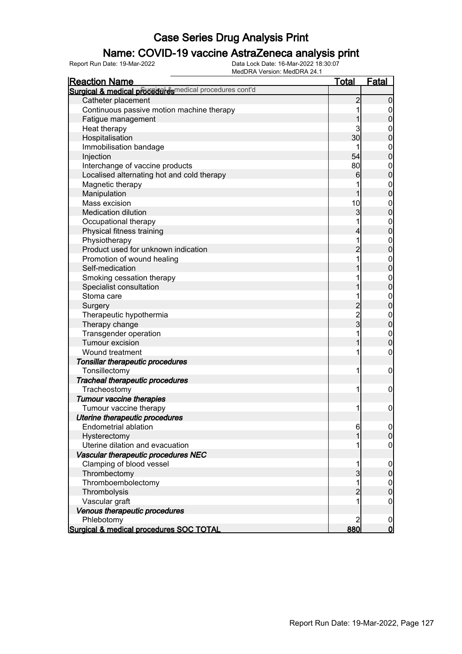### Name: COVID-19 vaccine AstraZeneca analysis print

| <b>Reaction Name</b>                                    | <u>Total</u>   | <b>Fatal</b>     |
|---------------------------------------------------------|----------------|------------------|
| Surgical & medical proceed desmedical procedures cont'd |                |                  |
| Catheter placement                                      | $\overline{2}$ | $\boldsymbol{0}$ |
| Continuous passive motion machine therapy               | 1              | $\boldsymbol{0}$ |
| Fatigue management                                      |                | $\overline{0}$   |
| Heat therapy                                            | 3              | $\boldsymbol{0}$ |
| Hospitalisation                                         | 30             | $\overline{0}$   |
| Immobilisation bandage                                  |                | $\boldsymbol{0}$ |
| Injection                                               | 54             | $\overline{0}$   |
| Interchange of vaccine products                         | 80             | $\boldsymbol{0}$ |
| Localised alternating hot and cold therapy              | 6              | $\overline{0}$   |
| Magnetic therapy                                        |                | $\mathbf{0}$     |
| Manipulation                                            | 1              | $\overline{0}$   |
| Mass excision                                           | 10             | $\boldsymbol{0}$ |
| <b>Medication dilution</b>                              | $\overline{3}$ | $\overline{0}$   |
| Occupational therapy                                    | 1              | $0$<br>0         |
| Physical fitness training                               | 4              |                  |
| Physiotherapy                                           | 1              | $\boldsymbol{0}$ |
| Product used for unknown indication                     | $\overline{2}$ | $\overline{0}$   |
| Promotion of wound healing                              | 1              | $\boldsymbol{0}$ |
| Self-medication                                         |                | $\overline{0}$   |
| Smoking cessation therapy                               |                | $\boldsymbol{0}$ |
| Specialist consultation                                 |                | $\overline{0}$   |
| Stoma care                                              | 1              | $\boldsymbol{0}$ |
| Surgery                                                 | $\overline{2}$ | $\overline{0}$   |
| Therapeutic hypothermia                                 | $\frac{2}{3}$  | $\boldsymbol{0}$ |
| Therapy change                                          |                | $\overline{0}$   |
| Transgender operation                                   | 1              | $\mathbf{0}$     |
| Tumour excision                                         | 1              | $\overline{0}$   |
| Wound treatment                                         | 1              | 0                |
| Tonsillar therapeutic procedures                        |                |                  |
| Tonsillectomy                                           | 1              | $\boldsymbol{0}$ |
| Tracheal therapeutic procedures                         |                |                  |
| Tracheostomy                                            | 1              | $\mathbf 0$      |
| <b>Tumour vaccine therapies</b>                         |                |                  |
| Tumour vaccine therapy                                  | 1              | $\boldsymbol{0}$ |
| Uterine therapeutic procedures                          |                |                  |
| <b>Endometrial ablation</b>                             | 6              | 0                |
| Hysterectomy                                            | 1              | $\overline{0}$   |
| Uterine dilation and evacuation                         |                | 0                |
| Vascular therapeutic procedures NEC                     |                |                  |
| Clamping of blood vessel                                |                | $\overline{0}$   |
| Thrombectomy                                            | $\overline{3}$ | $\pmb{0}$        |
| Thromboembolectomy                                      | 1              | $\overline{0}$   |
| Thrombolysis                                            | $\overline{2}$ | $\mathbf 0$      |
| Vascular graft                                          |                | $\boldsymbol{0}$ |
| Venous therapeutic procedures                           |                |                  |
| Phlebotomy                                              | $\overline{2}$ | $\overline{0}$   |
| Surgical & medical procedures SOC TOTAL                 | 880            | $\overline{0}$   |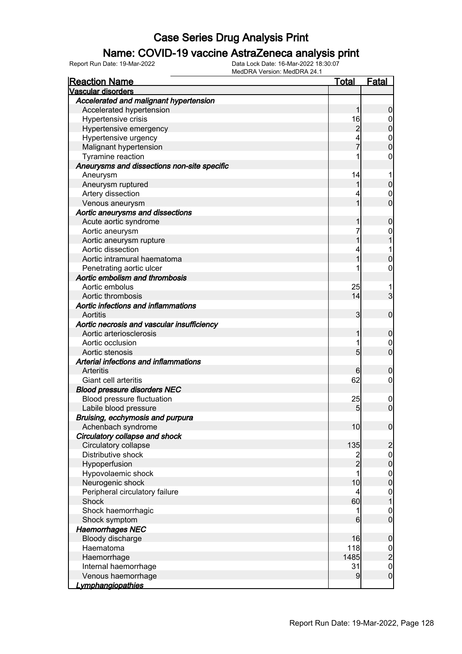### Name: COVID-19 vaccine AstraZeneca analysis print

| <u>Reaction Name</u>                        | <u>Total</u>     | <b>Fatal</b>                         |
|---------------------------------------------|------------------|--------------------------------------|
| <b>Vascular disorders</b>                   |                  |                                      |
| Accelerated and malignant hypertension      |                  |                                      |
| Accelerated hypertension                    | 1                | 0                                    |
| Hypertensive crisis                         | 16               | $\mathbf 0$                          |
| Hypertensive emergency                      | 2                | 0                                    |
| Hypertensive urgency                        |                  | $\mathbf{0}$                         |
| Malignant hypertension                      | 7                | 0                                    |
| Tyramine reaction                           |                  | 0                                    |
| Aneurysms and dissections non-site specific |                  |                                      |
| Aneurysm                                    | 14               |                                      |
| Aneurysm ruptured                           |                  | 0                                    |
| Artery dissection                           | 4                | $\mathbf 0$                          |
| Venous aneurysm                             | 1                | $\overline{0}$                       |
| Aortic aneurysms and dissections            |                  |                                      |
| Acute aortic syndrome                       |                  | 0                                    |
| Aortic aneurysm                             | 7                | 0                                    |
| Aortic aneurysm rupture                     |                  |                                      |
| Aortic dissection                           | 4                | 1                                    |
| Aortic intramural haematoma                 | 1                | 0                                    |
| Penetrating aortic ulcer                    |                  | 0                                    |
| Aortic embolism and thrombosis              |                  |                                      |
| Aortic embolus                              | 25               |                                      |
| Aortic thrombosis                           | 14               | 3                                    |
| Aortic infections and inflammations         |                  |                                      |
| Aortitis                                    | 3                | $\mathbf 0$                          |
| Aortic necrosis and vascular insufficiency  |                  |                                      |
| Aortic arteriosclerosis                     |                  | 0                                    |
| Aortic occlusion                            | 1                | $\mathbf 0$                          |
| Aortic stenosis                             | 5                | $\overline{0}$                       |
| Arterial infections and inflammations       |                  |                                      |
| <b>Arteritis</b>                            | 6                | 0                                    |
| Giant cell arteritis                        | 62               | 0                                    |
| <b>Blood pressure disorders NEC</b>         |                  |                                      |
| <b>Blood pressure fluctuation</b>           | 25               | $\overline{0}$                       |
| Labile blood pressure                       | 5                | $\mathbf 0$                          |
| Bruising, ecchymosis and purpura            |                  |                                      |
| Achenbach syndrome                          | 10               | 0                                    |
| Circulatory collapse and shock              |                  |                                      |
| Circulatory collapse                        | 135              | $\overline{c}$                       |
| Distributive shock                          | $\overline{c}$   | $\mathbf 0$                          |
| Hypoperfusion                               | $\overline{2}$   | $\boldsymbol{0}$                     |
| Hypovolaemic shock                          | 1                | $\boldsymbol{0}$                     |
| Neurogenic shock                            | 10               | $\overline{0}$                       |
| Peripheral circulatory failure              | 4                | $\begin{matrix} 0 \\ 1 \end{matrix}$ |
| Shock                                       | 60               |                                      |
| Shock haemorrhagic                          | 1                | $\mathbf{0}$                         |
| Shock symptom                               | $6 \overline{6}$ | $\overline{0}$                       |
| <b>Haemorrhages NEC</b>                     |                  |                                      |
| Bloody discharge                            | 16               | $\mathbf 0$                          |
| Haematoma                                   | 118              |                                      |
| Haemorrhage                                 | 1485             | $\frac{0}{2}$                        |
| Internal haemorrhage                        | 31               | $\mathbf{0}$                         |
| Venous haemorrhage                          | 9                | $\mathbf 0$                          |
| <u>Lymphangiopathies</u>                    |                  |                                      |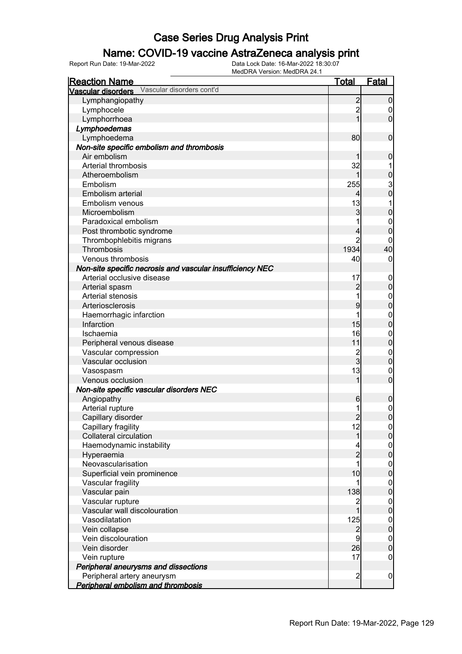### Name: COVID-19 vaccine AstraZeneca analysis print

| <b>Reaction Name</b>                                      | <b>Total</b>    | Fatal            |
|-----------------------------------------------------------|-----------------|------------------|
| Vascular disorders Vascular disorders cont'd              |                 |                  |
| Lymphangiopathy                                           | $\overline{2}$  | $\mathbf 0$      |
| Lymphocele                                                | $\overline{2}$  | 0                |
| Lymphorrhoea                                              | 1               | $\overline{0}$   |
| Lymphoedemas                                              |                 |                  |
| Lymphoedema                                               | 80              | $\mathbf 0$      |
| Non-site specific embolism and thrombosis                 |                 |                  |
| Air embolism                                              |                 | $\boldsymbol{0}$ |
| Arterial thrombosis                                       | 32              |                  |
| Atheroembolism                                            | 1               | $\mathbf 0$      |
| Embolism                                                  | 255             |                  |
| Embolism arterial                                         | 4               | $\frac{3}{0}$    |
| Embolism venous                                           | 13              |                  |
| Microembolism                                             | 3               | $\mathbf 0$      |
| Paradoxical embolism                                      |                 | $\mathbf 0$      |
| Post thrombotic syndrome                                  | 4               | $\mathbf 0$      |
| Thrombophlebitis migrans                                  | $\overline{2}$  | 0                |
| Thrombosis                                                | 1934            | 40               |
| Venous thrombosis                                         | 40              | 0                |
| Non-site specific necrosis and vascular insufficiency NEC |                 |                  |
| Arterial occlusive disease                                | 17              | $\mathbf 0$      |
| Arterial spasm                                            | $\overline{c}$  | $\pmb{0}$        |
| Arterial stenosis                                         | 1               | $\mathbf{0}$     |
| Arteriosclerosis                                          | 9               | $\overline{0}$   |
| Haemorrhagic infarction                                   | 1               | $\mathbf{0}$     |
| Infarction                                                | 15              | $\overline{0}$   |
| Ischaemia                                                 | 16              | $\mathbf{0}$     |
| Peripheral venous disease                                 | 11              | $\pmb{0}$        |
| Vascular compression                                      | $\frac{2}{3}$   | $\mathbf 0$      |
| Vascular occlusion                                        |                 | $\overline{0}$   |
| Vasospasm                                                 | 13              | $\mathbf 0$      |
| Venous occlusion                                          | 1               | $\overline{0}$   |
| Non-site specific vascular disorders NEC                  |                 |                  |
| Angiopathy                                                | $6\phantom{.0}$ | $\boldsymbol{0}$ |
| Arterial rupture                                          |                 | $\mathbf 0$      |
| Capillary disorder                                        | $\overline{2}$  | $\overline{0}$   |
| Capillary fragility                                       | 12              | 0                |
| <b>Collateral circulation</b>                             | 1               | $\overline{0}$   |
| Haemodynamic instability                                  |                 | $0$ 0            |
| Hyperaemia                                                | $\overline{2}$  |                  |
| Neovascularisation                                        | 1               | $0\atop 0$       |
| Superficial vein prominence                               | 10              |                  |
| Vascular fragility                                        | 1               | $\boldsymbol{0}$ |
| Vascular pain                                             | 138             | $\mathbf 0$      |
| Vascular rupture                                          | $\overline{c}$  | $\boldsymbol{0}$ |
| Vascular wall discolouration                              | $\overline{1}$  | $\mathbf 0$      |
| Vasodilatation                                            | 125             | $\boldsymbol{0}$ |
| Vein collapse                                             | $\overline{2}$  | $\mathbf 0$      |
| Vein discolouration                                       | $\overline{9}$  | $\boldsymbol{0}$ |
| Vein disorder                                             | 26              | $\overline{0}$   |
| Vein rupture                                              | 17              | $\mathbf 0$      |
| Peripheral aneurysms and dissections                      |                 |                  |
| Peripheral artery aneurysm                                | $\overline{2}$  | $\overline{0}$   |
| Peripheral embolism and thrombosis                        |                 |                  |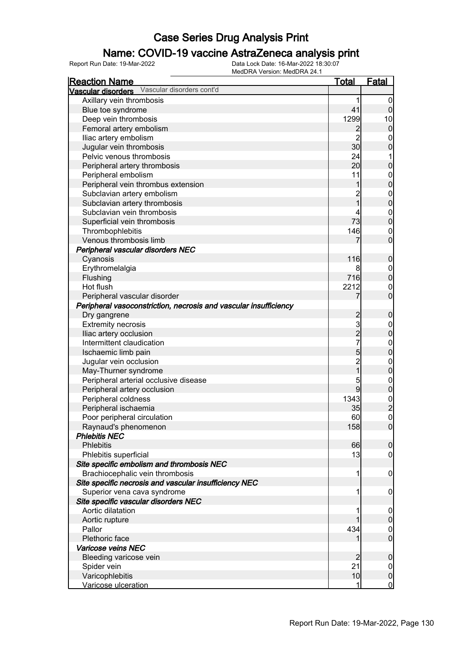### Name: COVID-19 vaccine AstraZeneca analysis print

| <b>Reaction Name</b>                                             | <u>Total</u>                          | <u>Fatal</u>                               |
|------------------------------------------------------------------|---------------------------------------|--------------------------------------------|
| Vascular disorders cont'd<br>Vascular disorders                  |                                       |                                            |
| Axillary vein thrombosis                                         | 1                                     | 0                                          |
| Blue toe syndrome                                                | 41                                    | 0                                          |
| Deep vein thrombosis                                             | 1299                                  | 10                                         |
| Femoral artery embolism                                          | $\overline{c}$                        | $\mathbf 0$                                |
| Iliac artery embolism                                            | $\overline{2}$                        | 0                                          |
| Jugular vein thrombosis                                          | 30                                    | $\mathbf{0}$                               |
| Pelvic venous thrombosis                                         | 24                                    | 1                                          |
| Peripheral artery thrombosis                                     | 20                                    | $\mathbf{0}$                               |
| Peripheral embolism                                              | 11                                    | $\mathbf{0}$                               |
| Peripheral vein thrombus extension                               | 1                                     | $\overline{0}$                             |
| Subclavian artery embolism                                       |                                       | $\mathbf{0}$                               |
| Subclavian artery thrombosis                                     | $\begin{array}{c} 2 \\ 1 \end{array}$ | $\overline{0}$                             |
| Subclavian vein thrombosis                                       | 4                                     | $\mathbf 0$                                |
| Superficial vein thrombosis                                      | 73                                    | $\overline{0}$                             |
| Thrombophlebitis                                                 | 146                                   | $\mathbf 0$                                |
| Venous thrombosis limb                                           | 7                                     | $\overline{0}$                             |
| Peripheral vascular disorders NEC                                |                                       |                                            |
| Cyanosis                                                         | 116                                   | $\mathbf 0$                                |
| Erythromelalgia                                                  | 8                                     | $\mathbf 0$                                |
| Flushing                                                         | 716                                   | $\overline{0}$                             |
| Hot flush                                                        | 2212                                  | $\mathbf 0$                                |
| Peripheral vascular disorder                                     | 7                                     | $\overline{0}$                             |
| Peripheral vasoconstriction, necrosis and vascular insufficiency |                                       |                                            |
| Dry gangrene                                                     |                                       | $\mathbf 0$                                |
| <b>Extremity necrosis</b>                                        | 2<br>3                                | $\boldsymbol{0}$                           |
| Iliac artery occlusion                                           | $\overline{2}$                        | $\overline{0}$                             |
| Intermittent claudication                                        | $\overline{7}$                        | $\mathbf{0}$                               |
| Ischaemic limb pain                                              | 5                                     | $\overline{0}$                             |
| Jugular vein occlusion                                           |                                       | $\mathbf 0$                                |
| May-Thurner syndrome                                             | $\frac{2}{1}$                         | $\mathbf 0$                                |
| Peripheral arterial occlusive disease                            | 5                                     | $\mathbf{0}$                               |
| Peripheral artery occlusion                                      | 9                                     | $\overline{0}$                             |
| Peripheral coldness                                              | 1343                                  |                                            |
| Peripheral ischaemia                                             | 35                                    | $\begin{array}{c} 0 \\ 2 \\ 0 \end{array}$ |
| Poor peripheral circulation                                      | 60                                    |                                            |
| Raynaud's phenomenon                                             | 158                                   | 0                                          |
| <b>Phlebitis NEC</b>                                             |                                       |                                            |
| Phlebitis                                                        | 66                                    | $\overline{0}$                             |
| Phlebitis superficial                                            | 13                                    | $\overline{0}$                             |
| Site specific embolism and thrombosis NEC                        |                                       |                                            |
| Brachiocephalic vein thrombosis                                  | 1                                     | $\mathbf 0$                                |
| Site specific necrosis and vascular insufficiency NEC            |                                       |                                            |
| Superior vena cava syndrome                                      | 1                                     | $\mathbf 0$                                |
| Site specific vascular disorders NEC                             |                                       |                                            |
| Aortic dilatation                                                | 1                                     | $\mathbf 0$                                |
| Aortic rupture                                                   |                                       | $\mathbf 0$                                |
| Pallor                                                           | 434                                   | $\mathbf 0$                                |
| Plethoric face                                                   | 1                                     | $\overline{0}$                             |
| Varicose veins NEC                                               |                                       |                                            |
| Bleeding varicose vein                                           | 2                                     | $\mathbf 0$                                |
| Spider vein                                                      | 21                                    | $\overline{0}$                             |
| Varicophlebitis                                                  | 10                                    | $\pmb{0}$                                  |
| Varicose ulceration                                              |                                       | $\overline{0}$                             |